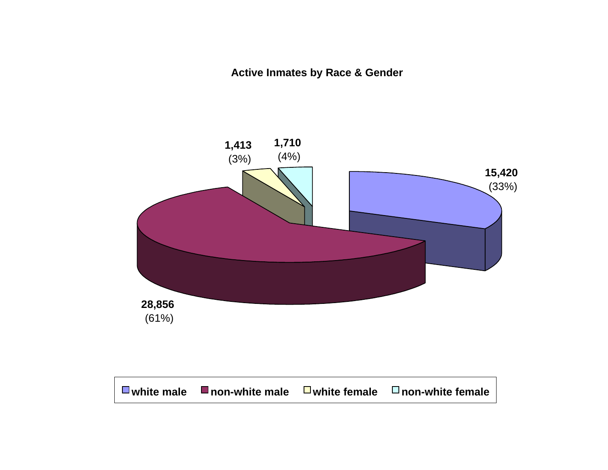**Active Inmates by Race & Gender**

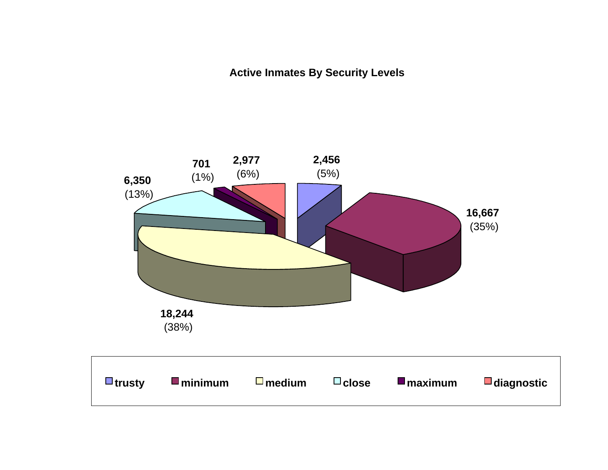**Active Inmates By Security Levels**

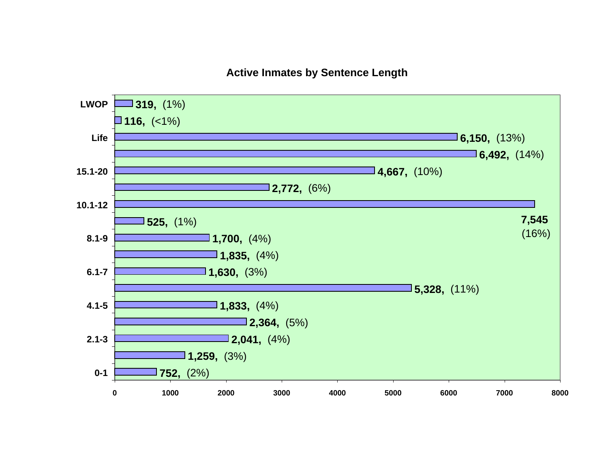### **Active Inmates by Sentence Length**

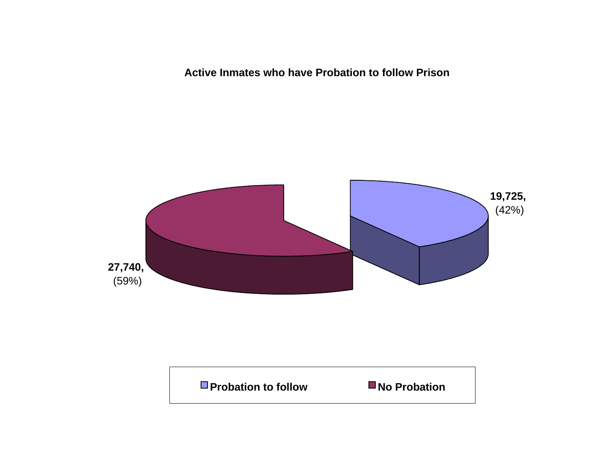**Active Inmates who have Probation to follow Prison**



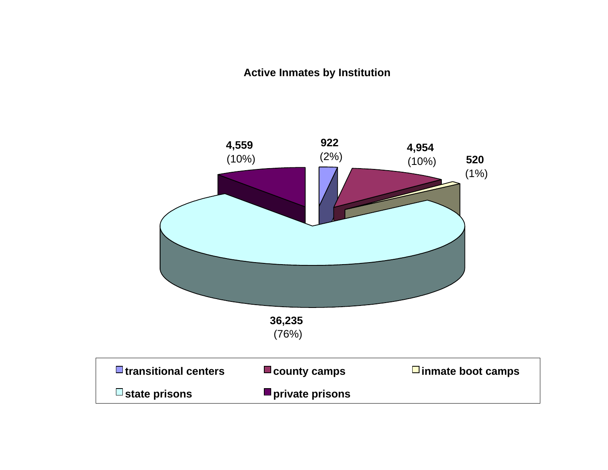### **Active Inmates by Institution**

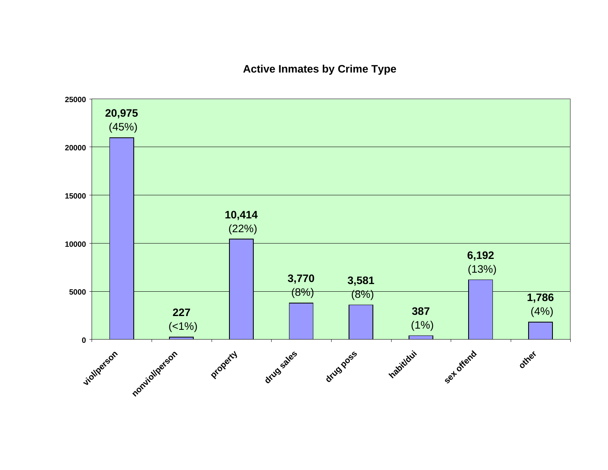### **Active Inmates by Crime Type**

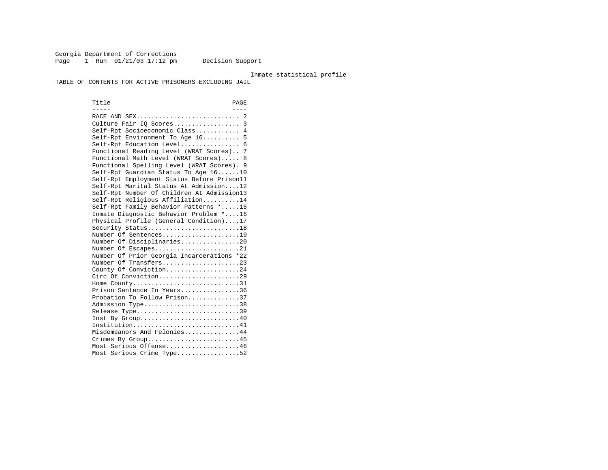Georgia Department of Corrections Page 1 Run 01/21/03 17:12 pm Decision Support

#### Inmate statistical profile

TABLE OF CONTENTS FOR ACTIVE PRISONERS EXCLUDING JAIL

Title PAGE ----- ----RACE AND SEX................................. 2 Culture Fair IQ Scores.................. 3 Self-Rpt Socioeconomic Class............ 4 Self-Rpt Environment To Age 16.......... 5 Self-Rpt Education Level................ 6 Functional Reading Level (WRAT Scores).. 7 Functional Math Level (WRAT Scores)..... 8 Functional Spelling Level (WRAT Scores). 9 Self-Rpt Guardian Status To Age 16......10 Self-Rpt Employment Status Before Prison11 Self-Rpt Marital Status At Admission....12 Self-Rpt Number Of Children At Admission13 Self-Rpt Religious Affiliation..........14 Self-Rpt Family Behavior Patterns \*.....15 Inmate Diagnostic Behavior Problem \*....16 Physical Profile (General Condition)....17 Security Status...........................18 Number Of Sentences.....................19 Number Of Disciplinaries................20 Number Of Escapes........................21 Number Of Prior Georgia Incarcerations \*22 Number Of Transfers.....................23 County Of Conviction....................24 Circ Of Conviction......................29 Home County.............................31 Prison Sentence In Years................36 Probation To Follow Prison..............37Admission Type.............................38 Release Type...............................39 Inst By Group.............................40 Institution...............................41 Misdemeanors And Felonies...............44 Crimes By Group...........................45 Most Serious Offense....................46 Most Serious Crime Type.................52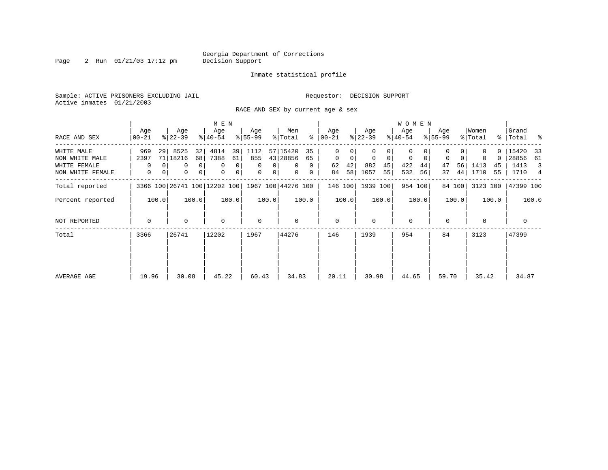Page 2 Run 01/21/03 17:12 pm

### Inmate statistical profile

Sample: ACTIVE PRISONERS EXCLUDING JAIL **Requestor: DECISION SUPPORT** Active inmates 01/21/2003

RACE AND SEX by current age & sex

|                  |                  |                              | M E N                           |                     |                      |                  |                            | <b>WOMEN</b>     |                  |                  |                      |
|------------------|------------------|------------------------------|---------------------------------|---------------------|----------------------|------------------|----------------------------|------------------|------------------|------------------|----------------------|
| RACE AND SEX     | Age<br>$00 - 21$ | Age<br>$8 22-39$             | Age<br>$ 40-54 $                | Age<br>$8 55-99$    | Men<br>ႜ<br>% Total  | Age<br>  00-21   | Age<br>$ 22-39 $           | Age<br>$ 40-54 $ | Age<br>$8 55-99$ | Women<br>% Total | Grand<br>%   Total % |
| WHITE MALE       | 969              | 8525<br>32<br>29             | 4814<br>39                      | 1112                | 57 15420<br>35       | 0                |                            | $\Omega$         |                  | $\Omega$         | 15420<br>33          |
| NON WHITE MALE   | 2397             | 71 18216<br>68               | 7388<br>61                      | 855                 | 43 28856<br>65       | $\mathbf 0$<br>0 | $\mathbf 0$<br>$\mathbf 0$ | 0<br>0           | 0<br>0           | 0<br>$\Omega$    | 28856<br>- 61        |
| WHITE FEMALE     | 0                | 0                            | 0 <sup>1</sup><br>0<br>$\Omega$ | $\Omega$<br>0       | $\Omega$<br>$\Omega$ | 42<br>62         | 882<br>45                  | 422<br>44        | 56<br>47         | 1413<br>45       | 1413<br>3            |
| NON WHITE FEMALE | 0                | 0<br>0                       | 0 <br>$\mathbf 0$<br>0          | 0<br>0 <sup>1</sup> | $\mathbf{0}$<br>0    | 58<br>84         | 1057<br>55                 | 532<br>56        | 44<br>37         | 55<br>1710       | 1710<br>4            |
| Total reported   |                  | 3366 100 26741 100 12202 100 |                                 |                     | 1967 100 44276 100   | 146 100          | 1939 100                   | 954 100          | 84 100           | 3123 100         | 47399 100            |
| Percent reported | 100.0            | 100.0                        | 100.0                           | 100.0               | 100.0                | 100.0            | 100.0                      | 100.0            | 100.0            | 100.0            | 100.0                |
| NOT REPORTED     | $\mathbf 0$      | 0                            | $\mathbf 0$                     | $\mathbf 0$         | 0                    | $\mathbf{0}$     | $\Omega$                   | $\mathbf 0$      | $\Omega$         | $\Omega$         | 0                    |
| Total            | 3366             | 26741                        | 12202                           | 1967                | 44276                | 146              | 1939                       | 954              | 84               | 3123             | 47399                |
|                  |                  |                              |                                 |                     |                      |                  |                            |                  |                  |                  |                      |
| AVERAGE AGE      | 19.96            | 30.08                        | 45.22                           | 60.43               | 34.83                | 20.11            | 30.98                      | 44.65            | 59.70            | 35.42            | 34.87                |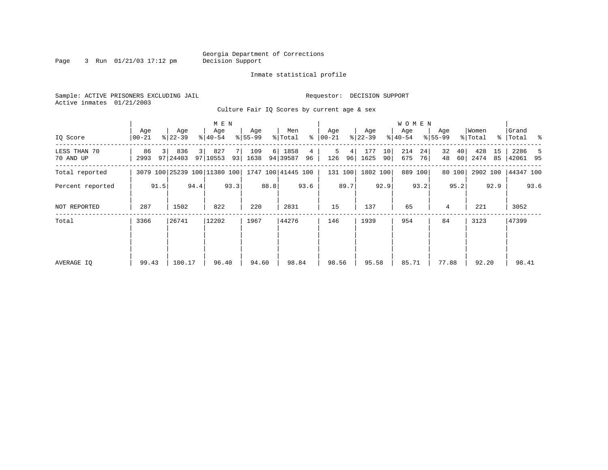Page 3 Run  $01/21/03$  17:12 pm

### Inmate statistical profile

Sample: ACTIVE PRISONERS EXCLUDING JAIL **Requestor: DECISION SUPPORT** Active inmates 01/21/2003

Culture Fair IQ Scores by current age & sex

|                           |                  |      |                  |                | M E N                        |      |                  |              |                    |         |                    |                      |                  |          | <b>WOMEN</b>     |          |                  |          |                  |          |                      |      |
|---------------------------|------------------|------|------------------|----------------|------------------------------|------|------------------|--------------|--------------------|---------|--------------------|----------------------|------------------|----------|------------------|----------|------------------|----------|------------------|----------|----------------------|------|
| IQ Score                  | Age<br>$00 - 21$ |      | Age<br>$ 22-39 $ |                | Age<br>$ 40-54 $             |      | Age<br>$8 55-99$ |              | Men<br>% Total     | ႜ       | Age<br>$ 00 - 21 $ |                      | Age<br>$ 22-39 $ |          | Age<br>$8 40-54$ |          | Age<br>$ 55-99 $ |          | Women<br>% Total |          | Grand<br>%   Total % |      |
| LESS THAN 70<br>70 AND UP | 86<br>2993       | 3 I  | 836<br>97 24403  | 3 <sup>1</sup> | 827<br>97 10553              | 93   | 109<br>1638      | <sup>6</sup> | 1858<br>94 39587   | 4<br>96 | 5<br>126           | 4 <sup>1</sup><br>96 | 177<br>1625      | 10<br>90 | 214<br>675       | 24<br>76 | 32<br>48         | 40<br>60 | 428<br>2474      | 15<br>85 | 2286<br>42061 95     | -5   |
| Total reported            |                  |      |                  |                | 3079 100 25239 100 11380 100 |      |                  |              | 1747 100 41445 100 |         |                    | 131 100              | 1802 100         |          |                  | 889 100  |                  | 80 100   | 2902 100         |          | 44347 100            |      |
| Percent reported          |                  | 91.5 |                  | 94.4           |                              | 93.3 |                  | 88.8         |                    | 93.6    |                    | 89.7                 |                  | 92.9     |                  | 93.2     |                  | 95.2     |                  | 92.9     |                      | 93.6 |
| NOT REPORTED              | 287              |      | 1502             |                | 822                          |      | 220              |              | 2831               |         | 15                 |                      | 137              |          | 65               |          | 4                |          | 221              |          | 3052                 |      |
| Total                     | 3366             |      | 26741            |                | 12202                        |      | 1967             |              | 44276              |         | 146                |                      | 1939             |          | 954              |          | 84               |          | 3123             |          | 47399                |      |
|                           |                  |      |                  |                |                              |      |                  |              |                    |         |                    |                      |                  |          |                  |          |                  |          |                  |          |                      |      |
|                           |                  |      |                  |                |                              |      |                  |              |                    |         |                    |                      |                  |          |                  |          |                  |          |                  |          |                      |      |
| AVERAGE IQ                | 99.43            |      | 100.17           |                | 96.40                        |      | 94.60            |              | 98.84              |         | 98.56              |                      | 95.58            |          | 85.71            |          | 77.88            |          | 92.20            |          | 98.41                |      |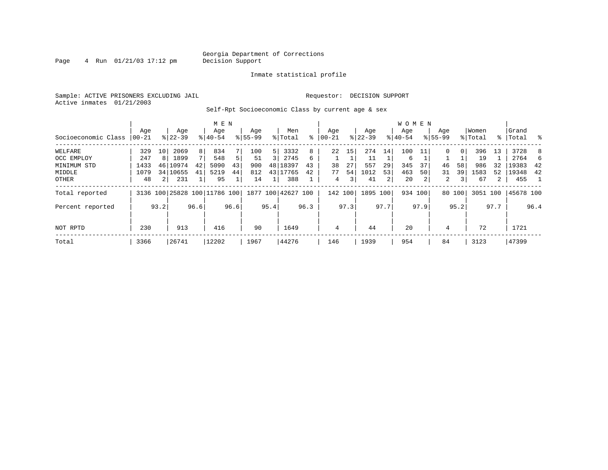Page  $4$  Run  $01/21/03$  17:12 pm

### Inmate statistical profile

Sample: ACTIVE PRISONERS EXCLUDING JAIL **Requestor: DECISION SUPPORT** Active inmates 01/21/2003

Self-Rpt Socioeconomic Class by current age & sex

|                     |          |      | M E N                        |      |           |                |             |                |                    |      | <b>WOMEN</b>   |      |           |      |           |      |                |        |          |      |           |      |
|---------------------|----------|------|------------------------------|------|-----------|----------------|-------------|----------------|--------------------|------|----------------|------|-----------|------|-----------|------|----------------|--------|----------|------|-----------|------|
|                     | Age      |      | Age                          |      | Age       |                | Age         |                | Men                |      | Age            |      | Age       |      | Age       |      | Age            |        | Women    |      | Grand     |      |
| Socioeconomic Class | $ 00-21$ |      | $8 22-39$                    |      | $8 40-54$ |                | $8155 - 99$ |                | % Total            | ႜ    | $00 - 21$      |      | $ 22-39 $ |      | $8 40-54$ |      | $8155 - 99$    |        | % Total  |      | %   Total | ႜ    |
| WELFARE             | 329      | 10   | 2069                         | 8    | 834       | 7 <sub>1</sub> | 100         | 5 <sup>1</sup> | 3332               | 8    | 22             | 15   | 274       | 14   | 100       | 11   | $\Omega$       | 0      | 396      | 13   | 3728      | 8    |
| OCC EMPLOY          | 247      | 8    | 1899                         | 7    | 548       | 5.             | 51          | 3 I            | 2745               | 6    |                |      | 11        |      | 6         |      |                |        | 19       |      | 2764      |      |
| MINIMUM STD         | 1433     | 46   | 10974                        | 42   | 5090      | 43             | 900         |                | 48 18397           | 43   | 38             | 27   | 557       | 29   | 345       | 37   | 46             | 58     | 986      | 32   | 19383     | 42   |
| MIDDLE              | 1079     |      | 34 10655                     | 41   | 5219      | 44             | 812         |                | 43 17765           | 42   | 77             | 54   | 1012      | 53   | 463       | 50   | 31             | 39     | 1583     | 52   | 19348     | 42   |
| OTHER               | 48       |      | 231                          |      | 95        |                | 14          |                | 388                |      | $\overline{4}$ | 3    | 41        | 2    | 20        |      | $\overline{a}$ | 3      | 67       | 2    | 455       |      |
| Total reported      |          |      | 3136 100 25828 100 11786 100 |      |           |                |             |                | 1877 100 42627 100 |      | 142 100        |      | 1895 100  |      | 934 100   |      |                | 80 100 | 3051 100 |      | 45678 100 |      |
| Percent reported    |          | 93.2 |                              | 96.6 |           | 96.6           |             | 95.4           |                    | 96.3 |                | 97.3 |           | 97.7 |           | 97.9 |                | 95.2   |          | 97.7 |           | 96.4 |
| NOT RPTD            | 230      |      | 913                          |      | 416       |                | 90          |                | 1649               |      | 4              |      | 44        |      | 20        |      | 4              |        | 72       |      | 1721      |      |
| Total               | 3366     |      | 26741                        |      | 12202     |                | 1967        |                | 44276              |      | 146            |      | 1939      |      | 954       |      | 84             |        | 3123     |      | 47399     |      |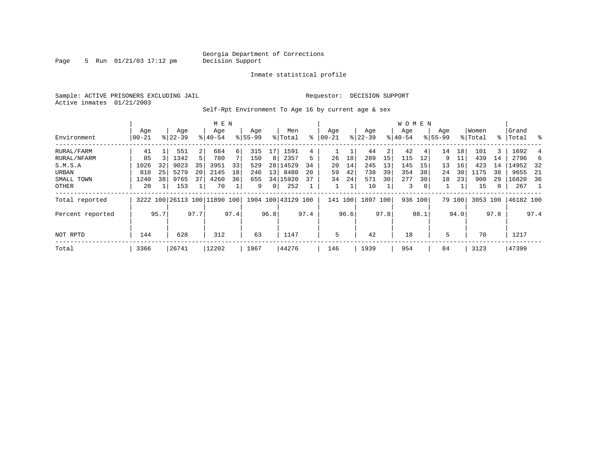Page 5 Run  $01/21/03$  17:12 pm

### Inmate statistical profile

Sample: ACTIVE PRISONERS EXCLUDING JAIL **Requestor: DECISION SUPPORT** Active inmates 01/21/2003

Self-Rpt Environment To Age 16 by current age & sex

|                  |                   |      |                  |                | M E N                        |      |                    |                 |                    |      |                  |      |                  |      | <b>WOMEN</b>     |                |                    |        |                  |      |                 |      |
|------------------|-------------------|------|------------------|----------------|------------------------------|------|--------------------|-----------------|--------------------|------|------------------|------|------------------|------|------------------|----------------|--------------------|--------|------------------|------|-----------------|------|
| Environment      | Age<br>$ 00 - 21$ |      | Age<br>$ 22-39 $ |                | Age<br>$8140 - 54$           |      | Age<br>$8155 - 99$ |                 | Men<br>% Total     | ႜ    | Aqe<br>$00 - 21$ |      | Age<br>$ 22-39 $ |      | Aqe<br>$8 40-54$ |                | Age<br>$8155 - 99$ |        | Women<br>% Total | ႜ    | Grand<br> Total | ႜ    |
| RURAL/FARM       | 41                |      | 551              | 2 <sup>1</sup> | 684                          | 6    | 315                |                 | 1591               | 4    |                  |      | 44               | 2    | 42               | 41             | 14                 | 18     | 101              | 3    | 1692            | 4    |
| RURAL/NFARM      | 85                |      | 1342             | 5              | 780                          |      | 150                | 8 <sup>1</sup>  | 2357               | 5    | 26               | 18   | 289              | 15   | 115              | 12             | 9                  | 11     | 439              | 14   | 2796            | 6    |
| S.M.S.A          | 1026              | 32   | 9023             | 35             | 3951                         | 33   | 529                |                 | 28 14529           | 34   | 20               | 14   | 245              | 13   | 145              | 15             | 13                 | 16     | 423              | 14   | 14952           | - 32 |
| URBAN            | 810               | 25   | 5279             | 20             | 2145                         | 18   | 246                | 13 <sup>1</sup> | 8480               | 20   | 59               | 42   | 738              | 39   | 354              | 38             | 24                 | 30     | 1175             | 38   | 9655            | -21  |
| SMALL TOWN       | 1240              | 38   | 9765             | 37             | 4260                         | 36   | 655                |                 | 34   15920         | 37   | 34               | 24   | 571              | 30   | 277              | 30             | 18                 | 23     | 900              | 29   | 16820           | 36   |
| OTHER            | 20                |      | 153              |                | 70                           |      | 9                  | 0 <sup>1</sup>  | 252                |      |                  |      | 10               |      | 3                | 0 <sup>1</sup> |                    |        | 15               | 0    | 267             |      |
| Total reported   |                   |      |                  |                | 3222 100 26113 100 11890 100 |      |                    |                 | 1904 100 43129 100 |      | 141 100          |      | 1897 100         |      | 936 100          |                |                    | 79 100 | 3053 100         |      | 46182 100       |      |
| Percent reported |                   | 95.7 |                  | 97.7           |                              | 97.4 |                    | 96.8            |                    | 97.4 |                  | 96.6 |                  | 97.8 |                  | 98.1           |                    | 94.0   |                  | 97.8 |                 | 97.4 |
| NOT RPTD         | 144               |      | 628              |                | 312                          |      | 63                 |                 | 1147               |      | 5                |      | 42               |      | 18               |                | 5                  |        | 70               |      | 1217            |      |
| Total            | 3366              |      | 26741            |                | 12202                        |      | 1967               |                 | 44276              |      | 146              |      | 1939             |      | 954              |                | 84                 |        | 3123             |      | 47399           |      |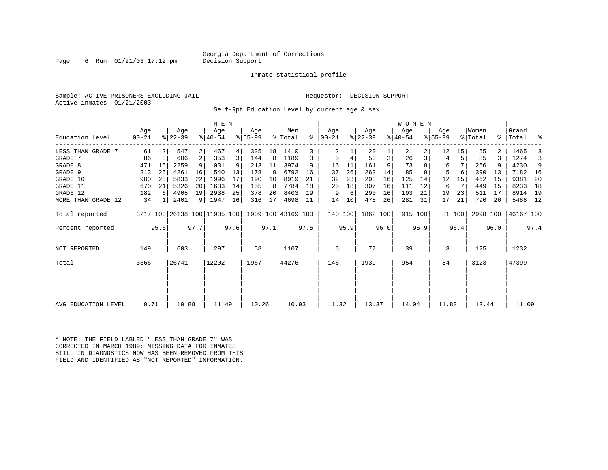### Georgia Department of Corrections<br>Decision Support

Page 6 Run  $01/21/03$  17:12 pm

### Inmate statistical profile

Sample: ACTIVE PRISONERS EXCLUDING JAIL **Requestor: DECISION SUPPORT** Active inmates 01/21/2003

Self-Rpt Education Level by current age & sex

|                     |                |      |                              |                | M E N              |      |                  |      |                    |      |                      |      |                  |      | WOMEN            |      |                  |        |                  |      |                    |      |
|---------------------|----------------|------|------------------------------|----------------|--------------------|------|------------------|------|--------------------|------|----------------------|------|------------------|------|------------------|------|------------------|--------|------------------|------|--------------------|------|
| Education Level     | Age<br>  00-21 |      | Age<br>$ 22-39 $             |                | Age<br>$8140 - 54$ |      | Age<br>$8 55-99$ |      | Men<br>% Total     |      | Age<br>$8   00 - 21$ |      | Age<br>$ 22-39 $ |      | Age<br>$ 40-54 $ |      | Age<br>$8 55-99$ |        | Women<br>% Total |      | Grand<br>%   Total | ್ಠಿ  |
| LESS THAN GRADE 7   | 61             |      | 547                          | $\overline{2}$ | 467                | 4    | 335              | 18   | 1410               |      | 2                    |      | 20               |      | 21               |      | 12               | 15     | 55               |      | 1465               |      |
| GRADE 7             | 86             | 3    | 606                          | 2 <sup>1</sup> | 353                | 3    | 144              | 8    | 1189               | 3    | 5                    | 4    | 50               | 3    | 26               |      | 4                |        | 85               |      | 1274               |      |
| GRADE 8             | 471            | 15   | 2259                         | 9 <sup>1</sup> | 1031               | 9    | 213              | 11   | 3974               | 9    | 16                   | 11   | 161              | 9    | 73               |      | 6                |        | 256              |      | 4230               | 9    |
| GRADE 9             | 813            | 25   | 4261                         | 16             | 1540               | 13   | 178              | 9    | 6792               | 16   | 37                   | 26   | 263              | 14   | 85               |      | 5                |        | 390              | 13   | 7182 16            |      |
| GRADE 10            | 900            | 28   | 5833                         | 22             | 1996               | 17   | 190              | 10   | 8919               | 21   | 32                   | 23   | 293              | 16   | 125              | 14   | 12               | 15     | 462              | 15   | 9381               | 20   |
| GRADE 11            | 670            | 21   | 5326                         | 20             | 1633               | 14   | 155              | 8    | 7784               | 18   | 25                   | 18   | 307              | 16   | 111              | 12   | 6                | 7      | 449              | 15   | 8233               | 18   |
| GRADE 12            | 182            | 6    | 4905                         | 19             | 2938               | 25   | 378              | 20   | 8403               | 19   | 9                    | 6    | 290              | 16   | 193              | 21   | 19               | 23     | 511              | 17   | 8914               | 19   |
| MORE THAN GRADE 12  | 34             |      | 2401                         |                | 9   1947           | 16   | 316              | 17   | 4698               | 11   | 14                   | 10   | 478              | 26   | 281              | 31   | 17               | 21     | 790              | 26   | 5488 12            |      |
| Total reported      |                |      | 3217 100 26138 100 11905 100 |                |                    |      |                  |      | 1909 100 43169 100 |      | 140 100              |      | 1862 100         |      | 915 100          |      |                  | 81 100 | 2998 100         |      | 46167 100          |      |
| Percent reported    |                | 95.6 |                              | 97.7           |                    | 97.6 |                  | 97.1 |                    | 97.5 |                      | 95.9 |                  | 96.0 |                  | 95.9 |                  | 96.4   |                  | 96.0 |                    | 97.4 |
| NOT REPORTED        | 149            |      | 603                          |                | 297                |      | 58               |      | 1107               |      | 6                    |      | 77               |      | 39               |      | 3                |        | 125              |      | 1232               |      |
| Total               | 3366           |      | 26741                        |                | 12202              |      | 1967             |      | 44276              |      | 146                  |      | 1939             |      | 954              |      | 84               |        | 3123             |      | 47399              |      |
|                     |                |      |                              |                |                    |      |                  |      |                    |      |                      |      |                  |      |                  |      |                  |        |                  |      |                    |      |
|                     |                |      |                              |                |                    |      |                  |      |                    |      |                      |      |                  |      |                  |      |                  |        |                  |      |                    |      |
| AVG EDUCATION LEVEL | 9.71           |      | 10.88                        |                | 11.49              |      | 10.26            |      | 10.93              |      | 11.32                |      | 13.37            |      | 14.04            |      | 11.83            |        | 13.44            |      | 11.09              |      |

\* NOTE: THE FIELD LABLED "LESS THAN GRADE 7" WAS CORRECTED IN MARCH 1989: MISSING DATA FOR INMATES STILL IN DIAGNOSTICS NOW HAS BEEN REMOVED FROM THIS FIELD AND IDENTIFIED AS "NOT REPORTED" INFORMATION.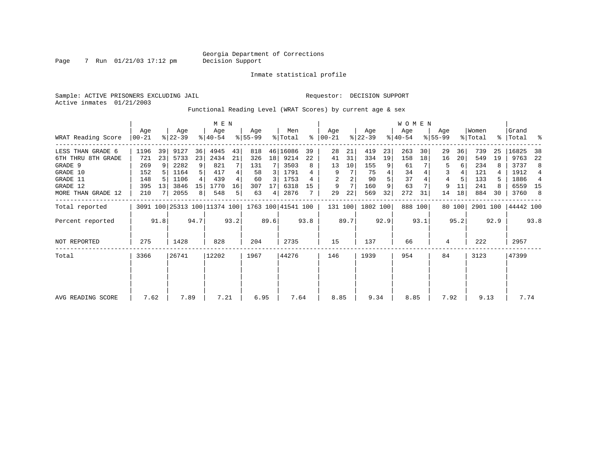Page 7 Run 01/21/03 17:12 pm

Inmate statistical profile

Sample: ACTIVE PRISONERS EXCLUDING JAIL **Requestor: DECISION SUPPORT** Active inmates 01/21/2003

Functional Reading Level (WRAT Scores) by current age & sex

|                    |                 |                 |                                                 |      | M E N              |      |                 |                 |                |      |                  |      |                  |      | <b>WOMEN</b>     |         |                  |        |                  |      |                    |      |
|--------------------|-----------------|-----------------|-------------------------------------------------|------|--------------------|------|-----------------|-----------------|----------------|------|------------------|------|------------------|------|------------------|---------|------------------|--------|------------------|------|--------------------|------|
| WRAT Reading Score | Age<br>$ 00-21$ |                 | Age<br>$ 22-39 $                                |      | Age<br>$8140 - 54$ |      | Aqe<br>$ 55-99$ |                 | Men<br>% Total | ႜ    | Age<br>$00 - 21$ |      | Age<br>$ 22-39 $ |      | Age<br>$ 40-54 $ |         | Age<br>$8 55-99$ |        | Women<br>% Total |      | Grand<br>%   Total | ႜ    |
| LESS THAN GRADE 6  | 1196            | 39              | 9127                                            | 36   | 4945               | 43   | 818             |                 | 46 16086       | 39   | 28               | 21   | 419              | 23   | 263              | 30      | 29               | 36     | 739              | 25   | 16825              | 38   |
| 6TH THRU 8TH GRADE | 721             | 23              | 5733                                            | 23   | 2434               | 21   | 326             | 18 <sup>1</sup> | 9214           | 22   | 41               | 31   | 334              | 19   | 158              | 18      | 16               | 20     | 549              | 19   | 9763               | 22   |
| GRADE 9            | 269             | 9               | 2282                                            | 9    | 821                |      | 131             |                 | 3503           | 8    | 13               | 10   | 155              |      | 61               |         | 5                | 6      | 234              |      | 3737               | 8    |
| GRADE 10           | 152             |                 | 1164                                            |      | 417                |      | 58              | 3               | 1791           |      | 9                |      | 75               |      | 34               |         | 3                |        | 121              |      | 1912               | 4    |
| GRADE 11           | 148             |                 | 1106                                            |      | 439                |      | 60              | 3               | 1753           |      | 2                |      | 90               |      | 37               |         |                  |        | 133              |      | 1886               | 4    |
| GRADE 12           | 395             | 13 <sup>1</sup> | 3846                                            | 15   | 1770               | 16   | 307             | 17              | 6318           | 15   | 9                |      | 160              | 9    | 63               |         | 9                | 11     | 241              |      | 6559               | 15   |
| MORE THAN GRADE 12 | 210             |                 | 2055                                            | 8    | 548                | 5.   | 63              | $\overline{4}$  | 2876           |      | 29               | 22   | 569              | 32   | 272              | 31      | 14               | 18     | 884              | 30   | 3760               | 8    |
| Total reported     |                 |                 | 3091 100 25313 100 11374 100 1763 100 41541 100 |      |                    |      |                 |                 |                |      | 131 100          |      | 1802 100         |      |                  | 888 100 |                  | 80 100 | 2901 100         |      | 44442 100          |      |
| Percent reported   |                 | 91.8            |                                                 | 94.7 |                    | 93.2 |                 | 89.6            |                | 93.8 |                  | 89.7 |                  | 92.9 |                  | 93.1    |                  | 95.2   |                  | 92.9 |                    | 93.8 |
| NOT REPORTED       | 275             |                 | 1428                                            |      | 828                |      | 204             |                 | 2735           |      | 15               |      | 137              |      | 66               |         | 4                |        | 222              |      | 2957               |      |
| Total              | 3366            |                 | 26741                                           |      | 12202              |      | 1967            |                 | 44276          |      | 146              |      | 1939             |      | 954              |         | 84               |        | 3123             |      | 47399              |      |
|                    |                 |                 |                                                 |      |                    |      |                 |                 |                |      |                  |      |                  |      |                  |         |                  |        |                  |      |                    |      |
|                    |                 |                 |                                                 |      |                    |      |                 |                 |                |      |                  |      |                  |      |                  |         |                  |        |                  |      |                    |      |
| AVG READING SCORE  | 7.62            |                 | 7.89                                            |      | 7.21               |      | 6.95            |                 | 7.64           |      | 8.85             |      | 9.34             |      | 8.85             |         | 7.92             |        | 9.13             |      | 7.74               |      |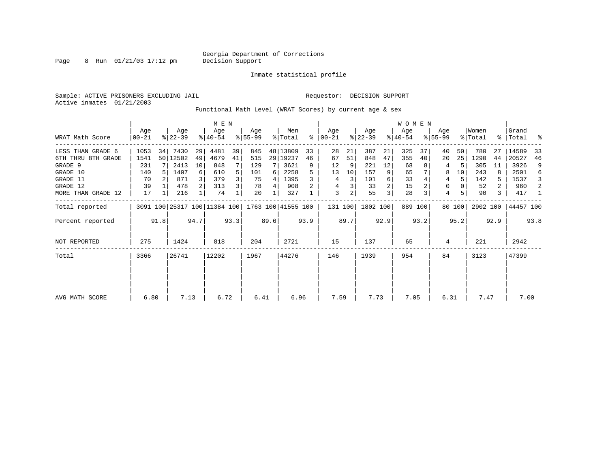Page 8 Run 01/21/03 17:12 pm

### Inmate statistical profile

Sample: ACTIVE PRISONERS EXCLUDING JAIL **Requestor: DECISION SUPPORT** Active inmates 01/21/2003

Functional Math Level (WRAT Scores) by current age & sex

|                    | M E N            |      |                  |                |                              |      |                 |      |                    |      |                      |      |                  |      | WOMEN            |         |                    |        |                  |                |                    |      |
|--------------------|------------------|------|------------------|----------------|------------------------------|------|-----------------|------|--------------------|------|----------------------|------|------------------|------|------------------|---------|--------------------|--------|------------------|----------------|--------------------|------|
| WRAT Math Score    | Age<br>$00 - 21$ |      | Age<br>$ 22-39 $ |                | Age<br>$8 40-54$             |      | Aqe<br>$ 55-99$ |      | Men<br>% Total     |      | Aqe<br>$8   00 - 21$ |      | Age<br>$ 22-39 $ |      | Age<br>$ 40-54 $ |         | Age<br>$8155 - 99$ |        | Women<br>% Total |                | Grand<br>%   Total | ႜ    |
| LESS THAN GRADE 6  | 1053             | 34   | 7430             | 29             | 4481                         | 39   | 845             |      | 48 13809           | 33   | 28                   | 21   | 387              | 21   | 325              | 37      | 40                 | 50     | 780              | 27             | 14589              | 33   |
| 6TH THRU 8TH GRADE | 1541             |      | 50 12502         | 49             | 4679                         | 41   | 515             |      | 29 19237           | 46   | 67                   | 51   | 848              | 47   | 355              | 40      | 20                 | 25     | 1290             | 44             | 20527              | 46   |
| GRADE 9            | 231              |      | 2413             | 10             | 848                          |      | 129             |      | 3621               | 9    | 12                   | 9    | 221              | 12   | 68               |         | 4                  |        | 305              | 11             | 3926               | 9    |
| GRADE 10           | 140              |      | 1407             | 6              | 610                          |      | 101             | 6    | 2258               |      | 13                   | 10   | 157              |      | 65               |         | 8                  | 10     | 243              |                | 2501               | 6    |
| GRADE 11           | 70               |      | 871              |                | 379                          |      | 75              | 4    | 1395               |      | 4                    | 3    | 101              | 6    | 33               |         | 4                  | 5      | 142              | 5.             | 1537               | 3    |
| GRADE 12           | 39               |      | 478              | 2 <sup>1</sup> | 313                          | 3    | 78              | 4    | 908                |      | 4                    |      | 33               |      | 15               |         | 0                  |        | 52               | $\overline{2}$ | 960                | 2    |
| MORE THAN GRADE 12 | 17               |      | 216              |                | 74                           |      | 20              |      | 327                |      | 3                    | 2    | 55               | 3    | 28               | 3       | $\overline{4}$     |        | 90               | 3              | 417                | -1   |
| Total reported     |                  |      |                  |                | 3091 100 25317 100 11384 100 |      |                 |      | 1763 100 41555 100 |      | 131 100              |      | 1802 100         |      |                  | 889 100 |                    | 80 100 | 2902 100         |                | 44457 100          |      |
| Percent reported   |                  | 91.8 |                  | 94.7           |                              | 93.3 |                 | 89.6 |                    | 93.9 |                      | 89.7 |                  | 92.9 |                  | 93.2    |                    | 95.2   |                  | 92.9           |                    | 93.8 |
| NOT REPORTED       | 275              |      | 1424             |                | 818                          |      | 204             |      | 2721               |      | 15                   |      | 137              |      | 65               |         | 4                  |        | 221              |                | 2942               |      |
| Total              | 3366             |      | 26741            |                | 12202                        |      | 1967            |      | 44276              |      | 146                  |      | 1939             |      | 954              |         | 84                 |        | 3123             |                | 47399              |      |
|                    |                  |      |                  |                |                              |      |                 |      |                    |      |                      |      |                  |      |                  |         |                    |        |                  |                |                    |      |
| AVG MATH SCORE     | 6.80             |      | 7.13             |                | 6.72                         |      | 6.41            |      | 6.96               |      | 7.59                 |      | 7.73             |      | 7.05             |         | 6.31               |        | 7.47             |                | 7.00               |      |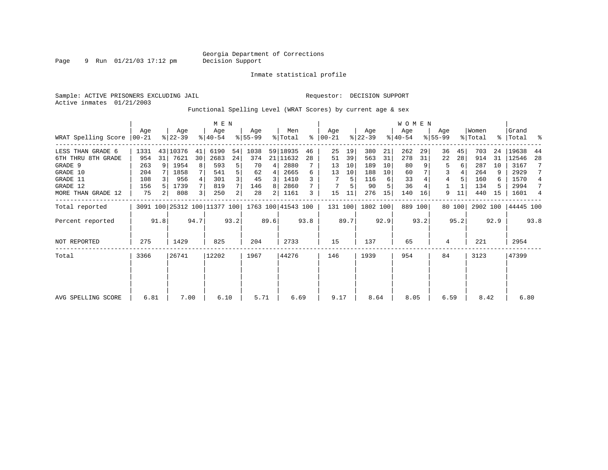Page 9 Run 01/21/03 17:12 pm

Inmate statistical profile

Active inmates 01/21/2003

Sample: ACTIVE PRISONERS EXCLUDING JAIL **Requestor: DECISION SUPPORT** 

Functional Spelling Level (WRAT Scores) by current age & sex

|                     |                 |                | M E N            |      |                                                 |                |                 |      |                |      | <b>WOMEN</b>     |      |                  |      |                  |         |                    |        |                  |      |                    |      |
|---------------------|-----------------|----------------|------------------|------|-------------------------------------------------|----------------|-----------------|------|----------------|------|------------------|------|------------------|------|------------------|---------|--------------------|--------|------------------|------|--------------------|------|
| WRAT Spelling Score | Aqe<br>$ 00-21$ |                | Age<br>$8 22-39$ |      | Age<br>$8 40-54$                                |                | Aqe<br>$ 55-99$ |      | Men<br>% Total | ⊱    | Age<br>$00 - 21$ |      | Age<br>$ 22-39 $ |      | Age<br>$ 40-54 $ |         | Aqe<br>$8155 - 99$ |        | Women<br>% Total |      | Grand<br>%   Total | ႜ    |
| LESS THAN GRADE 6   | 1331            |                | 43 10376         | 41   | 6190                                            | 54             | 1038            |      | 59 18935       | 46   | 25               | 19   | 380              | 21   | 262              | 29      | 36                 | 45     | 703              | 24   | 19638              | 44   |
| 6TH THRU 8TH GRADE  | 954             | 31             | 7621             | 30   | 2683                                            | 24             | 374             |      | 21 11632       | 28   | 51               | 39   | 563              | 31   | 278              | 31      | 22                 | 28     | 914              | 31   | 12546              | 28   |
| GRADE 9             | 263             |                | 1954             | 8    | 593                                             | 5              | 70              | 4    | 2880           |      | 13               | 10   | 189              | 10   | 80               |         | 5                  | 6      | 287              | 10   | 3167               |      |
| GRADE 10            | 204             |                | 1858             |      | 541                                             |                | 62              | 4    | 2665           | 6    | 13               | 10   | 188              | 10   | 60               |         | 3                  |        | 264              | 9    | 2929               |      |
| GRADE 11            | 108             |                | 956              |      | 301                                             |                | 45              | 3    | 1410           |      |                  | 5    | 116              | 6    | 33               |         | 4                  |        | 160              | 6    | 1570               | 4    |
| GRADE 12            | 156             |                | 1739             |      | 819                                             |                | 146             | 8    | 2860           |      |                  |      | 90               |      | 36               |         |                    |        | 134              |      | 2994               | 7    |
| MORE THAN GRADE 12  | 75              | 2 <sub>1</sub> | 808              | 3    | 250                                             | $\overline{2}$ | 28              | 2    | 1161           | 3    | 15               |      | 276              | 15   | 140              | 16      | 9                  | 11     | 440              | 15   | 1601               | 4    |
| Total reported      |                 |                |                  |      | 3091 100 25312 100 11377 100 1763 100 41543 100 |                |                 |      |                |      | 131 100          |      | 1802 100         |      |                  | 889 100 |                    | 80 100 | 2902 100         |      | 44445 100          |      |
| Percent reported    |                 | 91.8           |                  | 94.7 |                                                 | 93.2           |                 | 89.6 |                | 93.8 |                  | 89.7 |                  | 92.9 |                  | 93.2    |                    | 95.2   |                  | 92.9 |                    | 93.8 |
| <b>NOT REPORTED</b> | 275             |                | 1429             |      | 825                                             |                | 204             |      | 2733           |      | 15               |      | 137              |      | 65               |         | 4                  |        | 221              |      | 2954               |      |
| Total               | 3366            |                | 26741            |      | 12202                                           |                | 1967            |      | 44276          |      | 146              |      | 1939             |      | 954              |         | 84                 |        | 3123             |      | 47399              |      |
|                     |                 |                |                  |      |                                                 |                |                 |      |                |      |                  |      |                  |      |                  |         |                    |        |                  |      |                    |      |
|                     |                 |                |                  |      |                                                 |                |                 |      |                |      |                  |      |                  |      |                  |         |                    |        |                  |      |                    |      |
| AVG SPELLING SCORE  | 6.81            |                | 7.00             |      | 6.10                                            |                | 5.71            |      |                | 6.69 | 9.17             |      | 8.64             |      | 8.05             |         | 6.59               |        | 8.42             |      | 6.80               |      |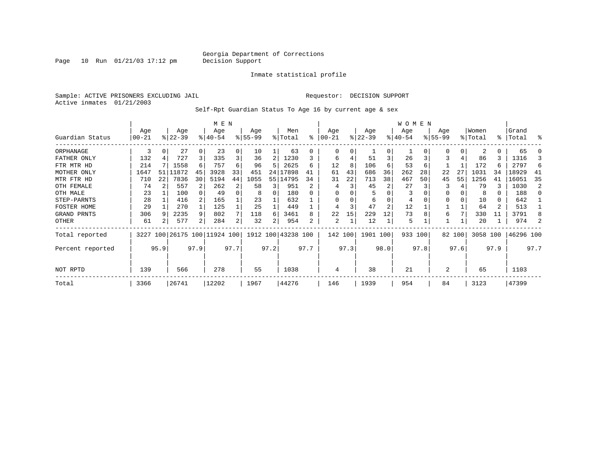Page 10 Run  $01/21/03$  17:12 pm

### Inmate statistical profile

Sample: ACTIVE PRISONERS EXCLUDING JAIL **Requestor: DECISION SUPPORT** Active inmates 01/21/2003

Self-Rpt Guardian Status To Age 16 by current age & sex

|                  |                   |          | M E N                   |      |                    |      |                 |      |                    |      | W O M E N       |      |                  |                |                 |      |                    |        |                  |          |                |      |
|------------------|-------------------|----------|-------------------------|------|--------------------|------|-----------------|------|--------------------|------|-----------------|------|------------------|----------------|-----------------|------|--------------------|--------|------------------|----------|----------------|------|
| Guardian Status  | Age<br>$ 00 - 21$ |          | Age<br>$ 22-39 $        |      | Age<br>$8140 - 54$ |      | Age<br>$ 55-99$ |      | Men<br>% Total     | ႜ    | Age<br>$ 00-21$ |      | Age<br>$ 22-39 $ |                | Age<br>$ 40-54$ |      | Age<br>$8155 - 99$ |        | Women<br>% Total | ွေ       | Grand<br>Total | ႜ    |
| ORPHANAGE        | 3                 | 0        | 27                      | 0    | 23                 | 0    | 10              |      | 63                 | U    | 0               | 0    |                  | $\Omega$       |                 |      |                    | 0      |                  | 0        | 65             |      |
| FATHER ONLY      | 132               |          | 727                     | 3    | 335                | 3    | 36              | 2    | 1230               |      | 6               |      | 51               | 3              | 26              |      |                    | 4      | 86               | 3        | 1316           |      |
| FTR MTR HD       | 214               |          | 1558                    | 6    | 757                | 6    | 96              | 5    | 2625               | б    | 12              | 8    | 106              | 6              | 53              | 6    |                    |        | 172              | 6        | 2797           | 6    |
| MOTHER ONLY      | 1647              | 51       | 11872                   | 45   | 3928               | 33   | 451             | 24   | 17898              | 41   | 61              | 43   | 686              | 36             | 262             | 28   | 22                 | 27     | 1031             | 34       | 18929          | 41   |
| MTR FTR HD       | 710               | 22       | 7836                    | 30   | 5194               | 44   | 1055            |      | 55 14795           | 34   | 31              | 22   | 713              | 38             | 467             | 50   | 45                 | 55     | 1256             | 41       | 16051          | 35   |
| OTH FEMALE       | 74                |          | 557                     | 2    | 262                | 2    | 58              | 3    | 951                |      |                 | 3    | 45               |                | 27              |      | 3                  |        | 79               | 3        | 1030           | 2    |
| OTH MALE         | 23                |          | 100                     |      | 49                 | 0    |                 | 0    | 180                |      | 0               |      |                  |                | 3               |      | $\Omega$           |        | 8                | $\Omega$ | 188            |      |
| STEP-PARNTS      | 28                |          | 416                     |      | 165                |      | 23              |      | 632                |      | $\Omega$        | 0    | 6                | O              | 4               |      | $\Omega$           | 0      | 10               | 0        | 642            |      |
| FOSTER HOME      | 29                |          | 270                     |      | 125                |      | 25              |      | 449                |      | 4               |      | 47               | $\overline{2}$ | 12              |      |                    |        | 64               | 2        | 513            |      |
| GRAND PRNTS      | 306               | <b>q</b> | 2235                    | 9    | 802                | 7    | 118             | 6    | 3461               | 8    | 22              | 15   | 229              | 12             | 73              |      | 6                  | 7      | 330              | 11       | 3791           |      |
| OTHER            | 61                |          | 577                     | 2    | 284                | 2    | 32              | 2    | 954                | 2    | 2               |      | 12               |                | 5               |      |                    |        | 20               |          | 974            |      |
| Total reported   | 3227              |          | 100 26175 100 11924 100 |      |                    |      |                 |      | 1912 100 43238 100 |      | 142 100         |      | 1901 100         |                | 933 100         |      |                    | 82 100 | 3058 100         |          | 46296 100      |      |
| Percent reported |                   | 95.9     |                         | 97.9 |                    | 97.7 |                 | 97.2 |                    | 97.7 |                 | 97.3 |                  | 98.0           |                 | 97.8 |                    | 97.6   |                  | 97.9     |                | 97.7 |
| NOT RPTD         | 139               |          | 566                     |      | 278                |      | 55              |      | 1038               |      | 4               |      | 38               |                | 21              |      | $\overline{2}$     |        | 65               |          | 1103           |      |
| Total            | 3366              |          | 26741                   |      | 12202              |      | 1967            |      | 44276              |      | 146             |      | 1939             |                | 954             |      | 84                 |        | 3123             |          | 47399          |      |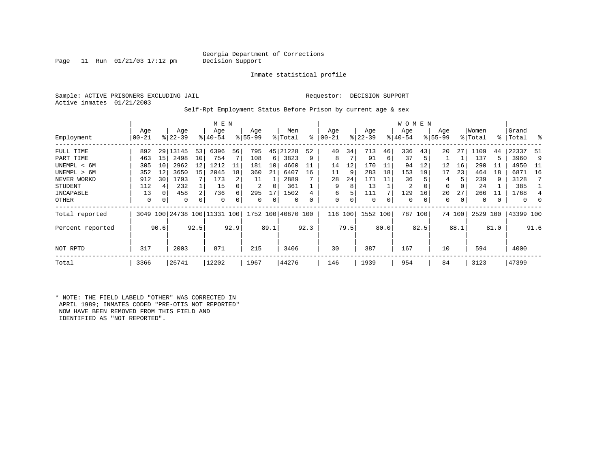### Georgia Department of Corrections<br>Decision Support

Page 11 Run  $01/21/03$  17:12 pm

Inmate statistical profile

Sample: ACTIVE PRISONERS EXCLUDING JAIL **Requestor: DECISION SUPPORT** Active inmates 01/21/2003

Self-Rpt Employment Status Before Prison by current age & sex

|                  |                  |          |                    |                 | M E N                        |      |                  |      |                    |      |                   |               |                  |      | W O M E N        |         |                    |        |                  |      |                   |      |
|------------------|------------------|----------|--------------------|-----------------|------------------------------|------|------------------|------|--------------------|------|-------------------|---------------|------------------|------|------------------|---------|--------------------|--------|------------------|------|-------------------|------|
| Employment       | Age<br>$00 - 21$ |          | Age<br>$8122 - 39$ |                 | Age<br>$8140 - 54$           |      | Age<br>$8 55-99$ |      | Men<br>% Total     | ⊱    | Age<br>$ 00 - 21$ | $\frac{1}{6}$ | Age<br>$22 - 39$ |      | Age<br>$ 40-54 $ |         | Age<br>$8155 - 99$ |        | Women<br>% Total |      | Grand<br>%  Total | ိ    |
| FULL TIME        | 892              | 29       | 13145              | 53              | 6396                         | 56   | 795              | 45   | 21228              | 52   | 40                | 34            | 713              | 46   | 336              | 43      | 20                 | 27     | 1109             | 44   | 22337             | -51  |
| PART TIME        | 463              | 15       | 2498               | 10              | 754                          |      | 108              | 6    | 3823               | 9    | 8                 |               | 91               | 6    | 37               | 5       |                    |        | 137              | 5    | 3960              | 9    |
| UNEMPL < 6M      | 305              | 10       | 2962               | 12              | 1212                         | 11   | 181              | 10   | 4660               | 11   | 14                | 12            | 170              | 11   | 94               | 12      | 12                 | 16     | 290              | -11  | 4950              | - 11 |
| UNEMPL > 6M      | 352              | 12       | 3650               | 15 <sup>1</sup> | 2045                         | 18   | 360              | 21   | 6407               | 16   | 11                | 9             | 283              | 18   | 153              | 19      | 17                 | 23     | 464              | 18   | 6871              | 16   |
| NEVER WORKD      | 912              | 30       | 1793               |                 | 173                          | 2    | 11               |      | 2889               |      | 28                | 24            | 171              | 11   | 36               |         | 4                  |        | 239              | 9    | 3128              |      |
| <b>STUDENT</b>   | 112              |          | 232                |                 | 15                           |      | 2                | 0    | 361                |      | 9                 | 8             | 13               |      | 2                | 0       | 0                  | 0      | 24               |      | 385               |      |
| INCAPABLE        | 13               |          | 458                | $\overline{2}$  | 736                          | б.   | 295              | 17   | 1502               |      | 6                 |               | 111              |      | 129              | 16      | 20                 | 27     | 266              | 11   | 1768              |      |
| OTHER            | $\mathbf 0$      | $\Omega$ | 0                  | 0               | $\Omega$                     |      | 0                | 0    | 0                  | 0    | 0                 | 0             | 0                | 0    | 0                | 0       | 0                  | 0      | $\Omega$         |      | $\mathbf 0$       | 0    |
| Total reported   |                  |          |                    |                 | 3049 100 24738 100 11331 100 |      |                  |      | 1752 100 40870 100 |      | 116 100           |               | 1552 100         |      |                  | 787 100 |                    | 74 100 | 2529             | 100  | 43399 100         |      |
| Percent reported |                  | 90.6     |                    | 92.5            |                              | 92.9 |                  | 89.1 |                    | 92.3 |                   | 79.5          |                  | 80.0 |                  | 82.5    |                    | 88.1   |                  | 81.0 |                   | 91.6 |
| NOT RPTD         | 317              |          | 2003               |                 | 871                          |      | 215              |      | 3406               |      | 30                |               | 387              |      | 167              |         | 10                 |        | 594              |      | 4000              |      |
| Total            | 3366             |          | 26741              |                 | 12202                        |      | 1967             |      | 44276              |      | 146               |               | 1939             |      | 954              |         | 84                 |        | 3123             |      | 47399             |      |

\* NOTE: THE FIELD LABELD "OTHER" WAS CORRECTED IN APRIL 1989; INMATES CODED "PRE-OTIS NOT REPORTED" NOW HAVE BEEN REMOVED FROM THIS FIELD AND IDENTIFIED AS "NOT REPORTED".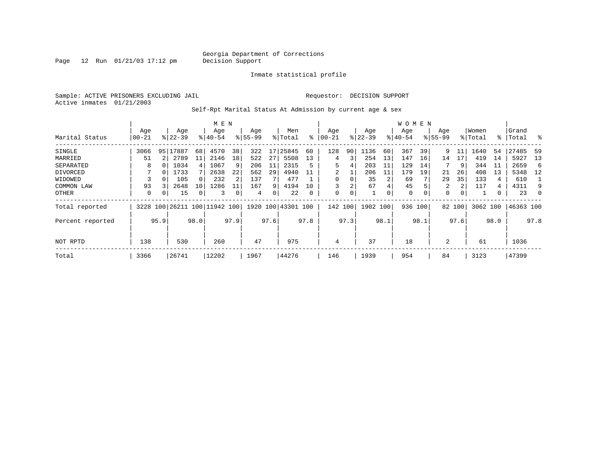Page 12 Run  $01/21/03$  17:12 pm

### Inmate statistical profile

Sample: ACTIVE PRISONERS EXCLUDING JAIL **Requestor: DECISION SUPPORT** Active inmates 01/21/2003

Self-Rpt Marital Status At Admission by current age & sex

|                  |       |      | M E N       |                |                     |      |           |      |                    |          | W O M E N |      |           |      |             |          |             |          |          |      |           |      |
|------------------|-------|------|-------------|----------------|---------------------|------|-----------|------|--------------------|----------|-----------|------|-----------|------|-------------|----------|-------------|----------|----------|------|-----------|------|
|                  | Age   |      | Age         |                | Age                 |      | Age       |      | Men                |          | Age       |      | Age       |      | Age         |          | Age         |          | Women    |      | Grand     |      |
| Marital Status   | 00-21 |      | $8122 - 39$ |                | $8140 - 54$         |      | $8 55-99$ |      | % Total            | ៖        | 00-21     |      | $ 22-39 $ |      | $ 40-54 $   |          | $8155 - 99$ |          | % Total  | ွေ   | Total     | ႜ    |
| SINGLE           | 3066  | 95   | 17887       | 68             | 4570                | 38   | 322       | 17   | 25845              | 60       | 128       | 90   | 1136      | 60   | 367         | 39       | 9           | 11       | 1640     | 54   | 27485     | 59   |
| MARRIED          | 51    |      | 2789        | 11             | 2146                | 18   | 522       | 27   | 5508               | 13       | 4         | 3    | 254       | 13   | 147         | 16       | 14          | 17       | 419      | 14   | 5927      | -13  |
| SEPARATED        | 8     |      | 1034        | $\overline{4}$ | 1067                | 9    | 206       | 11   | 2315               | 5        | 5         | 4    | 203       | 11   | 129         | 14       |             | 9        | 344      | 11   | 2659      | 6    |
| DIVORCED         |       | 0    | 1733        |                | 2638                | 22   | 562       | 29   | 4940               | 11       | 2         |      | 206       | 11   | 179         | 19       | 21          | 26       | 408      | 13   | 5348      | 12   |
| WIDOWED          |       |      | 105         | $\Omega$       | 232                 |      | 137       |      | 477                |          | 0         |      | 35        |      | 69          |          | 29          | 35       | 133      | 4    | 610       |      |
| COMMON LAW       | 93    |      | 2648        | 10             | 1286                | 11   | 167       | 9    | 4194               | 10       |           | 2    | 67        | 4    | 45          |          | 2           | 2        | 117      | 4    | 4311      | 9    |
| OTHER            | 0     | 0    | 15          | 0              | 3                   |      | 4         | 0    | 22                 | $\Omega$ | 0         | 0    | 1         | 0    | $\mathbf 0$ | $\Omega$ | $\Omega$    | $\Omega$ |          | 0    | 23        |      |
| Total reported   | 3228  | 100  |             |                | 26211 100 11942 100 |      |           |      | 1920 100 43301 100 |          | 142 100   |      | 1902 100  |      | 936 100     |          |             | 82 100   | 3062 100 |      | 46363 100 |      |
| Percent reported |       | 95.9 |             | 98.0           |                     | 97.9 |           | 97.6 |                    | 97.8     |           | 97.3 |           | 98.1 |             | 98.1     |             | 97.6     |          | 98.0 |           | 97.8 |
|                  |       |      |             |                |                     |      |           |      |                    |          |           |      |           |      |             |          |             |          |          |      |           |      |
| NOT RPTD         | 138   |      | 530         |                | 260                 |      | 47        |      | 975                |          | 4         |      | 37        |      | 18          |          | 2           |          | 61       |      | 1036      |      |
| Total            | 3366  |      | 26741       |                | 12202               |      | 1967      |      | 44276              |          | 146       |      | 1939      |      | 954         |          | 84          |          | 3123     |      | 47399     |      |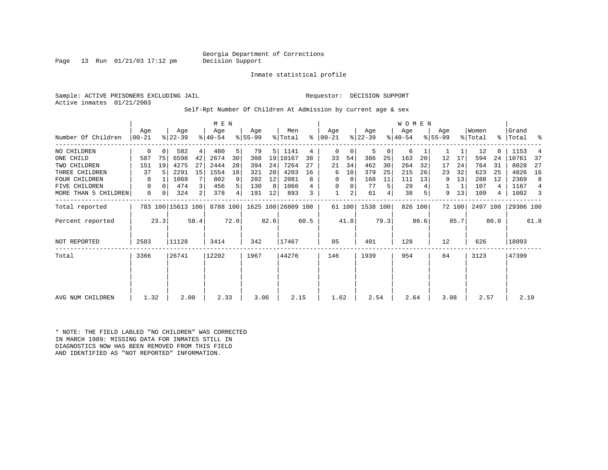### Georgia Department of Corrections<br>Decision Support

Page 13 Run  $01/21/03$  17:12 pm

Inmate statistical profile

Sample: ACTIVE PRISONERS EXCLUDING JAIL **Requestor: DECISION SUPPORT** Active inmates 01/21/2003

Self-Rpt Number Of Children At Admission by current age & sex

|                      |                  |          | M E N             |      |                  |                |                  |      |                    |      |                 | W O M E N      |                  |      |                  |         |                    |        |                  |      |                |      |
|----------------------|------------------|----------|-------------------|------|------------------|----------------|------------------|------|--------------------|------|-----------------|----------------|------------------|------|------------------|---------|--------------------|--------|------------------|------|----------------|------|
| Number Of Children   | Age<br>$00 - 21$ |          | Age<br>$ 22-39 $  |      | Age<br>$ 40-54 $ |                | Age<br>$ 55-99 $ |      | Men<br>% Total     | ႜ    | Aqe<br>$ 00-21$ |                | Age<br>$ 22-39 $ |      | Age<br>$8 40-54$ |         | Aqe<br>$8155 - 99$ |        | Women<br>% Total | ွေ   | Grand<br>Total | ႜ    |
| NO CHILDREN          | 0                | $\Omega$ | 582               | 4    | 480              | 5              | 79               | 5    | 1141               | 4    | $\mathbf 0$     | 0              | 5                | 0    | 6                |         |                    |        | 12               |      | 1153           |      |
| ONE CHILD            | 587              | 75       | 6598              | 42   | 2674             | 30             | 308              | 19   | 10167              | 38   | 33              | 54             | 386              | 25   | 163              | 20      | 12                 | 17     | 594              | 24   | 10761          | 37   |
| TWO CHILDREN         | 151              | 19       | 4275              | 27   | 2444             | 28             | 394              | 24   | 7264               | 27   | 21              | 34             | 462              | 30   | 264              | 32      | 17                 | 24     | 764              | 31   | 8028           | 27   |
| THREE CHILDREN       | 37               |          | 2291              | 15   | 1554             | 18             | 321              | 20   | 4203               | 16   | 6               | 10             | 379              | 25   | 215              | 26      | 23                 | 32     | 623              | 25   | 4826           | 16   |
| <b>FOUR CHILDREN</b> | 8                |          | 1069              |      | 802              | 9              | 202              | 12   | 2081               | 8    | 0               | 0              | 168              | 11   | 111              | 13      | 9                  | 13     | 288              | 12   | 2369           | 8    |
| FIVE CHILDREN        | 0                | $\Omega$ | 474               | 3    | 456              | 5 <sup>1</sup> | 130              | 8    | 1060               |      | 0               | 0              | 77               | 5    | 29               |         |                    | 1      | 107              | 4    | 1167           | 4    |
| MORE THAN 5 CHILDREN | 0                | 0        | 324               | 2    | 378              | $4\vert$       | 191              | 12   | 893                | 3    |                 | $\overline{a}$ | 61               | 4    | 38               |         | 9                  | 13     | 109              | 4    | 1002           | 3    |
| Total reported       |                  |          | 783 100 15613 100 |      | 8788 100         |                |                  |      | 1625 100 26809 100 |      |                 | 61 100         | 1538 100         |      |                  | 826 100 |                    | 72 100 | 2497 100         |      | 29306 100      |      |
| Percent reported     |                  | 23.3     |                   | 58.4 |                  | 72.0           |                  | 82.6 |                    | 60.5 |                 | 41.8           |                  | 79.3 |                  | 86.6    |                    | 85.7   |                  | 80.0 |                | 61.8 |
| NOT REPORTED         | 2583             |          | 11128             |      | 3414             |                | 342              |      | 17467              |      | 85              |                | 401              |      | 128              |         | 12                 |        | 626              |      | 18093          |      |
| Total                | 3366             |          | 26741             |      | 12202            |                | 1967             |      | 44276              |      | 146             |                | 1939             |      | 954              |         | 84                 |        | 3123             |      | 47399          |      |
|                      |                  |          |                   |      |                  |                |                  |      |                    |      |                 |                |                  |      |                  |         |                    |        |                  |      |                |      |
|                      |                  |          |                   |      |                  |                |                  |      |                    |      |                 |                |                  |      |                  |         |                    |        |                  |      |                |      |
| AVG NUM CHILDREN     | 1.32             |          | 2.00              |      | 2.33             |                | 3.06             |      | 2.15               |      | 1.62            |                | 2.54             |      | 2.64             |         | 3.08               |        | 2.57             |      | 2.19           |      |

\* NOTE: THE FIELD LABLED "NO CHILDREN" WAS CORRECTED IN MARCH 1989: MISSING DATA FOR INMATES STILL IN DIAGNOSTICS NOW HAS BEEN REMOVED FROM THIS FIELD AND IDENTIFIED AS "NOT REPORTED" INFORMATION.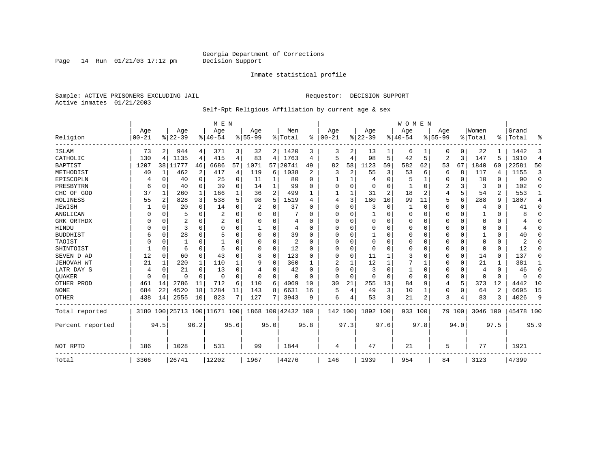Page 14 Run  $01/21/03$  17:12 pm

### Inmate statistical profile

Sample: ACTIVE PRISONERS EXCLUDING JAIL **Requestor: DECISION SUPPORT** Active inmates 01/21/2003

### Self-Rpt Religious Affiliation by current age & sex

|                  |           |              |                              |              | M E N          |                |             |                |                    |          |            |              |                |      | WOMEN        |          |             |          |          |          |           |                |
|------------------|-----------|--------------|------------------------------|--------------|----------------|----------------|-------------|----------------|--------------------|----------|------------|--------------|----------------|------|--------------|----------|-------------|----------|----------|----------|-----------|----------------|
|                  | Age       |              | Age                          |              | Age            |                | Age         |                | Men                |          | Age        |              | Age            |      | Age          |          | Age         |          | Women    |          | Grand     |                |
| Religion         | $00 - 21$ |              | $8 22-39$                    |              | $8 40-54$      |                | $8155 - 99$ |                | % Total            | ွေ       | $ 00 - 21$ |              | $8 22-39$      |      | $ 40-54$     |          | $8155 - 99$ |          | % Total  | ႜ        | Total     | ిక             |
| <b>ISLAM</b>     | 73        | 2            | 944                          | 4            | 371            | 3              | 32          |                | 2 1420             | 3        | 3          | 2            | 13             |      | 6            |          | 0           | 0        | 22       |          | 1442      | 3              |
| CATHOLIC         | 130       | 4            | 1135                         | 4            | 415            | 4              | 83          | 4              | 1763               | 4        | 5          | 4            | 98             | 5    | 42           | 5        | 2           | 3        | 147      | 5        | 1910      | $\overline{4}$ |
| <b>BAPTIST</b>   | 1207      |              | 38   11777                   | 46           | 6686           | 57             | 1071        | 57             | 20741              | 49       | 82         | 58           | 1123           | 59   | 582          | 62       | 53          | 67       | 1840     | 60       | 22581     | 50             |
| METHODIST        | 40        | $\mathbf{1}$ | 462                          | 2            | 417            | $\overline{4}$ | 119         | 6              | 1038               | 2        | 3          | 2            | 55             | 3    | 53           | 6        | 6           | 8        | 117      | 4        | 1155      | 3              |
| EPISCOPLN        |           | 0            | 40                           | $\mathbf 0$  | 25             | $\Omega$       | 11          | 1              | 80                 | $\Omega$ |            |              | $\overline{4}$ | 0    | 5            | 1        | 0           | 0        | 10       | $\Omega$ | 90        | $\mathbf 0$    |
| PRESBYTRN        | 6         | $\Omega$     | 40                           | $\Omega$     | 39             | $\Omega$       | 14          | $\mathbf 1$    | 99                 | O        | $\Omega$   | $\Omega$     | $\overline{0}$ | 0    |              | 0        | 2           | 3        | 3        | $\Omega$ | 102       | $\Omega$       |
| CHC OF GOD       | 37        | 1            | 260                          | $\mathbf{1}$ | 166            |                | 36          | $\overline{c}$ | 499                |          | 1          | 1            | 31             | 2    | 18           | 2        | 4           | 5        | 54       | 2        | 553       | 1              |
| HOLINESS         | 55        | 2            | 828                          | 3            | 538            | 5              | 98          | 5              | 1519               | 4        | 4          | 3            | 180            | 10   | 99           | 11       | 5           | 6        | 288      | 9        | 1807      | 4              |
| <b>JEWISH</b>    |           | $\Omega$     | 20                           | $\Omega$     | 14             | O              | 2           | 0              | 37                 |          | 0          | O            | 3              | 0    |              | 0        | 0           | 0        | 4        | $\Omega$ | 41        | $\Omega$       |
| ANGLICAN         | O         | 0            | 5                            | $\Omega$     | 2              | O              | O           | 0              |                    | U        | $\Omega$   | <sup>0</sup> | 1              | 0    | $\Omega$     | 0        | 0           | 0        |          | 0        | 8         | 0              |
| GRK ORTHDX       |           | $\Omega$     | 2                            | $\Omega$     | $\overline{2}$ | $\Omega$       | O           | $\Omega$       | 4                  | U        | $\Omega$   | $\Omega$     | $\overline{0}$ | O    | $\Omega$     | $\Omega$ | 0           | $\Omega$ | $\Omega$ | $\Omega$ |           | $\Omega$       |
| HINDU            |           | $\Omega$     | 3                            | $\Omega$     | $\Omega$       | $\Omega$       | 1           | 0              | 4                  | U        | $\Omega$   | U            | $\overline{0}$ | 0    | $\Omega$     | $\Omega$ | 0           | $\Omega$ | $\Omega$ | $\Omega$ | 4         | $\Omega$       |
| <b>BUDDHIST</b>  | 6         | $\Omega$     | 28                           | $\Omega$     |                | $\Omega$       | O           | 0              | 39                 | O        | $\Omega$   | $\Omega$     | $\mathbf{1}$   | O    | $\Omega$     | $\Omega$ | 0           | $\Omega$ |          | $\Omega$ | 40        | $\Omega$       |
| TAOIST           |           | $\Omega$     |                              | $\Omega$     |                |                | O           | $\Omega$       | $\overline{2}$     | $\Omega$ | $\Omega$   | $\Omega$     | $\overline{0}$ | O    | $\Omega$     | $\Omega$ | 0           | $\Omega$ | $\Omega$ | $\Omega$ | 2         | $\Omega$       |
| SHINTOIST        |           | $\Omega$     | 6                            | $\Omega$     | 5              | $\Omega$       | 0           | $\Omega$       | 12                 | U        | U          | $\Omega$     | $\Omega$       | 0    | $\Omega$     | $\Omega$ | 0           | $\Omega$ | $\Omega$ | $\Omega$ | 12        | $\Omega$       |
| SEVEN D AD       | 12        | $\Omega$     | 60                           | $\Omega$     | 43             |                | 8           | 0              | 123                | $\cap$   | $\Omega$   | $\Omega$     | 11             |      | 3            | $\Omega$ | 0           | $\Omega$ | 14       | $\Omega$ | 137       | $\Omega$       |
| JEHOVAH WT       | 21        | 1            | 220                          | 1            | 110            |                | 9           | 0              | 360                |          |            |              | 12             |      |              | 1        | 0           | 0        | 21       |          | 381       | 1              |
| LATR DAY S       | 4         | $\Omega$     | 21                           | $\Omega$     | 13             |                | 4           | 0              | 42                 | O        | $\Omega$   | $\Omega$     | 3              | 0    | $\mathbf{1}$ | $\Omega$ | 0           | 0        | 4        | $\Omega$ | 46        | 0              |
| QUAKER           | ∩         | $\Omega$     | $\Omega$                     | $\Omega$     | $\Omega$       | $\Omega$       | $\Omega$    | $\Omega$       | $\Omega$           | $\Omega$ | $\Omega$   | $\Omega$     | $\Omega$       | 0    | $\Omega$     | $\Omega$ | 0           | 0        | $\Omega$ | $\Omega$ | $\Omega$  | 0              |
| OTHER PROD       | 461       | 14           | 2786                         | 11           | 712            | 6              | 110         | 6              | 4069               | 10       | 30         | 21           | 255            | 13   | 84           | 9        | 4           | 5        | 373      | 12       | 4442      | 10             |
| <b>NONE</b>      | 684       | 22           | 4520                         | 18           | 1284           | 11             | 143         | 8              | 6631               | 16       | 5          | 4            | 49             | 3    | 10           | 1        | 0           | $\Omega$ | 64       | 2        | 6695      | 15             |
| <b>OTHER</b>     | 438       | 14           | 2555                         | 10           | 823            | 7              | 127         | 7              | 3943               | 9        | 6          |              | 53             | 3    | 21           | 2        | 3           | 4        | 83       | 3        | 4026      | 9              |
| Total reported   |           |              | 3180 100 25713 100 11671 100 |              |                |                |             |                | 1868 100 42432 100 |          | 142 100    |              | 1892 100       |      | 933 100      |          |             | 79 100   | 3046 100 |          | 45478 100 |                |
| Percent reported |           | 94.5         |                              | 96.2         |                | 95.6           |             | 95.0           |                    | 95.8     |            | 97.3         |                | 97.6 |              | 97.8     |             | 94.0     |          | 97.5     |           | 95.9           |
| NOT RPTD         | 186       |              | 1028                         |              | 531            |                | 99          |                | 1844               |          | 4          |              | 47             |      | 21           |          | 5           |          | 77       |          | 1921      |                |
| Total            | 3366      |              | 26741                        |              | 12202          |                | 1967        |                | 44276              |          | 146        |              | 1939           |      | 954          |          | 84          |          | 3123     |          | 47399     |                |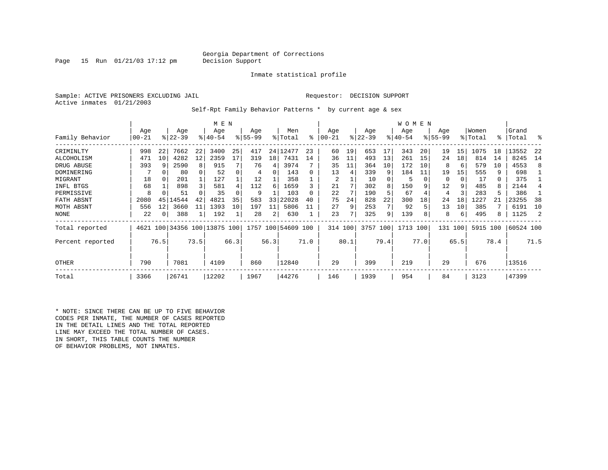### Georgia Department of Corrections<br>Decision Support

Page 15 Run  $01/21/03$  17:12 pm

### Inmate statistical profile

Sample: ACTIVE PRISONERS EXCLUDING JAIL **Requestor: DECISION SUPPORT** Active inmates 01/21/2003

Self-Rpt Family Behavior Patterns \* by current age & sex

|                  |       |      |                              |      | M E N       |      |           |      |                    |          |           |               |           |      | W O M E N |      |           |      |          |      |           |      |
|------------------|-------|------|------------------------------|------|-------------|------|-----------|------|--------------------|----------|-----------|---------------|-----------|------|-----------|------|-----------|------|----------|------|-----------|------|
|                  | Age   |      | Age                          |      | Age         |      | Age       |      | Men                |          | Age       |               | Age       |      | Age       |      | Age       |      | Women    |      | Grand     |      |
| Family Behavior  | 00-21 |      | $ 22-39 $                    |      | $8140 - 54$ |      | $ 55-99 $ |      | % Total            | ႜ        | $00 - 21$ | $\frac{1}{6}$ | $22 - 39$ |      | $ 40-54 $ |      | $8 55-99$ |      | % Total  | န္   | Total     | ႜ    |
| CRIMINLTY        | 998   | 22   | 7662                         | 22   | 3400        | 25   | 417       |      | 24   12477         | 23       | 60        | 19            | 653       | 17   | 343       | 20   | 19        | 15   | 1075     | 18   | 13552     | -22  |
| ALCOHOLISM       | 471   | 10   | 4282                         | 12   | 2359        | 17   | 319       | 18   | 7431               | 14       | 36        |               | 493       | 13   | 261       | 15   | 24        | 18   | 814      | 14   | 8245      | 14   |
| DRUG ABUSE       | 393   | 9    | 2590                         | 8    | 915         |      | 76        | 4    | 3974               |          | 35        | 11            | 364       | 10   | 172       | 10   | 8         | 6    | 579      | 10   | 4553      | 8    |
| DOMINERING       |       | 0    | 80                           |      | 52          |      | 4         | 0    | 143                | $\Omega$ | 13        | 4             | 339       | 9    | 184       | 11   | 19        | 15   | 555      | 9    | 698       |      |
| MIGRANT          | 18    | 0    | 201                          |      | 127         |      | 12        |      | 358                |          | 2         |               | 10        |      | 5         |      | $\Omega$  | 0    | 17       | 0    | 375       |      |
| INFL BTGS        | 68    |      | 898                          | 3    | 581         |      | 112       | 6    | 1659               |          | 21        |               | 302       | 8    | 150       |      | 12        | 9    | 485      | 8    | 2144      |      |
| PERMISSIVE       | 8     |      | 51                           |      | 35          |      | 9         |      | 103                | $\Omega$ | 22        |               | 190       | 5    | 67        |      | 4         |      | 283      | 5    | 386       |      |
| FATH ABSNT       | 2080  | 45   | 14544                        | 42   | 4821        | 35   | 583       | 33   | 22028              | 40       | 75        | 24            | 828       | 22   | 300       | 18   | 24        | 18   | 1227     | 21   | 23255     | 38   |
| MOTH ABSNT       | 556   | 12   | 3660                         |      | 1393        | 10   | 197       | 11   | 5806               | 11       | 27        | 9             | 253       |      | 92        |      | 13        | 10   | 385      |      | 6191      | 10   |
| NONE             | 22    | 0    | 388                          |      | 192         |      | 28        | 2    | 630                |          | 23        |               | 325       | 9    | 139       |      | 8         | 6    | 495      | 8    | 1125      | 2    |
| Total reported   |       |      | 4621 100 34356 100 13875 100 |      |             |      |           |      | 1757 100 54609 100 |          | 314 100   |               | 3757 100  |      | 1713 100  |      | 131       | 100  | 5915 100 |      | 60524 100 |      |
| Percent reported |       | 76.5 |                              | 73.5 |             | 66.3 |           | 56.3 |                    | 71.0     |           | 80.1          |           | 79.4 |           | 77.0 |           | 65.5 |          | 78.4 |           | 71.5 |
| <b>OTHER</b>     | 790   |      | 7081                         |      | 4109        |      | 860       |      | 12840              |          | 29        |               | 399       |      | 219       |      | 29        |      | 676      |      | 13516     |      |
| Total            | 3366  |      | 26741                        |      | 12202       |      | 1967      |      | 44276              |          | 146       |               | 1939      |      | 954       |      | 84        |      | 3123     |      | 47399     |      |

\* NOTE: SINCE THERE CAN BE UP TO FIVE BEHAVIOR CODES PER INMATE, THE NUMBER OF CASES REPORTED IN THE DETAIL LINES AND THE TOTAL REPORTED LINE MAY EXCEED THE TOTAL NUMBER OF CASES. IN SHORT, THIS TABLE COUNTS THE NUMBER OF BEHAVIOR PROBLEMS, NOT INMATES.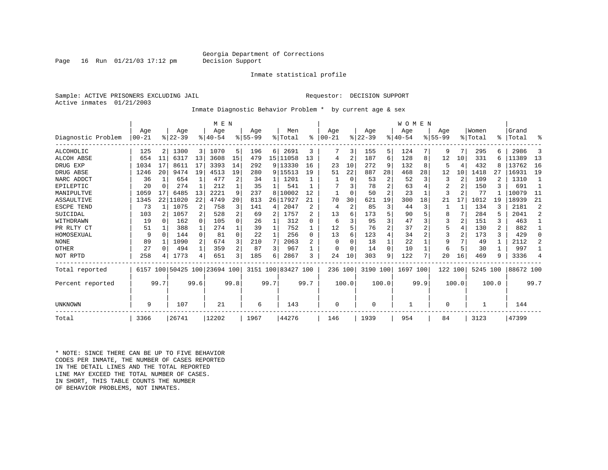### Georgia Department of Corrections<br>Decision Support

Page 16 Run  $01/21/03$  17:12 pm

### Inmate statistical profile

Sample: ACTIVE PRISONERS EXCLUDING JAIL **Requestor: DECISION SUPPORT** Active inmates 01/21/2003

Inmate Diagnostic Behavior Problem \* by current age & sex

|                    |          |          |           |                | M E N                   |                         |             |      |                    |                |           |                |           |                | WOMEN    |      |             |                |          |                |           |                |
|--------------------|----------|----------|-----------|----------------|-------------------------|-------------------------|-------------|------|--------------------|----------------|-----------|----------------|-----------|----------------|----------|------|-------------|----------------|----------|----------------|-----------|----------------|
|                    | Age      |          | Age       |                | Age                     |                         | Age         |      | Men                |                | Age       |                | Age       |                | Age      |      | Age         |                | Women    |                | Grand     |                |
| Diagnostic Problem | $ 00-21$ |          | $ 22-39 $ |                | $8 40-54$               |                         | $8155 - 99$ |      | % Total            | $\approx$      | $00 - 21$ |                | $ 22-39 $ |                | $ 40-54$ |      | $8155 - 99$ |                | % Total  |                | %   Total | る              |
| ALCOHOLIC          | 125      |          | 1300      | 3              | 1070                    | 5                       | 196         | 6    | 2691               | 3              |           | 3              | 155       | 5              | 124      |      | 9           | 7              | 295      |                | 2986      | 3              |
| <b>ALCOH ABSE</b>  | 654      | 11       | 6317      | 13             | 3608                    | 15                      | 479         |      | 15   11058         | 13             | 4         | 2              | 187       | 6              | 128      | 8    | 12          | 10             | 331      | б              | 11389     | 13             |
| DRUG EXP           | 1034     | 17       | 8611      | 17             | 3393                    | 14                      | 292         |      | 9   13330          | 16             | 23        | 10             | 272       | 9              | 132      | 8    | 5           | 4              | 432      |                | 13762     | 16             |
| DRUG ABSE          | 1246     | 20       | 9474      | 19             | 4513                    | 19                      | 280         |      | 9 15513            | 19             | 51        | 22             | 887       | 28             | 468      | 28   | 12          | 10             | 1418     | 27             | 16931     | 19             |
| NARC ADDCT         | 36       |          | 654       |                | 477                     | 2                       | 34          |      | 1201               |                |           | $\Omega$       | 53        | 2              | 52       |      | 3           | 2              | 109      |                | 1310      |                |
| EPILEPTIC          | 20       | $\Omega$ | 274       |                | 212                     |                         | 35          |      | 541                |                |           |                | 78        | 2              | 63       |      | 2           | $\overline{2}$ | 150      |                | 691       | $\mathbf{1}$   |
| MANIPULTVE         | 1059     | 17       | 6485      | 13             | 2221                    | 9                       | 237         | 8    | 10002              | 12             |           | $\Omega$       | 50        | $\overline{a}$ | 23       |      | 3           |                | 77       |                | 10079     | 11             |
| ASSAULTIVE         | 1345     | 22       | 11020     | 22             | 4749                    | 20                      | 813         | 26   | 17927              | 21             | 70        | 30             | 621       | 19             | 300      | 18   | 21          | 17             | 1012     | 19             | 18939     | 21             |
| ESCPE TEND         | 73       |          | 1075      | 2              | 758                     |                         | 141         | 4    | 2047               | $\overline{c}$ | 4         | $\overline{a}$ | 85        | 3              | 44       | 3    |             |                | 134      |                | 2181      | $\overline{2}$ |
| SUICIDAL           | 103      |          | 1057      | 2              | 528                     |                         | 69          | 2    | 1757               |                | 13        |                | 173       | 5              | 90       |      | 8           |                | 284      |                | 2041      | $\overline{2}$ |
| WITHDRAWN          | 19       | $\cap$   | 162       | $\Omega$       | 105                     | 0                       | 26          |      | 312                | U              | 6         |                | 95        | ς              | 47       |      | 3           | $\mathbf{2}$   | 151      | 3              | 463       |                |
| PR RLTY CT         | 51       |          | 388       | 1              | 274                     |                         | 39          |      | 752                |                | 12        |                | 76        | 2              | 37       |      | 5           | 4              | 130      | $\overline{2}$ | 882       | 1              |
| HOMOSEXUAL         | 9        | $\Omega$ | 144       | $\Omega$       | 81                      | $\Omega$                | 22          |      | 256                | <sup>0</sup>   | 13        |                | 123       | 4              | 34       |      | 3           | 2              | 173      | 3              | 429       | $\Omega$       |
| <b>NONE</b>        | 89       |          | 1090      | $\overline{2}$ | 674                     | 3                       | 210         | 7    | 2063               |                | $\Omega$  |                | 18        |                | 22       |      | 9           |                | 49       |                | 2112      | $\mathfrak{D}$ |
| OTHER              | 27       | $\Omega$ | 494       | $\mathbf{1}$   | 359                     | $\overline{2}$          | 87          | 3    | 967                |                | $\Omega$  |                | 14        | $\Omega$       | 10       |      | 6           | 5              | 30       |                | 997       |                |
| NOT RPTD           | 258      |          | 1773      | 4              | 651                     | $\overline{\mathbf{3}}$ | 185         | 6    | 2867               | ς              | 24        | 10             | 303       | 9              | 122      |      | 20          | 16             | 469      | 9              | 3336      | 4              |
| Total reported     | 6157     |          |           |                | 100 50425 100 23694 100 |                         |             |      | 3151 100 83427 100 |                | 236 100   |                | 3190 100  |                | 1697 100 |      | 122 100     |                | 5245 100 |                | 88672 100 |                |
| Percent reported   |          | 99.7     |           | 99.6           |                         | 99.8                    |             | 99.7 |                    | 99.7           |           | 100.0          |           | 100.0          |          | 99.9 |             | 100.0          |          | 100.0          |           | 99.7           |
| UNKNOWN            | 9        |          | 107       |                | 21                      |                         | 6           |      | 143                |                | $\Omega$  |                | 0         |                |          |      | 0           |                |          |                | 144       |                |
| Total              | 3366     |          | 26741     |                | 12202                   |                         | 1967        |      | 44276              |                | 146       |                | 1939      |                | 954      |      | 84          |                | 3123     |                | 47399     |                |

\* NOTE: SINCE THERE CAN BE UP TO FIVE BEHAVIOR CODES PER INMATE, THE NUMBER OF CASES REPORTED IN THE DETAIL LINES AND THE TOTAL REPORTED LINE MAY EXCEED THE TOTAL NUMBER OF CASES.IN SHORT, THIS TABLE COUNTS THE NUMBER OF BEHAVIOR PROBLEMS, NOT INMATES.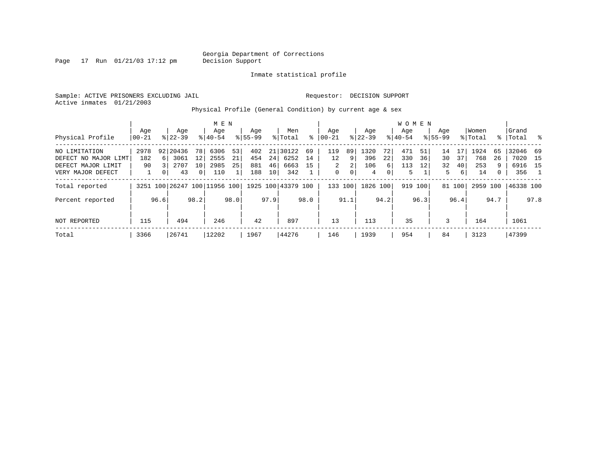Page  $17$  Run  $01/21/03$  17:12 pm

### Inmate statistical profile

Sample: ACTIVE PRISONERS EXCLUDING JAIL **Requestor: DECISION SUPPORT** Active inmates 01/21/2003

Physical Profile (General Condition) by current age & sex

|                      |       |                |           |                 | M E N                        |      |             |                 |                    |      |             |      |           |                | W O M E N |         |             |        |          |      |           |      |
|----------------------|-------|----------------|-----------|-----------------|------------------------------|------|-------------|-----------------|--------------------|------|-------------|------|-----------|----------------|-----------|---------|-------------|--------|----------|------|-----------|------|
|                      | Age   |                | Age       |                 | Age                          |      | Aqe         |                 | Men                |      | Age         |      | Age       |                | Aqe       |         | Aqe         |        | Women    |      | Grand     |      |
| Physical Profile     | 00-21 |                | $8 22-39$ |                 | $8 40-54$                    |      | $8155 - 99$ |                 | % Total            | ႜ    | $ 00-21$    |      | $ 22-39 $ |                | $8 40-54$ |         | $8155 - 99$ |        | % Total  | ႜၟ   | Total     |      |
| NO LIMITATION        | 2978  |                | 92 20436  | 78              | 6306                         | 53   | 402         |                 | 21 30122           | 69   | 119         | 89   | 1320      | 72             | 471       | 51      | 14          |        | 1924     | 65   | 32046 69  |      |
| DEFECT NO MAJOR LIMT | 182   | 6 <sup>1</sup> | 3061      | 12              | 2555                         | 21   | 454         | 24              | 6252               | 14   | 12          | 9    | 396       | 22             | 330       | 36      | 30          | 37     | 768      | 26   | 7020 15   |      |
| DEFECT MAJOR LIMIT   | 90    |                | 2707      | 10 <sub>1</sub> | 2985                         | 25   | 881         | 46              | 6663               | 15   | 2           | 2    | 106       | 6              | 113       | 12      | 32          | 40     | 253      | 9    | 6916 15   |      |
| VERY MAJOR DEFECT    |       | 0 <sup>1</sup> | 43        | $\mathbf{0}$    | 110                          |      | 188         | 10 <sup>1</sup> | 342                |      | $\mathbf 0$ | 0    | 4         | $\overline{0}$ | 5         |         | 5           | 6      | 14       | 0    | 356       |      |
| Total reported       |       |                |           |                 | 3251 100 26247 100 11956 100 |      |             |                 | 1925 100 43379 100 |      | 133 100     |      | 1826 100  |                |           | 919 100 |             | 81 100 | 2959 100 |      | 46338 100 |      |
| Percent reported     |       | 96.6           |           | 98.2            |                              | 98.0 |             | 97.9            |                    | 98.0 |             | 91.1 |           | 94.2           |           | 96.3    |             | 96.4   |          | 94.7 |           | 97.8 |
| NOT REPORTED         | 115   |                | 494       |                 | 246                          |      | 42          |                 | 897                |      | 13          |      | 113       |                | 35        |         | 3           |        | 164      |      | 1061      |      |
| Total                | 3366  |                | 26741     |                 | 12202                        |      | 1967        |                 | 44276              |      | 146         |      | 1939      |                | 954       |         | 84          |        | 3123     |      | 47399     |      |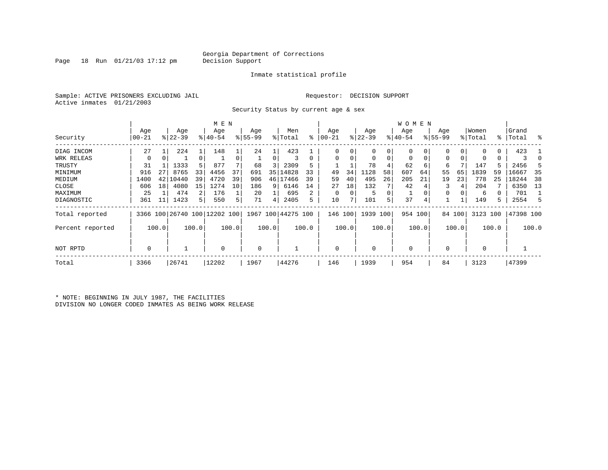Page 18 Run  $01/21/03$  17:12 pm

### Inmate statistical profile

Sample: ACTIVE PRISONERS EXCLUDING JAIL **Requestor: DECISION SUPPORT** Active inmates 01/21/2003

Security Status by current age & sex

|                  |           |       |           |                | M E N                        |       |           |       |                    |          |           |       |             |       | W O M E N   |       |             |        |          |               |           |       |
|------------------|-----------|-------|-----------|----------------|------------------------------|-------|-----------|-------|--------------------|----------|-----------|-------|-------------|-------|-------------|-------|-------------|--------|----------|---------------|-----------|-------|
|                  | Age       |       | Age       |                | Age                          |       | Age       |       | Men                |          | Age       |       | Age         |       | Age         |       | Age         |        | Women    |               | Grand     |       |
| Security         | $00 - 21$ |       | $8 22-39$ |                | $ 40-54 $                    |       | $8 55-99$ |       | % Total            | ႜ        | $00 - 21$ |       | $ 22-39 $   |       | $ 40-54 $   |       | $8155 - 99$ |        | % Total  | $\frac{8}{3}$ | Total     | ႜ     |
| DIAG INCOM       | 27        |       | 224       |                | 148                          |       | 24        |       | 423                |          | $\Omega$  |       | 0           | 0     | $\Omega$    |       |             | 0      | $\Omega$ | 0             | 423       |       |
| WRK RELEAS       | 0         | 0     |           | 0              |                              |       |           | 0     |                    | $\Omega$ | $\Omega$  |       | $\mathbf 0$ | 0     | $\mathbf 0$ | 0     | 0           | 0      | O        | 0             |           |       |
| TRUSTY           | 31        |       | 1333      | 5              | 877                          |       | 68        | 3     | 2309               |          |           |       | 78          |       | 62          | 6     | 6           |        | 147      |               | 2456      | 5     |
| MINIMUM          | 916       | 27    | 8765      | 33             | 4456                         | 37    | 691       | 35    | 14828              | 33       | 49        | 34    | 1128        | 58    | 607         | 64    | 55          | 65     | 1839     | 59            | 16667     | 35    |
| MEDIUM           | 1400      | 42    | 10440     | 39             | 4720                         | 39    | 906       | 46    | 17466              | 39       | 59        | 40    | 495         | 26    | 205         | 21    | 19          | 23     | 778      | 25            | 18244     | 38    |
| CLOSE            | 606       | 18    | 4080      | 15             | 1274                         | 10    | 186       | 9     | 6146               | 14       | 27        | 18    | 132         |       | 42          |       |             | 4      | 204      |               | 6350      | 13    |
| MAXIMUM          | 25        |       | 474       | 2              | 176                          |       | 20        |       | 695                | 2        | $\Omega$  |       | 5           | 0     |             |       |             |        | 6        |               | 701       |       |
| DIAGNOSTIC       | 361       | 11    | 1423      | 5 <sup>1</sup> | 550                          | 5.    | 71        | 4     | 2405               | 5        | 10        |       | 101         | 5     | 37          | 4     |             |        | 149      | 5.            | 2554      | -5    |
| Total reported   |           |       |           |                | 3366 100 26740 100 12202 100 |       |           |       | 1967 100 44275 100 |          | 146       | 100   | 1939 100    |       | 954 100     |       |             | 84 100 | 3123 100 |               | 47398 100 |       |
| Percent reported |           | 100.0 |           | 100.0          |                              | 100.0 |           | 100.0 |                    | 100.0    |           | 100.0 |             | 100.0 |             | 100.0 |             | 100.0  |          | 100.0         |           | 100.0 |
| NOT RPTD         | 0         |       |           |                | $\Omega$                     |       | $\Omega$  |       |                    |          | $\Omega$  |       | $\mathbf 0$ |       | $\Omega$    |       |             |        | $\Omega$ |               |           |       |
| Total            | 3366      |       | 26741     |                | 12202                        |       | 1967      |       | 44276              |          | 146       |       | 1939        |       | 954         |       | 84          |        | 3123     |               | 47399     |       |

\* NOTE: BEGINNING IN JULY 1987, THE FACILITIES DIVISION NO LONGER CODED INMATES AS BEING WORK RELEASE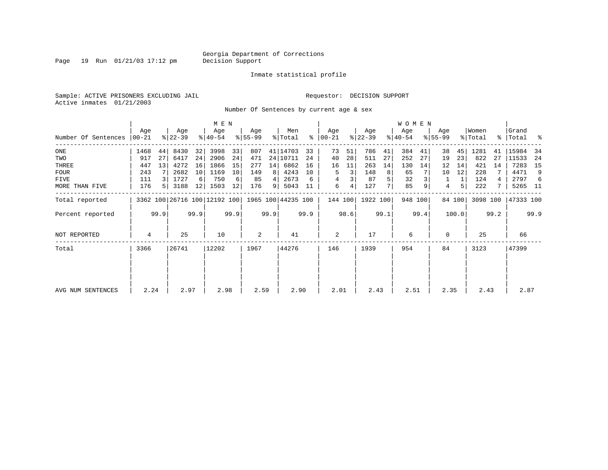Page 19 Run 01/21/03 17:12 pm

### Inmate statistical profile

Sample: ACTIVE PRISONERS EXCLUDING JAIL **Requestor: DECISION SUPPORT** Active inmates 01/21/2003

Number Of Sentences by current age & sex

|                     |                  |      |                  |      | M E N                                           |      |                  |      |                |      |                    |      |                  |      | W O M E N        |         |                  |        |                  |      |                      |      |
|---------------------|------------------|------|------------------|------|-------------------------------------------------|------|------------------|------|----------------|------|--------------------|------|------------------|------|------------------|---------|------------------|--------|------------------|------|----------------------|------|
| Number Of Sentences | Age<br>$ 00-21 $ |      | Age<br>$ 22-39 $ |      | Age<br>$8 40-54$                                |      | Age<br>$8 55-99$ |      | Men<br>% Total | ွေ   | Age<br>$ 00 - 21 $ |      | Age<br>$ 22-39 $ |      | Age<br>$ 40-54 $ |         | Age<br>$8 55-99$ |        | Women<br>% Total |      | Grand<br>%   Total % |      |
|                     |                  |      |                  |      |                                                 |      |                  |      |                |      |                    |      |                  |      |                  |         |                  |        |                  |      |                      |      |
| ONE                 | 1468             | 44   | 8430             | 32   | 3998                                            | 33   | 807              |      | 41   14703     | 33   | 73                 | 51   | 786              | 41   | 384              | 41      | 38               | 45     | 1281             | 41   | 15984                | -34  |
| TWO                 | 917              | 27   | 6417             | 24   | 2906                                            | 24   | 471              |      | 24 10711       | 24   | 40                 | 28   | 511              | 27   | 252              | 27      | 19               | 23     | 822              | 27   | 11533                | -24  |
| THREE               | 447              | 13   | 4272             | 16   | 1866                                            | 15   | 277              | 14   | 6862           | 16   | 16                 | 11   | 263              | 14   | 130              | 14      | 12               | 14     | 421              | 14   | 7283                 | 15   |
| <b>FOUR</b>         | 243              |      | 2682             | 10   | 1169                                            | 10   | 149              | 8    | 4243           | 10   | 5                  | 3    | 148              | 8    | 65               |         | 10               | 12     | 228              |      | 4471                 | 9    |
| FIVE                | 111              |      | 1727             | 6    | 750                                             | 6    | 85               | 4    | 2673           | 6    | 4                  |      | 87               | 5    | 32               |         |                  |        | 124              |      | 2797                 | -6   |
| MORE THAN FIVE      | 176              |      | 3188             | 12   | 1503                                            | 12   | 176              | 9    | 5043           | 11   | 6                  | 4    | 127              |      | 85               |         | 4                | 5      | 222              |      | 5265 11              |      |
| Total reported      |                  |      |                  |      | 3362 100 26716 100 12192 100 1965 100 44235 100 |      |                  |      |                |      | 144 100            |      | 1922 100         |      |                  | 948 100 |                  | 84 100 | 3098 100         |      | 47333 100            |      |
| Percent reported    |                  | 99.9 |                  | 99.9 |                                                 | 99.9 |                  | 99.9 |                | 99.9 |                    | 98.6 |                  | 99.1 |                  | 99.4    |                  | 100.0  |                  | 99.2 |                      | 99.9 |
| NOT REPORTED        | 4                |      | 25               |      | 10                                              |      | $\overline{a}$   |      | 41             |      | $\overline{c}$     |      | 17               |      | 6                |         | 0                |        | 25               |      | 66                   |      |
| Total               | 3366             |      | 26741            |      | 12202                                           |      | 1967             |      | 44276          |      | 146                |      | 1939             |      | 954              |         | 84               |        | 3123             |      | 47399                |      |
|                     |                  |      |                  |      |                                                 |      |                  |      |                |      |                    |      |                  |      |                  |         |                  |        |                  |      |                      |      |
| AVG NUM SENTENCES   | 2.24             |      | 2.97             |      | 2.98                                            |      | 2.59             |      | 2.90           |      | 2.01               |      | 2.43             |      | 2.51             |         | 2.35             |        | 2.43             |      | 2.87                 |      |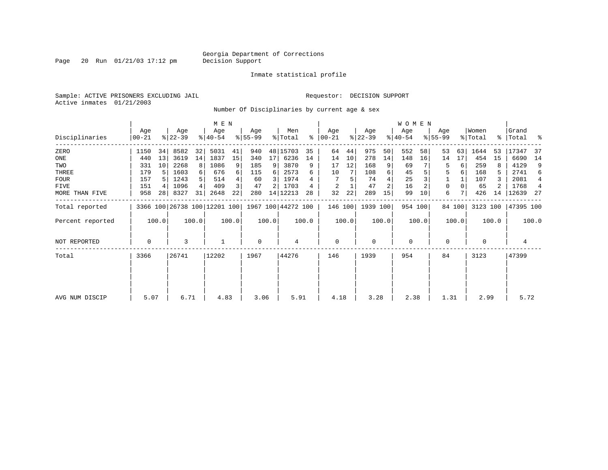Page 20 Run  $01/21/03$  17:12 pm

### Inmate statistical profile

Sample: ACTIVE PRISONERS EXCLUDING JAIL **Requestor: DECISION SUPPORT** Active inmates 01/21/2003

Number Of Disciplinaries by current age & sex

|                  |                  |       |                              |          | M E N            |       |                 |       |                    |       |                 |       |                  |       | <b>WOMEN</b>     |         |                  |        |                  |       |                    |       |
|------------------|------------------|-------|------------------------------|----------|------------------|-------|-----------------|-------|--------------------|-------|-----------------|-------|------------------|-------|------------------|---------|------------------|--------|------------------|-------|--------------------|-------|
| Disciplinaries   | Age<br>$00 - 21$ |       | Age<br>$ 22-39 $             |          | Age<br>$ 40-54 $ |       | Age<br>$ 55-99$ |       | Men<br>% Total     | ွေ    | Age<br>$ 00-21$ |       | Age<br>$ 22-39 $ |       | Age<br>$ 40-54 $ |         | Age<br>$8 55-99$ |        | Women<br>% Total |       | Grand<br>%   Total | ್ಠಿ   |
| ZERO             | 1150             | 34    | 8582                         | 32       | 5031             | 41    | 940             |       | 48 15703           | 35    | 64              | 44    | 975              | 50    | 552              | 58      | 53               | 63     | 1644             | 53    | 17347              | 37    |
| ONE              | 440              | 13    | 3619                         | 14       | 1837             | 15    | 340             | 17    | 6236               | 14    | 14              | 10    | 278              | 14    | 148              | 16      | 14               | 17     | 454              | 15    | 6690               | 14    |
| TWO              | 331              | 10    | 2268                         | 8        | 1086             | 9     | 185             | 9     | 3870               | 9     | 17              | 12    | 168              |       | 69               |         | 5                | 6      | 259              |       | 4129               | 9     |
| THREE            | 179              |       | 1603                         | $6 \mid$ | 676              | 6     | 115             | 6     | 2573               | 6     | 10              |       | 108              | 6     | 45               |         | 5                | 6      | 168              | 5     | 2741               | 6     |
| <b>FOUR</b>      | 157              |       | 1243                         | 5        | 514              |       | 60              | 3     | 1974               |       |                 |       | 74               |       | 25               |         |                  |        | 107              |       | 2081               | 4     |
| FIVE             | 151              |       | 1096                         | 4        | 409              | 3     | 47              |       | 1703               |       | 2               |       | 47               |       | 16               |         | 0                |        | 65               |       | 1768               | 4     |
| MORE THAN FIVE   | 958              | 28    | 8327                         | 31       | 2648             | 22    | 280             |       | 14 12213           | 28    | 32              | 22    | 289              | 15    | 99               | 10      | 6                |        | 426              | 14    | 12639              | -27   |
| Total reported   |                  |       | 3366 100 26738 100 12201 100 |          |                  |       |                 |       | 1967 100 44272 100 |       | 146 100         |       | 1939 100         |       |                  | 954 100 |                  | 84 100 | 3123 100         |       | 47395 100          |       |
| Percent reported |                  | 100.0 |                              | 100.0    |                  | 100.0 |                 | 100.0 |                    | 100.0 |                 | 100.0 |                  | 100.0 |                  | 100.0   |                  | 100.0  |                  | 100.0 |                    | 100.0 |
| NOT REPORTED     | 0                |       | 3                            |          |                  |       | 0               |       | 4                  |       | $\mathbf 0$     |       | 0                |       | $\mathbf 0$      |         | 0                |        | $\mathbf 0$      |       | 4                  |       |
| Total            | 3366             |       | 26741                        |          | 12202            |       | 1967            |       | 44276              |       | 146             |       | 1939             |       | 954              |         | 84               |        | 3123             |       | 47399              |       |
|                  |                  |       |                              |          |                  |       |                 |       |                    |       |                 |       |                  |       |                  |         |                  |        |                  |       |                    |       |
|                  |                  |       |                              |          |                  |       |                 |       |                    |       |                 |       |                  |       |                  |         |                  |        |                  |       |                    |       |
| AVG NUM DISCIP   | 5.07             |       | 6.71                         |          | 4.83             |       | 3.06            |       | 5.91               |       | 4.18            |       | 3.28             |       | 2.38             |         | 1.31             |        | 2.99             |       | 5.72               |       |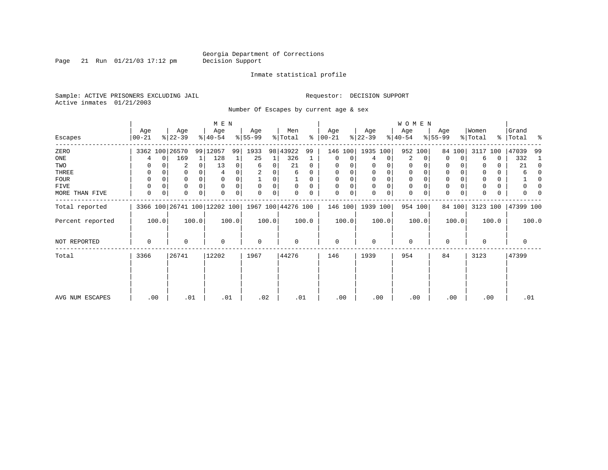Page 21 Run  $01/21/03$  17:12 pm

### Inmate statistical profile

Sample: ACTIVE PRISONERS EXCLUDING JAIL **Requestor: DECISION SUPPORT** Active inmates 01/21/2003

Number Of Escapes by current age & sex

|                  |                |       |                  |          | M E N                        |       |                  |       |                    |              |                 |       |                  |          | W O M E N        |          |                  |          |                  |       |                    |              |
|------------------|----------------|-------|------------------|----------|------------------------------|-------|------------------|-------|--------------------|--------------|-----------------|-------|------------------|----------|------------------|----------|------------------|----------|------------------|-------|--------------------|--------------|
| Escapes          | Age<br>  00-21 |       | Age<br>$ 22-39 $ |          | Age<br>$8 40-54$             |       | Age<br>$ 55-99 $ |       | Men<br>% Total     | ႜႂ           | Age<br>$ 00-21$ |       | Age<br>$ 22-39 $ |          | Age<br>$ 40-54 $ |          | Age<br>$8 55-99$ |          | Women<br>% Total |       | Grand<br>%   Total | ႜ            |
| ZERO             |                |       | 3362 100 26570   |          | 99 12057                     | 99    | 1933             |       | 98 43922           | 99           | 146             | 100   | 1935 100         |          | 952 100          |          |                  | 84 100   | 3117             | 100   | 47039              | 99           |
| ONE              |                | 0     | 169              | 1        | 128                          |       | 25               | 1     | 326                |              | 0               | 0     | 4                | 0        | 2                | $\Omega$ | 0                | $\Omega$ | 6                | 0     | 332                |              |
| TWO              | 0              |       | 2                | 0        | 13                           | 0     | 6                | 0     | 21                 | $\Omega$     | 0               |       |                  | 0        | 0                |          | 0                |          |                  | 0     | 21                 | $\Omega$     |
| THREE            | 0              |       | 0                |          |                              |       |                  |       | 6                  | 0            | 0               |       |                  | 0        | 0                |          | 0                |          |                  | 0     | 6                  | <sup>0</sup> |
| FOUR             | 0              |       | 0                | $\Omega$ |                              |       |                  | 0     |                    | <sup>0</sup> | $\Omega$        |       | $\Omega$         | $\Omega$ | $\Omega$         |          | $\Omega$         |          | $\Omega$         | 0     |                    |              |
| FIVE             | 0              |       | 0                | $\Omega$ | $\Omega$                     |       | $\Omega$         | 0     | $\Omega$           | $\Omega$     | $\Omega$        | 0     | $\Omega$         | 0        | $\mathbf 0$      |          | $\Omega$         |          |                  | 0     |                    |              |
| MORE THAN FIVE   | 0              | 0     | $\Omega$         | $\Omega$ |                              | 0     | $\Omega$         | 0     |                    |              | $\Omega$        | 0     | $\Omega$         | 0        | $\mathbf 0$      |          | $\Omega$         | 0        |                  | 0     |                    |              |
| Total reported   |                |       |                  |          | 3366 100 26741 100 12202 100 |       |                  |       | 1967 100 44276 100 |              | 146 100         |       | 1939 100         |          | 954 100          |          |                  | 84 100   | 3123 100         |       | 47399 100          |              |
| Percent reported |                | 100.0 |                  | 100.0    |                              | 100.0 |                  | 100.0 |                    | 100.0        |                 | 100.0 |                  | 100.0    |                  | 100.0    |                  | 100.0    |                  | 100.0 |                    | 100.0        |
| NOT REPORTED     | 0              |       | 0                |          | $\mathbf 0$                  |       | $\mathbf 0$      |       | 0                  |              | $\mathbf 0$     |       | $\Omega$         |          | $\mathbf 0$      |          | $\Omega$         |          | $\mathbf 0$      |       | 0                  |              |
| Total            | 3366           |       | 26741            |          | 12202                        |       | 1967             |       | 44276              |              | 146             |       | 1939             |          | 954              |          | 84               |          | 3123             |       | 47399              |              |
|                  |                |       |                  |          |                              |       |                  |       |                    |              |                 |       |                  |          |                  |          |                  |          |                  |       |                    |              |
|                  |                |       |                  |          |                              |       |                  |       |                    |              |                 |       |                  |          |                  |          |                  |          |                  |       |                    |              |
| AVG NUM ESCAPES  |                | .00   | .01              |          | .01                          |       |                  | .02   | .01                |              | .00             |       | .00              |          | .00              |          |                  | .00      | .00              |       | .01                |              |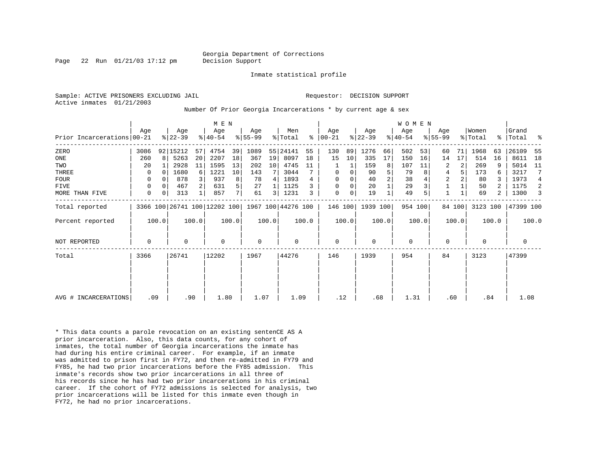Page 22 Run 01/21/03 17:12 pm Decision Support

Inmate statistical profile

Active inmates 01/21/2003

Sample: ACTIVE PRISONERS EXCLUDING JAIL **Requestor: DECISION SUPPORT** 

Number Of Prior Georgia Incarcerations \* by current age & sex

|                            |             |              |                  |          | M E N                                           |                |                  |         |                |       |                  |       |                  |       | W O M E N       |       |                  |        |                  |       |                |       |
|----------------------------|-------------|--------------|------------------|----------|-------------------------------------------------|----------------|------------------|---------|----------------|-------|------------------|-------|------------------|-------|-----------------|-------|------------------|--------|------------------|-------|----------------|-------|
| Prior Incarcerations 00-21 | Age         |              | Age<br>$ 22-39 $ |          | Age<br>$ 40-54 $                                |                | Age<br>$ 55-99 $ |         | Men<br>% Total | ႜ     | Age<br>$ 00-21 $ |       | Age<br>$ 22-39 $ |       | Age<br>$ 40-54$ |       | Age<br>$ 55-99 $ |        | Women<br>% Total | ႜ     | Grand<br>Total | ್ಠಿ   |
| ZERO                       | 3086        |              | 92 15212         | 57       | 4754                                            | 39             | 1089             |         | 55 24141       | 55    | 130              | 89    | 1276             | 66    | 502             | 53    | 60               | 71     | 1968             | 63    | 26109          | -55   |
| ONE                        | 260         | $\mathsf{R}$ | 5263             | 20       | 2207                                            | 18             | 367              | 19      | 8097           | 18    | 15               | 10    | 335              | 17    | 150             | 16    | 14               | 17     | 514              | 16    | 8611           | 18    |
| TWO                        | 20          |              | 2928             | 11       | 1595                                            | 13             | 202              | $10 \,$ | 4745           | 11    |                  |       | 159              | 8     | 107             | 11    | 2                | 2      | 269              | 9     | 5014           | 11    |
| THREE                      | 0           | 0            | 1680             | $6 \mid$ | 1221                                            | 10             | 143              |         | 3044           |       | 0                | 0     | 90               | 5     | 79              | 8     | 4                | 5      | 173              |       | 3217           | 7     |
| <b>FOUR</b>                | $\Omega$    |              | 878              |          | 937                                             | 8              | 78               | 4       | 1893           | 4     | $\mathbf 0$      |       | 40               | 2     | 38              |       | $\overline{2}$   |        | 80               |       | 1973           | 4     |
| <b>FIVE</b>                | 0           |              | 467              |          | 631                                             | 5              | 27               |         | 1125           |       | $\Omega$         | 0     | 20               |       | 29              |       |                  |        | 50               |       | 1175           | -2    |
| MORE THAN FIVE             | 0           | 0            | 313              |          | 857                                             | 7 <sup>1</sup> | 61               | 3       | 1231           | 3     | $\mathbf 0$      | 0     | 19               |       | 49              |       | $\mathbf{1}$     |        | 69               | 2     | 1300           | 3     |
| Total reported             |             |              |                  |          | 3366 100 26741 100 12202 100 1967 100 44276 100 |                |                  |         |                |       | 146 100          |       | 1939 100         |       | 954 100         |       |                  | 84 100 | 3123 100         |       | 47399 100      |       |
| Percent reported           |             | 100.0        |                  | 100.0    |                                                 | 100.0          |                  | 100.0   |                | 100.0 |                  | 100.0 |                  | 100.0 |                 | 100.0 |                  | 100.0  |                  | 100.0 |                | 100.0 |
| <b>NOT REPORTED</b>        | $\mathbf 0$ |              | $\Omega$         |          | 0                                               |                | $\mathbf 0$      |         | 0              |       | $\mathbf 0$      |       | $\Omega$         |       | $\mathbf 0$     |       | $\mathbf 0$      |        | $\Omega$         |       | 0              |       |
| Total                      | 3366        |              | 26741            |          | 12202                                           |                | 1967             |         | 44276          |       | 146              |       | 1939             |       | 954             |       | 84               |        | 3123             |       | 47399          |       |
|                            |             |              |                  |          |                                                 |                |                  |         |                |       |                  |       |                  |       |                 |       |                  |        |                  |       |                |       |
|                            |             |              |                  |          |                                                 |                |                  |         |                |       |                  |       |                  |       |                 |       |                  |        |                  |       |                |       |
| AVG # INCARCERATIONS       |             | .09          |                  | .90      | 1.80                                            |                | 1.07             |         | 1.09           |       | .12              |       | .68              |       | 1.31            |       | .60              |        | .84              |       | 1.08           |       |

\* This data counts a parole revocation on an existing sentenCE AS A prior incarceration. Also, this data counts, for any cohort of inmates, the total number of Georgia incarcerations the inmate has had during his entire criminal career. For example, if an inmate was admitted to prison first in FY72, and then re-admitted in FY79 and FY85, he had two prior incarcerations before the FY85 admission. This inmate's records show two prior incarcerations in all three of his records since he has had two prior incarcerations in his criminal career. If the cohort of FY72 admissions is selected for analysis, two prior incarcerations will be listed for this inmate even though in FY72, he had no prior incarcerations.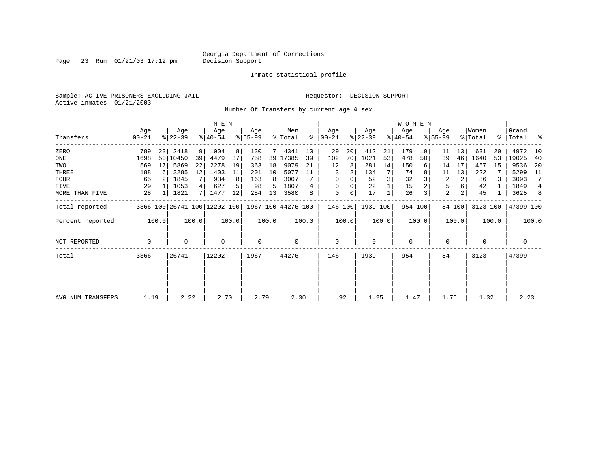Page 23 Run  $01/21/03$  17:12 pm

### Inmate statistical profile

Sample: ACTIVE PRISONERS EXCLUDING JAIL **Requestor: DECISION SUPPORT** Active inmates 01/21/2003

Number Of Transfers by current age & sex

|                   |                |       |                  |       | M E N            |       |                  |       |                                                 |       |                  |       |                  |       | WOMEN            |         |                  |                |                              |       |                    |                |
|-------------------|----------------|-------|------------------|-------|------------------|-------|------------------|-------|-------------------------------------------------|-------|------------------|-------|------------------|-------|------------------|---------|------------------|----------------|------------------------------|-------|--------------------|----------------|
| Transfers         | Age<br>  00-21 |       | Age<br>$ 22-39 $ |       | Age<br>$ 40-54 $ |       | Age<br>$ 55-99 $ |       | Men<br>% Total                                  | ∻     | Age<br>$ 00-21 $ |       | Age<br>$ 22-39 $ |       | Age<br>$ 40-54 $ |         | Age<br>$ 55-99 $ |                | Women<br>$\frac{1}{2}$ Total |       | Grand<br>% Total % |                |
| ZERO              | 789            | 23    | 2418             | 9     | 1004             | 8     | 130              |       | 4341                                            | 10    | 29               | 20    | 412              | 21    | 179              | 19      | 11               | 13             | 631                          | 20    | 4972               | 10             |
| ONE               | 1698           |       | 50 10450         | 39    | 4479             | 37    | 758              | 39    | 17385                                           | 39    | 102              | 70    | 1021             | 53    | 478              | 50      | 39               | 46             | 1640                         | 53    | 19025              | 40             |
| TWO               | 569            | 17    | 5869             | 22    | 2278             | 19    | 363              | 18    | 9079                                            | 21    | 12               | 8     | 281              | 14    | 150              | 16      | 14               | 17             | 457                          | 15    | 9536               | -20            |
| THREE             | 188            | 6     | 3285             | 12    | 1403             | 11    | 201              | 10    | 5077                                            | 11    | 3                | 2     | 134              |       | 74               |         | 11               | 13             | 222                          |       | 5299               | - 11           |
| FOUR              | 65             |       | 1845             |       | 934              |       | 163              | 8     | 3007                                            |       | $\Omega$         | 0     | 52               | 3     | 32               |         | 2                | 2              | 86                           |       | 3093               | 7              |
| FIVE              | 29             |       | 1053             | 4     | 627              |       | 98               | 5     | 1807                                            | 4     | 0                |       | 22               |       | 15               |         | 5                |                | 42                           |       | 1849               | $\overline{4}$ |
| MORE THAN FIVE    | 28             |       | 1821             | 7     | 1477             | 12    | 254              | 13    | 3580                                            | 8     | $\mathbf 0$      | 0     | 17               |       | 26               | 3       | $\overline{a}$   | 2 <sub>1</sub> | 45                           |       | 3625               | 8              |
| Total reported    |                |       |                  |       |                  |       |                  |       | 3366 100 26741 100 12202 100 1967 100 44276 100 |       | 146 100          |       | 1939 100         |       |                  | 954 100 |                  | 84 100         | 3123 100                     |       | 47399 100          |                |
| Percent reported  |                | 100.0 |                  | 100.0 |                  | 100.0 |                  | 100.0 |                                                 | 100.0 |                  | 100.0 |                  | 100.0 |                  | 100.0   |                  | 100.0          |                              | 100.0 |                    | 100.0          |
| NOT REPORTED      | 0              |       | 0                |       | $\mathbf 0$      |       | 0                |       | 0                                               |       | $\mathbf 0$      |       | $\mathbf 0$      |       | $\mathbf 0$      |         | 0                |                | 0                            |       | 0                  |                |
| Total             | 3366           |       | 26741            |       | 12202            |       | 1967             |       | 44276                                           |       | 146              |       | 1939             |       | 954              |         | 84               |                | 3123                         |       | 47399              |                |
|                   |                |       |                  |       |                  |       |                  |       |                                                 |       |                  |       |                  |       |                  |         |                  |                |                              |       |                    |                |
|                   |                |       |                  |       |                  |       |                  |       |                                                 |       |                  |       |                  |       |                  |         |                  |                |                              |       |                    |                |
| AVG NUM TRANSFERS | 1.19           |       | 2.22             |       | 2.70             |       | 2.79             |       | 2.30                                            |       | .92              |       | 1.25             |       | 1.47             |         | 1.75             |                | 1.32                         |       | 2.23               |                |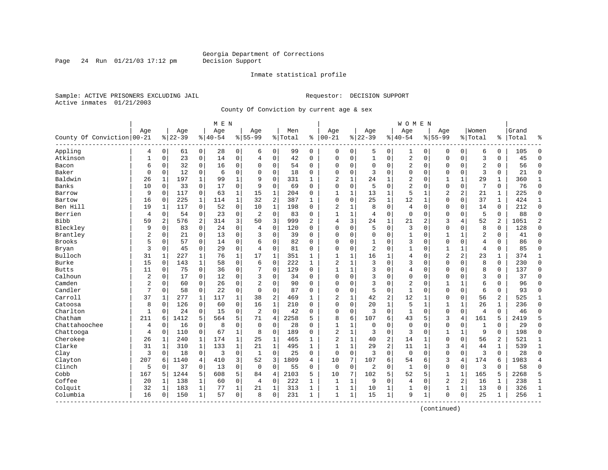Page 24 Run  $01/21/03$  17:12 pm

### Inmate statistical profile

Sample: ACTIVE PRISONERS EXCLUDING JAIL **Requestor: DECISION SUPPORT** Active inmates 01/21/2003

County Of Conviction by current age & sex

|                            |                |                |                  |                | M E N            |              |                    |                |                  |                |                 |              |                  |                | W O M E N        |              |                    |                |                  |                |                |                |
|----------------------------|----------------|----------------|------------------|----------------|------------------|--------------|--------------------|----------------|------------------|----------------|-----------------|--------------|------------------|----------------|------------------|--------------|--------------------|----------------|------------------|----------------|----------------|----------------|
| County Of Conviction 00-21 | Age            |                | Age<br>$8 22-39$ |                | Age<br>$8 40-54$ |              | Aqe<br>$8155 - 99$ |                | Men<br>%   Total | ႜ              | Age<br>$ 00-21$ |              | Age<br>$8 22-39$ |                | Age<br>$8 40-54$ |              | Aqe<br>$8155 - 99$ |                | Women<br>% Total | ႜ              | Grand<br>Total | ႜ              |
| Appling                    | 4              | $\overline{0}$ | 61               | $\overline{0}$ | 28               | 0            | 6                  | $\mathbf 0$    | 99               | $\mathbf 0$    | $\Omega$        | $\mathbf 0$  | 5                | $\mathbf 0$    | 1                | 0            | $\Omega$           | $\mathbf 0$    | 6                | 0              | 105            | $\Omega$       |
| Atkinson                   | $\mathbf{1}$   | 0              | 23               | $\mathbf 0$    | 14               | 0            | 4                  | $\mathbf 0$    | 42               | $\Omega$       | $\Omega$        | $\mathbf 0$  | $\mathbf{1}$     | $\mathbf 0$    | 2                | $\mathbf 0$  | $\Omega$           | $\mathbf 0$    | 3                | $\Omega$       | 45             | $\Omega$       |
| Bacon                      | 6              | 0              | 32               | 0              | 16               | 0            | $\Omega$           | 0              | 54               | 0              | $\Omega$        | 0            | $\mathbf 0$      | 0              | 2                | $\mathbf 0$  | $\Omega$           | 0              | $\overline{c}$   | 0              | 56             | $\mathbf 0$    |
| Baker                      | $\mathbf 0$    | 0              | 12               | 0              | 6                | 0            | $\Omega$           | $\mathbf 0$    | 18               | 0              | $\Omega$        | 0            | 3                | $\Omega$       | $\Omega$         | $\Omega$     | $\Omega$           | $\Omega$       | 3                | $\Omega$       | 21             | $\mathbf 0$    |
| Baldwin                    | 26             | 1              | 197              | 1              | 99               | $\mathbf{1}$ | 9                  | $\mathbf 0$    | 331              | $\mathbf{1}$   | $\overline{2}$  | 1            | 24               | 1              | 2                | $\sqrt{ }$   | 1                  | $\mathbf{1}$   | 29               | 1              | 360            | 1              |
| Banks                      | 10             | 0              | 33               | $\mathbf 0$    | 17               | 0            | 9                  | $\mathbf 0$    | 69               | $\Omega$       | 0               | $\mathbf 0$  | 5                | $\mathbf 0$    | 2                | 0            | $\mathbf 0$        | $\mathbf 0$    | 7                | 0              | 76             | $\mathbf 0$    |
| Barrow                     | 9              | 0              | 117              | $\mathbf 0$    | 63               | $\mathbf{1}$ | 15                 | $\mathbf{1}$   | 204              | 0              | $\mathbf{1}$    | $\mathbf{1}$ | 13               | $\mathbf{1}$   | 5                | $\mathbf{1}$ | 2                  | 2              | 21               | $\mathbf{1}$   | 225            | $\Omega$       |
| Bartow                     | 16             | 0              | 225              | $\mathbf{1}$   | 114              | $\mathbf{1}$ | 32                 | 2              | 387              | $\mathbf{1}$   | $\Omega$        | 0            | 25               | 1              | 12               | 1            | $\Omega$           | $\Omega$       | 37               | $\mathbf{1}$   | 424            | $\mathbf{1}$   |
| Ben Hill                   | 19             | 1              | 117              | $\mathbf 0$    | 52               | 0            | 10                 | 1              | 198              | $\Omega$       | $\overline{2}$  | 1            | 8                | $\mathbf 0$    | 4                | 0            | $\Omega$           | 0              | 14               | 0              | 212            | $\mathbf 0$    |
| Berrien                    | 4              | 0              | 54               | 0              | 23               | 0            | $\overline{2}$     | $\mathbf 0$    | 83               | 0              | $\mathbf{1}$    | 1            | 4                | $\mathbf 0$    | $\mathbf 0$      | $\mathbf 0$  | $\Omega$           | 0              | 5                | 0              | 88             | $\mathbf 0$    |
| <b>Bibb</b>                | 59             | 2              | 576              | $\overline{a}$ | 314              | 3            | 50                 | 3              | 999              | $\overline{a}$ | $\overline{4}$  | 3            | 24               | $\mathbf{1}$   | 21               | 2            | 3                  | 4              | 52               | $\overline{a}$ | 1051           | $\overline{2}$ |
| Bleckley                   | 9              | $\Omega$       | 83               | $\Omega$       | 24               | 0            | $\overline{4}$     | $\mathbf 0$    | 120              | $\Omega$       | $\Omega$        | 0            | 5                | $\Omega$       | 3                | $\Omega$     | $\mathbf 0$        | $\Omega$       | 8                | $\Omega$       | 128            | $\Omega$       |
| Brantley                   | $\overline{2}$ | 0              | 21               | $\mathbf 0$    | 13               | 0            | 3                  | $\mathsf 0$    | 39               | 0              | $\Omega$        | 0            | $\Omega$         | $\Omega$       | $\mathbf{1}$     | $\Omega$     | $\mathbf{1}$       | $\mathbf{1}$   | $\overline{2}$   | $\Omega$       | 41             | $\Omega$       |
| <b>Brooks</b>              | 5              | 0              | 57               | $\mathbf 0$    | 14               | 0            | 6                  | $\mathbf 0$    | 82               | $\Omega$       | $\Omega$        | 0            | 1                | $\Omega$       | 3                | $\Omega$     | $\Omega$           | $\Omega$       | 4                | $\Omega$       | 86             | $\Omega$       |
| Bryan                      | 3              | 0              | 45               | $\mathbf 0$    | 29               | 0            | $\overline{4}$     | $\mathbf 0$    | 81               | 0              | $\Omega$        | 0            | $\overline{2}$   | $\Omega$       | 1                | $\Omega$     |                    |                | 4                | 0              | 85             | $\mathbf 0$    |
| Bulloch                    | 31             | 1              | 227              | 1              | 76               | $\mathbf 1$  | 17                 | 1              | 351              | $\mathbf{1}$   | $\mathbf{1}$    | 1            | 16               | 1              | 4                | $\Omega$     | $\overline{2}$     | 2              | 23               | 1              | 374            | 1              |
| Burke                      | 15             | $\Omega$       | 143              | $\mathbf{1}$   | 58               | $\Omega$     | 6                  | $\Omega$       | 222              | $\mathbf{1}$   | $\overline{a}$  | $\mathbf{1}$ | 3                | $\Omega$       | 3                | $\mathsf{C}$ | $\Omega$           | $\Omega$       | 8                | $\Omega$       | 230            | $\Omega$       |
| <b>Butts</b>               | 11             | $\Omega$       | 75               | $\Omega$       | 36               | 0            | 7                  | $\mathbf 0$    | 129              | $\Omega$       | $\mathbf{1}$    | $\mathbf{1}$ | 3                | $\Omega$       | $\overline{4}$   | $\Omega$     | $\Omega$           | $\Omega$       | 8                | $\Omega$       | 137            | $\Omega$       |
| Calhoun                    | $\overline{2}$ | 0              | 17               | $\mathbf 0$    | 12               | 0            | 3                  | $\mathbf 0$    | 34               | $\Omega$       | $\Omega$        | 0            | 3                | $\Omega$       | $\Omega$         | $\mathbf 0$  | $\Omega$           | $\Omega$       | 3                | $\Omega$       | 37             | $\Omega$       |
| Camden                     | $\overline{2}$ | 0              | 60               | 0              | 26               | 0            | $\overline{2}$     | $\mathbf 0$    | 90               | $\Omega$       | $\Omega$        | 0            | 3                | $\Omega$       | 2                | $\Omega$     | $\mathbf{1}$       | $\mathbf{1}$   | 6                | $\Omega$       | 96             | $\Omega$       |
| Candler                    | 7              | 0              | 58               | 0              | 22               | 0            | $\mathbf 0$        | $\mathbf 0$    | 87               | 0              | $\Omega$        | 0            | 5                | $\mathbf 0$    | $\mathbf{1}$     | $\mathbf 0$  | $\Omega$           | $\Omega$       | 6                | 0              | 93             | $\mathbf 0$    |
| Carroll                    | 37             | 1              | 277              | $\mathbf{1}$   | 117              | $\mathbf{1}$ | 38                 | 2              | 469              | $\mathbf{1}$   | $\overline{a}$  | $\mathbf{1}$ | 42               | 2              | 12               | $\mathbf{1}$ | $\Omega$           | $\Omega$       | 56               | $\overline{a}$ | 525            | $\mathbf{1}$   |
| Catoosa                    | 8              | $\Omega$       | 126              | $\Omega$       | 60               | $\Omega$     | 16                 | $\mathbf{1}$   | 210              | $\Omega$       | $\Omega$        | 0            | 20               | $\mathbf{1}$   | 5                | $\mathbf{1}$ | $\mathbf{1}$       | $\mathbf{1}$   | 26               | $\mathbf{1}$   | 236            | $\Omega$       |
| Charlton                   | $\mathbf{1}$   | $\Omega$       | 24               | $\mathbf 0$    | 15               | 0            | $\overline{2}$     | $\Omega$       | 42               | $\Omega$       | $\Omega$        | 0            | 3                | $\Omega$       | $\mathbf{1}$     | $\Omega$     | $\mathbf 0$        | $\Omega$       | $\overline{4}$   | $\mathbf 0$    | 46             | $\Omega$       |
| Chatham                    | 211            | 6              | 1412             | 5              | 564              | 5            | 71                 | 4              | 2258             | 5              | 8               | 6            | 107              | 6              | 43               | 5            | 3                  | $\overline{4}$ | 161              | 5              | 2419           | 5              |
| Chattahoochee              | 4              | 0              | 16               | 0              | 8                | 0            | $\mathbf 0$        | $\mathbf 0$    | 28               | $\Omega$       | $\mathbf{1}$    | 1            | $\mathbf 0$      | $\Omega$       | $\mathbf 0$      | $\Omega$     | $\Omega$           | $\mathbf 0$    | 1                | 0              | 29             | $\mathbf 0$    |
| Chattooga                  | 4              | 0              | 110              | $\mathbf 0$    | 67               | $\mathbf 1$  | 8                  | 0              | 189              | 0              | $\overline{2}$  | $\mathbf 1$  | 3                | $\mathbf 0$    | 3                | $\Omega$     |                    |                | 9                | 0              | 198            | 0              |
| Cherokee                   | 26             | $\mathbf{1}$   | 240              | $\mathbf{1}$   | 174              | $\mathbf{1}$ | 25                 | $\mathbf{1}$   | 465              | $\mathbf{1}$   | $\overline{a}$  | $\mathbf{1}$ | 40               | 2              | 14               | 1            | $\Omega$           | $\Omega$       | 56               | $\overline{a}$ | 521            | $\mathbf{1}$   |
| Clarke                     | 31             | 1              | 310              | $\mathbf{1}$   | 133              | $\mathbf{1}$ | 21                 | 1              | 495              | $\mathbf{1}$   | $\overline{1}$  | $\mathbf{1}$ | 29               | $\overline{a}$ | 11               | $\mathbf{1}$ | 3                  | 4              | 44               | $\mathbf{1}$   | 539            | $\mathbf{1}$   |
| Clay                       | 3              | $\Omega$       | 18               | $\mathbf 0$    | 3                | 0            | $\mathbf{1}$       | $\mathbf 0$    | 25               | $\Omega$       | $\mathbf 0$     | 0            | 3                | $\Omega$       | $\mathbf 0$      | $\Omega$     | $\mathbf 0$        | $\Omega$       | 3                | $\Omega$       | 28             | $\Omega$       |
| Clayton                    | 207            | 6              | 1140             | 4              | 410              | 3            | 52                 | 3              | 1809             | 4              | 10              | 7            | 107              | 6              | 54               | 6            | 3                  | $\overline{4}$ | 174              | 6              | 1983           | $\overline{4}$ |
| Clinch                     | 5              | 0              | 37               | $\mathbf 0$    | 13               | 0            | $\mathbf 0$        | $\mathbf 0$    | 55               | $\Omega$       | $\mathbf 0$     | $\mathbf 0$  | 2                | $\mathbf 0$    | $\mathbf{1}$     | $\mathbf 0$  | $\mathbf 0$        | $\mathbf 0$    | 3                | $\Omega$       | 58             | $\Omega$       |
| Cobb                       | 167            | 5              | 1244             | 5              | 608              | 5            | 84                 | $\overline{4}$ | 2103             | 5              | 10              | 7            | 102              | 5              | 52               | 5            | $\mathbf{1}$       | $\mathbf{1}$   | 165              | 5              | 2268           | 5              |
| Coffee                     | 20             | 1              | 138              | 1              | 60               | 0            | 4                  | $\mathbf 0$    | 222              | $\mathbf{1}$   | $\mathbf{1}$    | $\mathbf 1$  | 9                | $\Omega$       | 4                | $\Omega$     | $\overline{2}$     | $\overline{2}$ | 16               | 1              | 238            | $\mathbf{1}$   |
| Colquit                    | 32             | 1              | 183              | $\mathbf 1$    | 77               | $\mathbf 1$  | 21                 | 1              | 313              | 1              | $\mathbf{1}$    | 1            | 10               | 1              | 1                | C            | 1                  | 1              | 13               | 0              | 326            | $\mathbf{1}$   |
| Columbia<br>--------       | 16             | 0              | 150              | 1              | 57               | 0            | 8                  | $\mathbf 0$    | 231              | 1              | $\mathbf{1}$    | $\mathbf{1}$ | 15               | $\mathbf{1}$   | 9                | 1            | $\Omega$           | $\mathbf 0$    | 25               | 1              | 256            | $\mathbf{1}$   |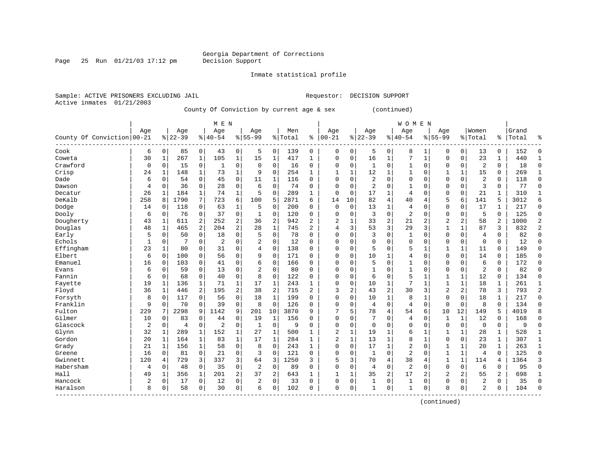Page 25 Run  $01/21/03$  17:12 pm

### Inmate statistical profile

Active inmates 01/21/2003

Sample: ACTIVE PRISONERS EXCLUDING JAIL **Requestor: DECISION SUPPORT** 

County Of Conviction by current age & sex (continued)

|                            |            |                |                |                | M E N          |                |                |                |         |                |                |              |                |                | <b>WOMEN</b>   |              |                |                |                |                |       |                |
|----------------------------|------------|----------------|----------------|----------------|----------------|----------------|----------------|----------------|---------|----------------|----------------|--------------|----------------|----------------|----------------|--------------|----------------|----------------|----------------|----------------|-------|----------------|
|                            | Age        |                | Age            |                | Age            |                | Aqe            |                | Men     |                | Age            |              | Age            |                | Age            |              | Aqe            |                | Women          |                | Grand |                |
| County Of Conviction 00-21 |            |                | $8 22-39$      |                | $8 40-54$      |                | $8155 - 99$    |                | % Total | ి              | $ 00 - 21$     |              | $ 22-39$       |                | $ 40-54$       |              | $8155 - 99$    |                | % Total        | %              | Total | န္             |
| Cook                       | 6          | $\overline{0}$ | 85             | $\mathbf 0$    | 43             | $\overline{0}$ | 5              | 0              | 139     | 0              | $\mathbf 0$    | 0            | 5              | 0              | 8              | 1            | $\Omega$       | 0              | 13             | 0              | 152   | $\Omega$       |
| Coweta                     | 30         | 1              | 267            | $\mathbf{1}$   | 105            | $\mathbf{1}$   | 15             | 1              | 417     | 1              | 0              | 0            | 16             | 1              | 7              | $\mathbf{1}$ | $\Omega$       | $\mathbf 0$    | 23             | 1              | 440   | 1              |
| Crawford                   | 0          | $\Omega$       | 15             | $\mathbf 0$    | -1             | 0              | $\mathbf 0$    | $\Omega$       | 16      | 0              | $\Omega$       | 0            | 1              | $\Omega$       | $\mathbf{1}$   | $\Omega$     | $\Omega$       | $\Omega$       | $\overline{2}$ | 0              | 18    | $\Omega$       |
| Crisp                      | 24         | 1              | 148            | 1              | 73             | $\mathbf 1$    | 9              | $\mathbf 0$    | 254     | 1              | 1              | 1            | 12             | 1              | 1              | $\mathbf 0$  |                | $\mathbf 1$    | 15             | 0              | 269   | 1              |
| Dade                       | 6          | 0              | 54             | $\mathbf 0$    | 45             | 0              | 11             | 1              | 116     | $\Omega$       | $\Omega$       | 0            | $\overline{2}$ | $\Omega$       | 0              | $\Omega$     | $\Omega$       | $\Omega$       | $\overline{2}$ | 0              | 118   | $\Omega$       |
| Dawson                     | 4          | $\Omega$       | 36             | $\Omega$       | 28             | 0              | 6              | $\Omega$       | 74      | $\Omega$       | $\Omega$       | $\Omega$     | $\overline{2}$ | $\Omega$       | 1              | $\Omega$     | $\Omega$       | $\Omega$       | 3              | $\Omega$       | 77    | $\Omega$       |
| Decatur                    | 26         | 1              | 184            | 1              | 74             | 1              | 5              | $\Omega$       | 289     | 1              | $\Omega$       | 0            | 17             | 1              | $\overline{4}$ | $\Omega$     | $\Omega$       | 0              | 21             | 1              | 310   | $\mathbf{1}$   |
| DeKalb                     | 258        | 8              | 1790           | 7              | 723            | 6              | 100            | 5              | 2871    | 6              | 14             | 10           | 82             | 4              | 40             | 4            | 5              | 6              | 141            | 5              | 3012  | 6              |
| Dodge                      | 14         | 0              | 118            | 0              | 63             | 1              | 5              | 0              | 200     | O              | 0              | $\mathbf 0$  | 13             | 1              | 4              | $\Omega$     | 0              | 0              | 17             | 1              | 217   | $\mathbf{0}$   |
| Dooly                      | 6          | 0              | 76             | 0              | 37             | 0              | $\mathbf{1}$   | 0              | 120     | 0              | $\Omega$       | 0            | 3              | $\Omega$       | $\overline{2}$ | $\Omega$     | $\Omega$       | $\Omega$       | 5              | $\Omega$       | 125   | $\Omega$       |
| Dougherty                  | 43         | 1              | 611            | 2              | 252            | $\overline{a}$ | 36             | 2              | 942     | $\overline{2}$ | $\overline{2}$ | 1            | 33             | $\overline{2}$ | 21             | 2            | $\overline{2}$ | $\overline{a}$ | 58             | $\overline{a}$ | 1000  | $\overline{2}$ |
| Douglas                    | 48         | 1              | 465            | $\overline{a}$ | 204            | $\overline{a}$ | 28             | $\mathbf 1$    | 745     | 2              | 4              | 3            | 53             | 3              | 29             | 3            | $\mathbf{1}$   | 1              | 87             | 3              | 832   | $\overline{2}$ |
| Early                      | 5          | $\Omega$       | 50             | $\Omega$       | 18             | 0              | 5              | $\Omega$       | 78      | $\Omega$       | $\Omega$       | 0            | 3              | $\Omega$       | 1              | $\Omega$     | $\Omega$       | $\Omega$       | $\overline{4}$ | $\Omega$       | 82    | $\Omega$       |
| Echols                     | 1          | 0              |                | $\Omega$       | $\overline{2}$ | 0              | $\overline{2}$ | $\mathbf 0$    | 12      | $\Omega$       | $\Omega$       | 0            | $\Omega$       | $\Omega$       | $\Omega$       | $\Omega$     | $\Omega$       | 0              | $\mathbf 0$    | $\Omega$       | 12    | $\Omega$       |
| Effingham                  | 23         | 1              | 80             | $\Omega$       | 31             | 0              | 4              | $\Omega$       | 138     | $\Omega$       | $\Omega$       | 0            | 5              | $\Omega$       | 5              | 1            | 1              | $\mathbf{1}$   | 11             | $\Omega$       | 149   | $\Omega$       |
| Elbert                     | 6          | $\Omega$       | 100            | 0              | 56             | 0              | 9              | $\Omega$       | 171     | $\Omega$       | $\Omega$       | O            | 10             | 1              | 4              | $\mathbf 0$  | $\mathbf 0$    | $\Omega$       | 14             | 0              | 185   | $\Omega$       |
| Emanuel                    | 16         | $\Omega$       | 103            | $\Omega$       | 41             | 0              | 6              | $\mathbf 0$    | 166     | $\Omega$       | $\Omega$       | $\Omega$     | 5              | $\Omega$       | 1              | $\Omega$     | $\Omega$       | $\Omega$       | 6              | $\mathbf 0$    | 172   | $\Omega$       |
| Evans                      | 6          | 0              | 59             | 0              | 13             | 0              | $\overline{c}$ | $\mathbf 0$    | 80      | O              | $\Omega$       | O            |                | $\Omega$       | $\mathbf{1}$   | $\Omega$     | $\Omega$       | 0              | $\overline{2}$ | 0              | 82    | $\Omega$       |
| Fannin                     | 6          | 0              | 68             | $\mathbf 0$    | 40             | 0              | 8              | $\Omega$       | 122     | O              | $\Omega$       | $\Omega$     | 6              | $\Omega$       | 5              | $\mathbf{1}$ | $\mathbf{1}$   | $\mathbf 1$    | 12             | 0              | 134   |                |
| Fayette                    | 19         | 1              | 136            | 1              | 71             | $\mathbf 1$    | 17             | $\mathbf 1$    | 243     | 1              | $\Omega$       | 0            | 10             | 1              | 7              | 1            | $\mathbf{1}$   | $\mathbf{1}$   | 18             | $\mathbf{1}$   | 261   |                |
| Floyd                      | 36         | 1              | 446            | $\overline{a}$ | 195            | $\overline{2}$ | 38             | $\overline{a}$ | 715     | 2              | 3              | 2            | 43             | $\overline{2}$ | 30             | 3            | $\overline{2}$ | $\overline{a}$ | 78             | 3              | 793   | $\overline{2}$ |
| Forsyth                    | 8          | $\Omega$       | 117            | $\Omega$       | 56             | 0              | 18             | $\mathbf{1}$   | 199     | $\Omega$       | $\Omega$       | 0            | 10             | 1              | 8              | $\mathbf{1}$ | $\Omega$       | $\Omega$       | 18             | 1              | 217   | $\Omega$       |
| Franklin                   | 9          | 0              | 70             | $\mathbf 0$    | 39             | 0              | 8              | $\Omega$       | 126     | $\Omega$       | $\Omega$       | 0            | 4              | 0              | 4              | $\mathbf 0$  | $\mathbf{0}$   | $\mathbf 0$    | 8              | $\Omega$       | 134   | $\Omega$       |
| Fulton                     | 229        | 7              | 2298           | 9              | 1142           | 9              | 201            | 10             | 3870    | 9              |                | 5            | 78             | 4              | 54             | 6            | 10             | 12             | 149            | 5              | 4019  |                |
| Gilmer                     | 10         | $\Omega$       | 83             | 0              | 44             | 0              | 19             | 1              | 156     | $\Omega$       | $\Omega$       | 0            | 7              | $\Omega$       | 4              | $\mathbf 0$  | 1              | $\mathbf{1}$   | 12             | 0              | 168   | $\Omega$       |
| Glascock                   | 2          | 0              | $\overline{4}$ | 0              | 2              | 0              | $\mathbf{1}$   | 0              | 9       | $\Omega$       | $\Omega$       | 0            | $\Omega$       | $\Omega$       | $\Omega$       | $\Omega$     | $\Omega$       | $\mathbf 0$    | $\mathbf 0$    | 0              | 9     | $\Omega$       |
| Glynn                      | 32         | 1              | 289            | 1              | 152            | 1              | 27             | 1              | 500     | 1              | $\overline{2}$ | 1            | 19             | 1              | б              | 1            | 1              | 1              | 28             | 1              | 528   | $\mathbf{1}$   |
| Gordon                     | 20         | 1              | 164            | 1              | 83             | $\mathbf{1}$   | 17             | $\mathbf{1}$   | 284     | 1              | $\overline{2}$ | $\mathbf{1}$ | 13             | 1              | 8              | $\mathbf{1}$ | $\Omega$       | 0              | 23             | $\mathbf{1}$   | 307   | 1              |
| Grady                      | 21         | 1              | 156            | $\mathbf{1}$   | 58             | 0              | 8              | $\Omega$       | 243     | 1              | $\Omega$       | $\Omega$     | 17             | $\mathbf{1}$   | 2              | $\mathbf 0$  | $\mathbf{1}$   | $\mathbf{1}$   | 20             | $\mathbf{1}$   | 263   | $\mathbf{1}$   |
| Greene                     | 16         | $\Omega$       | 81             | $\mathbf 0$    | 21             | 0              | 3              | $\Omega$       | 121     | 0              | $\Omega$       | 0            | $\mathbf{1}$   | $\Omega$       | $\overline{2}$ | $\Omega$     | $\mathbf{1}$   | $\mathbf{1}$   | $\overline{4}$ | 0              | 125   | $\Omega$       |
| Gwinnett                   | 120        | 4              | 729            | 3              | 337            | 3              | 64             | 3              | 1250    | 3              | 5              | 3            | 70             | 4              | 38             | 4            | 1              | $\mathbf{1}$   | 114            | 4              | 1364  | 3              |
| Habersham                  | 4          | 0              | 48             | $\mathbf 0$    | 35             | 0              | $\overline{2}$ | $\mathbf 0$    | 89      | 0              | $\Omega$       | 0            | 4              | 0              | $\overline{2}$ | $\Omega$     | $\Omega$       | $\mathbf 0$    | 6              | 0              | 95    | $\Omega$       |
| Hall                       | 49         | 1              | 356            | 1              | 201            | 2              | 37             | 2              | 643     | $\mathbf{1}$   | $\mathbf{1}$   | 1            | 35             | $\overline{c}$ | 17             | 2            | $\overline{2}$ | 2              | 55             | 2              | 698   | $\mathbf{1}$   |
| Hancock                    | $\sqrt{2}$ | 0              | 17             | 0              | 12             | 0              | 2              | $\Omega$       | 33      | $\Omega$       | $\Omega$       | 0            | 1              | 0              | 1              | $\Omega$     | $\Omega$       | $\Omega$       | $\overline{c}$ | 0              | 35    | $\Omega$       |
| Haralson                   | 8          | 0              | 58             | 0              | 30             | 0              | 6              | $\Omega$       | 102     | $\Omega$       | $\Omega$       | 0            | 1              | 0              | $\mathbf{1}$   | $\mathbf 0$  | $\Omega$       | $\mathbf 0$    | $\mathcal{D}$  | 0              | 104   | $\Omega$       |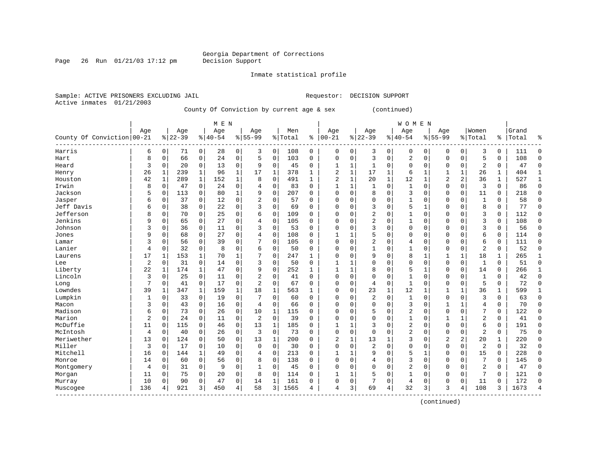Page 26 Run  $01/21/03$  17:12 pm

### Inmate statistical profile

Active inmates 01/21/2003

Sample: ACTIVE PRISONERS EXCLUDING JAIL **Requestor: DECISION SUPPORT** 

County Of Conviction by current age & sex (continued)

|                            |     |              |           |             | M E N    |             |                |              |         |              |                |              |                |             | W O M E N      |              |              |             |                |             |       |              |
|----------------------------|-----|--------------|-----------|-------------|----------|-------------|----------------|--------------|---------|--------------|----------------|--------------|----------------|-------------|----------------|--------------|--------------|-------------|----------------|-------------|-------|--------------|
|                            | Age |              | Age       |             | Age      |             | Age            |              | Men     |              | Age            |              | Age            |             | Age            |              | Age          |             | Women          |             | Grand |              |
| County Of Conviction 00-21 |     |              | $8 22-39$ |             | $ 40-54$ | %           | $55 - 99$      |              | % Total | နွ           | $00 - 21$      |              | $8 22-39$      |             | $8 40-54$      |              | $8 55-99$    |             | % Total        | %           | Total | ႜ            |
| Harris                     | 6   | 0            | 71        | 0           | 28       | 0           | 3              | 0            | 108     | $\mathbf 0$  | 0              | 0            | 3              | 0           | 0              | 0            | $\Omega$     | 0           | 3              | 0           | 111   | $\Omega$     |
| Hart                       | 8   | 0            | 66        | 0           | 24       | $\mathbf 0$ | 5              | $\mathbf 0$  | 103     | 0            | $\Omega$       | 0            | 3              | $\mathbf 0$ | $\overline{2}$ | $\mathbf 0$  | $\mathbf 0$  | $\mathbf 0$ | 5              | 0           | 108   | $\Omega$     |
| Heard                      | 3   | 0            | 20        | $\mathbf 0$ | 13       | 0           | 9              | $\mathbf 0$  | 45      | 0            | 1              | $\mathbf{1}$ | 1              | 0           | $\mathsf 0$    | $\mathbf 0$  | 0            | $\mathbf 0$ | $\overline{c}$ | 0           | 47    | $\Omega$     |
| Henry                      | 26  | 1            | 239       | 1           | 96       | $\mathbf 1$ | 17             | $\mathbf{1}$ | 378     | 1            | $\overline{c}$ | $\mathbf 1$  | 17             | 1           | 6              | $\mathbf 1$  |              | 1           | 26             | 1           | 404   |              |
| Houston                    | 42  | $\mathbf{1}$ | 289       | $\mathbf 1$ | 152      | $\mathbf 1$ | 8              | $\mathbf 0$  | 491     | $\mathbf{1}$ | $\overline{c}$ | $\mathbf 1$  | 20             | $\mathbf 1$ | 12             | $\mathbf 1$  | 2            | 2           | 36             | $\mathbf 1$ | 527   | $\mathbf{1}$ |
| Irwin                      | 8   | 0            | 47        | $\mathbf 0$ | 24       | $\mathbf 0$ | 4              | $\mathbf 0$  | 83      | $\Omega$     | $\mathbf{1}$   | 1            | $\mathbf{1}$   | $\mathbf 0$ | $\mathbf{1}$   | $\mathbf 0$  | $\mathbf 0$  | $\mathbf 0$ | 3              | $\mathbf 0$ | 86    | $\Omega$     |
| Jackson                    | 5   | 0            | 113       | 0           | 80       | 1           | q              | $\mathbf 0$  | 207     | 0            | $\Omega$       | $\mathbf 0$  | 8              | $\mathbf 0$ | 3              | $\mathbf 0$  | $\mathbf 0$  | 0           | 11             | 0           | 218   | $\Omega$     |
| Jasper                     | 6   | 0            | 37        | 0           | 12       | 0           | 2              | 0            | 57      | 0            | $\Omega$       | 0            | 0              | $\Omega$    |                | 0            | 0            | 0           | $\mathbf{1}$   | 0           | 58    | $\Omega$     |
| Jeff Davis                 | 6   | 0            | 38        | 0           | 22       | 0           | 3              | $\Omega$     | 69      | 0            | $\Omega$       | 0            | 3              | $\Omega$    | 5              | $\mathbf{1}$ | $\Omega$     | $\Omega$    | 8              | 0           | 77    | $\Omega$     |
| Jefferson                  | 8   | 0            | 70        | $\Omega$    | 25       | 0           | 6              | 0            | 109     | 0            | 0              | O            | $\overline{2}$ | $\Omega$    | 1              | $\mathbf 0$  | $\Omega$     | $\Omega$    | 3              | 0           | 112   | $\Omega$     |
| Jenkins                    | 9   | $\mathbf 0$  | 65        | 0           | 27       | 0           | 4              | $\mathbf 0$  | 105     | 0            | 0              | $\Omega$     | $\overline{2}$ | $\Omega$    | 1              | $\mathbf 0$  | $\Omega$     | $\Omega$    | 3              | 0           | 108   | ∩            |
| Johnson                    | 3   | 0            | 36        | $\mathbf 0$ | 11       | 0           | 3              | $\mathbf 0$  | 53      | 0            | 0              | $\Omega$     | 3              | $\Omega$    | 0              | $\mathbf 0$  | 0            | $\Omega$    | 3              | 0           | 56    | $\Omega$     |
| Jones                      | 9   | 0            | 68        | $\mathbf 0$ | 27       | 0           | 4              | $\mathbf 0$  | 108     | 0            | -1             | $\mathbf 1$  | 5              | 0           | 0              | $\mathbf 0$  | 0            | 0           | 6              | 0           | 114   | $\Omega$     |
| Lamar                      | 3   | 0            | 56        | 0           | 39       | 0           |                | $\mathbf 0$  | 105     | $\Omega$     | $\Omega$       | $\Omega$     | $\overline{2}$ | $\Omega$    | 4              | $\mathbf 0$  | $\Omega$     | 0           | 6              | 0           | 111   | $\Omega$     |
| Lanier                     | 4   | $\mathbf 0$  | 32        | $\mathbf 0$ | 8        | 0           | 6              | 0            | 50      | 0            | $\Omega$       | 0            | $\mathbf{1}$   | $\Omega$    | 1              | $\mathbf 0$  | $\mathbf 0$  | $\mathbf 0$ | $\overline{c}$ | 0           | 52    | $\Omega$     |
| Laurens                    | 17  | 1            | 153       | 1           | 70       | 1           |                | 0            | 247     | 1            | $\Omega$       | 0            | 9              | 0           | 8              | 1            | 1            | 1           | 18             | 1           | 265   | 1            |
| Lee                        | 2   | 0            | 31        | 0           | 14       | 0           | 3              | 0            | 50      | 0            |                |              | 0              | $\Omega$    | 0              | 0            | $\Omega$     | 0           | 1              | 0           | 51    | $\Omega$     |
| Liberty                    | 22  | 1            | 174       | 1           | 47       | 0           | 9              | $\Omega$     | 252     | 1            | 1              | 1            | 8              | $\Omega$    | 5              | 1            | $\Omega$     | $\Omega$    | 14             | 0           | 266   | 1            |
| Lincoln                    | 3   | $\Omega$     | 25        | $\Omega$    | 11       | 0           | $\overline{c}$ | $\Omega$     | 41      | $\Omega$     | $\Omega$       | $\Omega$     | $\Omega$       | $\Omega$    | $\mathbf{1}$   | $\Omega$     | $\Omega$     | $\Omega$    | $\mathbf{1}$   | $\Omega$    | 42    | $\Omega$     |
| Long                       | 7   | $\mathbf 0$  | 41        | $\Omega$    | 17       | 0           | $\overline{2}$ | $\Omega$     | 67      | 0            | $\Omega$       | $\Omega$     | 4              | $\mathbf 0$ | 1              | $\Omega$     | $\Omega$     | $\Omega$    | 5              | 0           | 72    | $\Omega$     |
| Lowndes                    | 39  | 1            | 347       | 1           | 159      | 1           | 18             | $\mathbf{1}$ | 563     | 1            | 0              | $\Omega$     | 23             | 1           | 12             | 1            | 1            | 1           | 36             | 1           | 599   |              |
| Lumpkin                    |     | 0            | 33        | 0           | 19       | $\mathbf 0$ |                | $\mathbf 0$  | 60      | 0            | 0              | 0            | $\overline{c}$ | 0           | 1              | 0            | 0            | 0           | 3              | 0           | 63    | $\Omega$     |
| Macon                      | 3   | $\mathbf 0$  | 43        | 0           | 16       | 0           | $\overline{4}$ | 0            | 66      | $\Omega$     | $\Omega$       | $\Omega$     | 0              | $\Omega$    | 3              | 0            | 1            | 1           | 4              | 0           | 70    | $\Omega$     |
| Madison                    | 6   | $\mathbf 0$  | 73        | $\Omega$    | 26       | 0           | 10             | 1            | 115     | $\Omega$     | $\Omega$       | $\Omega$     | 5              | $\Omega$    | $\overline{2}$ | $\mathbf 0$  | $\mathbf 0$  | $\Omega$    | 7              | 0           | 122   | $\Omega$     |
| Marion                     | 2   | $\Omega$     | 24        | $\Omega$    | 11       | 0           | 2              | 0            | 39      | $\Omega$     | $\Omega$       | $\Omega$     | 0              | $\Omega$    | 1              | $\mathbf 0$  | 1            | 1           | 2              | 0           | 41    | $\Omega$     |
| McDuffie                   | 11  | $\Omega$     | 115       | 0           | 46       | 0           | 13             | 1            | 185     | $\Omega$     | $\mathbf{1}$   | 1            | 3              | $\Omega$    | $\overline{2}$ | $\mathbf 0$  | $\mathbf 0$  | 0           | 6              | 0           | 191   | $\Omega$     |
| McIntosh                   | 4   | $\Omega$     | 40        | 0           | 26       | 0           | 3              | $\Omega$     | 73      | $\Omega$     | $\Omega$       | 0            | $\Omega$       | $\Omega$    | 2              | $\mathbf 0$  | $\Omega$     | $\Omega$    | $\overline{2}$ | 0           | 75    | $\Omega$     |
| Meriwether                 | 13  | 0            | 124       | $\Omega$    | 50       | $\mathbf 0$ | 13             | 1            | 200     | 0            | $\overline{2}$ | 1            | 13             | 1           | 3              | $\mathbf 0$  | 2            | 2           | 20             | 1           | 220   | ∩            |
| Miller                     | 3   | 0            | 17        | $\mathbf 0$ | 10       | $\mathbf 0$ | $\Omega$       | $\mathbf 0$  | 30      | $\Omega$     | $\Omega$       | $\Omega$     | 2              | $\Omega$    | 0              | $\mathbf 0$  | $\mathbf 0$  | $\mathbf 0$ | $\overline{c}$ | 0           | 32    | ∩            |
| Mitchell                   | 16  | 0            | 144       | 1           | 49       | 0           | 4              | $\mathbf 0$  | 213     | 0            | 1              | 1            | 9              | 0           | 5              | 1            | $\Omega$     | $\mathbf 0$ | 15             | 0           | 228   | $\Omega$     |
| Monroe                     | 14  | 0            | 60        | $\mathbf 0$ | 56       | 0           | 8              | $\mathbf 0$  | 138     | 0            | $\Omega$       | 0            | 4              | 0           | 3              | $\mathbf 0$  | $\Omega$     | 0           | 7              | 0           | 145   | $\Omega$     |
| Montgomery                 | 4   | 0            | 31        | $\mathbf 0$ | 9        | $\mathbf 0$ | 1              | $\mathbf 0$  | 45      | $\Omega$     | $\Omega$       | 0            | 0              | $\Omega$    | 2              | 0            | $\mathbf{0}$ | $\mathbf 0$ | $\overline{2}$ | 0           | 47    | $\Omega$     |
| Morgan                     | 11  | 0            | 75        | 0           | 20       | 0           | 8              | 0            | 114     | 0            | 1              | 1            | 5              | $\Omega$    | 1              | $\mathbf 0$  | $\mathbf 0$  | 0           | 7              | 0           | 121   | $\Omega$     |
| Murray                     | 10  | 0            | 90        | 0           | 47       | 0           | 14             | 1            | 161     | 0            | $\Omega$       | 0            |                | 0           | 4              | $\mathbf 0$  | $\mathbf 0$  | 0           | 11             | 0           | 172   | $\Omega$     |
| Muscogee                   | 136 | 4            | 921       | 3           | 450      | 4           | 58             | 3            | 1565    | 4            | 4              | 3            | 69             | 4           | 32             | 3            | 3            | 4           | 108            | 3           | 1673  |              |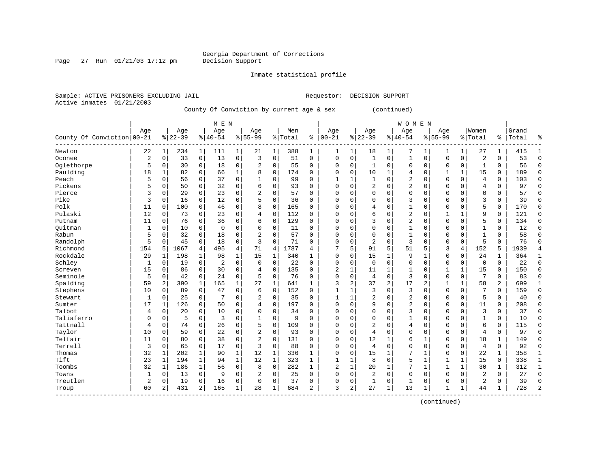Page 27 Run  $01/21/03$  17:12 pm

Inmate statistical profile

Active inmates 01/21/2003

Sample: ACTIVE PRISONERS EXCLUDING JAIL **Requestor: DECISION SUPPORT** 

County Of Conviction by current age & sex (continued)

|                            |                |                |           |                | M E N          |              |                |             |         |              |                |             |                |             | W O M E N      |              |              |              |                |                |       |                |
|----------------------------|----------------|----------------|-----------|----------------|----------------|--------------|----------------|-------------|---------|--------------|----------------|-------------|----------------|-------------|----------------|--------------|--------------|--------------|----------------|----------------|-------|----------------|
|                            | Age            |                | Age       |                | Age            |              | Age            |             | Men     |              | Age            |             | Age            |             | Age            |              | Age          |              | Women          |                | Grand |                |
| County Of Conviction 00-21 |                |                | $8 22-39$ |                | $8 40-54$      |              | $8 55-99$      |             | % Total | ႜ            | $ 00 - 21$     |             | $8 22-39$      |             | $8 40-54$      |              | $8155 - 99$  |              | % Total        | ႜ              | Total | န္             |
| Newton                     | 22             | $\mathbf{1}$   | 234       | $\mathbf 1$    | 111            | $\mathbf{1}$ | 21             | 1           | 388     | 1            | 1              | 1           | 18             | 1           | 7              | 1            | 1            | 1            | 27             | 1              | 415   | 1              |
| Oconee                     | $\overline{2}$ | 0              | 33        | 0              | 13             | 0            | 3              | $\mathbf 0$ | 51      | 0            | $\Omega$       | $\mathbf 0$ | 1              | $\mathbf 0$ | 1              | $\mathbf 0$  | $\mathbf 0$  | $\mathbf 0$  | $\overline{2}$ | 0              | 53    | $\mathbf{0}$   |
| Oglethorpe                 | 5              | 0              | 30        | 0              | 18             | 0            | 2              | $\mathbf 0$ | 55      | 0            | 0              | 0           | 1              | 0           | 0              | $\mathbf 0$  | 0            | $\mathbf 0$  | $\mathbf{1}$   | 0              | 56    | $\Omega$       |
| Paulding                   | 18             | $\mathbf{1}$   | 82        | $\mathbf 0$    | 66             | $\mathbf 1$  | 8              | $\mathbf 0$ | 174     | 0            | 0              | 0           | 10             | 1           | 4              | $\mathbf 0$  | 1            | $\mathbf{1}$ | 15             | $\mathbf 0$    | 189   | $\Omega$       |
| Peach                      | 5              | 0              | 56        | 0              | 37             | 0            | 1              | $\mathbf 0$ | 99      | $\Omega$     | 1              | 1           | $\mathbf{1}$   | $\mathbf 0$ | 2              | $\mathbf 0$  | $\mathbf 0$  | $\mathbf 0$  | $\overline{4}$ | $\mathbf 0$    | 103   | $\Omega$       |
| Pickens                    | 5              | 0              | 50        | 0              | 32             | 0            | 6              | $\Omega$    | 93      | $\Omega$     | $\Omega$       | $\Omega$    | 2              | $\mathbf 0$ | $\overline{2}$ | $\mathbf 0$  | $\mathbf 0$  | $\mathbf 0$  | 4              | $\mathbf 0$    | 97    | $\Omega$       |
| Pierce                     | 3              | 0              | 29        | 0              | 23             | 0            | $\overline{2}$ | $\mathbf 0$ | 57      | 0            | $\Omega$       | 0           | 0              | $\mathbf 0$ | 0              | 0            | 0            | 0            | 0              | 0              | 57    | $\mathbf 0$    |
| Pike                       | 3              | 0              | 16        | 0              | 12             | 0            | 5              | $\mathbf 0$ | 36      | 0            | $\Omega$       | $\Omega$    | 0              | $\Omega$    | 3              | 0            | 0            | 0            | 3              | 0              | 39    | 0              |
| Polk                       | 11             | $\Omega$       | 100       | 0              | 46             | 0            | 8              | $\mathbf 0$ | 165     | 0            | $\Omega$       | U           | 4              | $\Omega$    | 1              | $\mathbf 0$  | 0            | 0            | 5              | 0              | 170   | $\mathbf 0$    |
| Pulaski                    | 12             | $\Omega$       | 73        | 0              | 23             | 0            | 4              | $\Omega$    | 112     | $\Omega$     | $\Omega$       | U           | 6              | $\Omega$    | 2              | $\mathbf 0$  | 1            | $\mathbf{1}$ | q              | $\Omega$       | 121   | $\Omega$       |
| Putnam                     | 11             | 0              | 76        | 0              | 36             | 0            | 6              | $\mathbf 0$ | 129     | 0            | $\Omega$       | O           | 3              | $\Omega$    | $\overline{2}$ | $\mathbf 0$  | $\mathbf 0$  | 0            | 5              | 0              | 134   | $\Omega$       |
| Ouitman                    | $\mathbf{1}$   | 0              | 10        | $\mathbf 0$    | $\mathbf 0$    | 0            | $\Omega$       | $\mathbf 0$ | 11      | 0            | $\Omega$       | O           | 0              | $\mathbf 0$ | 1              | $\mathbf 0$  | 0            | $\mathbf 0$  | $\mathbf{1}$   | 0              | 12    | $\Omega$       |
| Rabun                      | 5              | 0              | 32        | $\mathbf 0$    | 18             | 0            | $\overline{2}$ | $\mathbf 0$ | 57      | 0            | $\Omega$       | $\Omega$    | 0              | 0           | 1              | $\mathbf 0$  | 0            | $\mathbf 0$  | $\mathbf{1}$   | 0              | 58    | $\Omega$       |
| Randolph                   | 5              | 0              | 45        | $\mathbf 0$    | 18             | 0            | 3              | $\mathbf 0$ | 71      | $\Omega$     | 0              | 0           | $\overline{a}$ | $\mathbf 0$ | 3              | $\mathbf 0$  | 0            | $\mathbf 0$  | 5              | $\Omega$       | 76    | $\Omega$       |
| Richmond                   | 154            | 5              | 1067      | 4              | 495            | 4            | 71             | 4           | 1787    | 4            | 7              | 5           | 91             | 5           | 51             | 5            | 3            | 4            | 152            | 5              | 1939  | $\overline{4}$ |
| Rockdale                   | 29             | -1             | 198       | 1              | 98             | $\mathbf{1}$ | 15             | 1           | 340     | 1            | $\Omega$       | $\Omega$    | 15             | $\mathbf 1$ | 9              | 1            | 0            | $\Omega$     | 24             | 1              | 364   | 1              |
| Schley                     | 1              | 0              | 19        | 0              | $\overline{2}$ | 0            | $\Omega$       | $\mathbf 0$ | 22      | 0            | $\Omega$       | $\Omega$    | $\Omega$       | $\mathbf 0$ | $\Omega$       | 0            | $\Omega$     | 0            | $\mathbf 0$    | $\Omega$       | 22    | $\mathbf 0$    |
| Screven                    | 15             | 0              | 86        | 0              | 30             | 0            | 4              | $\Omega$    | 135     | $\Omega$     | 2              | 1           | 11             | 1           | $\mathbf{1}$   | $\mathbf 0$  | 1            | $\mathbf{1}$ | 15             | 0              | 150   | $\Omega$       |
| Seminole                   | 5              | $\Omega$       | 42        | 0              | 24             | 0            | 5              | $\Omega$    | 76      | 0            | $\Omega$       | $\Omega$    | 4              | $\Omega$    | 3              | $\mathbf 0$  | $\Omega$     | $\Omega$     | 7              | $\Omega$       | 83    | $\Omega$       |
| Spalding                   | 59             | 2              | 390       | 1              | 165            | $\mathbf 1$  | 27             | 1           | 641     | 1            | 3              | 2           | 37             | 2           | 17             | 2            | $\mathbf{1}$ | 1            | 58             | $\overline{a}$ | 699   | 1              |
| Stephens                   | 10             | $\Omega$       | 89        | $\mathbf 0$    | 47             | 0            | 6              | $\mathbf 0$ | 152     | $\Omega$     | $\mathbf{1}$   | 1           | 3              | $\mathbf 0$ | 3              | $\mathbf 0$  | $\Omega$     | $\mathbf 0$  |                | $\Omega$       | 159   | $\Omega$       |
| Stewart                    | 1              | 0              | 25        | 0              | 7              | 0            | 2              | $\mathbf 0$ | 35      | 0            | $\mathbf{1}$   | 1           | $\overline{c}$ | 0           | $\overline{2}$ | 0            | $\Omega$     | $\mathbf 0$  | 5              | 0              | 40    | $\Omega$       |
| Sumter                     | 17             | 1              | 126       | 0              | 50             | 0            | 4              | $\mathbf 0$ | 197     | $\Omega$     | $\Omega$       | $\Omega$    | 9              | $\Omega$    | 2              | 0            | $\Omega$     | 0            | 11             | 0              | 208   | $\Omega$       |
| Talbot                     | 4              | 0              | 20        | 0              | 10             | 0            | $\Omega$       | $\mathbf 0$ | 34      | $\Omega$     | $\Omega$       | $\Omega$    | 0              | $\Omega$    | 3              | $\mathbf 0$  | 0            | 0            | 3              | $\mathbf 0$    | 37    | $\mathbf 0$    |
| Taliaferro                 | 0              | 0              | 5         | 0              | 3              | 0            |                | $\mathbf 0$ | 9       | $\Omega$     | $\Omega$       | $\Omega$    | 0              | $\Omega$    |                | 0            | $\Omega$     | $\Omega$     | $\mathbf{1}$   | 0              | 10    | 0              |
| Tattnall                   | 4              | 0              | 74        | 0              | 26             | 0            | 5              | $\mathbf 0$ | 109     | 0            | $\Omega$       | $\Omega$    | 2              | $\Omega$    | 4              | 0            | $\Omega$     | 0            | 6              | 0              | 115   | $\Omega$       |
| Taylor                     | 10             | $\Omega$       | 59        | 0              | 22             | 0            | 2              | $\Omega$    | 93      | $\Omega$     | $\Omega$       | $\Omega$    | 4              | $\Omega$    | 0              | $\mathbf 0$  | $\Omega$     | $\Omega$     | $\overline{4}$ | $\Omega$       | 97    | $\Omega$       |
| Telfair                    | 11             | $\Omega$       | 80        | 0              | 38             | 0            | 2              | $\Omega$    | 131     | 0            | $\Omega$       | $\Omega$    | 12             | 1           | 6              | 1            | $\Omega$     | $\Omega$     | 18             | 1              | 149   | $\Omega$       |
| Terrell                    | 3              | $\Omega$       | 65        | 0              | 17             | 0            | 3              | $\mathbf 0$ | 88      | $\Omega$     | $\Omega$       | 0           | 4              | $\mathbf 0$ | $\mathbf 0$    | $\mathbf 0$  | $\Omega$     | $\mathbf 0$  | $\overline{4}$ | 0              | 92    | $\Omega$       |
| Thomas                     | 32             | 1              | 202       | 1              | 90             | $1\vert$     | 12             | $\mathbf 1$ | 336     | 1            | 0              | 0           | 15             | 1           |                | $\mathbf{1}$ | 0            | $\mathbf 0$  | 22             | 1              | 358   | 1              |
| Tift                       | 23             | $\mathbf{1}$   | 194       | $\mathbf{1}$   | 94             | $\mathbf{1}$ | 12             | $\mathbf 1$ | 323     | 1            | $\mathbf{1}$   | 1           | 8              | 0           | 5              | $\mathbf{1}$ | $\mathbf{1}$ | $\mathbf{1}$ | 15             | 0              | 338   | $\mathbf{1}$   |
| Toombs                     | 32             | $\mathbf{1}$   | 186       | $\mathbf{1}$   | 56             | 0            | 8              | $\mathbf 0$ | 282     | $\mathbf{1}$ | $\overline{2}$ | $\mathbf 1$ | 20             | $\mathbf 1$ | 7              | $\mathbf{1}$ | $\mathbf{1}$ | $\mathbf{1}$ | 30             | $\mathbf 1$    | 312   | $\mathbf 1$    |
| Towns                      | $\mathbf{1}$   | 0              | 13        | 0              | 9              | 0            | 2              | $\mathbf 0$ | 25      | $\Omega$     | $\Omega$       | $\mathbf 0$ | $\overline{c}$ | $\mathbf 0$ | $\mathbf 0$    | $\mathbf 0$  | 0            | 0            | $\overline{2}$ | 0              | 27    | $\Omega$       |
| Treutlen                   | $\overline{2}$ | 0              | 19        | 0              | 16             | 0            | 0              | $\mathbf 0$ | 37      | 0            | $\Omega$       | 0           | 1              | 0           | 1              | 0            | 0            | 0            | 2              | 0              | 39    | $\mathbf 0$    |
| Troup                      | 60             | $\overline{a}$ | 431       | $\overline{a}$ | 165            | $\mathbf 1$  | 28             | 1           | 684     | 2            | 3              | 2           | 27             | $\mathbf 1$ | 13             | 1            | 1            | $\mathbf 1$  | 44             | 1              | 728   | $\overline{2}$ |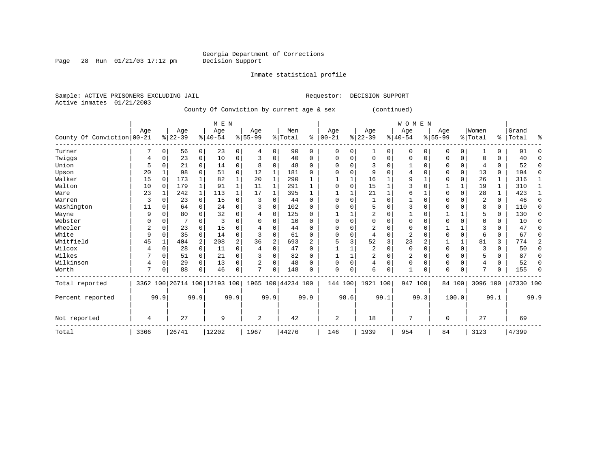# Georgia Department of Corrections<br>Decision Support

Inmate statistical profile

Page 28 Run  $01/21/03$  17:12 pm

Sample: ACTIVE PRISONERS EXCLUDING JAIL **Requestor: DECISION SUPPORT** Active inmates 01/21/2003 County Of Conviction by current age & sex (continued)

|                            |      |             |                              |                | M E N    |                |                |                |                    |                |            |          |                |          | <b>WOMEN</b> |                |             |              |                |          |           |                |
|----------------------------|------|-------------|------------------------------|----------------|----------|----------------|----------------|----------------|--------------------|----------------|------------|----------|----------------|----------|--------------|----------------|-------------|--------------|----------------|----------|-----------|----------------|
|                            | Aqe  |             | Age                          |                | Age      |                | Age            |                | Men                |                | Age        |          | Age            |          | Age          |                | Aqe         |              | Women          |          | Grand     |                |
| County Of Conviction 00-21 |      |             | $ 22-39 $                    |                | $ 40-54$ |                | $8155 - 99$    |                | % Total            | နွ             | $ 00 - 21$ |          | $ 22-39$       |          | $8 40-54$    |                | $8155 - 99$ |              | % Total        |          | %   Total | ႜ              |
| Turner                     |      | 0           | 56                           | 0              | 23       | 0              | 4              | $\Omega$       | 90                 | 0              | $\Omega$   | 0        |                | 0        | 0            | $\Omega$       | 0           | 0            |                |          | 91        | $\Omega$       |
| Twiggs                     |      | 0           | 23                           | $\overline{0}$ | 10       | $\mathbf 0$    | 3              | $\mathbf 0$    | 40                 | 0              | $\Omega$   | $\Omega$ | $\Omega$       | 0        | $\mathbf 0$  | $\mathbf 0$    | $\Omega$    | 0            | $\Omega$       | 0        | 40        | 0              |
| Union                      | .5   | 0           | 21                           | 0              | 14       | $\mathbf 0$    | 8              | $\Omega$       | 48                 | $\Omega$       | O          | $\Omega$ |                | $\Omega$ |              | $\Omega$       | $\Omega$    | $\mathbf 0$  | 4              | $\Omega$ | 52        | 0              |
| Upson                      | 20   |             | 98                           | 0              | 51       | $\mathbf 0$    | 12             |                | 181                | 0              |            | $\Omega$ | 9              | $\Omega$ | 4            | $\Omega$       | $\Omega$    | 0            | 13             | $\Omega$ | 194       | 0              |
| Walker                     | 15   | $\Omega$    | 173                          |                | 82       |                | 20             |                | 290                |                |            |          | 16             |          | 9            |                | $\Omega$    | $\Omega$     | 26             | 1        | 316       | 1              |
| Walton                     | 10   | $\Omega$    | 179                          | 1              | 91       | 1              | 11             |                | 291                |                |            | $\Omega$ | 15             |          | 3            | C              |             | 1            | 19             | 1        | 310       | 1              |
| Ware                       | 23   |             | 242                          | $\mathbf{1}$   | 113      |                | 17             |                | 395                |                |            |          | 21             |          | 6            |                | O           | $\Omega$     | 28             | 1        | 423       | $\mathbf{1}$   |
| Warren                     | 3    | 0           | 23                           | 0              | 15       | $\Omega$       | 3              | $\Omega$       | 44                 | 0              | O          | $\Omega$ |                | $\Omega$ |              | $\Omega$       | 0           | 0            | $\overline{c}$ | 0        | 46        | 0              |
| Washington                 | 11   | $\Omega$    | 64                           | 0              | 24       | $\Omega$       | 3              | $\Omega$       | 102                | $\Omega$       |            | $\Omega$ |                | $\Omega$ | 3            | $\Omega$       | $\Omega$    | 0            | 8              | $\Omega$ | 110       | 0              |
| Wayne                      | 9    | O           | 80                           | 0              | 32       | $\Omega$       | 4              | $\Omega$       | 125                | $\Omega$       |            |          | $\overline{2}$ | $\Omega$ |              | $\Omega$       |             | $\mathbf{1}$ | 5              | $\Omega$ | 130       | $\Omega$       |
| Webster                    | O    | 0           |                              |                |          | $\Omega$       | U              | O              | 10                 | $\Omega$       |            | O        |                | $\Omega$ | O            | $\Omega$       | $\Omega$    | 0            | <sup>0</sup>   | 0        | 10        | $\Omega$       |
| Wheeler                    | 2    | U           | 23                           | 0              | 15       | $\Omega$       |                | O              | 44                 | 0              |            | N        |                | U        | Ω            | $\Omega$       |             |              | 3              |          | 47        | O              |
| White                      | 9    | 0           | 35                           | $\Omega$       | 14       | $\Omega$       | ζ              | $\Omega$       | 61                 | $\Omega$       | O          | $\Omega$ |                | $\Omega$ | 2            | C              | $\Omega$    | $\mathbf 0$  | $\sqrt{2}$     | 0        | 67        | $\Omega$       |
| Whitfield                  | 45   |             | 404                          | $\overline{a}$ | 208      | $\overline{a}$ | 36             | $\overline{2}$ | 693                | $\overline{a}$ |            | 3        | 52             | 3        | 23           | $\overline{2}$ |             | $\mathbf{1}$ | 81             | 3        | 774       | $\overline{2}$ |
| Wilcox                     | 4    | $\mathbf 0$ | 28                           | 0              | 11       | $\Omega$       | 4              | $\Omega$       | 47                 | $\Omega$       |            |          | $\overline{2}$ | $\Omega$ | $\Omega$     | $\Omega$       | $\Omega$    | $\mathbf 0$  | $\mathcal{R}$  | $\cap$   | 50        | $\Omega$       |
| Wilkes                     |      | 0           | 51                           | 0              | 21       | $\Omega$       | 3              | O              | 82                 | $\Omega$       |            |          | 2              | $\Omega$ | 2            | $\Omega$       | $\Omega$    | 0            | 5              | 0        | 87        | $\Omega$       |
| Wilkinson                  | 4    | $\mathbf 0$ | 29                           | $\Omega$       | 13       | $\Omega$       | $\overline{a}$ | $\Omega$       | 48                 | $\Omega$       |            | $\Omega$ | $\overline{4}$ | $\Omega$ | $\Omega$     | $\Omega$       | $\Omega$    | $\Omega$     | 4              | 0        | 52        | O              |
| Worth                      | 7    | 0           | 88                           | 0              | 46       | 0              | 7              | O              | 148                | 0              | $\Omega$   | $\Omega$ | 6              | 0        | $\mathbf{1}$ | 0              | $\Omega$    | 0            | 7              |          | 155       | $\Omega$       |
| Total reported             |      |             | 3362 100 26714 100 12193 100 |                |          |                |                |                | 1965 100 44234 100 |                | 144 100    |          | 1921 100       |          | 947 100      |                |             | 84 100       | 3096 100       |          | 47330 100 |                |
| Percent reported           |      | 99.9        |                              | 99.9           |          | 99.9           |                | 99.9           |                    | 99.9           |            | 98.6     |                | 99.1     |              | 99.3           |             | 100.0        |                | 99.1     |           | 99.9           |
| Not reported               | 4    |             | 27                           |                | 9        |                | 2              |                | 42                 |                | 2          |          | 18             |          | 7            |                | 0           |              | 27             |          | 69        |                |
| Total                      | 3366 |             | 26741                        |                | 12202    |                | 1967           |                | 44276              |                | 146        |          | 1939           |          | 954          |                | 84          |              | 3123           |          | 47399     |                |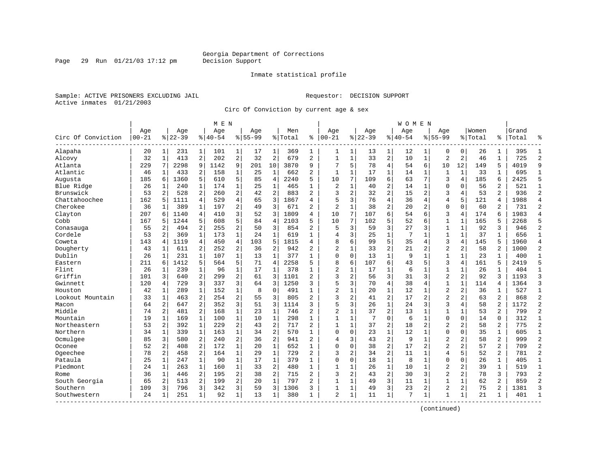### Inmate statistical profile

Sample: ACTIVE PRISONERS EXCLUDING JAIL **Requestor: DECISION SUPPORT** Active inmates 01/21/2003

Page 29 Run  $01/21/03$  17:12 pm

Circ Of Conviction by current age & sex

|                    |                  |                |                  |                | M E N            |                |                    |                |                |                |                   |              |                  |                         | W O M E N          |                |                    |                |                  |                |                |                |
|--------------------|------------------|----------------|------------------|----------------|------------------|----------------|--------------------|----------------|----------------|----------------|-------------------|--------------|------------------|-------------------------|--------------------|----------------|--------------------|----------------|------------------|----------------|----------------|----------------|
| Circ Of Conviction | Age<br>$00 - 21$ |                | Age<br>$8 22-39$ |                | Age<br>$8 40-54$ |                | Aqe<br>$8155 - 99$ |                | Men<br>% Total | ి              | Aqe<br>$ 00 - 21$ |              | Aqe<br>$8 22-39$ |                         | Aqe<br>$8140 - 54$ |                | Aqe<br>$8155 - 99$ |                | Women<br>% Total | ‱              | Grand<br>Total | ু              |
| Alapaha            | 20               | 1              | 231              | $\mathbf{1}$   | 101              | 1              | 17                 | 1              | 369            | 1              | 1                 | 1            | 13               | 1                       | 12                 | 1              | $\Omega$           | $\mathbf 0$    | 26               | 1              | 395            | $\mathbf{1}$   |
| Alcovy             | 32               | $\mathbf{1}$   | 413              | 2              | 202              | $\overline{2}$ | 32                 | $\overline{2}$ | 679            | $\overline{a}$ | $\mathbf{1}$      | $\mathbf{1}$ | 33               | $\overline{a}$          | 10                 | $\mathbf{1}$   | $\overline{a}$     | 2              | 46               | $\mathbf{1}$   | 725            | $\overline{2}$ |
| Atlanta            | 229              | 7              | 2298             | 9              | 1142             | 9              | 201                | 10             | 3870           | 9              |                   | 5            | 78               | $\overline{4}$          | 54                 | 6              | 10                 | 12             | 149              | 5              | 4019           | 9              |
| Atlantic           | 46               | 1              | 433              | 2              | 158              | $\mathbf 1$    | 25                 | 1              | 662            | 2              | $\mathbf{1}$      | 1            | 17               | $\mathbf{1}$            | 14                 | 1              | $\mathbf{1}$       | $\mathbf 1$    | 33               | 1              | 695            | 1              |
| Augusta            | 185              | 6              | 1360             | 5              | 610              | 5              | 85                 | $\overline{4}$ | 2240           | 5              | 10                | 7            | 109              | 6                       | 63                 | 7              | 3                  | 4              | 185              | 6              | 2425           | 5              |
| Blue Ridge         | 26               | 1              | 240              | 1              | 174              | $\mathbf{1}$   | 25                 | $\mathbf{1}$   | 465            | 1              | 2                 | $\mathbf 1$  | 40               | 2                       | 14                 | 1              | $\Omega$           | $\Omega$       | 56               | $\overline{a}$ | 521            | $\mathbf{1}$   |
| Brunswick          | 53               | 2              | 528              | 2              | 260              | 2              | 42                 | $\overline{2}$ | 883            | $\overline{a}$ | 3                 | 2            | 32               | $\overline{c}$          | 15                 | $\overline{2}$ | 3                  | 4              | 53               | $\overline{a}$ | 936            | $\overline{2}$ |
| Chattahoochee      | 162              | 5              | 1111             | 4              | 529              | 4              | 65                 | 3              | 1867           | 4              | 5                 | 3            | 76               | $\overline{4}$          | 36                 | 4              | 4                  | 5              | 121              | 4              | 1988           | $\overline{4}$ |
| Cherokee           | 36               | 1              | 389              | 1              | 197              | 2              | 49                 | 3              | 671            | 2              | $\overline{c}$    | $\mathbf{1}$ | 38               | 2                       | 20                 | 2              | $\mathbf 0$        | $\Omega$       | 60               | 2              | 731            | $\overline{2}$ |
| Clayton            | 207              | 6              | 1140             | 4              | 410              | 3              | 52                 | 3              | 1809           | 4              | 10                | 7            | 107              | 6                       | 54                 | 6              | 3                  | 4              | 174              | 6              | 1983           | $\overline{4}$ |
| Cobb               | 167              | 5              | 1244             | 5              | 608              | 5              | 84                 | $\overline{4}$ | 2103           | 5              | 10                | 7            | 102              | 5                       | 52                 | 6              | $\mathbf{1}$       | 1              | 165              | 5              | 2268           | 5              |
| Conasauga          | 55               | 2              | 494              | 2              | 255              | $\overline{2}$ | 50                 | 3              | 854            | 2              | 5                 | 3            | 59               | 3                       | 27                 | 3              | $\mathbf{1}$       | $\mathbf{1}$   | 92               | 3              | 946            | $\overline{2}$ |
| Cordele            | 53               | $\overline{a}$ | 369              | $\mathbf{1}$   | 173              | $\mathbf{1}$   | 24                 | $\mathbf{1}$   | 619            | $\mathbf{1}$   | $\overline{4}$    | 3            | 25               | $\mathbf{1}$            | 7                  | $\mathbf{1}$   | $\mathbf{1}$       | $\mathbf{1}$   | 37               | $\mathbf{1}$   | 656            | $\overline{1}$ |
| Coweta             | 143              | 4              | 1119             | $\overline{4}$ | 450              | 4              | 103                | 5              | 1815           | 4              | 8                 | б            | 99               | 5                       | 35                 | 4              | 3                  | 4              | 145              | 5              | 1960           | $\overline{4}$ |
| Dougherty          | 43               | 1              | 611              | $\overline{2}$ | 252              | 2              | 36                 | $\sqrt{2}$     | 942            | 2              | $\overline{c}$    | 1            | 33               | $\overline{\mathbf{c}}$ | 21                 | 2              | $\overline{2}$     | 2              | 58               | 2              | 1000           | $\overline{c}$ |
| Dublin             | 26               | 1              | 231              | 1              | 107              | $\mathbf{1}$   | 13                 | 1              | 377            | $\mathbf{1}$   | $\Omega$          | $\mathbf 0$  | 13               | $\mathbf{1}$            | 9                  | 1              | $\mathbf{1}$       | $\mathbf 1$    | 23               | 1              | 400            | $\mathbf{1}$   |
| Eastern            | 211              | 6              | 1412             | 5              | 564              | 5              | 71                 | $\overline{4}$ | 2258           | 5              | 8                 | 6            | 107              | 6                       | 43                 | 5              | 3                  | 4              | 161              | 5              | 2419           | 5              |
| Flint              | 26               | $\mathbf{1}$   | 239              | $\mathbf{1}$   | 96               | $\mathbf{1}$   | 17                 | 1              | 378            | $\mathbf{1}$   | $\overline{2}$    | $\mathbf{1}$ | 17               | $\mathbf 1$             | 6                  | $\mathbf 1$    | $\mathbf{1}$       | $\mathbf{1}$   | 26               | $\mathbf{1}$   | 404            | $\mathbf{1}$   |
| Griffin            | 101              | 3              | 640              | 2              | 299              | 2              | 61                 | 3              | 1101           | $\overline{2}$ | 3                 | 2            | 56               | 3                       | 31                 | 3              | $\overline{2}$     | 2              | 92               | ζ              | 1193           | $\overline{3}$ |
| Gwinnett           | 120              | 4              | 729              | 3              | 337              | 3              | 64                 | 3              | 1250           | 3              | 5                 | 3            | 70               | $\overline{4}$          | 38                 | 4              | $1\,$              | $\mathbf{1}$   | 114              | 4              | 1364           | $\overline{3}$ |
| Houston            | 42               | 1              | 289              | 1              | 152              | $\mathbf 1$    | 8                  | $\mathbf 0$    | 491            |                | $\overline{2}$    | 1            | 20               | $\mathbf 1$             | 12                 | 1              | $\overline{2}$     | $\overline{c}$ | 36               | 1              | 527            | $\mathbf{1}$   |
| Lookout Mountain   | 33               | $\mathbf{1}$   | 463              | 2              | 254              | 2              | 55                 | 3              | 805            | 2              | 3                 | 2            | 41               | 2                       | 17                 | 2              | $\overline{a}$     | $\overline{a}$ | 63               | $\overline{2}$ | 868            | $\overline{2}$ |
| Macon              | 64               | $\overline{a}$ | 647              | $\overline{2}$ | 352              | 3              | 51                 | 3              | 1114           | 3              | 5                 | 3            | 26               | $\mathbf{1}$            | 2.4                | 3              | 3                  | 4              | 58               | $\overline{a}$ | 1172           | $\overline{a}$ |
| Middle             | 74               | $\overline{a}$ | 481              | $\overline{a}$ | 168              | $\mathbf{1}$   | 23                 | $\mathbf{1}$   | 746            | 2              | $\overline{c}$    | $\mathbf{1}$ | 37               | $\overline{a}$          | 13                 | $\mathbf{1}$   | $\mathbf{1}$       | $\mathbf{1}$   | 53               | $\overline{a}$ | 799            | $\overline{2}$ |
| Mountain           | 19               | $\mathbf{1}$   | 169              | $\mathbf{1}$   | 100              | $\mathbf{1}$   | 10                 | $\mathbf{1}$   | 298            | $\mathbf{1}$   | $\mathbf{1}$      | $\mathbf 1$  | 7                | $\mathbf 0$             | 6                  | $\mathbf{1}$   | $\mathbf 0$        | $\mathbf 0$    | 14               | $\Omega$       | 312            | $\mathbf{1}$   |
| Northeastern       | 53               | 2              | 392              | $\mathbf 1$    | 229              | 2              | 43                 | $\overline{2}$ | 717            | $\overline{2}$ | $\mathbf{1}$      | $\mathbf{1}$ | 37               | 2                       | 18                 | $\overline{2}$ | $\overline{2}$     | 2              | 58               | $\overline{a}$ | 775            | $\overline{2}$ |
| Northern           | 34               | 1              | 339              | 1              | 163              | $\mathbf 1$    | 34                 | $\overline{2}$ | 570            | 1              | $\Omega$          | 0            | 23               | $\mathbf 1$             | 12                 | 1              | 0                  | 0              | 35               | 1              | 605            | $\mathbf{1}$   |
| Ocmulgee           | 85               | 3              | 580              | 2              | 240              | 2              | 36                 | $\overline{2}$ | 941            | 2              | 4                 | 3            | 43               | $\overline{c}$          | 9                  | $\mathbf 1$    | $\overline{2}$     | $\overline{a}$ | 58               | $\overline{a}$ | 999            | $\overline{2}$ |
| Oconee             | 52               | $\overline{a}$ | 408              | $\overline{a}$ | 172              | $\mathbf{1}$   | 20                 | 1              | 652            | $\mathbf{1}$   | $\Omega$          | $\Omega$     | 38               | $\overline{2}$          | 17                 | $\overline{2}$ | $\overline{a}$     | $\overline{2}$ | 57               | $\overline{a}$ | 709            | $\overline{2}$ |
| Ogeechee           | 78               | $\overline{2}$ | 458              | $\overline{a}$ | 164              | $\mathbf{1}$   | 29                 | $\mathbf{1}$   | 729            | $\overline{2}$ | 3                 | 2            | 34               | $\overline{a}$          | 11                 | 1              | $\overline{4}$     | 5              | 52               | $\overline{2}$ | 781            | $\overline{2}$ |
| Pataula            | 25               | $\mathbf{1}$   | 247              | $\mathbf{1}$   | 90               | $\mathbf{1}$   | 17                 | $\mathbf{1}$   | 379            | $\mathbf{1}$   | $\mathbf 0$       | 0            | 18               | $\mathbf 1$             | 8                  | $\mathbf{1}$   | $\mathbf{0}$       | 0              | 26               | $\mathbf{1}$   | 405            | $\mathbf{1}$   |
| Piedmont           | 24               | 1              | 263              | $\mathbf 1$    | 160              | $\mathbf 1$    | 33                 | $\overline{2}$ | 480            | $\mathbf{1}$   | $\mathbf{1}$      | $\mathbf 1$  | 26               | $\mathbf 1$             | 10                 | $\mathbf{1}$   | $\overline{2}$     | $\overline{c}$ | 39               | $\mathbf{1}$   | 519            | $\mathbf{1}$   |
| Rome               | 36               | 1              | 446              | 2              | 195              | 2              | 38                 | $\overline{2}$ | 715            | $\overline{a}$ | 3                 | 2            | 43               | $\overline{2}$          | 30                 | 3              | $\overline{2}$     | 2              | 78               | 3              | 793            | $\overline{2}$ |
| South Georgia      | 65               | 2              | 513              | $\overline{a}$ | 199              | 2              | 20                 | $\mathbf{1}$   | 797            | 2              | $\mathbf{1}$      | $\mathbf{1}$ | 49               | 3                       | 11                 | 1              | $\mathbf{1}$       | $\mathbf{1}$   | 62               | $\overline{a}$ | 859            | $\overline{2}$ |
| Southern           | 109              | ς              | 796              | 3              | 342              | 3              | 59                 | 3              | 1306           | 3              | 1                 | 1            | 49               | 3                       | 23                 | 2              | $\overline{a}$     | 2              | 75               | $\overline{a}$ | 1381           | 3              |
| Southwestern       | 24               | -1             | 251              | $\mathbf{1}$   | 92               | $\mathbf{1}$   | 13                 | 1              | 380            | 1              | $\overline{2}$    | $\mathbf 1$  | 11               | $\mathbf{1}$            | 7                  | 1              | 1                  | 1              | 21               | 1              | 401            | $\mathbf{1}$   |
|                    |                  |                |                  |                |                  |                |                    |                |                |                |                   |              |                  |                         |                    |                |                    |                |                  |                |                |                |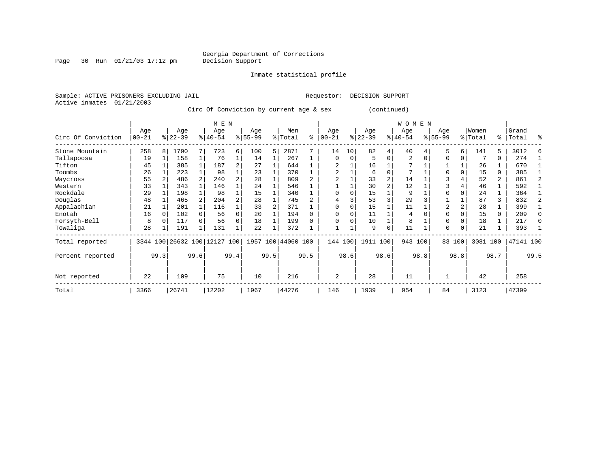Page 30 Run  $01/21/03$  17:12 pm

Inmate statistical profile

Active inmates 01/21/2003

Sample: ACTIVE PRISONERS EXCLUDING JAIL **Requestor: DECISION SUPPORT** 

Circ Of Conviction by current age & sex (continued)

|                    |                  |      |                  |      | M E N                        |                |                  |      |                    |      |                  |          |                  |             | <b>WOMEN</b>     |      |                 |          |                  |                |                |              |
|--------------------|------------------|------|------------------|------|------------------------------|----------------|------------------|------|--------------------|------|------------------|----------|------------------|-------------|------------------|------|-----------------|----------|------------------|----------------|----------------|--------------|
| Circ Of Conviction | Age<br>$00 - 21$ |      | Age<br>$ 22-39 $ |      | Age<br>$ 40-54 $             |                | Age<br>$8 55-99$ |      | Men<br>% Total     | ႜ    | Age<br>$00 - 21$ | %        | Age<br>$22 - 39$ |             | Age<br>$ 40-54 $ |      | Age<br>$ 55-99$ |          | Women<br>% Total | ွေ             | Grand<br>Total | ႜ            |
| Stone Mountain     | 258              | 8    | 1790             |      | 723                          | б.             | 100              | 5    | 2871               |      | 14               | 10       | 82               | 4           | 40               |      | 5               | 6        | 141              | 5.             | 3012           |              |
| Tallapoosa         | 19               |      | 158              |      | 76                           |                | 14               |      | 267                |      | $\Omega$         | $\Omega$ | 5                | $\Omega$    | 2                |      | $\Omega$        |          |                  | 0              | 274            |              |
| Tifton             | 45               |      | 385              |      | 187                          | 2              | 27               |      | 644                |      |                  |          | 16               |             |                  |      |                 |          | 26               |                | 670            |              |
| Toombs             | 26               |      | 223              |      | 98                           |                | 23               |      | 370                |      | 2                |          | 6                | $\Omega$    | 7                |      | $\Omega$        |          | 15               | 0              | 385            |              |
| Waycross           | 55               |      | 486              |      | 240                          |                | 28               |      | 809                |      |                  |          | 33               |             | 14               |      | 3               |          | 52               | $\overline{a}$ | 861            |              |
| Western            | 33               |      | 343              |      | 146                          |                | 24               |      | 546                |      |                  |          | 30               |             | 12               |      |                 |          | 46               |                | 592            |              |
| Rockdale           | 29               |      | 198              |      | 98                           |                | 15               |      | 340                |      | $\Omega$         |          | 15               |             | 9                |      | <sup>0</sup>    |          | 24               |                | 364            |              |
| Douglas            | 48               |      | 465              |      | 204                          | $\overline{a}$ | 28               |      | 745                |      |                  |          | 53               | 3           | 29               |      |                 |          | 87               | 3              | 832            |              |
| Appalachian        | 21               |      | 201              |      | 116                          |                | 33               |      | 371                |      | $\Omega$         |          | 15               |             | 11               |      | 2               |          | 28               |                | 399            |              |
| Enotah             | 16               |      | 102              |      | 56                           | $\Omega$       | 20               |      | 194                |      | $\Omega$         |          | 11               |             | 4                |      | $\Omega$        |          | 15               | 0              | 209            | <sup>0</sup> |
| Forsyth-Bell       | 8                |      | 117              |      | 56                           | 0              | 18               |      | 199                |      | $\Omega$         |          | 10               |             | 8                |      | $\Omega$        |          | 18               |                | 217            | 0            |
| Towaliga           | 28               |      | 191              |      | 131                          |                | 22               |      | 372                |      |                  |          | 9                | $\mathbf 0$ | 11               |      | $\Omega$        | $\Omega$ | 21               |                | 393            |              |
| Total reported     |                  |      |                  |      | 3344 100 26632 100 12127 100 |                |                  |      | 1957 100 44060 100 |      | 144 100          |          | 1911 100         |             | 943 100          |      |                 | 83 100   | 3081 100         |                | 47141 100      |              |
| Percent reported   |                  | 99.3 |                  | 99.6 |                              | 99.4           |                  | 99.5 |                    | 99.5 |                  | 98.6     |                  | 98.6        |                  | 98.8 |                 | 98.8     |                  | 98.7           |                | 99.5         |
| Not reported       | 22               |      | 109              |      | 75                           |                | 10               |      | 216                |      | $\overline{2}$   |          | 28               |             | 11               |      |                 |          | 42               |                | 258            |              |
| Total              | 3366             |      | 26741            |      | 12202                        |                | 1967             |      | 44276              |      | 146              |          | 1939             |             | 954              |      | 84              |          | 3123             |                | 47399          |              |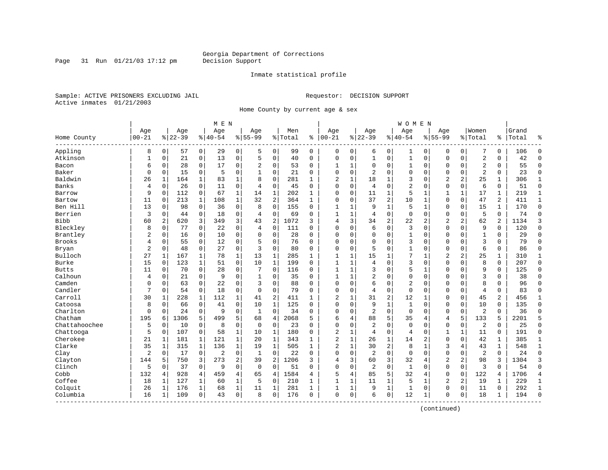Page 31 Run  $01/21/03$  17:12 pm

### Inmate statistical profile

Sample: ACTIVE PRISONERS EXCLUDING JAIL **Requestor: DECISION SUPPORT** Active inmates 01/21/2003

Home County by current age & sex

|               |                |          |           |                | M E N          |              |                |                     |         |              |                |             |                |                | <b>WOMEN</b>   |              |                |                |                |                |       |              |
|---------------|----------------|----------|-----------|----------------|----------------|--------------|----------------|---------------------|---------|--------------|----------------|-------------|----------------|----------------|----------------|--------------|----------------|----------------|----------------|----------------|-------|--------------|
|               | Age            |          | Age       |                | Age            |              | Age            |                     | Men     |              | Age            |             | Age            |                | Age            |              | Aqe            |                | Women          |                | Grand |              |
| Home County   | $00 - 21$      |          | $8 22-39$ |                | $8   40 - 54$  |              | $8155 - 99$    |                     | % Total | ి            | $ 00-21$       |             | $ 22-39$       |                | $8140 - 54$    |              | $8155 - 99$    |                | % Total        | ి              | Total | 욲            |
| Appling       | 8              | 0        | 57        | $\overline{0}$ | 29             | 0            | 5              | 0                   | 99      | 0            | 0              | 0           | 6              | 0              | 1              | 0            | 0              | $\mathbf 0$    | 7              | 0              | 106   | $\Omega$     |
| Atkinson      | 1              | 0        | 21        | 0              | 13             | 0            | 5              | $\mathsf{O}\xspace$ | 40      | $\mathbf 0$  | O              | 0           | 1              | $\mathbf 0$    | $\mathbf{1}$   | 0            | $\Omega$       | $\mathbf 0$    | $\overline{c}$ | 0              | 42    | $\Omega$     |
| Bacon         | 6              | 0        | 28        | 0              | 17             | 0            | 2              | 0                   | 53      | 0            | -1             | 1           | $\Omega$       | 0              | 1              | $\Omega$     | $\Omega$       | 0              | $\overline{2}$ | 0              | 55    | $\mathbf 0$  |
| Baker         | $\Omega$       | $\Omega$ | 15        | $\mathbf 0$    | 5              | 0            | $\mathbf{1}$   | $\mathbf 0$         | 21      | $\Omega$     | $\Omega$       | 0           | $\overline{2}$ | $\Omega$       | $\Omega$       | $\Omega$     | $\Omega$       | $\Omega$       | $\overline{2}$ | $\Omega$       | 23    | $\mathbf 0$  |
| Baldwin       | 26             | 1        | 164       | 1              | 83             | 1            | $\mathsf{R}$   | $\mathbf 0$         | 281     | $\mathbf{1}$ | $\overline{2}$ | 1           | 18             | 1              | 3              | $\sqrt{ }$   | $\overline{2}$ | 2              | 25             | $\mathbf{1}$   | 306   | 1            |
| Banks         | 4              | $\Omega$ | 26        | $\mathbf 0$    | 11             | 0            | 4              | $\mathbf 0$         | 45      | $\Omega$     | $\Omega$       | $\mathbf 0$ | $\overline{4}$ | $\mathbf 0$    | 2              | $\Omega$     | $\mathbf 0$    | $\mathbf 0$    | 6              | 0              | 51    | $\mathbf 0$  |
| Barrow        | 9              | 0        | 112       | 0              | 67             | $\mathbf 1$  | 14             | $\mathbf{1}$        | 202     | 1            | 0              | $\mathbf 0$ | 11             | 1              | 5              | 1            |                | 1              | 17             | 1              | 219   | $\mathbf{1}$ |
| Bartow        | 11             | 0        | 213       | $\mathbf{1}$   | 108            | $\mathbf{1}$ | 32             | 2                   | 364     | $\mathbf{1}$ | $\Omega$       | 0           | 37             | 2              | 10             | $\mathbf{1}$ | $\Omega$       | $\mathbf 0$    | 47             | $\overline{a}$ | 411   | $\mathbf{1}$ |
| Ben Hill      | 13             | $\Omega$ | 98        | $\mathbf 0$    | 36             | 0            | 8              | $\mathbf 0$         | 155     | $\Omega$     | $\mathbf{1}$   | 1           | 9              | 1              | 5              | $\mathbf{1}$ | $\Omega$       | $\Omega$       | 15             | $\mathbf{1}$   | 170   | $\mathbf 0$  |
| Berrien       | 3              | 0        | 44        | $\mathbf 0$    | 18             | 0            | $\overline{4}$ | $\mathbf 0$         | 69      | 0            | $\mathbf{1}$   | 1           | 4              | $\mathbf 0$    | $\mathbf 0$    | $\mathbf 0$  | $\Omega$       | $\Omega$       | 5              | 0              | 74    | $\mathbf 0$  |
| <b>Bibb</b>   | 60             | 2        | 620       | 3              | 349            | 3            | 43             | 2                   | 1072    | 3            | 4              | 3           | 34             | $\overline{2}$ | 22             | 2            | $\overline{2}$ | 2              | 62             | 2              | 1134  | ζ            |
| Bleckley      | 8              | 0        | 77        | 0              | 22             | 0            | 4              | 0                   | 111     | $\Omega$     | $\Omega$       | 0           | 6              | $\mathbf 0$    | 3              | $\Omega$     | $\Omega$       | $\mathbf 0$    | 9              | 0              | 120   | $\Omega$     |
| Brantley      | 2              | 0        | 16        | 0              | 10             | 0            | $\Omega$       | $\mathbf 0$         | 28      | 0            | C              | 0           | $\Omega$       | $\mathbf 0$    | 1              | $\Omega$     | 0              | 0              | $\mathbf{1}$   | 0              | 29    | $\mathbf 0$  |
| <b>Brooks</b> | 4              | 0        | 55        | $\mathbf 0$    | 12             | 0            | 5              | $\mathbf 0$         | 76      | $\Omega$     | $\Omega$       | 0           | $\Omega$       | $\Omega$       | 3              | $\Omega$     | $\Omega$       | $\Omega$       | 3              | $\Omega$       | 79    | $\Omega$     |
| Bryan         | 2              | 0        | 48        | 0              | 27             | 0            | ζ              | $\mathbf 0$         | 80      | $\Omega$     | $\Omega$       | 0           | 5              | $\Omega$       | 1              | $\Omega$     | $\Omega$       | $\Omega$       | 6              | 0              | 86    | $\Omega$     |
| Bulloch       | 27             | 1        | 167       | 1              | 78             | $\mathbf 1$  | 13             | 1                   | 285     | 1            |                |             | 15             | 1              | 7              |              | 2              | 2              | 25             | 1              | 310   | 1            |
| Burke         | 15             | 0        | 123       | 1              | 51             | 0            | 10             | 1                   | 199     | 0            | $\mathbf{1}$   | 1           | 4              | $\Omega$       | 3              | $\sqrt{ }$   | $\Omega$       | 0              | 8              | 0              | 207   | $\mathbf 0$  |
| <b>Butts</b>  | 11             | $\Omega$ | 70        | $\mathbf 0$    | 28             | 0            | 7              | $\mathbf 0$         | 116     | $\Omega$     | $\mathbf{1}$   | 1           | 3              | $\Omega$       | 5              | -1           | $\Omega$       | $\Omega$       | 9              | $\Omega$       | 125   | $\Omega$     |
| Calhoun       | 4              | 0        | 21        | $\mathbf 0$    | 9              | 0            | 1              | 0                   | 35      | 0            |                | 1           | 2              | $\Omega$       | $\Omega$       | $\mathbf 0$  | $\Omega$       | $\Omega$       | 3              | 0              | 38    | $\Omega$     |
| Camden        | 0              | 0        | 63        | $\mathbf 0$    | 22             | 0            | 3              | $\mathbf 0$         | 88      | $\Omega$     | $\Omega$       | 0           | 6              | $\Omega$       | $\overline{2}$ | $\mathbf 0$  | $\Omega$       | $\Omega$       | 8              | 0              | 96    | $\Omega$     |
| Candler       | 7              | 0        | 54        | 0              | 18             | 0            | $\Omega$       | 0                   | 79      | $\Omega$     | $\Omega$       | 0           | 4              | $\mathbf 0$    | $\mathbf 0$    | $\Omega$     | $\Omega$       | $\mathbf 0$    | 4              | 0              | 83    | $\Omega$     |
| Carroll       | 30             | 1        | 228       | 1              | 112            | $\mathbf 1$  | 41             | 2                   | 411     | $\mathbf{1}$ | 2              | 1           | 31             | $\overline{2}$ | 12             |              | $\Omega$       | $\Omega$       | 45             | 2              | 456   | 1            |
| Catoosa       | 8              | 0        | 66        | $\mathbf 0$    | 41             | 0            | 10             | $\mathbf{1}$        | 125     | 0            | $\Omega$       | 0           | 9              | $\mathbf{1}$   | $\mathbf{1}$   | $\mathsf{C}$ | $\Omega$       | $\Omega$       | 10             | $\Omega$       | 135   | $\Omega$     |
| Charlton      | $\mathbf 0$    | $\Omega$ | 24        | 0              | 9              | 0            | 1              | $\mathbf 0$         | 34      | $\Omega$     | $\Omega$       | 0           | 2              | $\Omega$       | $\mathbf 0$    | $\Omega$     | $\mathbf 0$    | $\Omega$       | $\overline{2}$ | $\Omega$       | 36    | $\Omega$     |
| Chatham       | 195            | 6        | 1306      | 5              | 499            | 5            | 68             | 4                   | 2068    | 5            | 6              | 4           | 88             | 5              | 35             | 4            | 4              | 5              | 133            | 5              | 2201  | 5            |
| Chattahoochee | 5              | 0        | 10        | 0              | 8              | 0            | $\mathbf 0$    | $\mathbf 0$         | 23      | 0            | $\Omega$       | 0           | $\overline{2}$ | $\mathbf 0$    | 0              | $\Omega$     | $\Omega$       | $\mathbf 0$    | 2              | $\mathbf 0$    | 25    | $\Omega$     |
| Chattooga     | 5              | 0        | 107       | $\mathbf 0$    | 58             | $\mathbf{1}$ | 10             | 1                   | 180     | 0            | $\overline{2}$ | 1           | 4              | $\mathbf 0$    | 4              | $\Omega$     | 1              | 1              | 11             | 0              | 191   | $\mathbf 0$  |
| Cherokee      | 21             | 1        | 181       | $\mathbf{1}$   | 121            | $\mathbf{1}$ | 20             | $\mathbf{1}$        | 343     | 1            | $\overline{2}$ | 1           | 26             | 1              | 14             | 2            | $\mathbf 0$    | $\Omega$       | 42             | 1              | 385   | 1            |
| Clarke        | 35             | 1        | 315       | $\mathbf{1}$   | 136            | $\mathbf 1$  | 19             | $\mathbf 1$         | 505     | $\mathbf{1}$ | $\overline{2}$ | 1           | 30             | $\overline{2}$ | 8              | $\mathbf{1}$ | 3              | 4              | 43             | 1              | 548   | 1            |
| Clay          | $\overline{2}$ | 0        | 17        | 0              | $\overline{2}$ | 0            | 1              | 0                   | 22      | 0            | $\Omega$       | 0           | $\overline{2}$ | $\Omega$       | 0              | $\Omega$     | $\mathbf 0$    | $\Omega$       | $\overline{2}$ | $\Omega$       | 24    | $\Omega$     |
| Clayton       | 144            | 5        | 750       | 3              | 273            | 2            | 39             | 2                   | 1206    | 3            | 4              | 3           | 60             | 3              | 32             | 4            | 2              | $\overline{2}$ | 98             | 3              | 1304  | 3            |
| Clinch        | 5              | $\Omega$ | 37        | 0              | 9              | 0            | $\Omega$       | $\mathbf 0$         | 51      | 0            | $\Omega$       | 0           | $\overline{2}$ | $\Omega$       | $\mathbf{1}$   | $\Omega$     | $\Omega$       | $\mathbf 0$    | 3              | $\Omega$       | 54    | $\Omega$     |
| Cobb          | 132            | 4        | 928       | 4              | 459            | 4            | 65             | 4                   | 1584    | 4            | 5              | 4           | 85             | 5              | 32             | 4            | $\Omega$       | $\mathbf 0$    | 122            | 4              | 1706  | 4            |
| Coffee        | 18             | 1        | 127       | 1              | 60             | $\mathbf{1}$ | 5              | 0                   | 210     | 1            |                | 1           | 11             | 1              | 5              | 1            | 2              | 2              | 19             | 1              | 229   | 1            |
| Colquit       | 26             | 1        | 176       | 1              | 68             | 1            | 11             | 1                   | 281     | 1            | 1              | 1           | 9              | 1              | 1              | 0            | $\Omega$       | 0              | 11             | 0              | 292   | 1            |
| Columbia      | 16             | 1        | 109       | 0              | 43             | 0            | 8              | 0                   | 176     | 0            | $\Omega$       | 0           | 6              | $\mathbf 0$    | 12             | 1            | 0              | 0              | 18             | 1              | 194   | $\bigcap$    |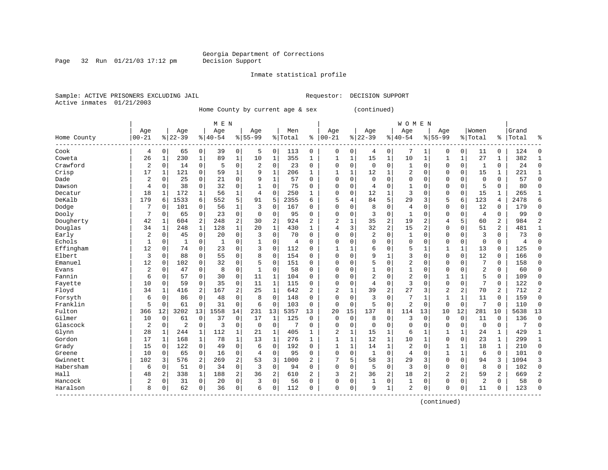Page 32 Run  $01/21/03$  17:12 pm

### Inmate statistical profile

Sample: ACTIVE PRISONERS EXCLUDING JAIL **Requestor: DECISION SUPPORT** Active inmates 01/21/2003

Home County by current age & sex (continued)

|                        |              |              |                |              | M E N     |                |                |                |         |                |                |              |                |                | <b>WOMEN</b>   |              |                |              |                |                |       |              |
|------------------------|--------------|--------------|----------------|--------------|-----------|----------------|----------------|----------------|---------|----------------|----------------|--------------|----------------|----------------|----------------|--------------|----------------|--------------|----------------|----------------|-------|--------------|
|                        | Age          |              | Age            |              | Age       |                | Age            |                | Men     |                | Age            |              | Age            |                | Age            |              | Age            |              | Women          |                | Grand |              |
| Home County<br>------- | $00 - 21$    |              | $8 22-39$      |              | $8 40-54$ |                | $8 55-99$      |                | % Total | ి              | $ 00-21$       |              | $8 22-39$      |                | $ 40-54$       |              | $8155 - 99$    |              | % Total        | ి              | Total |              |
| Cook                   | 4            | 0            | 65             | 0            | 39        | 0              | 5              | 0              | 113     | 0              | 0              | 0            | 4              | 0              | 7              | 1            | 0              | 0            | 11             | 0              | 124   | Λ            |
| Coweta                 | 26           | $\mathbf{1}$ | 230            | $\mathbf{1}$ | 89        | $\mathbf 1$    | 10             | $\mathbf 1$    | 355     | $\mathbf{1}$   | 1              | $\mathbf{1}$ | 15             | $\mathbf{1}$   | 10             | $\mathbf{1}$ | 1              | $\mathbf 1$  | 27             | 1              | 382   |              |
| Crawford               | 2            | 0            | 14             | $\mathbf 0$  | 5         | 0              | $\overline{2}$ | $\mathbf 0$    | 23      | 0              | 0              | 0            | $\mathbf 0$    | $\mathbf 0$    | 1              | 0            | $\Omega$       | $\mathbf 0$  | 1              | 0              | 24    | <sup>0</sup> |
| Crisp                  | 17           | 1            | 121            | 0            | 59        | 1              | 9              | 1              | 206     | $\mathbf{1}$   | $\mathbf{1}$   | 1            | 12             | 1              | 2              | $\Omega$     | $\Omega$       | $\mathbf 0$  | 15             | 1              | 221   |              |
| Dade                   | 2            | 0            | 25             | $\mathbf 0$  | 21        | $\mathbf 0$    |                | $\mathbf 1$    | 57      | $\Omega$       | $\Omega$       | 0            | $\Omega$       | $\Omega$       | 0              | O            | $\Omega$       | $\Omega$     | $\mathbf{0}$   | 0              | 57    | $\Omega$     |
| Dawson                 | 4            | 0            | 38             | $\mathbf 0$  | 32        | 0              |                | $\mathbf 0$    | 75      | $\Omega$       | $\Omega$       | 0            | 4              | $\Omega$       | 1              | O            | $\Omega$       | $\mathbf 0$  | 5              | 0              | 80    | $\Omega$     |
| Decatur                | 18           | 1            | 172            | 1            | 56        | 1              | 4              | 0              | 250     | 1              | $\Omega$       | 0            | 12             |                | 3              | 0            | $\Omega$       | 0            | 15             | 1              | 265   | 1            |
| DeKalb                 | 179          | 6            | 1533           | 6            | 552       | 5              | 91             | 5              | 2355    | 6              | 5              | 4            | 84             | 5              | 29             | 3            | 5              | 6            | 123            | 4              | 2478  | б            |
| Dodge                  |              | $\Omega$     | 101            | $\Omega$     | 56        | 1              | 3              | $\Omega$       | 167     | O              | $\Omega$       | 0            | 8              | $\Omega$       | 4              | $\sqrt{ }$   | $\Omega$       | 0            | 12             | 0              | 179   | $\Omega$     |
| Dooly                  | 7            | $\Omega$     | 65             | $\mathbf 0$  | 23        | 0              | $\Omega$       | $\Omega$       | 95      | $\Omega$       | $\Omega$       | $\Omega$     | 3              | $\Omega$       | $\mathbf{1}$   | U            | $\Omega$       | $\Omega$     | 4              | 0              | 99    | ſ            |
| Dougherty              | 42           | 1            | 604            | 2            | 248       | $\overline{a}$ | 30             | $\overline{2}$ | 924     | $\overline{2}$ | 2              | 1            | 35             | $\overline{2}$ | 19             | 2            | $\overline{4}$ | 5            | 60             | $\overline{2}$ | 984   |              |
| Douglas                | 34           | 1            | 248            | 1            | 128       | $\mathbf 1$    | 20             | $\mathbf{1}$   | 430     | $\mathbf{1}$   | 4              | 3            | 32             | $\overline{2}$ | 15             | 2            | $\Omega$       | $\Omega$     | 51             | 2              | 481   |              |
| Early                  | 2            | $\mathbf 0$  | 45             | 0            | 20        | 0              | 3              | $\mathbf 0$    | 70      | 0              | 0              | 0            | 2              | $\Omega$       | 1              | $\Omega$     | $\Omega$       | $\Omega$     | 3              | 0              | 73    | <sup>0</sup> |
| Echols                 | $\mathbf{1}$ | 0            | $\mathbf{1}$   | $\mathbf 0$  | 1         | 0              |                | $\Omega$       | 4       | O              | $\Omega$       | O            | $\Omega$       | $\Omega$       | $\Omega$       | O            | $\Omega$       | $\Omega$     | $\mathbf 0$    | 0              | 4     | $\Omega$     |
| Effingham              | 12           | $\mathbf 0$  | 74             | $\Omega$     | 23        | 0              | 3              | $\Omega$       | 112     | $\Omega$       | $\mathbf{1}$   | 1            | 6              | $\Omega$       | 5              | $\mathbf{1}$ | $\mathbf{1}$   | 1            | 13             | 0              | 125   | $\Omega$     |
| Elbert                 | 3            | $\mathbf 0$  | 88             | $\mathbf 0$  | 55        | 0              | 8              | 0              | 154     | $\Omega$       | $\Omega$       | 0            | 9              | $\mathbf{1}$   | 3              | 0            | $\Omega$       | $\mathbf 0$  | 12             | 0              | 166   | $\Omega$     |
| Emanuel                | 12           | 0            | 102            | $\Omega$     | 32        | 0              | 5              | $\Omega$       | 151     | U              | $\Omega$       | 0            | 5              | $\Omega$       | $\overline{2}$ | 0            | $\Omega$       | $\Omega$     | 7              | 0              | 158   | $\Omega$     |
| Evans                  | 2            | $\Omega$     | 47             | $\Omega$     | 8         | 0              | 1              | $\mathbf 0$    | 58      | 0              | 0              | 0            |                | $\Omega$       | 1              | $\Omega$     | $\Omega$       | $\Omega$     | $\overline{2}$ | 0              | 60    | 0            |
| Fannin                 | 6            | $\Omega$     | 57             | $\Omega$     | 30        | 0              | 11             | 1              | 104     | O              | <sup>0</sup>   | O            | $\overline{2}$ | $\Omega$       | $\overline{2}$ | O            | -1             | 1            | 5              | 0              | 109   | <sup>0</sup> |
| Fayette                | 10           | $\mathbf 0$  | 59             | $\Omega$     | 35        | 0              | 11             | 1              | 115     | $\Omega$       | $\Omega$       | 0            | 4              | $\Omega$       | 3              | $\Omega$     | $\Omega$       | 0            | 7              | 0              | 122   | $\Omega$     |
| Floyd                  | 34           | $\mathbf{1}$ | 416            | 2            | 167       | 2              | 25             | $\mathbf 1$    | 642     | 2              | $\overline{2}$ |              | 39             | $\overline{2}$ | 27             | 3            | $\overline{2}$ | 2            | 70             | 2              | 712   |              |
| Forsyth                | 6            | 0            | 86             | $\Omega$     | 48        | $\mathbf 0$    | 8              | $\Omega$       | 148     | $\Omega$       | 0              | 0            | 3              | $\Omega$       | 7              | -1           | 1              | $\mathbf 1$  | 11             | 0              | 159   | $\Omega$     |
| Franklin               | 5            | $\mathbf 0$  | 61             | $\mathbf 0$  | 31        | $\mathbf 0$    | 6              | $\mathbf 0$    | 103     | $\Omega$       | $\Omega$       | $\mathbf 0$  | 5              | $\Omega$       | 2              | $\Omega$     | $\Omega$       | $\mathbf 0$  | 7              | 0              | 110   | $\Omega$     |
| Fulton                 | 366          | 12           | 3202           | 13           | 1558      | 14             | 231            | 13             | 5357    | 13             | 20             | 15           | 137            | 8              | 114            | 13           | 10             | 12           | 281            | 10             | 5638  | 13           |
| Gilmer                 | 10           | $\mathbf 0$  | 61             | $\mathbf 0$  | 37        | 0              | 17             | 1              | 125     | 0              | $\Omega$       | $\mathbf 0$  | 8              | 0              | 3              | 0            | $\Omega$       | $\mathbf 0$  | 11             | 0              | 136   | $\Omega$     |
| Glascock               | 2            | $\mathbf 0$  | $\overline{c}$ | $\mathbf 0$  | 3         | 0              | $\Omega$       | $\mathbf 0$    | 7       | 0              | $\Omega$       | 0            | $\Omega$       | $\mathbf 0$    | 0              | $\Omega$     | $\Omega$       | $\mathbf 0$  | $\mathbf 0$    | 0              | 7     | $\Omega$     |
| Glynn                  | 28           | 1            | 244            | 1            | 112       | 1              | 21             | 1              | 405     | 1              | $\overline{2}$ | 1            | 15             | 1              | 6              |              |                | 1            | 24             | $\mathbf{1}$   | 429   | $\mathbf{1}$ |
| Gordon                 | 17           | 1            | 168            | 1            | 78        | 1              | 13             | $\mathbf{1}$   | 276     | 1              | $\mathbf{1}$   | 1            | 12             | 1              | 10             | -1           | $\Omega$       | $\Omega$     | 23             | 1              | 299   | $\mathbf{1}$ |
| Grady                  | 15           | $\Omega$     | 122            | $\Omega$     | 49        | 0              | 6              | $\Omega$       | 192     | $\Omega$       | $\mathbf{1}$   | $\mathbf{1}$ | 14             | $\mathbf{1}$   | $\overline{2}$ | $\Omega$     | $\mathbf{1}$   | $\mathbf{1}$ | 18             | 1              | 210   | $\Omega$     |
| Greene                 | 10           | $\mathbf 0$  | 65             | $\Omega$     | 16        | 0              | 4              | $\Omega$       | 95      | $\Omega$       | $\Omega$       | 0            | $\mathbf{1}$   | $\Omega$       | 4              | O            | $\mathbf{1}$   | 1            | 6              | $\Omega$       | 101   | $\cap$       |
| Gwinnett               | 102          | 3            | 576            | 2            | 269       | 2              | 53             | 3              | 1000    | $\overline{2}$ |                | 5            | 58             | 3              | 29             | 3            | $\mathbf 0$    | $\mathbf 0$  | 94             | 3              | 1094  | 3            |
| Habersham              | 6            | 0            | 51             | $\mathbf 0$  | 34        | 0              | 3              | $\mathbf 0$    | 94      | 0              | $\Omega$       | 0            | 5              | $\mathbf 0$    | 3              | $\Omega$     | $\mathbf 0$    | $\mathbf 0$  | 8              | 0              | 102   | $\Omega$     |
| Hall                   | 48           | 2            | 338            | 1            | 188       | 2              | 36             | 2              | 610     | $\overline{2}$ | 3              | 2            | 36             | $\overline{2}$ | 18             | 2            | $\overline{c}$ | 2            | 59             | 2              | 669   | 2            |
| Hancock                | 2            | 0            | 31             | 0            | 20        | 0              | 3              | 0              | 56      | $\Omega$       | $\Omega$       | 0            | $\mathbf{1}$   | 0              | 1              | $\Omega$     | $\mathbf 0$    | $\Omega$     | 2              | 0              | 58    | $\Omega$     |
| Haralson               | 8            | $\Omega$     | 62             | 0            | 36        | 0              | 6              | $\Omega$       | 112     | $\Omega$       | $\Omega$       | 0            | 9              | 1              | 2              | 0            | $\Omega$       | 0            | 11             | 0              | 123   | $\cap$       |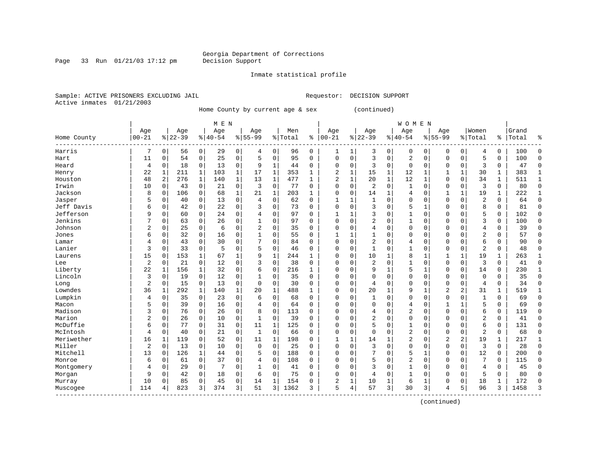Page 33 Run  $01/21/03$  17:12 pm

### Inmate statistical profile

Sample: ACTIVE PRISONERS EXCLUDING JAIL **Requestor: DECISION SUPPORT** Active inmates 01/21/2003

Home County by current age & sex (continued)

|                        | M E N          |             |           |             |           |              |                |              |         |              |              |          |                |             | <b>WOMEN</b>   |              |                          |                |                |              |       |              |
|------------------------|----------------|-------------|-----------|-------------|-----------|--------------|----------------|--------------|---------|--------------|--------------|----------|----------------|-------------|----------------|--------------|--------------------------|----------------|----------------|--------------|-------|--------------|
|                        | Age            |             | Age       |             | Age       |              | Age            |              | Men     |              | Age          |          | Age            |             | Age            |              | Age                      |                | Women          |              | Grand |              |
| Home County<br>------- | $00 - 21$      |             | $8 22-39$ |             | $8 40-54$ |              | $8155 - 99$    |              | % Total | ి            | $00 - 21$    |          | $8 22-39$      |             | $8 40-54$      |              | $8155 - 99$              |                | % Total        | ွေ           | Total | ٩,           |
| Harris                 | 7              | $\mathbf 0$ | 56        | 0           | 29        | 0            | 4              | 0            | 96      | 0            | 1            | 1        | 3              | 0           | 0              | 0            | 0                        | 0              | 4              | 0            | 100   | Ω            |
| Hart                   | 11             | $\mathbf 0$ | 54        | $\mathbf 0$ | 25        | 0            | 5              | $\Omega$     | 95      | $\Omega$     | $\Omega$     | $\Omega$ | 3              | $\Omega$    | $\overline{2}$ | $\mathsf{C}$ | $\Omega$                 | $\Omega$       | 5              | 0            | 100   | $\Omega$     |
| Heard                  | $\overline{4}$ | 0           | 18        | 0           | 13        | 0            | 9              | 1            | 44      | $\Omega$     | $\Omega$     | 0        | 3              | 0           | 0              | $\Omega$     | $\Omega$                 | $\Omega$       | 3              | 0            | 47    | $\Omega$     |
| Henry                  | 22             | 1           | 211       | 1           | 103       | 1            | 17             | 1            | 353     | $\mathbf{1}$ | 2            | 1        | 15             | 1           | 12             |              |                          | 1              | 30             | 1            | 383   |              |
| Houston                | 48             | 2           | 276       | $\mathbf 1$ | 140       | 1            | 13             | $\mathbf{1}$ | 477     | $\mathbf{1}$ | 2            | 1        | 20             | $\mathbf 1$ | 12             | $\mathbf{1}$ | $\Omega$                 | $\mathbf 0$    | 34             | 1            | 511   |              |
| Irwin                  | 10             | $\mathbf 0$ | 43        | 0           | 21        | 0            | 3              | $\mathbf 0$  | 77      | $\Omega$     | $\Omega$     | 0        | $\overline{2}$ | $\mathbf 0$ | $\mathbf{1}$   | $\Omega$     | $\Omega$                 | $\mathbf 0$    | 3              | 0            | 80    | $\Omega$     |
| Jackson                | 8              | 0           | 106       | 0           | 68        | $\mathbf{1}$ | 21             | 1            | 203     | 1            | $\Omega$     | 0        | 14             | 1           | 4              | C            | $\mathbf{1}$             | 1              | 19             | 1            | 222   | $\mathbf{1}$ |
| Jasper                 | 5              | $\mathbf 0$ | 40        | $\mathbf 0$ | 13        | 0            | $\overline{4}$ | $\mathbf 0$  | 62      | 0            | -1           | 1        | $\mathbf{1}$   | $\Omega$    | 0              | $\mathsf{C}$ | $\Omega$                 | $\mathbf 0$    | $\overline{2}$ | 0            | 64    | $\Omega$     |
| Jeff Davis             | 6              | $\mathbf 0$ | 42        | $\Omega$    | 22        | 0            | 3              | 0            | 73      | $\Omega$     | $\Omega$     | 0        | 3              | $\Omega$    | 5              |              | $\Omega$                 | $\Omega$       | 8              | 0            | 81    | $\mathbf 0$  |
| Jefferson              | 9              | $\mathbf 0$ | 60        | $\Omega$    | 24        | 0            | 4              | $\Omega$     | 97      | 0            | $\mathbf{1}$ |          | 3              | $\Omega$    | 1              | C            | $\Omega$                 | $\Omega$       | 5              | 0            | 102   | $\Omega$     |
| Jenkins                |                | $\mathbf 0$ | 63        | $\Omega$    | 26        | 0            |                | $\Omega$     | 97      | 0            | $\Omega$     | 0        | 2              | $\Omega$    | 1              | C            | $\Omega$                 | $\Omega$       | 3              | 0            | 100   | $\Omega$     |
| Johnson                | 2              | $\mathbf 0$ | 25        | 0           | 6         | 0            | 2              | $\Omega$     | 35      | $\Omega$     | $\Omega$     | 0        | 4              | $\Omega$    | $\Omega$       | C            | $\Omega$                 | $\Omega$       | 4              | 0            | 39    | <sup>0</sup> |
| Jones                  | б              | 0           | 32        | $\mathbf 0$ | 16        | 0            |                | 0            | 55      | $\Omega$     | 1            |          |                | $\Omega$    | 0              | $\Omega$     | $\Omega$                 | $\Omega$       | 2              | 0            | 57    | $\Omega$     |
| Lamar                  | 4              | 0           | 43        | 0           | 30        | 0            |                | $\mathbf 0$  | 84      | $\Omega$     | $\Omega$     | 0        | $\overline{2}$ | 0           | 4              | $\Omega$     | $\Omega$                 | $\Omega$       | 6              | 0            | 90    | O            |
| Lanier                 | 3              | 0           | 33        | 0           | 5         | 0            | 5              | 0            | 46      | $\Omega$     | $\Omega$     | 0        | $\mathbf{1}$   | $\Omega$    | 1              | $\Omega$     | $\Omega$                 | $\Omega$       | $\overline{2}$ | 0            | 48    | $\Omega$     |
| Laurens                | 15             | 0           | 153       | $\mathbf 1$ | 67        | 1            | 9              | $\mathbf 1$  | 244     | 1            | $\Omega$     | 0        | 10             | 1           | 8              | $\mathbf{1}$ | $\mathbf{1}$             | $\mathbf{1}$   | 19             | $\mathbf{1}$ | 263   | $\mathbf{1}$ |
| Lee                    | 2              | $\mathbf 0$ | 21        | $\mathbf 0$ | 12        | 0            | 3              | $\mathbf 0$  | 38      | 0            | $\Omega$     | 0        | $\overline{2}$ | $\Omega$    | 1              | $\Omega$     | $\Omega$                 | $\mathbf 0$    | 3              | 0            | 41    | $\Omega$     |
| Liberty                | 22             | 1           | 156       | 1           | 32        | 0            | 6              | $\mathbf 0$  | 216     | 1            | $\Omega$     | 0        | 9              |             | 5              |              | $\Omega$                 | 0              | 14             | 0            | 230   | 1            |
| Lincoln                | 3              | $\mathbf 0$ | 19        | 0           | 12        | 0            |                | $\mathbf 0$  | 35      | 0            | $\Omega$     | 0        | $\Omega$       | $\Omega$    | $\Omega$       | $\mathsf{C}$ | $\Omega$                 | 0              | $\Omega$       | 0            | 35    | $\Omega$     |
| Long                   | $\overline{2}$ | $\mathbf 0$ | 15        | 0           | 13        | 0            | $\mathbf 0$    | 0            | 30      | $\Omega$     | $\Omega$     | 0        | 4              | $\Omega$    | $\Omega$       | C            | $\Omega$                 | $\Omega$       | 4              | 0            | 34    | ∩            |
| Lowndes                | 36             | 1           | 292       | 1           | 140       | 1            | 20             | $\mathbf{1}$ | 488     | 1            | $\Omega$     | 0        | 20             | 1           | 9              | -1           | $\overline{\mathcal{L}}$ | 2              | 31             | 1            | 519   |              |
| Lumpkin                | 4              | 0           | 35        | $\mathbf 0$ | 23        | 0            | 6              | $\Omega$     | 68      | $\Omega$     | $\Omega$     | O        | $\mathbf{1}$   | $\Omega$    | $\Omega$       | $\sqrt{ }$   | $\Omega$                 | $\Omega$       | $\mathbf{1}$   | 0            | 69    | $\Omega$     |
| Macon                  | 5              | $\mathbf 0$ | 39        | $\mathbf 0$ | 16        | 0            | $\overline{4}$ | $\mathbf 0$  | 64      | $\Omega$     | $\Omega$     | $\Omega$ | $\Omega$       | $\Omega$    | 4              | $\Omega$     |                          | 1              | 5              | 0            | 69    | $\Omega$     |
| Madison                | 3              | 0           | 76        | 0           | 26        | 0            | 8              | $\mathbf 0$  | 113     | 0            | $\Omega$     | 0        | 4              | $\Omega$    | $\overline{2}$ | $\mathsf{C}$ | $\Omega$                 | $\mathbf 0$    | 6              | 0            | 119   | $\Omega$     |
| Marion                 | 2              | $\mathbf 0$ | 26        | 0           | 10        | 0            | $\mathbf{1}$   | $\mathbf 0$  | 39      | $\Omega$     | $\Omega$     | $\Omega$ | $\overline{2}$ | $\Omega$    | $\Omega$       | $\sqrt{ }$   | $\Omega$                 | $\Omega$       | 2              | 0            | 41    | $\Omega$     |
| McDuffie               | б              | $\mathbf 0$ | 77        | $\mathbf 0$ | 31        | 0            | 11             | $\mathbf{1}$ | 125     | $\Omega$     | $\Omega$     | 0        | 5              | $\Omega$    | 1              | $\sqrt{ }$   | $\Omega$                 | 0              | 6              | 0            | 131   | $\Omega$     |
| McIntosh               | 4              | $\mathbf 0$ | 40        | 0           | 21        | 0            | 1              | $\mathbf 0$  | 66      | 0            | $\Omega$     | 0        | $\Omega$       | $\Omega$    | 2              | $\Omega$     | $\Omega$                 | 0              | 2              | 0            | 68    | $\Omega$     |
| Meriwether             | 16             | 1           | 119       | $\Omega$    | 52        | 0            | 11             | 1            | 198     | 0            | 1            | 1        | 14             |             | $\overline{2}$ | C            | $\overline{c}$           | $\overline{a}$ | 19             | 1            | 217   |              |
| Miller                 | $\overline{c}$ | $\mathbf 0$ | 13        | 0           | 10        | 0            | $\Omega$       | $\Omega$     | 25      | $\Omega$     | $\Omega$     | 0        | 3              | $\Omega$    | $\Omega$       | C            | $\Omega$                 | $\Omega$       | 3              | 0            | 28    | $\Omega$     |
| Mitchell               | 13             | $\Omega$    | 126       | 1           | 44        | 0            | 5              | $\Omega$     | 188     | 0            | $\Omega$     | O        | 7              | $\Omega$    | 5              | -1           | $\Omega$                 | $\Omega$       | 12             | $\Omega$     | 200   | $\Omega$     |
| Monroe                 | 6              | $\mathbf 0$ | 61        | $\Omega$    | 37        | 0            | 4              | $\mathbf 0$  | 108     | $\Omega$     | 0            | 0        | 5              | $\Omega$    | $\overline{2}$ | $\Omega$     | $\Omega$                 | $\Omega$       | 7              | 0            | 115   | <sup>0</sup> |
| Montgomery             | 4              | 0           | 29        | $\mathbf 0$ | 7         | 0            |                | $\mathbf 0$  | 41      | $\Omega$     | 0            | 0        | 3              | $\Omega$    | 1              | $\Omega$     | <sup>0</sup>             | $\Omega$       | 4              | 0            | 45    | <sup>0</sup> |
| Morgan                 | 9              | $\mathbf 0$ | 42        | $\mathbf 0$ | 18        | 0            | 6              | $\mathbf 0$  | 75      | 0            | $\Omega$     | 0        | 4              | 0           | 1              | 0            | $\Omega$                 | $\mathbf 0$    | 5              | 0            | 80    | Λ            |
| Murray                 | 10             | $\mathbf 0$ | 85        | $\mathbf 0$ | 45        | 0            | 14             | $\mathbf{1}$ | 154     | 0            | 2            | 1        | 10             | 1           | 6              | $\mathbf{1}$ | $\Omega$                 | $\mathbf 0$    | 18             | 1            | 172   | ſ            |
| Muscogee               | 114            | 4           | 823       | 3           | 374       | 3            | 51             | 3            | 1362    | 3            | 5            | 4        | 57             | 3           | 30             | 3            | 4                        | 5              | 96             | 3            | 1458  | κ            |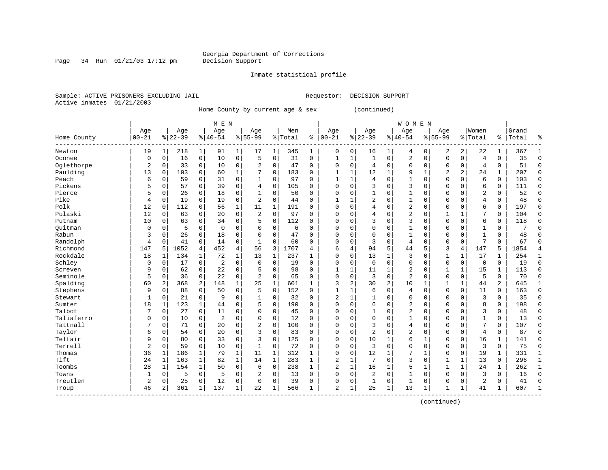Page 34 Run  $01/21/03$  17:12 pm

### Inmate statistical profile

Sample: ACTIVE PRISONERS EXCLUDING JAIL **Requestor: DECISION SUPPORT** Active inmates 01/21/2003

Home County by current age & sex (continued)

|             | M E N     |                |           |              |                |              |                |              |         |              |                |              |              | <b>WOMEN</b>   |                |              |                |                |                |                |       |              |
|-------------|-----------|----------------|-----------|--------------|----------------|--------------|----------------|--------------|---------|--------------|----------------|--------------|--------------|----------------|----------------|--------------|----------------|----------------|----------------|----------------|-------|--------------|
|             | Age       |                | Age       |              | Age            |              | Age            |              | Men     |              | Age            |              | Age          |                | Age            |              | Age            |                | Women          |                | Grand |              |
| Home County | $00 - 21$ |                | $8 22-39$ |              | $ 40-54$       |              | $8155 - 99$    |              | % Total | နွ           | $ 00-21$       |              | $8 22-39$    |                | $ 40-54$       |              | $8155 - 99$    |                | % Total        | ႜ              | Total |              |
| Newton      | 19        | 1              | 218       | 1            | 91             | 1            | 17             | 1            | 345     | 1            | 0              | 0            | 16           | 1              | 4              | 0            | 2              | 2              | 22             | 1              | 367   |              |
| Oconee      | 0         | $\mathbf 0$    | 16        | $\mathbf 0$  | 10             | $\mathbf 0$  | 5              | $\mathbf 0$  | 31      | 0            | 1              | $\mathbf{1}$ | $\mathbf{1}$ | $\mathbf 0$    | 2              | 0            | $\mathbf 0$    | $\mathbf 0$    | 4              | 0              | 35    | $\Omega$     |
| Oglethorpe  | 2         | $\mathbf 0$    | 33        | $\mathbf 0$  | 10             | 0            | 2              | $\Omega$     | 47      | $\Omega$     | $\Omega$       | 0            | 4            | $\Omega$       | 0              | $\Omega$     | $\Omega$       | $\Omega$       | 4              | 0              | 51    | $\Omega$     |
| Paulding    | 13        | 0              | 103       | $\mathbf 0$  | 60             | $\mathbf 1$  |                | $\mathbf 0$  | 183     | $\Omega$     | $\mathbf{1}$   | 1            | 12           | $\mathbf{1}$   | 9              | $\mathbf{1}$ | $\overline{c}$ | $\overline{a}$ | 24             | 1              | 207   | $\Omega$     |
| Peach       | 6         | $\mathbf 0$    | 59        | $\mathbf 0$  | 31             | $\mathbf 0$  | $\mathbf 1$    | $\Omega$     | 97      | $\Omega$     | $\mathbf{1}$   | $\mathbf{1}$ | 4            | $\Omega$       | $\mathbf{1}$   | $\Omega$     | $\Omega$       | $\Omega$       | 6              | 0              | 103   | $\Omega$     |
| Pickens     | 5         | $\mathbf 0$    | 57        | $\Omega$     | 39             | 0            | 4              | $\Omega$     | 105     | $\Omega$     | $\Omega$       | 0            | 3            | $\Omega$       | 3              | $\Omega$     | $\Omega$       | $\Omega$       | 6              | 0              | 111   | $\Omega$     |
| Pierce      | 5         | $\mathbf 0$    | 26        | 0            | 18             | 0            | 1              | 0            | 50      | $\Omega$     | $\Omega$       | 0            |              | $\Omega$       | 1              | O            | $\Omega$       | $\Omega$       | $\overline{2}$ | 0              | 52    | $\mathbf 0$  |
| Pike        | 4         | $\mathbf 0$    | 19        | $\Omega$     | 19             | 0            | 2              | $\Omega$     | 44      | 0            |                |              | 2            | $\Omega$       | 1              | 0            | $\Omega$       | $\Omega$       | 4              | 0              | 48    | $\Omega$     |
| Polk        | 12        | $\mathbf 0$    | 112       | 0            | 56             | 1            | 11             | $\mathbf{1}$ | 191     | O            | $\Omega$       | 0            | 4            | $\Omega$       | 2              | $\Omega$     | $\Omega$       | $\Omega$       | 6              | 0              | 197   | $\Omega$     |
| Pulaski     | 12        | $\Omega$       | 63        | $\Omega$     | 20             | 0            | 2              | $\Omega$     | 97      | $\Omega$     | $\Omega$       | 0            | 4            | $\Omega$       | 2              | $\Omega$     | $\mathbf{1}$   | 1              | 7              | 0              | 104   | $\Omega$     |
| Putnam      | 10        | $\Omega$       | 63        | $\Omega$     | 34             | 0            | 5              | $\Omega$     | 112     | $\Omega$     | $\Omega$       | 0            | ζ            | $\Omega$       | 3              | $\Omega$     | $\Omega$       | $\Omega$       | 6              | 0              | 118   | $\cap$       |
| Ouitman     | 0         | $\Omega$       | 6         | $\mathbf 0$  | $\overline{0}$ | 0            | O              | $\Omega$     | 6       | $\Omega$     | $\Omega$       | 0            | $\Omega$     | $\mathbf 0$    | 1              | O            | $\Omega$       | $\Omega$       | $\mathbf{1}$   | 0              | 7     | ſ            |
| Rabun       | 3         | 0              | 26        | $\mathbf 0$  | 18             | 0            | O              | $\mathbf 0$  | 47      | O            | $\Omega$       | 0            | $\Omega$     | $\mathbf 0$    | 1              | O            | $\Omega$       | $\Omega$       | $\mathbf{1}$   | 0              | 48    | ∩            |
| Randolph    | 4         | $\mathbf 0$    | 41        | $\mathbf 0$  | 14             | 0            | $\mathbf{1}$   | $\Omega$     | 60      | $\Omega$     | $\Omega$       | 0            | 3            | $\mathbf 0$    | $\overline{4}$ | 0            | $\Omega$       | $\mathbf 0$    | 7              | $\Omega$       | 67    | ſ            |
| Richmond    | 147       | 5              | 1052      | 4            | 452            | 4            | 56             | 3            | 1707    | 4            | 6              | 4            | 94           | 5              | 44             | 5            | 3              | 4              | 147            | 5              | 1854  |              |
| Rockdale    | 18        | 1              | 134       | 1            | 72             | 1            | 13             | 1            | 237     | $\mathbf{1}$ | $\Omega$       | 0            | 13           | 1              | 3              | $\Omega$     | $\mathbf{1}$   | 1              | 17             | 1              | 254   | $\mathbf{1}$ |
| Schley      | 0         | $\mathbf 0$    | 17        | $\mathbf 0$  | $\overline{2}$ | 0            | $\Omega$       | $\mathbf 0$  | 19      | $\Omega$     | $\Omega$       | 0            | $\mathbf 0$  | $\mathbf 0$    | 0              | $\Omega$     | $\mathbf{0}$   | $\mathbf 0$    | $\mathbf 0$    | 0              | 19    | $\Omega$     |
| Screven     | 9         | 0              | 62        | 0            | 22             | 0            |                | $\mathbf 0$  | 98      | $\Omega$     | $\mathbf{1}$   | 1            | 11           | 1              | 2              | $\Omega$     |                | 1              | 15             | 1              | 113   | $\Omega$     |
| Seminole    | 5         | $\Omega$       | 36        | 0            | 22             | 0            | $\overline{2}$ | $\Omega$     | 65      | $\Omega$     | $\Omega$       | 0            | 3            | $\Omega$       | $\overline{2}$ | $\Omega$     | $\Omega$       | $\Omega$       | 5              | 0              | 70    | ∩            |
| Spalding    | 60        | $\overline{2}$ | 368       | 2            | 148            | $\mathbf 1$  | 25             | $\mathbf 1$  | 601     | $\mathbf{1}$ | 3              | 2            | 30           | $\overline{2}$ | 10             | -1           | $\mathbf{1}$   | 1              | 44             | $\overline{a}$ | 645   |              |
| Stephens    | 9         | $\Omega$       | 88        | $\Omega$     | 50             | $\Omega$     | 5              | $\Omega$     | 152     | $\Omega$     | 1              | 1            | 6            | $\Omega$       | 4              | $\Omega$     | $\Omega$       | $\Omega$       | 11             | 0              | 163   | <sup>0</sup> |
| Stewart     | 1         | 0              | 21        | $\Omega$     | 9              | 0            | 1              | 0            | 32      | $\Omega$     | 2              | 1            |              | $\Omega$       | $\Omega$       | $\Omega$     | $\Omega$       | $\Omega$       | 3              | 0              | 35    | $\Omega$     |
| Sumter      | 18        | 1              | 123       | 1            | 44             | 0            | 5              | $\mathbf 0$  | 190     | $\Omega$     | $\Omega$       | 0            | 6            | $\mathbf 0$    | 2              | $\Omega$     | $\Omega$       | $\Omega$       | 8              | 0              | 198   | $\Omega$     |
| Talbot      | 7         | $\mathbf 0$    | 27        | $\mathbf 0$  | 11             | 0            | $\Omega$       | $\mathbf 0$  | 45      | $\Omega$     | $\Omega$       | 0            |              | $\Omega$       | $\overline{2}$ | $\Omega$     | $\Omega$       | $\Omega$       | 3              | 0              | 48    | $\cap$       |
| Taliaferro  | 0         | $\mathbf 0$    | 10        | $\mathbf 0$  | $\overline{2}$ | 0            | $\Omega$       | $\mathbf 0$  | 12      | $\Omega$     | $\Omega$       | 0            | $\Omega$     | $\Omega$       | 1              | O            | $\Omega$       | $\Omega$       | $\mathbf{1}$   | 0              | 13    | $\Omega$     |
| Tattnall    |           | $\mathbf 0$    | 71        | 0            | 20             | 0            | $\overline{2}$ | 0            | 100     | $\Omega$     | $\Omega$       | 0            | 3            | 0              | 4              | 0            | $\Omega$       | 0              | 7              | 0              | 107   | $\Omega$     |
| Taylor      | 6         | $\Omega$       | 54        | $\Omega$     | 20             | 0            | 3              | $\Omega$     | 83      | 0            | $\Omega$       | 0            | 2            | $\Omega$       | $\overline{2}$ | 0            | $\Omega$       | $\Omega$       | 4              | 0              | 87    | 0            |
| Telfair     | 9         | $\mathbf 0$    | 80        | $\Omega$     | 33             | 0            | 3              | $\Omega$     | 125     | O            | $\Omega$       | 0            | 10           | 1              | 6              | $\mathbf{1}$ | $\Omega$       | $\Omega$       | 16             | 1              | 141   | <sup>0</sup> |
| Terrell     | 2         | $\Omega$       | 59        | $\Omega$     | 10             | 0            | $\mathbf{1}$   | $\Omega$     | 72      | $\Omega$     | $\Omega$       | 0            | 3            | $\Omega$       | $\Omega$       | $\Omega$     | $\Omega$       | $\Omega$       | 3              | 0              | 75    | ∩            |
| Thomas      | 36        | $\mathbf{1}$   | 186       | 1            | 79             | $\mathbf{1}$ | 11             | $\mathbf 1$  | 312     | $\mathbf{1}$ | $\Omega$       | 0            | 12           | 1              | 7              | -1           | $\Omega$       | $\Omega$       | 19             | $\mathbf 1$    | 331   |              |
| Tift        | 24        | $\mathbf{1}$   | 163       | 1            | 82             | $\mathbf{1}$ | 14             | $\mathbf 1$  | 283     | $\mathbf{1}$ | 2              | $\mathbf{1}$ | 7            | $\Omega$       | 3              | 0            | 1              | 1              | 13             | 0              | 296   |              |
| Toombs      | 28        | $\mathbf{1}$   | 154       | $\mathbf{1}$ | 50             | $\Omega$     | 6              | $\Omega$     | 238     | $\mathbf{1}$ | $\overline{2}$ | $\mathbf 1$  | 16           |                | 5              | $\mathbf{1}$ | $\mathbf{1}$   | $\mathbf{1}$   | 24             | 1              | 262   |              |
| Towns       | 1         | 0              | 5         | $\mathbf 0$  | 5              | 0            | 2              | 0            | 13      | $\Omega$     | 0              | 0            | 2            | $\mathbf 0$    | 1              | $\Omega$     | $\Omega$       | $\Omega$       | 3              | 0              | 16    | $\Omega$     |
| Treutlen    | 2         | $\mathbf 0$    | 25        | 0            | 12             | 0            | $\Omega$       | $\Omega$     | 39      | 0            | $\Omega$       | 0            | $\mathbf{1}$ | 0              | 1              | $\Omega$     | $\Omega$       | 0              | 2              | 0              | 41    | $\sqrt{ }$   |
| Troup       | 46        | 2              | 361       | 1            | 137            | 1            | 22             | 1            | 566     | 1            | $\overline{a}$ | 1            | 25           | 1              | 13             | 1            | $\mathbf{1}$   | 1              | 41             | 1              | 607   | $\mathbf{1}$ |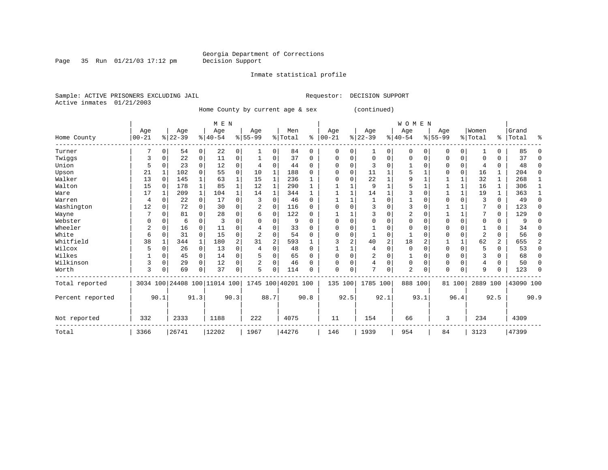Inmate statistical profile

Sample: ACTIVE PRISONERS EXCLUDING JAIL **Requestor: DECISION SUPPORT** Active inmates 01/21/2003

Home County by current age & sex (continued)

|                  |          |          |           |                | M E N                        |                |                |             |                    |          |          |          |           |                | WOMEN          |                |           |              |                |          |           |          |
|------------------|----------|----------|-----------|----------------|------------------------------|----------------|----------------|-------------|--------------------|----------|----------|----------|-----------|----------------|----------------|----------------|-----------|--------------|----------------|----------|-----------|----------|
|                  | Age      |          | Age       |                | Age                          |                | Age            |             | Men                |          | Age      |          | Age       |                | Age            |                | Age       |              | Women          |          | Grand     |          |
| Home County      | $ 00-21$ |          | $ 22-39 $ |                | $8 40-54$                    |                | $8 55-99$      |             | % Total            | ៖        | $ 00-21$ |          | $ 22-39 $ |                | $ 40-54$       |                | $8 55-99$ |              | % Total        |          | %   Total | ႜ        |
| Turner           |          | $\Omega$ | 54        | $\overline{0}$ | 22                           | 0              | 1              | 0           | 84                 | 0        | $\Omega$ | 0        | 1         | $\Omega$       | $\Omega$       | $\Omega$       | 0         | 0            |                | 0        | 85        |          |
| Twiggs           | 3        | O        | 22        | 0              | 11                           | 0              |                | 0           | 37                 | $\Omega$ | $\Omega$ | O        | $\Omega$  | 0              | $\Omega$       | $\Omega$       | 0         | 0            | $\Omega$       | 0        | 37        | ∩        |
| Union            | 5        |          | 23        | $\Omega$       | 12                           | 0              | 4              | 0           | 44                 | $\Omega$ | U        |          | 3         |                |                | $\Omega$       |           | 0            | 4              | 0        | 48        | $\Omega$ |
| Upson            | 21       |          | 102       | 0              | 55                           | 0              | 10             | 1           | 188                | $\Omega$ |          | $\Omega$ | 11        |                |                |                |           | 0            | 16             |          | 204       | $\Omega$ |
| Walker           | 13       | $\Omega$ | 145       |                | 63                           |                | 15             | 1           | 236                |          | O        |          | 22        |                | 9              |                |           | $\mathbf{1}$ | 32             | 1        | 268       |          |
| Walton           | 15       | $\Omega$ | 178       | $\mathbf 1$    | 85                           |                | 12             | 1           | 290                | 1        |          |          | 9         |                |                |                |           | $\mathbf 1$  | 16             | 1        | 306       |          |
| Ware             | 17       |          | 209       | $\mathbf{1}$   | 104                          |                | 14             | 1           | 344                | 1        |          |          | 14        |                |                |                |           | $\mathbf{1}$ | 19             | 1        | 363       |          |
| Warren           | 4        |          | 22        | $\Omega$       | 17                           | 0              |                | 0           | 46                 | $\Omega$ |          |          |           |                |                |                |           | O            | 3              | $\Omega$ | 49        | U        |
| Washington       | 12       | O        | 72        | $\Omega$       | 30                           | 0              |                | $\mathbf 0$ | 116                | $\Omega$ |          |          | 3         |                | 3              | $\Omega$       |           |              |                | 0        | 123       |          |
| Wayne            |          | O        | 81        | 0              | 28                           | $\Omega$       | 6              | $\mathbf 0$ | 122                | $\Omega$ |          |          |           | U              |                |                |           | $\mathbf{1}$ |                | 0        | 129       | ∩        |
| Webster          |          |          | 6         | $\Omega$       | 3                            | 0              | U              | 0           | 9                  | $\Omega$ |          |          |           | O              |                | $\Omega$       |           | 0            | $\Omega$       | 0        |           |          |
| Wheeler          | 2        | O        | 16        | $\Omega$       | 11                           |                |                | O           | 33                 | $\Omega$ |          |          |           |                |                | $\Omega$       | U         | O            |                | N        | 34        |          |
| White            | 6        |          | 31        | $\Omega$       | 15                           | 0              | $\overline{a}$ | 0           | 54                 | $\Omega$ |          |          |           | 0              |                |                |           | 0            | $\overline{2}$ | 0        | 56        | ∩        |
| Whitfield        | 38       |          | 344       | $\mathbf{1}$   | 180                          | $\overline{a}$ | 31             | 2           | 593                |          |          | 2        | 40        | $\overline{a}$ | 18             | $\overline{2}$ |           | $\mathbf{1}$ | 62             | 2        | 655       | 2        |
| Wilcox           | 5        | 0        | 26        | 0              | 13                           | $\Omega$       | 4              | 0           | 48                 | $\Omega$ |          |          | 4         | 0              | $\Omega$       | $\Omega$       | $\Omega$  | $\mathbf 0$  | 5              | 0        | 53        | $\Omega$ |
| Wilkes           |          | $\Omega$ | 45        | $\overline{0}$ | 14                           | 0              |                | 0           | 65                 | $\Omega$ |          |          | 2         | 0              |                | $\Omega$       | $\Omega$  | 0            | 3              | 0        | 68        | $\Omega$ |
| Wilkinson        | 3        | $\Omega$ | 29        | $\Omega$       | 12                           | 0              | 2              | 0           | 46                 | $\Omega$ | O        |          | 4         | 0              | $\Omega$       | $\Omega$       | $\Omega$  | $\Omega$     | 4              | $\Omega$ | 50        | O        |
| Worth            | 3        |          | 69        | 0              | 37                           | 0              | 5              | 0           | 114                | O        | $\Omega$ | 0        | 7         | 0              | $\overline{a}$ | 0              | $\Omega$  | 0            | 9              | 0        | 123       | ∩        |
| Total reported   |          |          |           |                | 3034 100 24408 100 11014 100 |                |                |             | 1745 100 40201 100 |          | 135 100  |          | 1785 100  |                | 888 100        |                |           | 81 100       | 2889 100       |          | 43090 100 |          |
| Percent reported |          | 90.1     |           | 91.3           |                              | 90.3           |                | 88.7        |                    | 90.8     |          | 92.5     |           | 92.1           |                | 93.1           |           | 96.4         |                | 92.5     |           | 90.9     |
| Not reported     | 332      |          | 2333      |                | 1188                         |                | 222            |             | 4075               |          | 11       |          | 154       |                | 66             |                | 3         |              | 234            |          | 4309      |          |
| Total            | 3366     |          | 26741     |                | 12202                        |                | 1967           |             | 44276              |          | 146      |          | 1939      |                | 954            |                | 84        |              | 3123           |          | 47399     |          |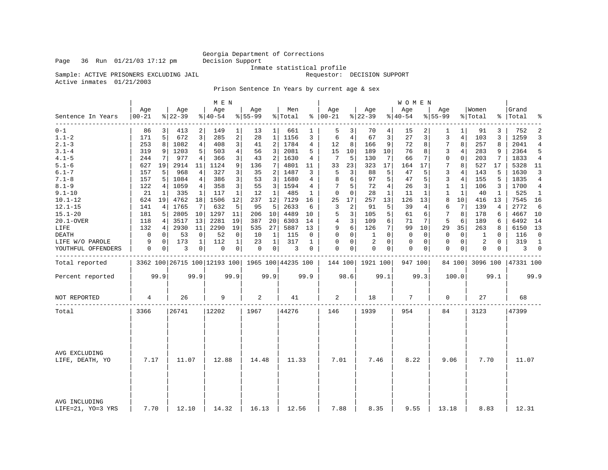## Georgia Department of Corrections<br>Decision Support

Sample: ACTIVE PRISONERS EXCLUDING JAIL

Inmate statistical profile<br>Requestor: DECISION SUPPORT

Active inmates 01/21/2003

Prison Sentence In Years by current age & sex

|                                    |                 |             |                 |                | M E N           |                |                  |                |                                                 |          |                      |                |                  |                | W O M E N       |              |                    |                 |                  |              |                    |                |
|------------------------------------|-----------------|-------------|-----------------|----------------|-----------------|----------------|------------------|----------------|-------------------------------------------------|----------|----------------------|----------------|------------------|----------------|-----------------|--------------|--------------------|-----------------|------------------|--------------|--------------------|----------------|
| Sentence In Years                  | Age<br>$ 00-21$ |             | Age<br>$ 22-39$ |                | Age<br>$ 40-54$ |                | Age<br>$8 55-99$ |                | Men<br>% Total                                  |          | Age<br>$8   00 - 21$ |                | Age<br>$ 22-39$  |                | Age<br>$ 40-54$ |              | Age<br>$8 55 - 99$ |                 | Women<br>% Total |              | Grand<br>%   Total | ್ಠಿ            |
| --------<br>$0 - 1$                | 86              | 3           | 413             | 2              | 149             | $\mathbf{1}$   | 13               | 1              | 661                                             | 1        | 5                    | 3              | 70               | 4              | 15              | 2            | 1                  | 1               | 91               | 3            | 752                | 2              |
| $1.1 - 2$                          | 171             | 5           | 672             | 3              | 285             | 2              | 28               | $\mathbf{1}$   | 1156                                            | 3        | 6                    | $\overline{4}$ | 67               | 3              | 27              | 3            | 3                  | $\overline{4}$  | 103              | 3            | 1259               | 3              |
| $2.1 - 3$                          | 253             | 8           | 1082            | $\overline{4}$ | 408             | 3              | 41               | $\overline{2}$ | 1784                                            | 4        | 12                   | 8              | 166              | 9              | 72              | 8            | 7                  | 8               | 257              | 8            | 2041               | $\overline{4}$ |
| $3.1 - 4$                          | 319             | 9           | 1203            | 5              | 503             | 4              | 56               | 3              | 2081                                            | 5        | 15                   | 10             | 189              | 10             | 76              | 8            | 3                  | 4               | 283              | 9            | 2364               | 5              |
| $4.1 - 5$                          | 244             | 7           | 977             | 4              | 366             | 3 <sup>1</sup> | 43               | $\overline{2}$ | 1630                                            | 4        | 7                    | 5              | 130              | 7              | 66              | 7            | $\mathbf 0$        | $\mathbf 0$     | 203              | 7            | 1833               | $\overline{4}$ |
| $5.1 - 6$                          | 627             | 19          | 2914            | 11             | 1124            | 9              | 136              | $\overline{7}$ | 4801                                            | 11       | 33                   | 23             | 323              | 17             | 164             | 17           | 7                  | 8               | 527              | 17           | 5328               | 11             |
| $6.1 - 7$                          | 157             | 5           | 968             | 4              | 327             | 3              | 35               | 2              | 1487                                            | 3        | 5                    | 3              | 88               | 5              | 47              | 5            | 3                  | 4               | 143              | 5            | 1630               | 3              |
| $7.1 - 8$                          | 157             | 5           | 1084            | 4              | 386             | 3              | 53               | 3              | 1680                                            | 4        | 8                    | 6              | 97               | 5              | 47              | 5            | $\overline{3}$     | $\overline{4}$  | 155              | 5            | 1835               | $\overline{4}$ |
| $8.1 - 9$                          | 122             | 4           | 1059            | 4 <sup>1</sup> | 358             | 3              | 55               | 3              | 1594                                            | 4        | 7                    | 5              | 72               | $\overline{4}$ | 26              | 3            | $\mathbf{1}$       | $\mathbf{1}$    | 106              | 3            | 1700               | 4              |
| $9.1 - 10$                         | 21              | 1           | 335             | 1              | 117             | $\mathbf{1}$   | 12               | $\mathbf{1}$   | 485                                             | 1        | $\mathbf 0$          | $\Omega$       | 28               | $\mathbf{1}$   | 11              | $\mathbf{1}$ | $\mathbf{1}$       | $\mathbf{1}$    | 40               | $\mathbf{1}$ | 525                | $\mathbf{1}$   |
| $10.1 - 12$                        | 624             | 19          | 4762            | 18             | 1506            | 12             | 237              | 12             | 7129                                            | 16       | 25                   | 17             | 257              | 13             | 126             | 13           | 8                  | 10 <sup>°</sup> | 416              | 13           | 7545               | 16             |
| $12.1 - 15$                        | 141             | 4           | 1765            | 7              | 632             | 5              | 95               | 5              | 2633                                            | 6        | 3                    | 2              | 91               | 5              | 39              | 4            | 6                  | 7               | 139              | 4            | 2772               | 6              |
| $15.1 - 20$                        | 181             | 5           | 2805            | 10             | 1297            | 11             | 206              | 10             | 4489                                            | 10       | 5                    | 3              | 105              | 5              | 61              | 6            | 7                  | 8               | 178              | 6            | 4667               | 10             |
| 20.1-OVER                          | 118             | 4           | 3517            | 13             | 2281            | 19             | 387              | 20             | 6303                                            | 14       | 4                    | 3              | 109              | 6              | 71              | 7            | 5                  | 6               | 189              | 6            | 6492               | 14             |
| LIFE                               | 132             | 4           | 2930            | 11             | 2290            | 19             | 535              | 27             | 5887                                            | 13       | 9                    | 6              | 126              | 7              | 99              | 10           | 29                 | 35              | 263              | 8            | 6150               | 13             |
| DEATH                              | $\mathbf 0$     | 0           | 53              | $\mathbf 0$    | 52              | 0              | 10               | 1              | 115                                             | $\Omega$ | $\Omega$             | 0              | 1                | $\Omega$       | 0               | 0            | $\Omega$           | 0               | 1                | $\Omega$     | 116                | $\Omega$       |
| LIFE W/O PAROLE                    | 9               | $\mathbf 0$ | 173             | $\mathbf 1$    | 112             | $\mathbf 1$    | 23               | 1              | 317                                             | 1        | $\Omega$             | 0              | $\overline{2}$   | $\Omega$       | $\mathbf 0$     | 0            | $\mathbf{0}$       | $\mathbf 0$     | 2                | $\Omega$     | 319                | $\mathbf{1}$   |
| YOUTHFUL OFFENDERS                 | 0               | $\circ$     | 3               | $\overline{0}$ | 0               | 0 <sup>1</sup> | 0                | 0 <sup>1</sup> | 3                                               | 0        | 0                    | 0              | 0                | 0 <sup>1</sup> | 0               | 0            | $\mathbf 0$        | $\mathbf{0}$    | 0                | 0            | 3                  | $\overline{0}$ |
| Total reported                     |                 |             |                 |                |                 |                |                  |                | 3362 100 26715 100 12193 100 1965 100 44235 100 |          |                      |                | 144 100 1921 100 |                | 947 100         |              |                    | 84 100          | 3096 100         |              | 47331 100          |                |
| Percent reported                   |                 | 99.9        |                 | 99.9           |                 | 99.9           |                  | 99.9           |                                                 | 99.9     |                      | 98.6           |                  | 99.1           |                 | 99.3         |                    | 100.0           |                  | 99.1         |                    | 99.9           |
| NOT REPORTED                       | 4               |             | 26              |                | 9               |                | 2                |                | 41                                              |          | 2                    |                | 18               |                | 7               |              | 0                  |                 | 27               |              | 68                 |                |
| Total                              | 3366            |             | 26741           |                | 12202           |                | 1967             |                | 44276                                           |          | 146                  |                | 1939             |                | 954             |              | 84                 |                 | 3123             |              | 47399              |                |
|                                    |                 |             |                 |                |                 |                |                  |                |                                                 |          |                      |                |                  |                |                 |              |                    |                 |                  |              |                    |                |
| AVG EXCLUDING<br>LIFE, DEATH, YO   | 7.17            |             | 11.07           |                | 12.88           |                | 14.48            |                | 11.33                                           |          | 7.01                 |                | 7.46             |                | 8.22            |              | 9.06               |                 | 7.70             |              | 11.07              |                |
| AVG INCLUDING<br>LIFE=21, YO=3 YRS | 7.70            |             | 12.10           |                | 14.32           |                | 16.13            |                | 12.56                                           |          | 7.88                 |                | 8.35             |                | 9.55            |              | 13.18              |                 | 8.83             |              | 12.31              |                |

Page 36 Run  $01/21/03$  17:12 pm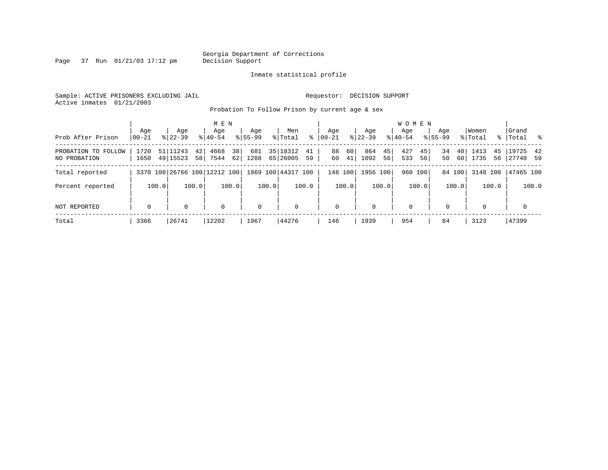Page 37 Run  $01/21/03$  17:12 pm

### Inmate statistical profile

Sample: ACTIVE PRISONERS EXCLUDING JAIL **Requestor: DECISION SUPPORT** Active inmates 01/21/2003

Probation To Follow Prison by current age & sex

|                                     |                  |                                  | M E N                    |                    |                                  |                      |                         | W O M E N              |                                   |                               |                       |
|-------------------------------------|------------------|----------------------------------|--------------------------|--------------------|----------------------------------|----------------------|-------------------------|------------------------|-----------------------------------|-------------------------------|-----------------------|
| Prob After Prison                   | Age<br>$00 - 21$ | Age<br>$8122 - 39$               | Age<br>$8140 - 54$       | Age<br>$8155 - 99$ | Men<br>ႜ<br>% Total              | Age<br>$ 00-21 $     | Age<br>$8$   22-39      | Aqe<br>$8140 - 54$     | Age<br>$8155 - 99$                | Women<br>% Total<br>% $\vert$ | Grand<br> Total %     |
| PROBATION TO FOLLOW<br>NO PROBATION | 1720<br>1650     | 51 11243<br>42<br>49 15523<br>58 | 38<br>4668<br>62<br>7544 | 681<br>1288        | 35 18312<br>41<br>65 26005<br>59 | 60<br>88<br>60<br>41 | 864<br>45<br>1092<br>56 | 427<br>45<br>533<br>56 | 40 <sup>1</sup><br>34<br>60<br>50 | 1413<br>45<br>1735<br>56      | 19725 42<br> 27740 59 |
| Total reported                      |                  | 3370 100 26766 100 12212 100     |                          |                    | 1969 100 44317 100               | 148 100              | 1956 100                | 960 100                | 84 100                            | 3148 100                      | 47465 100             |
| Percent reported                    | 100.0            | 100.0                            | 100.0                    | 100.0              | 100.0                            | 100.0                | 100.0                   | 100.0                  | 100.0                             | 100.0                         | 100.0                 |
| NOT REPORTED                        | $\mathbf 0$      | 0                                | 0                        | $\mathbf 0$        | 0                                | $\mathbf{0}$         | $\Omega$                | 0                      | $\Omega$                          | $\Omega$                      | 0                     |
| Total                               | 3366             | 26741                            | 12202                    | 1967               | 44276                            | 146                  | 1939                    | 954                    | 84                                | 3123                          | 47399                 |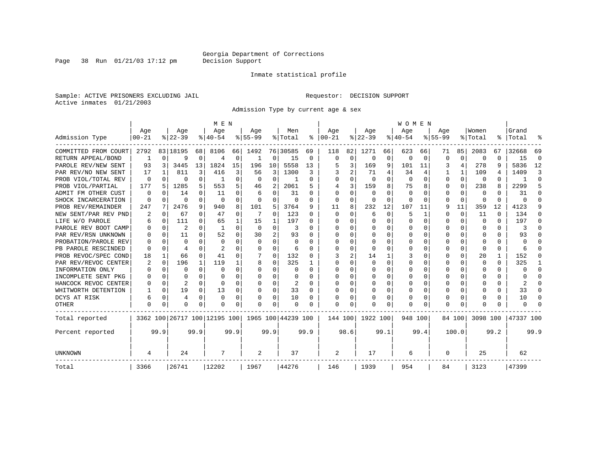Page 38 Run  $01/21/03$  17:12 pm

### Inmate statistical profile

Sample: ACTIVE PRISONERS EXCLUDING JAIL **Requestor: DECISION SUPPORT** Active inmates 01/21/2003

Admission Type by current age & sex

|                      |           |          |           |              | M E N                        |          |           |                |                    |      |              |             |              |          | WOMEN    |              |           |          |              |      |           |          |
|----------------------|-----------|----------|-----------|--------------|------------------------------|----------|-----------|----------------|--------------------|------|--------------|-------------|--------------|----------|----------|--------------|-----------|----------|--------------|------|-----------|----------|
|                      | Age       |          | Age       |              | Age                          |          | Age       |                | Men                |      | Age          |             | Age          |          | Age      |              | Age       |          | Women        |      | Grand     |          |
| Admission Type       | $00 - 21$ |          | $8 22-39$ |              | $8 40-54$                    |          | $8 55-99$ |                | % Total            | ႜ    | $ 00-21$     |             | $ 22-39 $    |          | $ 40-54$ |              | $8 55-99$ |          | % Total      | ႜၟ   | Total     |          |
| COMMITTED FROM COURT | 2792      |          | 83 18195  | 68           | 8106                         | 66       | 1492      |                | 76 30585           | 69   | 118          | 82          | 1271         | 66       | 623      | 66           | 71        | 85       | 2083         | 67   | 32668     | 69       |
| RETURN APPEAL/BOND   | 1         | $\Omega$ | 9         | 0            |                              | 0        | 1         | 0              | 15                 | 0    | $\Omega$     | $\mathbf 0$ | 0            | 0        | 0        | 0            | O         | 0        | 0            | U    | 15        | $\Omega$ |
| PAROLE REV/NEW SENT  | 93        | 3        | 3445      | 13           | 1824                         | 15       | 196       | 10             | 5558               | 13   |              | 3           | 169          | 9        | 101      | 11           |           | 4        | 278          | 9    | 5836      | 12       |
| PAR REV/NO NEW SENT  | 17        |          | 811       | 3            | 416                          | 3        | 56        | 3              | 1300               | 3    |              | 2           | 71           | 4        | 34       | 4            |           |          | 109          | 4    | 1409      | 3        |
| PROB VIOL/TOTAL REV  | 0         | 0        | 0         | 0            | -1                           | $\Omega$ | $\Omega$  | $\Omega$       |                    | O    | <sup>0</sup> | 0           | $\Omega$     | $\Omega$ | $\Omega$ | 0            | $\Omega$  | $\Omega$ | $\Omega$     | U    |           | $\Omega$ |
| PROB VIOL/PARTIAL    | 177       | 5        | 1285      | 5.           | 553                          | 5        | 46        | 2              | 2061               | 5    | 4            | 3           | 159          | 8        | 75       | 8            | O         | $\Omega$ | 238          | 8    | 2299      | 5        |
| ADMIT FM OTHER CUST  | $\Omega$  | $\Omega$ | 14        | 0            | 11                           | 0        | 6         | 0              | 31                 | O    | $\Omega$     | 0           | $\Omega$     | O        | $\Omega$ | O            | $\Omega$  | $\Omega$ | $\Omega$     | 0    | 31        | $\Omega$ |
| SHOCK INCARCERATION  | 0         | $\Omega$ | U         | $\Omega$     | $\Omega$                     | 0        | $\Omega$  | 0              | 0                  | 0    | $\mathbf 0$  | 0           | $\Omega$     | $\Omega$ | $\Omega$ | <sup>0</sup> | $\Omega$  | $\Omega$ | 0            | 0    | U         | ſ        |
| PROB REV/REMAINDER   | 247       | 7        | 2476      | 9            | 940                          | 8        | 101       | 5              | 3764               | 9    | 11           | 8           | 232          | 12       | 107      | 11           | 9         | 11       | 359          | 12   | 4123      |          |
| NEW SENT/PAR REV PND | 2         | 0        | 67        | 0            | 47                           | 0        | 7         | $\mathbf 0$    | 123                | 0    | $\Omega$     | $\Omega$    | 6            | $\Omega$ | 5        | 1            | O         | $\Omega$ | 11           | 0    | 134       | n        |
| LIFE W/O PAROLE      | h         | $\Omega$ | 111       | 0            | 65                           |          | 15        | 1              | 197                | 0    |              | 0           | $\Omega$     | $\Omega$ | Ω        | $\Omega$     | $\Omega$  | $\Omega$ | <sup>0</sup> | 0    | 197       | n        |
| PAROLE REV BOOT CAMP |           | $\Omega$ | 2         | 0            | -1                           | $\Omega$ | $\Omega$  | 0              | 3                  | O    |              | 0           | $\Omega$     | O        | Ω        | O            | $\Omega$  | $\Omega$ | <sup>0</sup> | 0    | 3         |          |
| PAR REV/RSN UNKNOWN  |           | $\Omega$ | 11        | <sup>n</sup> | 52                           | 0        | 30        | $\overline{c}$ | 93                 | U    | ∩            | 0           | U            | U        | U        | n            | ∩         | $\Omega$ | n            | U    | 93        |          |
| PROBATION/PAROLE REV |           | ∩        | $\Omega$  |              | $\Omega$                     | 0        | $\Omega$  | $\Omega$       | $\Omega$           | U    | ∩            | U           | U            | U        | U        | O            | ∩         | $\Omega$ | U            | U    | U         |          |
| PB PAROLE RESCINDED  | O         | $\Omega$ | 4         | U            |                              | 0        | U         | $\Omega$       | 6                  | U    | <sup>0</sup> | 0           | ∩            | U        | U        | O            | ∩         | $\Omega$ | ∩            | 0    | 6         |          |
| PROB REVOC/SPEC COND | 18        |          | 66        | 0            | 41                           | 0        |           | 0              | 132                | U    |              | 2           | 14           |          | 3        | O            | $\Omega$  | $\Omega$ | 20           | 1    | 152       | n        |
| PAR REV/REVOC CENTER | 2         | 0        | 196       | 1            | 119                          |          | 8         | 0              | 325                |      | <sup>0</sup> | 0           | <sup>0</sup> | O        | 0        | O            | O         | U        | O            | 0    | 325       |          |
| INFORMATION ONLY     |           | 0        | U         | $\Omega$     | $\Omega$                     | 0        | U         | 0              | O                  | 0    | ∩            | 0           | 0            | O        | U        | $\Omega$     | ∩         | $\Omega$ | n            | 0    | U         | ∩        |
| INCOMPLETE SENT PKG  |           | $\Omega$ | U         | 0            | n                            | 0        | U         | $\Omega$       | 0                  | U    | ∩            | $\Omega$    | 0            | O        | U        | O            | ∩         | $\Omega$ |              | 0    |           | n        |
| HANCOCK REVOC CENTER |           | $\Omega$ | 2         | $\Omega$     | $\cap$                       | 0        |           | $\Omega$       | 2                  | O    |              | $\Omega$    | 0            | O        | 0        | $\Omega$     | O         | $\Omega$ |              | 0    | 2         | n        |
| WHITWORTH DETENTION  |           | $\Omega$ | 19        | $\Omega$     | 13                           | 0        | O         | 0              | 33                 | O    | <sup>0</sup> | 0           | $\Omega$     | $\Omega$ | U        | $\Omega$     | $\Omega$  | $\Omega$ |              | 0    | 33        | ∩        |
| DCYS AT RISK         | 6         | $\Omega$ | 4         | 0            | $\Omega$                     | 0        |           | 0              | 10                 | 0    |              | 0           |              | 0        | 0        | 0            | $\Omega$  | $\Omega$ |              | 0    | 10        | ∩        |
| OTHER                | $\Omega$  | $\Omega$ | O         | 0            | O                            | 0        | O         | $\Omega$       | $\Omega$           | O    | $\Omega$     | 0           | O            | $\Omega$ | 0        | O            | $\Omega$  | $\Omega$ |              | U    | U         |          |
| Total reported       |           |          |           |              | 3362 100 26717 100 12195 100 |          |           |                | 1965 100 44239 100 |      | 144 100      |             | 1922 100     |          | 948 100  |              |           | 84 100   | 3098 100     |      | 47337 100 |          |
| Percent reported     |           | 99.9     |           | 99.9         |                              | 99.9     |           | 99.9           |                    | 99.9 |              | 98.6        |              | 99.1     |          | 99.4         |           | 100.0    |              | 99.2 |           | 99.9     |
| UNKNOWN              | 4         |          | 24        |              | 7                            |          | 2         |                | 37                 |      | 2            |             | 17           |          | 6        |              | $\Omega$  |          | 25           |      | 62        |          |
| Total                | 3366      |          | 26741     |              | 12202                        |          | 1967      |                | 44276              |      | 146          |             | 1939         |          | 954      |              | 84        |          | 3123         |      | 47399     |          |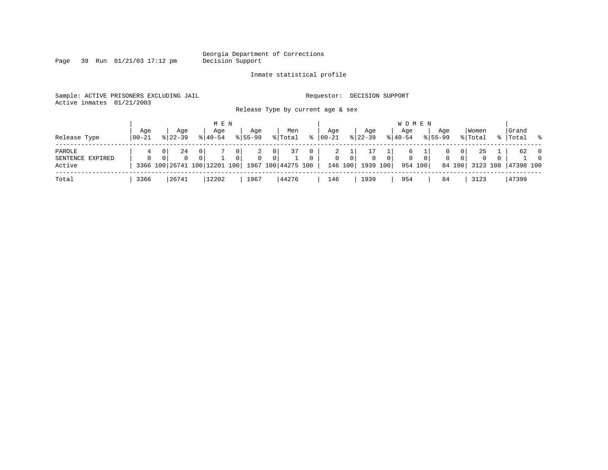Georgia Department of Corrections<br>Decision Support

Page 39 Run 01/21/03 17:12 pm

### Inmate statistical profile

Sample: ACTIVE PRISONERS EXCLUDING JAIL **Requestor: DECISION SUPPORT** Active inmates 01/21/2003

Release Type by current age &

|  |  |  | Release Type by current age & sex |  |  |  |
|--|--|--|-----------------------------------|--|--|--|
|--|--|--|-----------------------------------|--|--|--|

| Release Type                         | Aqe<br>$100 - 21$ | Age<br>$8122 - 39$ | M E N<br>Aqe<br>$8140 - 54$ | Aqe<br>$8155 - 99$                                    | Men<br>% Total                                                                                | $\approx$     | Age<br>$ 00-21 $  | Aqe<br>$8 \mid 22 - 39$                                 | <b>WOMEN</b><br>Age<br>$8140 - 54$       | Aqe<br>$8155 - 99$             | Women<br>% Total                                         | Grand<br>. န<br>%   Total                                                      |
|--------------------------------------|-------------------|--------------------|-----------------------------|-------------------------------------------------------|-----------------------------------------------------------------------------------------------|---------------|-------------------|---------------------------------------------------------|------------------------------------------|--------------------------------|----------------------------------------------------------|--------------------------------------------------------------------------------|
| PAROLE<br>SENTENCE EXPIRED<br>Active | $\Omega$          | 24<br>$\Omega$     | 0<br>$\Omega$               | 0 <sup>1</sup><br>2<br>$\mathbf{0}$<br>0 <sup>1</sup> | 37<br>0 <sup>1</sup><br>0 <sup>1</sup><br>3366 100 26741 100 12201 100   1967 100   44275 100 | 0<br>$\Omega$ | 2<br>$\mathbf{0}$ | 0 <sup>1</sup><br>$\overline{0}$<br>146 100<br>1939 100 | 0 <sup>1</sup><br>$\mathbf 0$<br>954 100 | $\mathbf{0}$<br>0 <sup>1</sup> | 25<br>0 <sup>1</sup><br>0 <sup>1</sup><br>$\overline{0}$ | 62<br>$\overline{0}$<br>$\overline{0}$<br>$\circ$<br>84 100 3123 100 47398 100 |
| Total                                | 3366              | 26741              | 12202                       | 1967                                                  | 44276                                                                                         |               | 146               | 1939                                                    | 954                                      | 84                             | 3123                                                     | 47399                                                                          |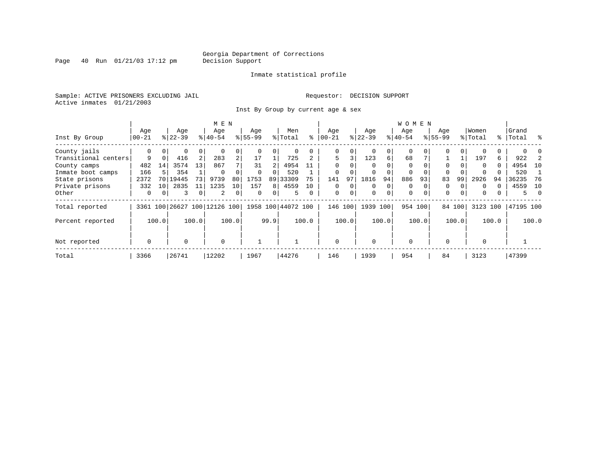Page  $40$  Run  $01/21/03$  17:12 pm

### Inmate statistical profile

Sample: ACTIVE PRISONERS EXCLUDING JAIL **Requestor: DECISION SUPPORT** Active inmates 01/21/2003

Inst By Group by current age & sex

|                      | M E N            |                 |           |    |                              |                |          |          |                    |          |              |       |           |          | W O M E N   |          |             |        |             |       |           |          |
|----------------------|------------------|-----------------|-----------|----|------------------------------|----------------|----------|----------|--------------------|----------|--------------|-------|-----------|----------|-------------|----------|-------------|--------|-------------|-------|-----------|----------|
|                      | Age              |                 | Age       |    | Age                          |                | Age      |          | Men                |          | Age          |       | Age       |          | Aqe         |          | Age         |        | Women       |       | Grand     |          |
| Inst By Group        | $ 00-21$         |                 | $8 22-39$ |    | $8 40-54$                    |                | $ 55-99$ |          | % Total            | ⊱        | $00 - 21$    |       | $ 22-39 $ |          | $8 40-54$   |          | $8155 - 99$ |        | % Total     |       | %   Total | ႜ        |
| County jails         | 0                |                 | 0         | 0  |                              |                |          | 0        |                    |          | 0            |       | 0         | 0        | 0           |          | 0           |        |             |       |           |          |
| Transitional centers | 9                | $\Omega$        | 416       | 2  | 283                          | $\overline{a}$ | 17       |          | 725                |          | 5            | 3     | 123       | б.       | 68          |          |             |        | 197         | 6     | 922       |          |
| County camps         | 482              | 14              | 3574      | 13 | 867                          |                | 31       |          | 4954               | 11       | $\Omega$     |       | $\Omega$  |          | $\Omega$    |          | $\Omega$    |        | $\Omega$    | 0     | 4954      | 10       |
| Inmate boot camps    | 166              |                 | 354       |    | $\Omega$                     |                | $\Omega$ | $\Omega$ | 520                |          | 0            |       | $\Omega$  |          | 0           | $\Omega$ | $\Omega$    |        | $\Omega$    |       | 520       |          |
| State prisons        | 2372             | 70 <sup>1</sup> | 19445     | 73 | 9739                         | 80             | 1753     |          | 89 33309           | 75       | 141          | 97    | 1816      | 94       | 886         | 93       | 83          | 99     | 2926        | 94    | 36235     | 76       |
| Private prisons      | 332              | 10 <sup>1</sup> | 2835      | 11 | 1235                         | 10             | 157      | 8        | 4559               | 10       | 0            |       | $\Omega$  | $\Omega$ | 0           |          | 0           |        | $\Omega$    | U     | 4559      | 10       |
| Other                | 0                | $\overline{0}$  | 3         | 0  | 2                            | 0              | 0        | 0        | 5                  | $\Omega$ | 0            | 0     | 0         | 0        | $\mathbf 0$ | $\Omega$ | $\mathbf 0$ | 0      | $\mathbf 0$ | 0     | 5.        | $\Omega$ |
| Total reported       |                  |                 |           |    | 3361 100 26627 100 12126 100 |                |          |          | 1958 100 44072 100 |          | 146          | 100   | 1939 100  |          |             | 954 100  |             | 84 100 | 3123 100    |       | 47195 100 |          |
| Percent reported     | 100.0<br>100.0   |                 |           |    |                              | 100.0          |          | 99.9     |                    | 100.0    |              | 100.0 |           | 100.0    |             | 100.0    |             | 100.0  |             | 100.0 |           | 100.0    |
| Not reported         | $\mathbf 0$<br>0 |                 |           |    | $\mathbf 0$                  |                |          |          |                    |          | $\mathbf{0}$ |       | $\Omega$  |          | $\mathbf 0$ |          | $\Omega$    |        | $\Omega$    |       |           |          |
| Total                | 3366             |                 | 26741     |    | 12202                        |                | 1967     |          | 44276              |          | 146          |       | 1939      |          | 954         |          | 84          |        | 3123        |       | 47399     |          |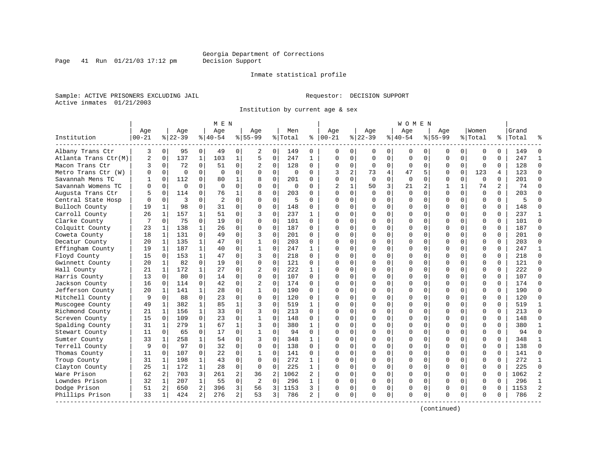Inmate statistical profile

Page 41 Run  $01/21/03$  17:12 pm

Sample: ACTIVE PRISONERS EXCLUDING JAIL **Requestor: DECISION SUPPORT** 

Active inmates 01/21/2003

Institution by current age & sex

|                      |           |                |             |              | M E N          |                |                |             |             |              |          |              |           |          | W O M E N    |             |             |              |             |          |       |                |
|----------------------|-----------|----------------|-------------|--------------|----------------|----------------|----------------|-------------|-------------|--------------|----------|--------------|-----------|----------|--------------|-------------|-------------|--------------|-------------|----------|-------|----------------|
|                      | Age       |                | Age         |              | Age            |                | Age            |             | Men         |              | Age      |              | Age       |          | Age          |             | Aqe         |              | Women       |          | Grand |                |
| Institution          | $00 - 21$ |                | $ 22-39$    |              | $ 40-54$       |                | $8 55-99$      |             | % Total     | နွ           | $ 00-21$ |              | $ 22-39 $ |          | $8 40-54$    |             | $8155 - 99$ |              | % Total     | ႜ        | Total | °              |
| Albany Trans Ctr     | 3         | $\overline{0}$ | 95          | $\mathbf 0$  | 49             | $\overline{0}$ | 2              | 0           | 149         | 0            | 0        | $\Omega$     | 0         | 0        | 0            | 0           | 0           | 0            | 0           | $\Omega$ | 149   | $\Omega$       |
| Atlanta Trans Ctr(M) | 2         | $\Omega$       | 137         | $\mathbf{1}$ | 103            | $\mathbf{1}$   | 5              | $\mathsf 0$ | 247         | $\mathbf{1}$ | $\Omega$ | $\Omega$     | $\Omega$  | $\Omega$ | $\Omega$     | $\Omega$    | $\Omega$    | $\Omega$     | $\Omega$    | $\Omega$ | 247   | $\mathbf{1}$   |
| Macon Trans Ctr      | 3         | $\mathbf 0$    | 72          | $\Omega$     | 51             | 0              | 2              | $\mathbf 0$ | 128         | $\Omega$     | $\Omega$ | $\Omega$     | $\Omega$  | $\Omega$ | <sup>0</sup> | 0           | $\Omega$    | $\Omega$     | $\Omega$    | $\Omega$ | 128   | $\Omega$       |
| Metro Trans Ctr (W)  | 0         | $\Omega$       | $\Omega$    | $\Omega$     | $\mathbf 0$    | 0              | O              | $\mathbf 0$ | $\Omega$    | $\Omega$     | 3        | 2            | 73        | 4        | 47           | 5           | 0           | $\Omega$     | 123         | 4        | 123   | $\mathbf 0$    |
| Savannah Mens TC     |           | $\Omega$       | 112         | 0            | 80             | 1              | 8              | 0           | 201         | $\Omega$     | $\Omega$ | $\Omega$     | $\Omega$  | $\Omega$ | $\Omega$     | $\Omega$    | 0           | $\Omega$     | $\Omega$    | $\Omega$ | 201   | $\Omega$       |
| Savannah Womens TC   | 0         | $\Omega$       | $\mathbf 0$ | $\Omega$     | $\Omega$       | 0              | $\Omega$       | 0           | $\mathbf 0$ | $\Omega$     | 2        | $\mathbf{1}$ | 50        | 3        | 21           | 2           | 1           | $\mathbf{1}$ | 74          | 2        | 74    | $\Omega$       |
| Augusta Trans Ctr    | 5         | 0              | 114         | 0            | 76             | 1              | 8              | $\mathbf 0$ | 203         | $\Omega$     | $\Omega$ | $\Omega$     | $\Omega$  | $\Omega$ | 0            | $\Omega$    | $\Omega$    | $\mathbf 0$  | $\mathbf 0$ | $\Omega$ | 203   | $\mathbf 0$    |
| Central State Hosp   |           | $\mathbf 0$    | 3           | $\Omega$     | $\overline{2}$ | $\Omega$       | $\Omega$       | $\mathbf 0$ | 5           | $\Omega$     |          | $\Omega$     | $\Omega$  | $\Omega$ |              | $\Omega$    | $\Omega$    | $\Omega$     | $\Omega$    | $\Omega$ | 5     | $\Omega$       |
| Bulloch County       | 19        | $\mathbf{1}$   | 98          | $\Omega$     | 31             | $\Omega$       | $\Omega$       | $\mathbf 0$ | 148         | $\Omega$     | $\Omega$ | $\Omega$     | $\Omega$  | $\Omega$ | <sup>0</sup> | $\Omega$    | $\Omega$    | $\Omega$     | $\Omega$    | $\Omega$ | 148   | $\Omega$       |
| Carroll County       | 26        | 1              | 157         |              | 51             | 0              | 3              | $\mathbf 0$ | 237         | 1            | O        | 0            | O         | U        | O            | $\Omega$    | U           | 0            | $\Omega$    | $\Omega$ | 237   | 1              |
| Clarke County        | 7         | 0              | 75          | $\Omega$     | 19             | 0              | $\Omega$       | $\Omega$    | 101         | $\Omega$     | $\cap$   | $\cap$       | $\cap$    | $\Omega$ |              | $\Omega$    | U           | $\Omega$     | $\Omega$    | $\Omega$ | 101   | $\Omega$       |
| Colquitt County      | 23        | 1              | 138         | 1            | 26             | $\Omega$       | $\Omega$       | $\mathbf 0$ | 187         | $\Omega$     | U        | $\cap$       | $\Omega$  | $\Omega$ | <sup>0</sup> | $\Omega$    | $\Omega$    | $\Omega$     | $\Omega$    | $\Omega$ | 187   | $\Omega$       |
| Coweta County        | 18        | 1              | 131         | 0            | 49             | $\Omega$       | 3              | $\mathbf 0$ | 201         | $\Omega$     |          | $\Omega$     | $\Omega$  | $\Omega$ |              | $\mathbf 0$ | 0           | $\Omega$     | $\Omega$    | $\Omega$ | 201   | $\Omega$       |
| Decatur County       | 20        | 1              | 135         | $\mathbf{1}$ | 47             | $\Omega$       | 1              | 0           | 203         | $\Omega$     | $\cap$   | $\Omega$     | $\Omega$  | $\Omega$ |              | $\Omega$    | $\Omega$    | $\Omega$     | $\Omega$    | $\Omega$ | 203   | $\Omega$       |
| Effingham County     | 19        | 1              | 187         | 1            | 40             | 0              | $\mathbf{1}$   | 0           | 247         | 1            | $\Omega$ | $\Omega$     | $\Omega$  | 0        | $\Omega$     | 0           | $\Omega$    | $\Omega$     | $\Omega$    | $\Omega$ | 247   | 1              |
| Floyd County         | 15        | $\Omega$       | 153         |              | 47             | 0              | 3              | $\Omega$    | 218         | $\Omega$     |          | 0            | 0         | U        |              | $\Omega$    | 0           | $\Omega$     | $\Omega$    | $\Omega$ | 218   | $\Omega$       |
| Gwinnett County      | 20        | $\mathbf{1}$   | 82          | $\Omega$     | 19             | 0              | $\Omega$       | $\Omega$    | 121         | $\Omega$     | $\cap$   | $\Omega$     | $\Omega$  | $\Omega$ |              | $\Omega$    | U           | $\Omega$     | $\Omega$    | $\Omega$ | 121   | $\Omega$       |
| Hall County          | 21        | 1              | 172         | $\mathbf{1}$ | 27             | $\Omega$       | 2              | $\Omega$    | 222         | $\mathbf{1}$ | U        | $\Omega$     | $\Omega$  | $\Omega$ | O            | $\Omega$    | $\Omega$    | $\Omega$     | $\Omega$    | $\Omega$ | 222   | $\Omega$       |
| Harris County        | 13        | $\Omega$       | 80          | $\Omega$     | 14             | $\Omega$       | $\Omega$       | $\mathbf 0$ | 107         | $\Omega$     |          | $\Omega$     | $\Omega$  | $\Omega$ |              | $\Omega$    | $\Omega$    | $\Omega$     | $\Omega$    | $\Omega$ | 107   | $\Omega$       |
| Jackson County       | 16        | $\Omega$       | 114         | 0            | 42             | $\Omega$       | $\overline{c}$ | $\Omega$    | 174         | $\Omega$     | $\cap$   | $\Omega$     | $\Omega$  | $\Omega$ |              | $\Omega$    | $\Omega$    | $\Omega$     | $\Omega$    | $\Omega$ | 174   | $\Omega$       |
| Jefferson County     | 20        | 1              | 141         | 1            | 28             | 0              | 1              | $\mathbf 0$ | 190         | $\Omega$     | ∩        | 0            | O         | $\Omega$ | <sup>0</sup> | $\Omega$    | 0           | $\Omega$     | $\Omega$    | $\Omega$ | 190   | $\mathbf 0$    |
| Mitchell County      | 9         | 0              | 88          | 0            | 23             | 0              | $\Omega$       | 0           | 120         | 0            |          | $\Omega$     | O         | U        |              | 0           | 0           | $\Omega$     | $\Omega$    | $\Omega$ | 120   | 0              |
| Muscogee County      | 49        | 1              | 382         | $\mathbf{1}$ | 85             | $\mathbf 1$    | 3              | $\Omega$    | 519         | $\mathbf{1}$ | $\cap$   | $\Omega$     | $\Omega$  | $\Omega$ |              | $\Omega$    | U           | $\Omega$     | $\Omega$    | $\Omega$ | 519   | $\mathbf{1}$   |
| Richmond County      | 21        | 1              | 156         | $\mathbf{1}$ | 33             | $\Omega$       | 3              | $\Omega$    | 213         | $\Omega$     | $\Omega$ | $\Omega$     | $\Omega$  | $\Omega$ | $\Omega$     | $\Omega$    | $\Omega$    | $\Omega$     | $\Omega$    | $\Omega$ | 213   | $\Omega$       |
| Screven County       | 15        | $\Omega$       | 109         | 0            | 23             | $\Omega$       | $\mathbf{1}$   | $\mathbf 0$ | 148         | $\Omega$     |          | $\Omega$     | $\Omega$  | $\Omega$ |              | $\Omega$    | $\Omega$    | $\Omega$     | $\Omega$    | $\Omega$ | 148   | $\Omega$       |
| Spalding County      | 31        | $\mathbf{1}$   | 279         | $\mathbf{1}$ | 67             | $\mathbf{1}$   | 3              | $\Omega$    | 380         | $\mathbf{1}$ | $\Omega$ | $\Omega$     | $\Omega$  | $\Omega$ |              | $\Omega$    | $\Omega$    | $\Omega$     | $\Omega$    | $\Omega$ | 380   | $\mathbf{1}$   |
| Stewart County       | 11        | $\Omega$       | 65          | $\Omega$     | 17             | $\Omega$       | 1              | $\mathbf 0$ | 94          | $\Omega$     | $\Omega$ | $\Omega$     | O         | $\Omega$ | <sup>0</sup> | $\Omega$    | 0           | $\Omega$     | $\Omega$    | $\Omega$ | 94    | $\mathbf 0$    |
| Sumter County        | 33        | 1              | 258         |              | 54             | 0              | 3              | $\mathbf 0$ | 348         | 1            |          |              | O         | U        |              | $\Omega$    | Ω           | 0            | $\Omega$    | $\Omega$ | 348   | 1              |
| Terrell County       | 9         | $\Omega$       | 97          | $\Omega$     | 32             | $\Omega$       | $\Omega$       | $\Omega$    | 138         | $\Omega$     | $\cap$   | $\cap$       | $\cap$    | $\Omega$ | $\cap$       | $\Omega$    | U           | $\Omega$     | $\Omega$    | $\Omega$ | 138   | $\Omega$       |
| Thomas County        | 11        | $\Omega$       | 107         | 0            | 22             | 0              | 1              | 0           | 141         | $\Omega$     |          | $\Omega$     | $\Omega$  | $\Omega$ | $\Omega$     | $\Omega$    | $\Omega$    | $\Omega$     | $\Omega$    | $\Omega$ | 141   | 0              |
| Troup County         | 31        | 1              | 198         | 1            | 43             | 0              | $\Omega$       | $\mathbf 0$ | 272         | 1            |          | $\Omega$     | $\Omega$  | 0        |              | 0           | 0           | 0            | $\Omega$    | $\Omega$ | 272   | $\mathbf{1}$   |
| Clayton County       | 25        | $\mathbf{1}$   | 172         | $\mathbf{1}$ | 28             | $\Omega$       | $\Omega$       | $\Omega$    | 225         | $\mathbf{1}$ | $\Omega$ | $\Omega$     | $\Omega$  | $\Omega$ | $\Omega$     | $\Omega$    | $\Omega$    | $\Omega$     | $\Omega$    | $\Omega$ | 225   | $\Omega$       |
| Ware Prison          | 62        | 2              | 703         | 3            | 261            | 2              | 36             | 2           | 1062        | 2            | ∩        | $\Omega$     | O         | $\Omega$ | <sup>0</sup> | $\Omega$    | O           | $\Omega$     | $\Omega$    | $\Omega$ | 1062  | $\overline{2}$ |
| Lowndes Prison       | 32        | 1              | 207         | 1            | 55             | 0              | 2              | $\mathbf 0$ | 296         | 1            |          | $\Omega$     | O         | $\Omega$ | O            | 0           | O           | $\Omega$     | $\Omega$    |          | 296   | $\mathbf{1}$   |
| Dodge Prison         | 51        | 2              | 650         | 2            | 396            | 3              | 56             | 3           | 1153        | 3            | O        | 0            | 0         | 0        | <sup>0</sup> | $\Omega$    | $\Omega$    | $\Omega$     | $\Omega$    | ∩        | 1153  | $\overline{2}$ |
| Phillips Prison      | 33        | 1              | 424         | 2            | 276            | $\overline{a}$ | 53             | 3           | 786         | 2            | $\Omega$ | 0            | O         | 0        | $\Omega$     | 0           | U           | 0            | $\Omega$    | $\Omega$ | 786   | $\overline{a}$ |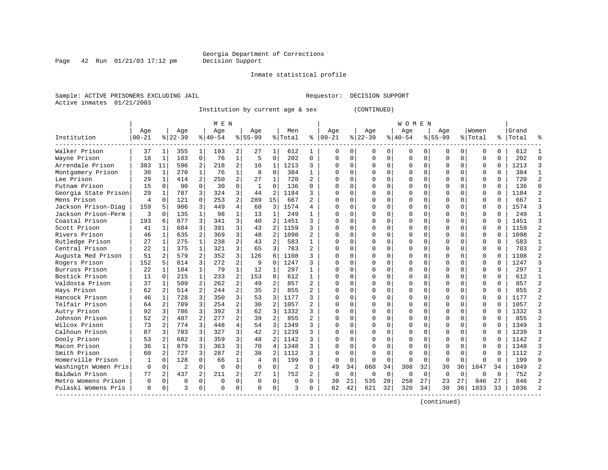### Inmate statistical profile

Sample: ACTIVE PRISONERS EXCLUDING JAIL **Requestor: DECISION SUPPORT** Active inmates 01/21/2003

Institution by current age & sex (CONTINUED)

|                      |                |              |                |                | M E N       |                |              |                |                |                |             |             |          |             | W O M E N |          |              |          |          |          |       |                |
|----------------------|----------------|--------------|----------------|----------------|-------------|----------------|--------------|----------------|----------------|----------------|-------------|-------------|----------|-------------|-----------|----------|--------------|----------|----------|----------|-------|----------------|
|                      | Age            |              | Age            |                | Age         |                | Age          |                | Men            |                | Age         |             | Age      |             | Age       |          | Age          |          | Women    |          | Grand |                |
| Institution          | $00 - 21$      |              | $8 22-39$      |                | $8 40-54$   |                | $8 55-99$    |                | % Total        | ႜ              | $ 00-21$    |             | $ 22-39$ |             | $ 40-54$  |          | $8155 - 99$  |          | % Total  | ႜၟ       | Total |                |
| Walker Prison        | 37             | 1            | 355            | 1              | 193         | 2              | 27           | 1              | 612            | 1              | 0           | 0           | O        | 0           | 0         | 0        | O            | 0        | 0        | 0        | 612   |                |
| Wayne Prison         | 18             | 1            | 103            | $\mathbf 0$    | 76          | $\mathbf 1$    | 5            | $\mathbf 0$    | 202            | $\mathbf 0$    | $\mathbf 0$ | $\Omega$    | $\Omega$ | $\mathbf 0$ | $\Omega$  | 0        | 0            | $\Omega$ | $\Omega$ | $\Omega$ | 202   | $\cap$         |
| Arrendale Prison     | 383            | 11           | 596            | 2              | 218         | 2              | 16           | 1              | 1213           | 3              | O           | 0           | $\Omega$ | 0           | 0         | $\Omega$ |              | $\Omega$ | O        | $\Omega$ | 1213  | κ              |
| Montgomery Prison    | 30             | 1            | 270            | 1              | 76          | $\mathbf{1}$   | 8            | $\mathbf 0$    | 384            | $\mathbf{1}$   |             | 0           |          | 0           | Ω         | $\Omega$ |              | $\Omega$ | $\Omega$ | 0        | 384   |                |
| Lee Prison           | 29             | 1            | 414            | $\overline{a}$ | 250         | 2              | 27           | $\mathbf{1}$   | 720            | $\mathfrak{D}$ | $\cap$      | 0           |          | $\Omega$    | ი         | $\Omega$ |              | 0        | $\Omega$ | $\Omega$ | 720   | っ              |
| Putnam Prison        | 15             | $\Omega$     | 90             | $\Omega$       | 30          | 0              | $\mathbf{1}$ | $\Omega$       | 136            | $\Omega$       | $\cap$      | 0           | ∩        | $\Omega$    | U         | $\Omega$ | ∩            | 0        | O        | $\Omega$ | 136   | ∩              |
| Georgia State Prison | 29             | 1            | 787            | 3              | 324         | 3              | 44           | 2              | 1184           | 3              | U           | 0           | $\Omega$ | $\Omega$    | 0         | $\Omega$ | <sup>0</sup> | 0        | O        | $\Omega$ | 1184  |                |
| Mens Prison          | $\overline{4}$ | $\Omega$     | 121            | $\Omega$       | 253         | 2              | 289          | 15             | 667            | 2              | $\cap$      | O           | $\Omega$ | $\Omega$    | U         | $\Omega$ |              | $\Omega$ | $\Omega$ | O        | 667   |                |
| Jackson Prison-Diag  | 159            | 5            | 906            | 3              | 449         | 4              | 60           | 3              | 1574           | 4              | U           | O           | $\Omega$ | $\Omega$    | U         | C        | $\Omega$     | $\Omega$ | $\Omega$ | O        | 1574  |                |
| Jackson Prison-Perm  | 3              | $\Omega$     | 135            | $\mathbf{1}$   | 98          | 1              | 13           | 1              | 249            | 1              | U           | U           | $\Omega$ | $\Omega$    | U         | C        | ∩            | 0        | $\cap$   | $\Omega$ | 249   |                |
| Coastal Prison       | 193            | 6            | 877            | 3              | 341         | 3              | 40           | $\overline{2}$ | 1451           | 3              | n           | 0           | ∩        | $\Omega$    | 0         | ∩        | <sup>0</sup> | 0        | $\Omega$ | $\Omega$ | 1451  |                |
| Scott Prison         | 41             | 1            | 684            | 3              | 391         | 3              | 43           | $\overline{c}$ | 1159           | 3              | O           | 0           | $\Omega$ | 0           | 0         | $\Omega$ | <sup>0</sup> | $\Omega$ | 0        | $\Omega$ | 1159  |                |
| Rivers Prison        | 46             | 1            | 635            | 2              | 369         | 3              | 48           | $\overline{2}$ | 1098           | 2              |             | O           |          | $\Omega$    | 0         | $\Omega$ |              | $\Omega$ | $\Omega$ | $\Omega$ | 1098  |                |
| Rutledge Prison      | 27             | 1            | 275            | 1              | 238         | 2              | 43           | $\overline{2}$ | 583            | $\mathbf{1}$   | C           | 0           |          | $\Omega$    | U         | $\Omega$ | <sup>0</sup> | 0        | O        | $\Omega$ | 583   |                |
| Central Prison       | 22             | 1            | 375            | $\mathbf{1}$   | 321         | 3              | 65           | 3              | 783            | $\mathfrak{D}$ | $\cap$      | 0           | $\Omega$ | $\Omega$    | O         | $\Omega$ | $\cap$       | $\Omega$ | $\Omega$ | $\Omega$ | 783   | $\mathfrak{D}$ |
| Augusta Med Prison   | 51             | 2            | 579            | $\overline{a}$ | 352         | 3              | 126          | 6              | 1108           | 3              | ∩           | 0           | $\Omega$ | $\Omega$    | O         | $\Omega$ | ∩            | $\Omega$ | $\Omega$ | $\Omega$ | 1108  |                |
| Rogers Prison        | 152            | 5            | 814            | 3              | 272         | $\overline{2}$ | 9            | $\Omega$       | 1247           | 3              | U           | 0           | $\Omega$ | $\Omega$    | 0         | $\Omega$ | <sup>0</sup> | $\Omega$ | O        | $\Omega$ | 1247  | κ              |
| Burruss Prison       | 22             | 1            | 184            | $\mathbf{1}$   | 79          | $\mathbf{1}$   | 12           | $\mathbf{1}$   | 297            | 1              | ∩           | O           | $\Omega$ | $\Omega$    | 0         | $\Omega$ | $\Omega$     | $\Omega$ | $\Omega$ | 0        | 297   |                |
| Bostick Prison       | 11             | $\Omega$     | 215            | $\mathbf{1}$   | 233         | 2              | 153          | 8              | 612            | 1              | U           | O           | $\Omega$ | $\Omega$    | U         | C        | ∩            | 0        | O        | O        | 612   |                |
| Valdosta Prison      | 37             | 1            | 509            | 2              | 262         | $\overline{a}$ | 49           | $\mathfrak{D}$ | 857            | $\mathbf{2}$   | $\Omega$    | 0           | $\Omega$ | $\Omega$    | $\Omega$  | $\Omega$ | $\Omega$     | $\Omega$ | $\Omega$ | $\Omega$ | 857   | 2              |
| Hays Prison          | 62             | 2            | 514            | 2              | 244         | 2              | 35           | $\overline{2}$ | 855            | 2              | U           | $\Omega$    |          | $\Omega$    | 0         | ∩        | <sup>0</sup> | $\Omega$ | $\Omega$ | $\Omega$ | 855   |                |
| Hancock Prison       | 46             | $\mathbf{1}$ | 728            | 3              | 350         | 3              | 53           | 3              | 1177           | 3              | O           | 0           | O        | $\Omega$    | 0         | $\Omega$ | O            | $\Omega$ | 0        | $\Omega$ | 1177  |                |
| Telfair Prison       | 64             | 2            | 709            | 3              | 254         | $\overline{2}$ | 30           | $\overline{2}$ | 1057           | 2              |             | 0           |          | $\Omega$    | Ω         | $\Omega$ |              | $\Omega$ | $\Omega$ | $\Omega$ | 1057  |                |
| Autry Prison         | 92             | 3            | 786            | 3              | 392         | 3              | 62           | 3              | 1332           | 3              | $\cap$      | 0           |          | $\Omega$    | O         | $\Omega$ | $\Omega$     | $\Omega$ | $\Omega$ | $\Omega$ | 1332  |                |
| Johnson Prison       | 52             | 2            | 487            | $\mathfrak{D}$ | 277         | $\overline{a}$ | 39           | 2              | 855            | $\mathfrak{D}$ | $\Omega$    | 0           | ∩        | $\Omega$    | U         | $\Omega$ | $\cap$       | $\Omega$ | $\Omega$ | $\Omega$ | 855   | $\mathcal{D}$  |
| Wilcox Prison        | 73             | 2            | 774            | 3              | 448         | 4              | 54           | 3              | 1349           | 3              | $\cap$      | 0           | ∩        | $\Omega$    | 0         | $\Omega$ | $\Omega$     | $\Omega$ | $\Omega$ | $\Omega$ | 1349  | ζ              |
| Calhoun Prison       | 87             | 3            | 783            | 3              | 327         | 3              | 42           | $\overline{2}$ | 1239           | 3              | U           | 0           |          | $\Omega$    | 0         | U        |              | 0        | O        | O        | 1239  | κ              |
| Dooly Prison         | 53             | 2            | 682            | 3              | 359         | 3              | 48           | 2              | 1142           | 3              |             | U           |          | $\Omega$    | 0         | U        |              | 0        | 0        | U        | 1142  |                |
| Macon Prison         | 36             | $\mathbf{1}$ | 879            | 3              | 363         | 3              | 70           | $\overline{4}$ | 1348           | 3              |             | U           | $\Omega$ | $\Omega$    | $\Omega$  | C        | $\cap$       | $\Omega$ | $\Omega$ | $\Omega$ | 1348  |                |
| Smith Prison         | 60             | 2            | 727            | 3              | 287         | $\overline{a}$ | 38           | $\mathfrak{D}$ | 1112           | 3              | U           | U           | $\Omega$ | $\Omega$    | U         | C        | $\cap$       | $\Omega$ | U        | $\cap$   | 1112  | っ              |
| Homerville Prison    | 1              | $\Omega$     | 128            | $\Omega$       | 66          | $\mathbf 1$    | 4            | $\Omega$       | 199            | $\Omega$       | $\Omega$    | $\Omega$    | $\Omega$ | $\Omega$    | $\Omega$  | $\Omega$ | $\Omega$     | $\Omega$ | U        | $\Omega$ | 199   | $\cap$         |
| Washingtn Women Pris | $\mathbf 0$    | $\mathbf 0$  | $\overline{2}$ | $\mathbf 0$    | $\Omega$    | 0              | $\Omega$     | $\mathbf 0$    | $\overline{2}$ | $\Omega$       | 49          | 34          | 660      | 34          | 308       | 32       | 30           | 36       | 1047     | 34       | 1049  |                |
| Baldwin Prison       | 77             | 2            | 437            | 2              | 211         | 2              | 27           | 1              | 752            | 2              | 0           | $\mathbf 0$ | 0        | 0           | 0         | $\Omega$ | $\Omega$     | $\Omega$ | O        | $\Omega$ | 752   |                |
| Metro Womens Prison  | $\Omega$       | 0            | $\Omega$       | $\Omega$       | $\mathbf 0$ | 0              | $\Omega$     | 0              | $\Omega$       | $\Omega$       | 30          | 21          | 535      | 28          | 258       | 27       | 23           | 27       | 846      | 27       | 846   |                |
| Pulaski Womens Pris  | $\Omega$       | 0            | २              | 0              | $\Omega$    | 0              | ∩            | $\Omega$       | ζ              | 0              | 62          | 42          | 621      | 32          | 320       | 34       | 30           | 36       | 1033     | 33       | 1036  |                |

(continued)

Page  $42$  Run  $01/21/03$  17:12 pm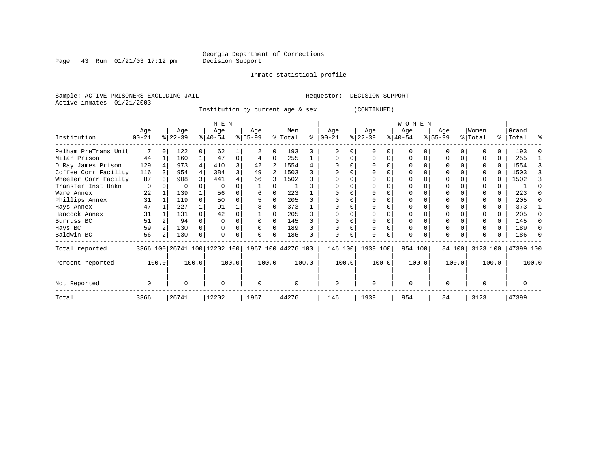Inmate statistical profile

Page 43 Run  $01/21/03$  17:12 pm

Sample: ACTIVE PRISONERS EXCLUDING JAIL **Requestor: DECISION SUPPORT** Active inmates 01/21/2003

Institution by current age & sex (CONTINUED)

|                      | M E N            |       |                  |       |                              |       |                    |   |                |          |                 |          |                  | <b>WOMEN</b>     |       |                  |        |                  |       |                    |       |
|----------------------|------------------|-------|------------------|-------|------------------------------|-------|--------------------|---|----------------|----------|-----------------|----------|------------------|------------------|-------|------------------|--------|------------------|-------|--------------------|-------|
| Institution          | Age<br>$00 - 21$ |       | Age<br>$ 22-39 $ |       | Age<br>$ 40-54 $             |       | Age<br>$ 55-99$    |   | Men<br>% Total | ి        | Age<br>$ 00-21$ |          | Age<br>$ 22-39 $ | Aqe<br>$ 40-54 $ |       | Age<br>$ 55-99 $ |        | Women<br>% Total |       | Grand<br>%   Total | ႜ     |
| Pelham PreTrans Unit |                  |       | 122              | 0     | 62                           |       |                    | 0 | 193            |          |                 |          |                  | U                |       |                  |        |                  |       | 193                |       |
| Milan Prison         | 44               |       | 160              |       | 47                           | 0     |                    | 0 | 255            |          |                 |          |                  | 0                | 0     |                  |        |                  |       | 255                |       |
| D Ray James Prison   | 129              |       | 973              | 4     | 410                          | 3     | 42                 |   | 1554           |          |                 |          |                  |                  |       |                  |        |                  |       | 1554               |       |
| Coffee Corr Facility | 116              |       | 954              |       | 384                          |       | 49                 |   | 1503           |          |                 |          |                  |                  |       |                  |        |                  |       | 1503               |       |
| Wheeler Corr Facilty | 87               |       | 908              |       | 441                          |       | 66                 |   | 1502           |          |                 |          |                  |                  |       |                  |        |                  |       | 1502               |       |
| Transfer Inst Unkn   | $\Omega$         |       |                  |       |                              |       |                    |   |                |          |                 |          |                  |                  |       |                  |        |                  |       |                    |       |
| Ware Annex           | 22               |       | 139              |       | 56                           |       | 6                  |   | 223            |          |                 |          |                  |                  |       |                  |        |                  |       | 223                |       |
| Phillips Annex       | 31               |       | 119              |       | 50                           |       |                    |   | 205            |          |                 |          |                  |                  |       |                  |        |                  |       | 205                |       |
| Hays Annex           | 47               |       | 227              |       | 91                           |       |                    |   | 373            |          |                 |          |                  |                  |       |                  |        |                  | U     | 373                |       |
| Hancock Annex        | 31               |       | 131              |       | 42                           |       |                    |   | 205            |          |                 |          |                  |                  |       |                  |        |                  |       | 205                |       |
| Burruss BC           | 51               |       | 94               |       |                              |       |                    |   | 145            |          |                 |          |                  |                  |       |                  |        |                  | U     | 145                |       |
| Hays BC              | 59               |       | 130              |       |                              |       |                    |   | 189            |          |                 |          |                  |                  |       |                  |        |                  | 0     | 189                |       |
| Baldwin BC           | 56               |       | 130              | 0     |                              |       | $\Omega$           | 0 | 186            |          |                 |          |                  | $\Omega$         |       | $\Omega$         |        |                  |       | 186                |       |
| Total reported       |                  |       |                  |       | 3366 100 26741 100 12202 100 |       | 1967 100 44276 100 |   |                |          | 146 100         |          | 1939 100         | 954 100          |       |                  | 84 100 | 3123 100         |       | 47399 100          |       |
| Percent reported     |                  | 100.0 |                  | 100.0 |                              | 100.0 | 100.0              |   |                | 100.0    |                 | 100.0    | 100.0            |                  | 100.0 |                  | 100.0  |                  | 100.0 |                    | 100.0 |
| Not Reported         | $\Omega$         |       | $\Omega$         |       | n                            |       | $\Omega$           |   | $\Omega$       | $\Omega$ |                 | $\Omega$ |                  |                  |       |                  |        |                  |       |                    |       |
| Total                | 3366             |       | 26741            |       | 12202                        |       | 1967               |   | 44276          |          | 146             |          | 1939             | 954              |       | 84               |        | 3123             |       | 47399              |       |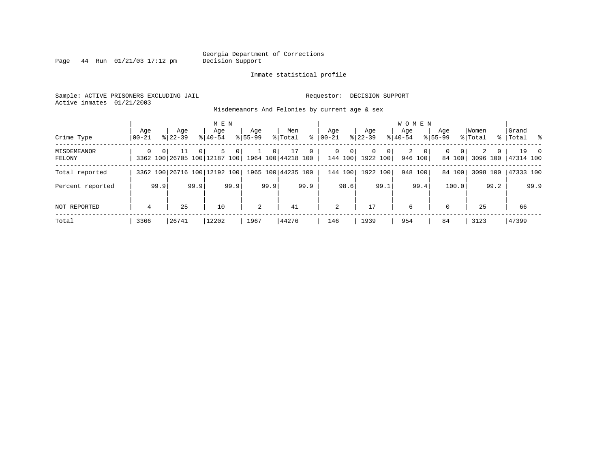Page  $44$  Run  $01/21/03$  17:12 pm

### Inmate statistical profile

Sample: ACTIVE PRISONERS EXCLUDING JAIL **Requestor: DECISION SUPPORT** Active inmates 01/21/2003

Misdemeanors And Felonies by current age & sex

| Crime Type            | Age<br>$ 00 - 21$ |          | Age<br>$8122 - 39$                 |                | M E N<br>Age<br>$8140 - 54$ |      | Aqe<br>$8155 - 99$ |                | Men<br>% Total           | ి            | Aqe<br>$ 00-21 $ |                         | Aqe<br>$ 22 - 39 $   |                | WOMEN<br>Aqe<br>$8 40-54$ |                         | Aqe<br>$8155 - 99$ |                    | Women<br>% Total |          | Grand<br>%   Total % |                |
|-----------------------|-------------------|----------|------------------------------------|----------------|-----------------------------|------|--------------------|----------------|--------------------------|--------------|------------------|-------------------------|----------------------|----------------|---------------------------|-------------------------|--------------------|--------------------|------------------|----------|----------------------|----------------|
| MISDEMEANOR<br>FELONY | $\Omega$          | $\Omega$ | 11<br>3362 100 26705 100 12187 100 | 0 <sup>1</sup> | .5                          | 0    |                    | 0 <sup>1</sup> | 17<br>1964 100 44218 100 | $\mathbf{0}$ | $\Omega$         | $\mathbf{0}$<br>144 100 | $\Omega$<br>1922 100 | 0 <sup>1</sup> | 2                         | $\mathbf{0}$<br>946 100 | $\mathbf{0}$       | $\Omega$<br>84 100 | 2<br>3096 100    | $\Omega$ | 19<br>47314 100      | $\overline{0}$ |
| Total reported        |                   |          | 3362 100 26716 100 12192 100       |                |                             |      |                    |                | 1965 100 44235 100       |              |                  | 144 100                 | 1922 100             |                |                           | 948 100                 |                    | 84 100             | 3098 100         |          | 47333 100            |                |
| Percent reported      |                   | 99.9     |                                    | 99.9           |                             | 99.9 |                    | 99.9           |                          | 99.9         |                  | 98.6                    |                      | 99.1           |                           | 99.4                    |                    | 100.0              |                  | 99.2     |                      | 99.9           |
| NOT REPORTED          | 4                 |          | 25                                 |                | 10                          |      | 2                  |                | 41                       |              | 2                |                         | 17                   |                | 6                         |                         | $\mathbf{0}$       |                    | 25               |          | 66                   |                |
| Total                 | 3366              |          | 26741                              |                | 12202                       |      | 1967               |                | 44276                    |              | 146              |                         | 1939                 |                | 954                       |                         | 84                 |                    | 3123             |          | 47399                |                |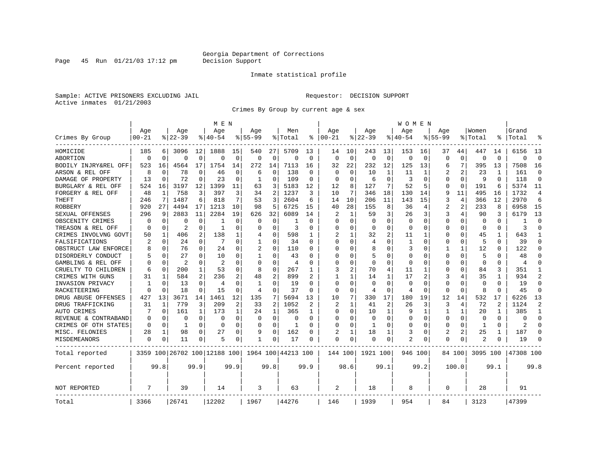Page 45 Run  $01/21/03$  17:12 pm

### Inmate statistical profile

Sample: ACTIVE PRISONERS EXCLUDING JAIL **Requestor: DECISION SUPPORT** Active inmates 01/21/2003

Crimes By Group by current age & sex

|                      |           |              |           |                | M E N                        |             |                |             |                    |                |          |              |             |                | W O M E N   |                |              |              |                |                |                |                |
|----------------------|-----------|--------------|-----------|----------------|------------------------------|-------------|----------------|-------------|--------------------|----------------|----------|--------------|-------------|----------------|-------------|----------------|--------------|--------------|----------------|----------------|----------------|----------------|
|                      | Age       |              | Age       |                | Aqe                          |             | Aqe            |             | Men                |                | Aqe      |              | Aqe         |                | Aqe         |                | Aqe          |              | Women          |                | Grand          |                |
| Crimes By Group      | $00 - 21$ |              | $8 22-39$ |                | % 40-54                      |             | $8155 - 99$    |             | % Total            | ႜ              | $ 00-21$ |              | $8$   22-39 |                | $8140 - 54$ |                | $8155 - 99$  |              | % Total        | ႜ              | Total          |                |
| HOMICIDE             | 185       | 6            | 3096      | 12             | 1888                         | 15          | 540            | 27          | 5709               | 13             | 14       | 10           | 243         | 13             | 153         | 16             | 37           | 44           | 447            | 14             | 6156           | 13             |
| ABORTION             | $\Omega$  | $\Omega$     | $\Omega$  | 0              | $\Omega$                     | $\mathbf 0$ | $\mathbf 0$    | $\mathbf 0$ | 0                  | 0              | $\Omega$ | $\mathbf 0$  | $\Omega$    | 0              | $\Omega$    | $\mathbf 0$    | $\Omega$     | $\Omega$     | $\mathbf 0$    | $\Omega$       | $\Omega$       | $\Omega$       |
| BODILY INJRY&REL OFF | 523       | 16           | 4564      | 17             | 1754                         | 14          | 272            | 14          | 7113               | 16             | 32       | 22           | 232         | 12             | 125         | 13             | 6            | 7            | 395            | 13             | 7508           | 16             |
| ARSON & REL OFF      | 8         | $\Omega$     | 78        | 0              | 46                           | 0           | 6              | 0           | 138                | 0              | $\Omega$ | $\Omega$     | 10          | 1              | 11          | 1              | 2            | 2            | 23             |                | 161            | $\Omega$       |
| DAMAGE OF PROPERTY   | 13        | $\Omega$     | 72        | $\Omega$       | 23                           | 0           | 1              | 0           | 109                | $\Omega$       | $\Omega$ | $\Omega$     | 6           | $\Omega$       | 3           | $\Omega$       | $\Omega$     | $\Omega$     | 9              | $\Omega$       | 118            | $\Omega$       |
| BURGLARY & REL OFF   | 524       | 16           | 3197      | 12             | 1399                         | 11          | 63             | 3           | 5183               | 12             | 12       | 8            | 127         | 7              | 52          | 5              | $\Omega$     | $\mathbf 0$  | 191            | 6              | 5374           | 11             |
| FORGERY & REL OFF    | 48        | $\mathbf{1}$ | 758       | 3              | 397                          | 3           | 34             | 2           | 1237               | 3              | 10       | 7            | 346         | 18             | 130         | 14             | 9            | 11           | 495            | 16             | 1732           | $\overline{4}$ |
| THEFT                | 246       | 7            | 1487      | 6              | 818                          | 7           | 53             | 3           | 2604               | 6              | 14       | 10           | 206         | 11             | 143         | 15             | 3            | 4            | 366            | 12             | 2970           | 6              |
| ROBBERY              | 920       | 27           | 4494      | 17             | 1213                         | 10          | 98             | 5           | 6725               | 15             | 40       | 28           | 155         | 8              | 36          | 4              | 2            | 2            | 233            | 8              | 6958           | 15             |
| SEXUAL OFFENSES      | 296       | 9            | 2883      | 11             | 2284                         | 19          | 626            | 32          | 6089               | 14             | 2        | 1            | 59          | 3              | 26          | 3              | 3            | 4            | 90             | 3              | 6179           | 13             |
| OBSCENITY CRIMES     | O         | $\Omega$     | O         | 0              | -1                           | $\Omega$    | $\Omega$       | 0           |                    | $\Omega$       | $\Omega$ | $\Omega$     | $\Omega$    | O              | $\Omega$    | $\Omega$       | $\Omega$     | U            | $\Omega$       | $\Omega$       |                | $\Omega$       |
| TREASON & REL OFF    | $\Omega$  | $\Omega$     | 2         | $\Omega$       | -1                           | $\Omega$    | U              | $\Omega$    | 3                  | $\Omega$       | $\Omega$ | $\Omega$     | $\Omega$    | 0              | $\Omega$    | $\Omega$       | $\Omega$     | $\Omega$     | $\Omega$       | $\Omega$       | 3              | $\Omega$       |
| CRIMES INVOLVNG GOVT | 50        | 1            | 406       | 2              | 138                          | 1           | 4              | $\mathbf 0$ | 598                | 1              |          | 1            | 32          | $\overline{a}$ | 11          | 1              | $\Omega$     | 0            | 45             |                | 643            |                |
| FALSIFICATIONS       | 2         | $\Omega$     | 24        | 0              | 7                            | 0           | 1              | $\Omega$    | 34                 | $\Omega$       | $\Omega$ | 0            | 4           | U              | 1           | $\Omega$       | O            | $\Omega$     | .5             | $\Omega$       | 39             | $\Omega$       |
| OBSTRUCT LAW ENFORCE |           | 0            | 76        | 0              | 24                           | 0           | 2              | 0           | 110                | 0              | ∩        | O            | 8           | U              | 3           | 0              | 1            | $\mathbf{1}$ | 12             | 0              | 122            | ∩              |
| DISORDERLY CONDUCT   |           | 0            | 27        | 0              | 10                           | 0           | 1              | 0           | 43                 | O              |          |              | 5           | U              | 0           | 0              | $\Omega$     | O            | 5              |                | 48             |                |
| GAMBLING & REL OFF   |           | $\Omega$     | 2         | 0              | $\overline{a}$               | $\Omega$    | $\Omega$       | $\Omega$    | 4                  | $\Omega$       | $\Omega$ | O            | $\Omega$    | O              | $\Omega$    | $\Omega$       | $\Omega$     | O            | $\Omega$       | 0              | $\overline{4}$ | ∩              |
| CRUELTY TO CHILDREN  | 6         | $\Omega$     | 200       | $\mathbf 1$    | 53                           | $\Omega$    | 8              | $\mathbf 0$ | 267                | 1              | 3        | 2            | 70          | 4              | 11          | 1              | $\Omega$     | $\Omega$     | 84             | 3              | 351            |                |
| CRIMES WITH GUNS     | 31        | 1            | 584       | $\overline{a}$ | 236                          | 2           | 48             | 2           | 899                |                |          | 1            | 14          | 1              | 17          | $\overline{2}$ | 3            | 4            | 35             | 1              | 934            | $\overline{2}$ |
| INVASION PRIVACY     |           | $\Omega$     | 13        | 0              | 4                            | 0           | $\mathbf{1}$   | 0           | 19                 | $\Omega$       | $\Omega$ | 0            | $\Omega$    | $\Omega$       | $\Omega$    | $\Omega$       | $\Omega$     | $\Omega$     | $\Omega$       | $\Omega$       | 19             | $\Omega$       |
| RACKETEERING         | $\cap$    | 0            | 18        | 0              | 15                           | 0           | $\overline{4}$ | 0           | 37                 | $\Omega$       | $\Omega$ | 0            | 4           | 0              | 4           | 0              | U            | $\Omega$     | 8              | $\Omega$       | 45             | $\Omega$       |
| DRUG ABUSE OFFENSES  | 427       | 13           | 3671      | 14             | 1461                         | 12          | 135            | 7           | 5694               | 13             | 10       | 7            | 330         | 17             | 180         | 19             | 12           | 14           | 532            | 17             | 6226           | 13             |
| DRUG TRAFFICKING     | 31        | $\mathbf{1}$ | 779       | 3              | 209                          | 2           | 33             | 2           | 1052               | $\overline{c}$ | 2        | $\mathbf{1}$ | 41          | $\overline{2}$ | 26          | 3              | 3            | 4            | 72             | $\overline{c}$ | 1124           | $\overline{2}$ |
| AUTO CRIMES          |           | $\Omega$     | 161       | 1              | 173                          | 1           | 24             | 1           | 365                | 1              | $\Omega$ | $\Omega$     | 10          | 1              | 9           | $\mathbf{1}$   | $\mathbf{1}$ | $\mathbf{1}$ | 20             | 1              | 385            | -1             |
| REVENUE & CONTRABAND |           | 0            | 0         | 0              | $\Omega$                     | 0           | 0              | $\mathbf 0$ | 0                  | $\Omega$       | $\Omega$ | $\Omega$     | 0           | O              | 0           | $\mathbf 0$    | $\Omega$     | 0            | $\mathbf 0$    | $\Omega$       | $\Omega$       | $\Omega$       |
| CRIMES OF OTH STATES | $\Omega$  | 0            | 1         | 0              | $\Omega$                     | 0           | $\Omega$       | 0           | 1                  | $\Omega$       | ∩        | O            | 1           | 0              | $\Omega$    | 0              | O            | $\Omega$     | 1              | $\Omega$       | 2              | ∩              |
| MISC. FELONIES       | 28        | 1            | 98        | 0              | 27                           | 0           | 9              | 0           | 162                | $\Omega$       | 2        |              | 18          | 1              | 3           | 0              | 2            | 2            | 25             | 1              | 187            | ∩              |
| MISDEMEANORS         | 0         | 0            | 11        | 0              | 5                            | 0           | $\mathbf{1}$   | 0           | 17                 | 0              | $\Omega$ | 0            | 0           | 0              | 2           | 0              | $\Omega$     | 0            | $\overline{2}$ | 0              | 19             |                |
| Total reported       |           |              |           |                | 3359 100 26702 100 12188 100 |             |                |             | 1964 100 44213 100 |                | 144 100  |              | 1921 100    |                | 946 100     |                |              | 84 100       | 3095 100       |                | 47308 100      |                |
| Percent reported     |           | 99.8         |           | 99.9           |                              | 99.9        |                | 99.8        |                    | 99.9           |          | 98.6         |             | 99.1           |             | 99.2           |              | 100.0        |                | 99.1           |                | 99.8           |
| <b>NOT REPORTED</b>  | 7         |              | 39        |                | 14                           |             | 3              |             | 63                 |                | 2        |              | 18          |                | 8           |                | $\Omega$     |              | 28             |                | 91             |                |
| Total                | 3366      |              | 26741     |                | 12202                        |             | 1967           |             | 44276              |                | 146      |              | 1939        |                | 954         |                | 84           |              | 3123           |                | 47399          |                |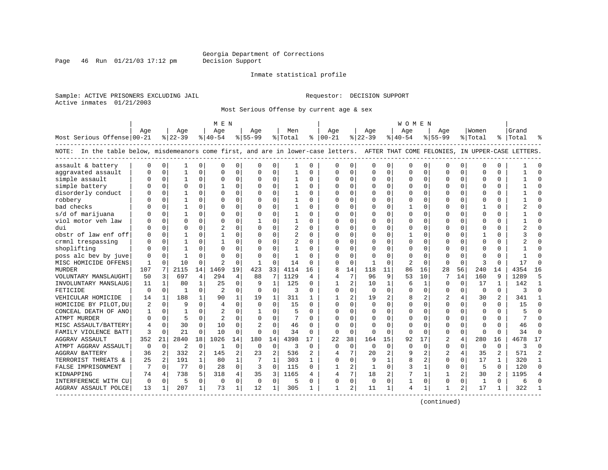Page 46 Run  $01/21/03$  17:12 pm

### Inmate statistical profile

Sample: ACTIVE PRISONERS EXCLUDING JAIL **Requestor: DECISION SUPPORT** Active inmates 01/21/2003

Most Serious Offense by current age & sex

|                                                                                                                                    |          |          |              |              | M E N          |              |                |                |                |              |                |                |              |                | W O M E N    |              |                |                |              |                |           |                |
|------------------------------------------------------------------------------------------------------------------------------------|----------|----------|--------------|--------------|----------------|--------------|----------------|----------------|----------------|--------------|----------------|----------------|--------------|----------------|--------------|--------------|----------------|----------------|--------------|----------------|-----------|----------------|
|                                                                                                                                    | Aqe      |          | Age          |              | Aqe            |              | Aqe            |                | Men            |              | Aqe            |                | Aqe          |                | Age          |              | Aqe            |                | Women        |                | Grand     |                |
| Most Serious Offense 00-21                                                                                                         |          |          | $ 22-39$     |              | $8 40-54$      |              | $8155 - 99$    |                | % Total        |              | $8   00 - 21$  |                | $ 22-39$     |                | $ 40-54 $    |              | $8155 - 99$    |                | % Total      |                | %   Total |                |
| NOTE: In the table below, misdemeanors come first, and are in lower-case letters. AFTER THAT COME FELONIES, IN UPPER-CASE LETTERS. |          |          |              |              |                |              |                |                |                |              |                |                |              |                |              |              |                |                |              |                |           |                |
| assault & battery                                                                                                                  |          | 0        |              | 0            | $\Omega$       | 0            | U              | 0              |                | 0            | O              | 0              | 0            | 0              | $\Omega$     | 0            | 0              | 0              | 0            | 0              |           |                |
| aggravated assault                                                                                                                 |          | $\Omega$ | 1            | $\Omega$     | $\Omega$       | 0            | O              | $\mathbf 0$    | 1              | $\Omega$     | $\Omega$       | $\Omega$       | $\Omega$     | 0              |              | $\mathbf 0$  | $\Omega$       | $\Omega$       | $\cap$       | $\Omega$       |           |                |
| simple assault                                                                                                                     |          | $\Omega$ | 1            | 0            | $\Omega$       | $\Omega$     | O              | $\Omega$       | 1              | $\Omega$     | $\Omega$       | $\Omega$       | $\Omega$     | 0              | $\Omega$     | $\Omega$     | $\Omega$       | $\Omega$       | $\Omega$     | $\Omega$       |           |                |
| simple battery                                                                                                                     |          | $\Omega$ | $\Omega$     | 0            | -1             | 0            | $\Omega$       | $\Omega$       | $\mathbf{1}$   | $\Omega$     | $\Omega$       | $\Omega$       | $\Omega$     | $\Omega$       |              | $\Omega$     | $\Omega$       | $\Omega$       | $\Omega$     | $\Omega$       |           |                |
| disorderly conduct                                                                                                                 |          | $\Omega$ |              | 0            | $\Omega$       | $\Omega$     | 0              | $\Omega$       | 1              | $\Omega$     |                | $\Omega$       | $\Omega$     | 0              |              | $\Omega$     | $\Omega$       | $\Omega$       | $\Omega$     | $\Omega$       |           |                |
| robbery                                                                                                                            |          | $\Omega$ |              | 0            | $\Omega$       | 0            | U              | $\Omega$       |                | $\Omega$     |                | $\Omega$       | Ω            | 0              |              | $\mathbf 0$  |                | 0              | $\Omega$     | $\Omega$       |           |                |
| bad checks                                                                                                                         |          | $\Omega$ |              | 0            | $\Omega$       | $\Omega$     | O              | $\Omega$       | 1              | $\Omega$     |                | $\Omega$       | $\Omega$     | O              |              | $\Omega$     | $\Omega$       | 0              | $\mathbf{1}$ | $\Omega$       |           |                |
| s/d of marijuana                                                                                                                   |          | $\Omega$ |              | 0            | $\Omega$       | 0            | U              | $\Omega$       | 1              | $\Omega$     | ∩              | 0              | U            | U              |              | $\Omega$     | U              | $\Omega$       | $\Omega$     | $\Omega$       |           | $\cap$         |
| viol motor veh law                                                                                                                 |          | $\Omega$ | U            | 0            | $\Omega$       | $\Omega$     |                | O              |                | $\Omega$     |                | 0              | 0            | U              |              | $\Omega$     | U              | 0              | $\Omega$     | $\Omega$       |           |                |
| dui                                                                                                                                |          |          | O            | C.           | 2              | 0            | U              | O              | $\overline{2}$ | $\Omega$     |                |                | O            | U              |              | 0            | U              | 0              | $\cap$       | 0              |           |                |
| obstr of law enf off                                                                                                               |          | $\Omega$ |              | C.           | $\mathbf{1}$   | $\Omega$     | U              | U              | $\overline{2}$ | $\Omega$     | ∩              | <sup>n</sup>   | U            | U              |              | $\Omega$     | ∩              | 0              |              | $\Omega$       |           |                |
| crmnl trespassing                                                                                                                  |          | $\Omega$ |              | C.           | $\mathbf{1}$   | 0            | U              | O              | $\overline{c}$ | $\Omega$     | U              | <sup>n</sup>   | ∩            | 0              | ∩            | $\Omega$     | ∩              | $\Omega$       | $\Omega$     | $\Omega$       |           |                |
| shoplifting                                                                                                                        |          | $\Omega$ |              | 0            | $\Omega$       | $\Omega$     | U              | 0              | 1              | $\Omega$     |                | $\Omega$       | O            | 0              |              | $\Omega$     | U              | $\Omega$       | $\Omega$     | $\Omega$       |           |                |
| poss alc bev by juve                                                                                                               |          | $\Omega$ |              | U            | $\Omega$       | 0            | U              | $\mathbf 0$    |                | $\Omega$     |                | $\Omega$       |              | U              |              | 0            | U              | $\Omega$       | $\cap$       | $\Omega$       |           |                |
| MISC HOMICIDE OFFENS                                                                                                               | 1        | $\Omega$ | 10           | 0            | $\overline{2}$ | 0            | $\mathbf{1}$   | $\mathbf 0$    | 14             | $\Omega$     | $\Omega$       | $\Omega$       | $\mathbf{1}$ | 0              |              | 0            | $\Omega$       | $\Omega$       | ₹            | $\Omega$       | 17        |                |
| <b>MURDER</b>                                                                                                                      | 107      | 7        | 2115         | 14           | 1469           | 19           | 423            | 33             | 4114           | 16           | $\mathsf{R}$   | 14             | 118          | 11             | 86           | 16           | 28             | 56             | 240          | 14             | 4354      | 16             |
| VOLUNTARY MANSLAUGHT                                                                                                               | 50       | 3        | 697          | 4            | 294            | 4            | 88             | 7              | 1129           | 4            | $\overline{4}$ | 7              | 96           | 9              | 53           | 10           | 7              | 14             | 160          | 9              | 1289      | 5              |
| INVOLUNTARY MANSLAUG                                                                                                               | 11       | 1        | 80           | $\mathbf{1}$ | 25             | 0            | 9              | $\mathbf{1}$   | 125            | $\Omega$     |                | 2              | 10           | $\mathbf{1}$   | 6            | 1            | U              | $\Omega$       | 17           |                | 142       |                |
| FETICIDE                                                                                                                           | $\Omega$ | $\Omega$ | $\mathbf{1}$ | $\Omega$     | 2              | $\Omega$     | $\Omega$       | $\Omega$       | २              | $\Omega$     | $\Omega$       | $\Omega$       | $\Omega$     | 0              | $\cap$       | $\Omega$     | $\Omega$       | $\Omega$       | $\Omega$     | $\Omega$       | ঽ         | $\cap$         |
| VEHICULAR HOMICIDE                                                                                                                 | 14       | 1        | 188          | $\mathbf{1}$ | 90             | $\mathbf{1}$ | 19             | 1              | 311            | 1            |                | $\overline{2}$ | 19           | $\overline{a}$ | 8            | 2            | $\overline{a}$ | 4              | 30           | $\overline{2}$ | 341       |                |
| HOMICIDE BY PILOT, DU                                                                                                              |          | $\Omega$ | 9            | $\Omega$     | $\overline{4}$ | $\Omega$     | $\Omega$       | $\Omega$       | 15             | $\Omega$     | $\Omega$       | $\Omega$       | $\Omega$     | $\Omega$       | $\Omega$     | $\Omega$     | $\Omega$       | $\Omega$       | $\Omega$     | $\Omega$       | 15        | $\Omega$       |
| CONCEAL DEATH OF ANO                                                                                                               |          | $\Omega$ |              | 0            | $\overline{2}$ | 0            | -1             | $\Omega$       | 5              | $\Omega$     |                | $\Omega$       | U            | 0              |              | $\Omega$     | $\Omega$       | $\Omega$       | $\Omega$     | $\Omega$       |           |                |
| ATMPT MURDER                                                                                                                       |          | $\Omega$ | 5            | 0            | $\overline{2}$ | 0            | O              | $\Omega$       |                | $\Omega$     |                |                | 0            | O              |              | $\Omega$     | $\Omega$       | 0              | $\mathbf 0$  | $\Omega$       |           |                |
| MISC ASSAULT/BATTERY                                                                                                               |          | $\Omega$ | 30           | 0            | 10             | 0            | $\overline{a}$ | $\Omega$       | 46             | $\Omega$     |                | O              | U            | U              | ∩            | $\Omega$     | O              | 0              | $\Omega$     | $\Omega$       | 46        | $\cap$         |
| FAMILY VIOLENCE BATT                                                                                                               | 3        | $\Omega$ | 21           | 0            | 10             | $\Omega$     | $\Omega$       | 0              | 34             | $\Omega$     | $\Omega$       | $\Omega$       | 0            | 0              | $\Omega$     | $\Omega$     | 0              | $\Omega$       | $\Omega$     | $\Omega$       | 34        | ∩              |
| <b>AGGRAV ASSAULT</b>                                                                                                              | 352      | 21       | 2840         | 18           | 1026           | 14           | 180            | 14             | 4398           | 17           | 22             | 38             | 164          | 15             | 92           | 17           | 2              | 4              | 280          | 16             | 4678      | 17             |
| ATMPT AGGRAV ASSAULT                                                                                                               | $\Omega$ | $\Omega$ | 2            | $\Omega$     | 1              | 0            | $\Omega$       | 0              | 3              | $\Omega$     | $\Omega$       | $\Omega$       | $\Omega$     | 0              | <sup>0</sup> | $\Omega$     | $\Omega$       | $\Omega$       | $\Omega$     | $\Omega$       | 3         | $\Omega$       |
| <b>AGGRAV BATTERY</b>                                                                                                              | 36       | 2        | 332          | 2            | 145            | 2            | 23             | $\mathfrak{D}$ | 536            |              |                |                | $20 \sigma$  | 2              |              | 2            | $\overline{c}$ | 4              | 35           | $\mathfrak{D}$ | 571       | $\overline{2}$ |
| TERRORIST THREATS &                                                                                                                | 25       | 2        | 191          | $\mathbf{1}$ | 80             | 1            | 7              | 1              | 303            | $\mathbf{1}$ | $\Omega$       | $\Omega$       | 9            | $\mathbf{1}$   | 8            | 2            | $\Omega$       | $\Omega$       | 17           | 1              | 320       | -1             |
| FALSE IMPRISONMENT                                                                                                                 |          | $\Omega$ | 77           | $\Omega$     | 28             | 0            | 3              | $\mathbf 0$    | 115            | $\mathbf 0$  |                | 2              | 1            | 0              | 3            | $\mathbf{1}$ | $\Omega$       | $\mathbf 0$    | 5            | $\Omega$       | 120       | $\Omega$       |
| KIDNAPPING                                                                                                                         | 74       | 4        | 738          | 5.           | 318            | 4            | 35             | 3              | 1165           | 4            |                | 7              | 18           | $\overline{a}$ |              | $\mathbf{1}$ | 1              | $\overline{a}$ | 30           | 2              | 1195      |                |
| INTERFERENCE WITH CU                                                                                                               | 0        | $\Omega$ | 5            | 0            | $\mathbf 0$    | $\mathbf 0$  | 0              | $\mathbf 0$    | 5              | $\Omega$     | O              | 0              | 0            | 0              |              | 0            | $\Omega$       | 0              | 1            | $\Omega$       | б         |                |
| AGGRAV ASSAULT POLCE                                                                                                               | 13       | 1        | 207          | $\mathbf{1}$ | 73             | 1            | 12             | 1              | 305            | 1            | 1              | 2              | 11           | 1              | 4            | 1            | 1              | 2              | 17           | 1              | 322       |                |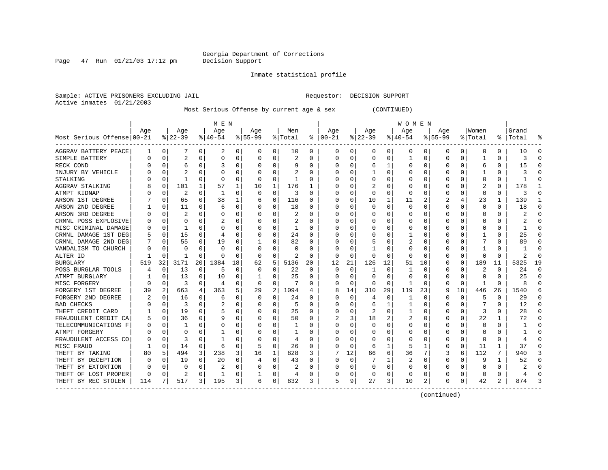Page  $47$  Run  $01/21/03$  17:12 pm

### Inmate statistical profile

Sample: ACTIVE PRISONERS EXCLUDING JAIL **Requestor: DECISION SUPPORT** Active inmates 01/21/2003

Most Serious Offense by current age & sex (CONTINUED)

|                                        |     |             |           |          | M E N        |    |           |          |                |                  |          |          |          |          | W O M E N |          |              |          |         |          |       |          |
|----------------------------------------|-----|-------------|-----------|----------|--------------|----|-----------|----------|----------------|------------------|----------|----------|----------|----------|-----------|----------|--------------|----------|---------|----------|-------|----------|
|                                        | Age |             | Age       |          | Age          |    | Aqe       |          | Men            |                  | Aqe      |          | Aqe      |          | Age       |          | Aqe          |          | Women   |          | Grand |          |
| Most Serious Offense 00-21             |     |             | $8 22-39$ |          | $8 40-54$    |    | $8 55-99$ |          | % Total        | ႜ                | $ 00-21$ |          | $ 22-39$ |          | $ 40-54$  |          | $8 55-99$    |          | % Total | ႜႂ       | Total |          |
| AGGRAV BATTERY PEACE                   |     | 0           |           | 0        | 2            | 0  | 0         | 0        | 10             | 0                | 0        | 0        | 0        | 0        | 0         | 0        | 0            | 0        | 0       | 0        | 10    |          |
| SIMPLE BATTERY                         | N   | $\Omega$    | 2         | O        | 0            | 0  |           | $\Omega$ | 2              | O                | 0        | 0        | $\Omega$ | $\Omega$ |           | C        | <sup>0</sup> | O        |         | 0        | 3     |          |
| RECK COND                              |     | $\Omega$    | 6         | O        | 3            | 0  |           | $\Omega$ | 9              | O                | C        | U        | 6        |          | 0         | C        | <sup>0</sup> | 0        | 6       | 0        | 15    |          |
| INJURY BY VEHICLE                      |     | $\Omega$    |           |          | O            | 0  |           | $\Omega$ | $\overline{c}$ | O                |          | U        |          | $\Omega$ | 0         | C        |              |          |         | U        |       |          |
| STALKING                               |     | $\Omega$    | 1         | U        | <sup>0</sup> | 0  | O         | $\Omega$ | -1             | O                |          | U        |          | O        | O         | C        |              |          | O       | 0        |       |          |
| <b>AGGRAV STALKING</b>                 |     | 0           | 101       | 1        | 57           | 1  | 10        | 1        | 176            | ı                |          | O        |          | $\Omega$ | $\Box$    | O        |              |          |         | 0        | 178   |          |
| ATMPT KIDNAP                           |     | 0           | 2         | 0        | -1           | U  | $\Omega$  | $\Omega$ | 3              | O                |          | O        | $\Omega$ | $\Omega$ | U         | $\Omega$ |              | O        | O       | U        | 3     |          |
| ARSON 1ST DEGREE                       |     | 0           | 65        | 0        | 38           | 1  | b         | 0        | 116            | O                | C        | 0        | 10       |          | 11        | 2        | 2            | 4        | 23      | 1        | 139   |          |
| ARSON 2ND DEGREE                       |     | 0           | 11        | 0        | 6            | 0  |           | 0        | 18             | 0                |          | 0        | 0        | $\Omega$ | 0         | 0        |              | $\Omega$ | 0       | $\Omega$ | 18    | C        |
| ARSON 3RD DEGREE                       |     | $\mathbf 0$ |           | O        | 0            | 0  |           | 0        | 2              | O                |          | O        |          | $\Omega$ | C         | C        |              |          | 0       | 0        |       | ſ        |
| CRMNL POSS EXPLOSIVE                   |     | $\Omega$    | O         | U        |              | 0  |           | $\Omega$ | 2              | U                |          | U        |          | $\Omega$ | Ω         | C        |              |          |         | 0        |       | ſ        |
| MISC CRIMINAL DAMAGE                   | O   | 0           | 1         | 0        | O            | 0  |           | $\Omega$ | 1              | O                | C        | 0        | O        | $\Omega$ | O         | C        |              | O        | O       | 0        |       | ∩        |
| CRMNL DAMAGE 1ST DEG                   |     | 0           | 15        | 0        | 4            | 0  |           | $\Omega$ | 24             | 0                | O        | 0        | 0        | 0        |           | C        |              |          |         | 0        | 25    | n        |
| CRMNL DAMAGE 2ND DEG                   |     | 0           | 55        | 0        | 19           | 0  |           | 0        | 82             | $\left( \right)$ | C        | 0        |          | O        | 2         | C        |              |          |         | 0        | 89    | n        |
| VANDALISM TO CHURCH                    |     | 0           | O         |          | O            | 0  |           | 0        | O              | U                |          | U        |          | $\Omega$ | 0         | C        |              |          |         | U        |       | n        |
| ALTER ID                               |     | $\Omega$    |           | O        | O            | U  | $\Omega$  | $\Omega$ | 2              | O                | $\Omega$ | 0        | O        | $\Omega$ | U         | C        |              | O        |         | U        | 2     | ſ        |
| <b>BURGLARY</b>                        | 519 | 32          | 3171      | 20       | 1384         | 18 | 62        | 5        | 5136           | 20               | 12       | 21       | 126      | 12       | 51        | 10       | O            | $\Omega$ | 189     | 11       | 5325  | 19       |
| POSS BURGLAR TOOLS                     | 4   | $\Omega$    | 13        | $\Omega$ | 5            | 0  | O         | $\Omega$ | 22             | O                | $\Omega$ | 0        |          | $\Omega$ |           | C        |              | O        |         | U        | 24    | ſ        |
| ATMPT BURGLARY                         |     | $\Omega$    | 13        | O        | 10           | 0  |           | $\Omega$ | 25             | U                |          | $\Omega$ | $\Omega$ | $\Omega$ | O         | C        | O            | $\Omega$ | O       | U        | 25    | ſ        |
| MISC FORGERY                           |     | $\Omega$    | 3         | O        | 4            | 0  | $\Omega$  | $\Omega$ | 7              | O                | O        | 0        | O        | $\Omega$ | 1         | C        |              | $\Omega$ |         | 0        | ጸ     |          |
| FORGERY 1ST DEGREE                     | 39  | 2           | 663       | 4        | 363          | 5  | 29        | 2        | 1094           |                  | 8        | 14       | 310      | 29       | 119       | 23       |              | 18       | 446     | 26       | 1540  |          |
| FORGERY 2ND DEGREE                     |     | $\Omega$    | 16        | 0        | 6            | 0  | O         | $\Omega$ | 24             | 0                | C        | $\Omega$ | 4        | 0        | 1         | 0        |              | $\Omega$ | 5       | 0        | 29    | U        |
| <b>BAD CHECKS</b>                      |     | $\Omega$    | 3         | $\Omega$ | 2            | 0  |           | $\Omega$ | 5              | O                |          | 0        | 6        |          |           | $\Omega$ |              | $\Omega$ |         | 0        | 12    | n        |
| THEFT CREDIT CARD                      |     | $\mathbf 0$ | 19        | O        |              | 0  |           | 0        | 25             | O                |          | 0        | 2        | $\Omega$ |           | C        |              | $\Omega$ | 3       | 0        | 28    | ſ        |
| FRAUDULENT CREDIT CA                   |     | $\Omega$    | 36        | 0        |              | U  |           | $\Omega$ | 50             | O                |          | 3        | 18       |          |           | C        |              | 0        | 22      | 1        | 72    | $\Omega$ |
| TELECOMMUNICATIONS F                   |     | $\Omega$    | 1         | O        | 0            | 0  |           | $\Omega$ | 1              | O                |          | 0        | 0        | O        | Ω         | C        |              | O        | 0       | 0        |       | ſ        |
| ATMPT FORGERY                          |     | 0           | O         | 0        |              | 0  |           | 0        | -1             | O                | O        | 0        | 0        | O        | 0         | C        |              | 0        | O       | 0        |       | ∩        |
| FRAUDULENT ACCESS CO                   |     | $\Omega$    | 3         | 0        |              | 0  |           | $\Omega$ | 4              | O                | n        | 0        | 0        | O        | 0         | C        |              | $\Omega$ | n       | 0        |       | n        |
| MISC FRAUD                             |     | 0           | 14        | 0        | 6            | 0  | 5         | 0        | 26             | 0                | O        | 0        | 6        | 1        | 5         |          | O            | $\Omega$ | 11      | 1        | 37    | ∩        |
| THEFT BY TAKING                        | 80  | 5           | 494       | 3        | 238          | 3  | 16        | 1        | 828            | 3                |          | 12       | 66       | 6        | 36        |          | 3            | 6        | 112     | 7        | 940   |          |
| THEFT BY DECEPTION                     |     | 0           | 19        |          | 20           | 0  |           | $\Omega$ | 43             | 0                | C        | 0        |          |          | 2         | C        | 0            | 0        | 9       | 1        | 52    |          |
| THEFT BY EXTORTION                     |     | $\Omega$    | O         | O        |              | 0  |           | $\Omega$ |                |                  | C        | 0        | O        | $\Omega$ | 0         | C        | <sup>0</sup> | O        | O       | 0        |       |          |
| THEFT OF LOST PROPER                   | O   | 0           |           | O        |              | 0  |           | 0        | 4              |                  |          | 0        | 0        | 0        | C         | C        |              |          | 0       | 0        | 4     |          |
| THEFT BY REC STOLEN<br>--------------- | 114 |             | 517       | 3        | 195          | 3  | 6         | 0        | 832            | 3                | 5        | 9        | 27       | 3        | 10        | 2        | <sup>0</sup> | 0        | 42      | 2        | 874   |          |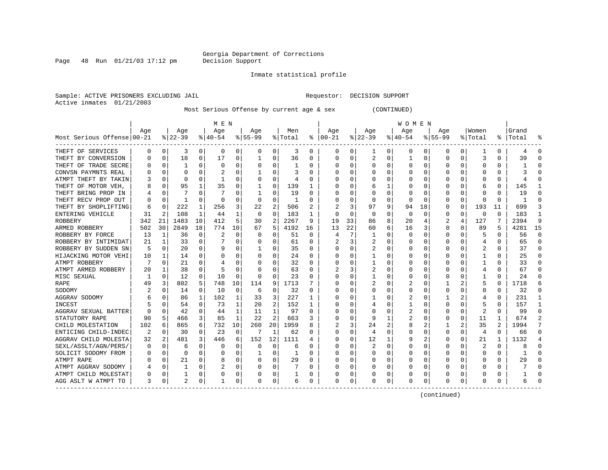Page  $48$  Run  $01/21/03$  17:12 pm

### Inmate statistical profile

Sample: ACTIVE PRISONERS EXCLUDING JAIL **Requestor: DECISION SUPPORT** Active inmates 01/21/2003

Most Serious Offense by current age & sex (CONTINUED)

|                            |     |          |          |              | M E N     |          |             |                |         |          |              |          |          |          | <b>WOMEN</b> |              |             |              |                         |               |       |          |
|----------------------------|-----|----------|----------|--------------|-----------|----------|-------------|----------------|---------|----------|--------------|----------|----------|----------|--------------|--------------|-------------|--------------|-------------------------|---------------|-------|----------|
|                            | Aqe |          | Age      |              | Age       |          | Age         |                | Men     |          | Age          |          | Age      |          | Age          |              | Aqe         |              | Women                   |               | Grand |          |
| Most Serious Offense 00-21 |     |          | $ 22-39$ |              | $8 40-54$ |          | $8155 - 99$ |                | % Total | ႜ        | $ 00-21$     |          | $ 22-39$ |          | $ 40-54$     |              | $8155 - 99$ |              | % Total                 | $\frac{8}{6}$ | Total |          |
| THEFT OF SERVICES          | 0   | 0        | 3        | 0            | 0         | 0        | 0           | 0              | 3       | 0        | 0            | 0        | 1        | 0        | 0            | 0            | 0           | 0            |                         | 0             |       | 0        |
| THEFT BY CONVERSION        |     | 0        | 18       | 0            | 17        | 0        |             | 0              | 36      | 0        | <sup>0</sup> | 0        | 2        | 0        |              | 0            | 0           | 0            |                         | 0             | 39    |          |
| THEFT OF TRADE SECRE       |     | 0        |          | U            | $\Omega$  | 0        |             | 0              |         | O        |              | 0        | 0        | 0        | 0            | 0            | O           | O            | C                       | 0             |       |          |
| CONVSN PAYMNTS REAL        |     | $\Omega$ | U        |              |           | $\Omega$ |             | O              | 3       | O        |              |          |          | O        | O            | $\mathsf{C}$ | U           |              | ſ                       | U             |       |          |
| ATMPT THEFT BY TAKIN       |     | $\Omega$ | U        |              |           | 0        |             | 0              |         | O        |              | U        |          | 0        | O            | -C           |             |              | C                       | U             |       |          |
| THEFT OF MOTOR VEH         |     | $\Omega$ | 95       | 1            | 35        | 0        |             | 0              | 139     | 1        |              | U        | 6        | 1        |              | n            |             |              | 6                       | 0             | 145   |          |
| THEFT BRING PROP IN        |     | $\Omega$ |          | U            |           | $\Omega$ |             | $\Omega$       | 19      | O        |              | $\Omega$ | $\Omega$ | $\Omega$ |              | $\Omega$     |             | U            | U                       | U             | 19    |          |
| THEFT RECV PROP OUT        |     | $\Omega$ |          | U            | 0         | 0        | 0           | 0              | 1       | O        |              | $\Omega$ | 0        | $\Omega$ | O            | $\Omega$     | $\left($    | <sup>0</sup> | n                       | 0             |       |          |
| THEFT BY SHOPLIFTING       | h   | $\Omega$ | 222      | 1            | 256       | 3        | 22          | $\overline{2}$ | 506     | 2        |              | 3        | 97       | 9        | 94           | 18           | 0           | 0            | 193                     | 11            | 699   |          |
| ENTERING VEHICLE           | 31  | 2        | 108      | 1            | 44        | 1        | $\Omega$    | $\mathbf 0$    | 183     |          |              | $\Omega$ | 0        | $\Omega$ | 0            | $\mathbf 0$  | 0           | 0            | $\Omega$                | 0             | 183   |          |
| <b>ROBBERY</b>             | 342 | 21       | 1483     | 10           | 412       | 5        | 30          | 2              | 2267    | 9        | 19           | 33       | 86       | 8        | 20           | 4            |             | 4            | 127                     | 7             | 2394  | q        |
| ARMED ROBBERY              | 502 | 30       | 2849     | 18           | 774       | 10       | 67          | 5              | 4192    | 16       | 13           | 22       | 60       | 6        | 16           | 3            | $\Omega$    | 0            | 89                      | 5             | 4281  | 15       |
| ROBBERY BY FORCE           | 13  | 1        | 36       | 0            | 2         | 0        | $\Omega$    | 0              | 51      | $\Omega$ | 4            | 7        | -1       | O        | <sup>0</sup> | $\Omega$     | U           | O            | 5                       | 0             | 56    | $\Omega$ |
| ROBBERY BY INTIMIDAT       | 21  | 1        | 33       | 0            |           | 0        | O           | $\Omega$       | 61      | 0        |              | 3        |          | 0        | 0            | 0            | 0           | O            | 4                       | 0             | 65    | $\Omega$ |
| ROBBERY BY SUDDEN SN       | 5   | 0        | 20       | 0            | q         | $\Omega$ |             | $\Omega$       | 35      | 0        |              | 0        |          | 0        | 0            | 0            | U           | 0            | 2                       | 0             | 37    | $\Omega$ |
| HIJACKING MOTOR VEHI       | 10  | 1        | 14       | 0            | 0         | 0        | O           | 0              | 24      | 0        |              | $\Omega$ |          | 0        | 0            | 0            | O           | 0            |                         | 0             | 25    | $\Omega$ |
| ATMPT ROBBERY              |     | $\Omega$ | 21       | U            |           | $\Omega$ |             | 0              | 32      | O        |              | 0        |          | 0        | 0            | 0            |             |              |                         | N             | 33    | $\Omega$ |
| ATMPT ARMED ROBBERY        | 20  |          | 38       | U            |           | 0        |             | 0              | 63      | O        |              | 3        |          | 0        |              | C            | O           |              |                         | U             | 67    | n        |
| MISC SEXUAL                |     | $\Omega$ | 12       | $\Omega$     | 10        | $\Omega$ | $\Omega$    | $\Omega$       | 23      | U        |              |          |          | 0        | O            | -C           | n           |              |                         | U             | 24    |          |
| RAPE                       |     | 3        | 802      | 5            | 748       | 10       | 114         | 9              | 1713    |          |              |          |          | O        |              | $\Omega$     |             |              | 5                       | 0             | 1718  |          |
| SODOMY                     |     |          | 14       | 0            | 10        | 0        | 6           | 0              | 32      | O        |              | $\Omega$ | O        | O        | O            | $\Omega$     | n           |              | <sup>0</sup>            | U             | 32    |          |
| AGGRAV SODOMY              |     |          | 86       | $\mathbf{1}$ | 102       | 1        | 33          | 3              | 227     | -1       |              | 0        |          | O        |              | $\Omega$     |             |              | 4                       | U             | 231   |          |
| INCEST                     |     |          | 54       | 0            | 73        | 1        | 20          | $\overline{c}$ | 152     |          |              | $\Omega$ | 4        | O        |              | 0            | O           | <sup>0</sup> | 5                       | 0             | 157   |          |
| AGGRAV SEXUAL BATTER       |     | $\Omega$ | 42       | 0            | 44        | 1        | 11          | $\mathbf 1$    | 97      | O        |              | $\Omega$ |          | 0        | 2            | $\Omega$     |             | $\Omega$     | $\overline{\mathbf{c}}$ | U             | 99    | n        |
| STATUTORY RAPE             | 90  | 5        | 466      | 3            | 85        | 1        | 22          | $\overline{2}$ | 663     |          |              | 0        | 9        | 1        | 2            | 0            |             | 0            | 11                      | 1             | 674   |          |
| CHILD MOLESTATION          | 102 | 6        | 865      | 6            | 732       | 10       | 260         | 20             | 1959    | 8        |              | 3        | 24       | 2        | 8            | 2            |             |              | 35                      | 2             | 1994  |          |
| ENTICING CHILD-INDEC       | 2   | $\Omega$ | 30       | 0            | 23        | $\Omega$ | 7           | $\mathbf{1}$   | 62      | 0        |              | 0        | 4        | 0        | 0            | $\Omega$     | 0           | 0            | 4                       | 0             | 66    | $\Omega$ |
| AGGRAV CHILD MOLESTA       | 32  | 2        | 481      | 3            | 446       | 6        | 152         | 12             | 1111    |          |              | $\Omega$ | 12       | 1        | 9            | 2            | O           | 0            | 21                      | 1             | 1132  |          |
| SEXL/ASSLT/AGN/PERS/       |     | $\Omega$ | 6        | U            | 0         | $\Omega$ | 0           | $\Omega$       | 6       | O        |              | $\Omega$ | 2        | 0        | 0            | 0            | O           | O            | $\overline{\mathbf{c}}$ | 0             |       | $\cap$   |
| SOLICIT SODOMY FROM        |     | 0        | 0        | 0            | 0         | 0        |             | 0              | -1      | O        |              | $\Omega$ | 0        | 0        | O            | 0            | U           | <sup>0</sup> | O                       | 0             |       | $\cap$   |
| ATMPT RAPE                 |     | 0        | 21       | U            | 8         | 0        | O           | 0              | 29      | 0        |              | $\Omega$ | O        | 0        | O            | 0            | O           | 0            | O                       | 0             | 29    | $\cap$   |
| ATMPT AGGRAV SODOMY        |     | $\Omega$ |          | 0            | 2         | 0        |             | 0              |         |          |              | 0        |          | 0        | 0            | 0            | 0           | 0            | C                       | 0             |       |          |
| ATMPT CHILD MOLESTAT       |     | 0        |          | 0            | 0         | 0        |             | 0              |         | 0        |              | 0        |          | 0        |              | 0            |             | 0            | 0                       | 0             |       |          |
| AGG ASLT W ATMPT TO        | 3   | 0        |          | 0            |           | 0        | 0           | 0              | 6       | 0        | <sup>0</sup> | 0        |          | 0        | O            | 0            | U           | 0            | $\Omega$                | 0             |       |          |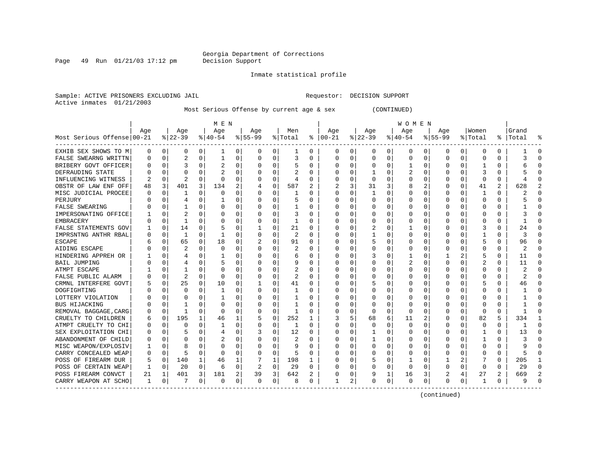Page  $49$  Run  $01/21/03$  17:12 pm

### Inmate statistical profile

Sample: ACTIVE PRISONERS EXCLUDING JAIL **Requestor: DECISION SUPPORT** Active inmates 01/21/2003

Most Serious Offense by current age & sex (CONTINUED)

|                            | MEN |              |                |              |             |          |           |             |                |          |               | <b>WOMEN</b> |          |          |                  |              |             |          |                  |          |           |          |  |
|----------------------------|-----|--------------|----------------|--------------|-------------|----------|-----------|-------------|----------------|----------|---------------|--------------|----------|----------|------------------|--------------|-------------|----------|------------------|----------|-----------|----------|--|
|                            | Age |              | Age            |              | Age         |          | Age       |             | Men            |          | Age           |              | Age      |          | Age              |              | Aqe         |          | Women            |          | Grand     |          |  |
| Most Serious Offense 00-21 |     |              | $8 22-39$      |              | $8140 - 54$ |          | $8 55-99$ |             | % Total        |          | $8   00 - 21$ |              | $ 22-39$ |          | $ 40-54$         |              | $8155 - 99$ |          | % Total          |          | %   Total |          |  |
| EXHIB SEX SHOWS TO M       | 0   | 0            | 0              | 0            | ı           | 0        | 0         | 0           | ı              | 0        | 0             | 0            | 0        | 0        | 0                | 0            | 0           | 0        | 0                | 0        |           | 0        |  |
| FALSE SWEARNG WRITTN       |     | 0            | 2              | 0            | 1           | 0        | O         | 0           | 3              | 0        | 0             | 0            | $\Omega$ | $\Omega$ | 0                | $\Omega$     | $\Omega$    | 0        | C                | 0        | 3         | ſ        |  |
| BRIBERY GOVT OFFICER       |     | $\mathbf 0$  | 3              | U            |             | $\Omega$ |           | $\Omega$    | 5              | 0        | O             | O            | 0        | 0        |                  | 0            | $\Omega$    | $\Omega$ |                  | 0        |           |          |  |
| DEFRAUDING STATE           |     | $\Omega$     | U              |              |             | O        |           | $\Omega$    |                | U        | C             | O            |          | O        |                  | $\Omega$     |             | $\Omega$ |                  | U        |           |          |  |
| INFLUENCING WITNESS        |     | $\Omega$     | $\overline{2}$ | U            | $\Omega$    | O        | O         | $\Omega$    | 4              | U        |               | 0            | $\Omega$ | O        | U                | n            |             | $\Omega$ | $\Omega$         | U        |           |          |  |
| OBSTR OF LAW ENF OFF       | 48  | 3            | 401            | 3            | 134         | 2        |           | $\mathbf 0$ | 587            | 2        |               | 3            | 31       | 3        | 8                | 2            | O           | $\Omega$ | 41               | 2        | 628       |          |  |
| MISC JUDICIAL PROCEE       |     | $\Omega$     | 1              | O            | $\Omega$    | $\Omega$ |           | $\Omega$    |                | U        | 0             | $\Omega$     |          | $\Omega$ | Ω                | $\Omega$     |             | U        |                  | 0        |           |          |  |
| PERJURY                    |     | U            |                | U            |             | O        |           | $\Omega$    | 5              | U        | 0             | $\Omega$     | O        | U        | $\left( \right)$ | $\Omega$     |             | U        | O                | 0        |           |          |  |
| FALSE SWEARING             |     | $\Omega$     |                | 0            | $\Omega$    | O        |           | 0           |                | U        | O             | 0            | O        | O        | ი                | $\Omega$     |             | O        |                  | U        |           |          |  |
| IMPERSONATING OFFICE       |     | $\Omega$     | 2              | U            | 0           | 0        |           | $\Omega$    | 3              | 0        |               | 0            |          | 0        |                  | 0            |             | O        | C                | 0        |           |          |  |
| <b>EMBRACERY</b>           |     | $\mathbf 0$  | $\mathbf{1}$   | U            | C           | 0        |           | 0           | 1              | U        |               | 0            |          | O        | ი                | 0            |             |          |                  | 0        |           |          |  |
| FALSE STATEMENTS GOV       |     | 0            | 14             | O            |             | $\Omega$ |           | $\Omega$    | 21             | U        |               | 0            |          | O        |                  | 0            |             | U        | 3                | $\Omega$ | 24        | ſ        |  |
| IMPRSNTNG ANTHR RBAL       |     | 0            | 1              | $\Omega$     | -1          | O        | O         | 0           | $\mathfrak{D}$ | $\Omega$ | C             | 0            |          | O        | U                | $\Omega$     | $\Omega$    | O        |                  | 0        | 3         | ſ        |  |
| <b>ESCAPE</b>              |     | $\Omega$     | 65             | $\Omega$     | 18          | $\Omega$ |           | $\Omega$    | 91             | 0        | 0             | 0            |          | O        | 0                | 0            | O           | O        | 5                | 0        | 96        | ∩        |  |
| AIDING ESCAPE              |     | $\Omega$     | 2              | U            | $\mathbf 0$ | $\Omega$ | O         | 0           | 2              | 0        | 0             | 0            | 0        | 0        | 0                | 0            | O           | O        | C                | 0        | 2         | n        |  |
| HINDERING APPREH OR        |     | 0            | 4              | U            |             | 0        | O         | 0           | 6              | 0        | 0             | 0            |          | O        |                  | 0            |             | 2        | 5                | 0        | 11        | $\Omega$ |  |
| BAIL JUMPING               |     | 0            | 4              | U            |             | 0        |           | O           | 9              | U        | 0             | 0            |          | O        | 2                | 0            | $\Omega$    |          | 2                | 0        | 11        | ∩        |  |
| ATMPT ESCAPE               |     | 0            |                |              | C           | 0        |           | O           | 2              | U        |               | O            | O        | O        | Ω                | n            |             |          | C                | U        | 2         |          |  |
| FALSE PUBLIC ALARM         |     | $\Omega$     | 2              | U            | $\Omega$    | O        | O         | $\Omega$    | 2              | U        | O             | U            | O        | O        | Ω                | n            |             |          | C                | U        | 2         |          |  |
| CRMNL INTERFERE GOVT       |     | 0            | 25             | 0            | 10          | 0        |           | $\Omega$    | 41             | U        | O             | 0            |          | O        | Ω                | n            |             |          |                  | U        | 46        |          |  |
| DOGFIGHTING                |     | U            | $\Omega$       | U            | -1          | O        |           | U           |                | U        | O             | 0            | U        | U        | Ω                | U            |             |          | C                | U        |           |          |  |
| LOTTERY VIOLATION          |     | <sup>0</sup> | U              | U            |             | O        |           | 0           |                | U        | O             | 0            | O        | U        | ი                | n            |             |          | C                | U        |           |          |  |
| <b>BUS HIJACKING</b>       |     | $\Omega$     |                | U            | O           | O        |           | $\Omega$    |                | U        | O             | $\Omega$     | O        | O        | Ω                | n            |             | $\Omega$ | C                | U        |           |          |  |
| REMOVAL BAGGAGE, CARG      |     | 0            | 1              | 0            | $\Omega$    | 0        |           | $\mathbf 0$ |                | 0        | C             | $\Omega$     | $\Omega$ | $\Omega$ | 0                | 0            |             | $\Omega$ | $\Omega$         | 0        |           |          |  |
| CRUELTY TO CHILDREN        |     | 0            | 195            | $\mathbf{1}$ | 46          | 1        |           | 0           | 252            | 1        |               | 5            | 68       | 6        | 11               | 2            |             | 0        | 82               | 5        | 334       |          |  |
| ATMPT CRUELTY TO CHI       |     | $\mathbf 0$  | U              | U            |             | 0        |           | 0           | 1              | U        | O             | 0            | O        | O        | 0                | n            | $\Omega$    | $\Omega$ | 0                | 0        |           | ſ        |  |
| SEX EXPLOITATION CHI       |     | $\Omega$     |                | 0            | 4           | 0        |           | 0           | 12             | 0        | 0             | 0            |          | 0        | 0                | 0            | O           | $\Omega$ |                  | 0        | 13        | ∩        |  |
| ABANDONMENT OF CHILD       |     | $\Omega$     | U              | O            |             | O        |           | 0           | 2              | U        | C             | 0            |          | O        | U                | <sup>0</sup> | O           | O        |                  | 0        |           | C        |  |
| MISC WEAPON/EXPLOSIV       |     | $\Omega$     | 8              | O            | C           | 0        | O         | 0           | 9              | U        | O             | 0            | 0        | O        | 0                | 0            | O           | O        | C                | 0        |           | ſ        |  |
| CARRY CONCEALED WEAP       |     | $\mathbf 0$  | 5              | $\Omega$     | $\Omega$    | O        | U         | 0           | 5              | 0        | O             | 0            | O        | O        | 0                | 0            | O           | O        | $\left( \right)$ | 0        | 5         | ∩        |  |
| POSS OF FIREARM DUR        | 5   | 0            | 140            | 1            | 46          | 1        |           | 1           | 198            | 1        | 0             | 0            |          | 0        |                  | 0            |             | 2        |                  | 0        | 205       |          |  |
| POSS OF CERTAIN WEAP       |     | 0            | 20             | $\Omega$     | 6           | 0        | 2         | 0           | 29             | 0        | 0             | 0            | 0        | 0        | 0                | 0            | 0           | 0        | O                | 0        | 29        |          |  |
| POSS FIREARM CONVCT        | 21  | 1            | 401            | 3            | 181         | 2        | 39        | 3           | 642            | 2        |               | 0            | 9        | 1        | 16               | 3            |             |          | 27               | 2        | 669       |          |  |
| CARRY WEAPON AT SCHO       | 1   | 0            |                | 0            | 0           | 0        | 0         | 0           | 8              | 0        |               | 2            | 0        | 0        | 0                | $\Omega$     | $\Omega$    | 0        | -1               | 0        |           |          |  |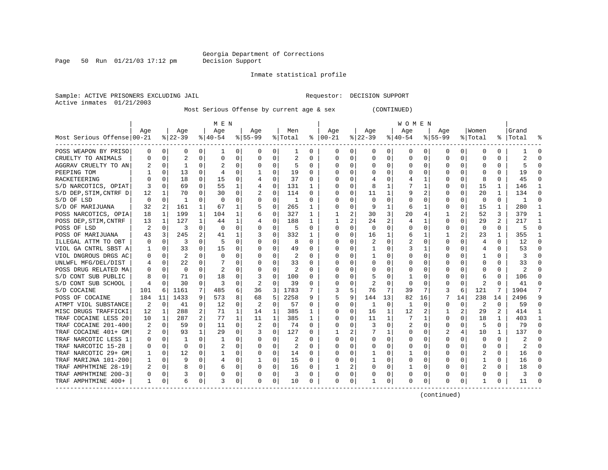Page 50 Run  $01/21/03$  17:12 pm

### Inmate statistical profile

Sample: ACTIVE PRISONERS EXCLUDING JAIL **Requestor: DECISION SUPPORT** Active inmates 01/21/2003

Most Serious Offense by current age & sex (CONTINUED)

|                            | M E N |                |           |                |                |             |           |              |         |          |              | W O M E N |          |          |          |              |             |          |          |          |           |    |  |
|----------------------------|-------|----------------|-----------|----------------|----------------|-------------|-----------|--------------|---------|----------|--------------|-----------|----------|----------|----------|--------------|-------------|----------|----------|----------|-----------|----|--|
|                            | Aqe   |                | Age       |                | Age            |             | Aqe       |              | Men     |          | Aqe          |           | Aqe      |          | Age      |              | Aqe         |          | Women    |          | Grand     |    |  |
| Most Serious Offense 00-21 |       |                | $ 22-39 $ |                | $8 40-54$      |             | $8 55-99$ |              | % Total | ႜ        | $ 00-21$     |           | $ 22-39$ |          | $ 40-54$ |              | $8155 - 99$ |          | % Total  |          | %   Total |    |  |
| POSS WEAPON BY PRISO       | 0     | 0              | 0         | 0              | 1              | 0           | 0         | 0            | 1       | 0        | 0            | 0         | 0        | 0        | 0        | 0            | 0           | 0        | 0        | 0        |           | 0  |  |
| CRUELTY TO ANIMALS         | U     | 0              | 2         | 0              | $\mathbf 0$    | 0           | O         | 0            | 2       | U        | 0            | 0         | $\Omega$ | 0        | 0        | $\Omega$     | $\Omega$    | $\Omega$ | O        | 0        | 2         |    |  |
| AGGRAV CRUELTY TO AN       |       | $\Omega$       | 1         | U              |                | O           | O         | $\Omega$     | 5       | $\Omega$ | C            | 0         | $\Omega$ | $\Omega$ | U        | $\Omega$     | ∩           | $\Omega$ | U        | O        | 5         |    |  |
| PEEPING TOM                |       | $\Omega$       | 13        | U              |                | $\Omega$    |           | 0            | 19      | U        | <sup>0</sup> | 0         | O        | O        | U        | <sup>0</sup> |             |          |          | U        | 19        |    |  |
| RACKETEERING               |       | $\Omega$       | 18        | $\Omega$       | 15             | 0           |           | $\Omega$     | 37      | U        | O            | $\Omega$  |          | O        |          |              |             | $\Omega$ | Я        | U        | 45        |    |  |
| S/D NARCOTICS, OPIAT       | 3     | $\Omega$       | 69        | 0              | 55             | 1           | 4         | $\Omega$     | 131     | 1.       | O            | $\Omega$  | 8        |          |          |              |             | $\Omega$ | 15       | 1        | 146       |    |  |
| S/D DEP, STIM, CNTRF D     | 12    | 1              | 70        | 0              | 30             | $\mathbf 0$ | 2         | $\mathbf 0$  | 114     | 0        | 0            | 0         | 11       | 1        | 9        | 2            |             | 0        | 20       | 1        | 134       |    |  |
| S/D OF LSD                 | 0     | 0              | -1        | 0              | 0              | $\Omega$    | 0         | 0            | 1       | U        | 0            | 0         | $\Omega$ | $\Omega$ | Ω        | 0            |             | $\Omega$ | 0        | 0        |           | ſ  |  |
| S/D OF MARIJUANA           | 32    | $\overline{2}$ | 161       | 1              | 67             |             |           | 0            | 265     | 1        |              | 0         | 9        | 1        | 6        |              |             | $\Omega$ | 15       | 1        | 280       |    |  |
| POSS NARCOTICS, OPIA       | 18    | 1              | 199       | 1              | 104            | 1           |           | 0            | 327     | 1        |              | 2         | 30       | 3        | 20       | 4            |             | 2        | 52       | 3        | 379       |    |  |
| POSS DEP, STIM, CNTRF      | 13    | 1              | 127       | $\mathbf{1}$   | 44             | 1           |           | 0            | 188     | 1        | -1           | 2         | 24       | 2        | 4        | -1           | $\Omega$    | $\Omega$ | 29       | 2        | 217       | -1 |  |
| POSS OF LSD                | 2     | 0              | 3         | $\Omega$       | $\Omega$       | $\Omega$    | O         | $\Omega$     | .5      | 0        | $\Omega$     | 0         | $\Omega$ | O        | 0        | 0            | O           | O        | $\Omega$ | 0        | 5         | ∩  |  |
| POSS OF MARIJUANA          | 43    | $\overline{3}$ | 245       |                | 41             | 1           |           | $\Omega$     | 332     |          | <sup>0</sup> | 0         | 16       | 1        | 6        |              |             | 2.       | 23       | 1        | 355       |    |  |
| ILLEGAL ATTM TO OBT        |       | 0              | 3         |                | 5              | 0           |           | 0            | 8       | U        |              | 0         |          | 0        | 2        | 0            | O           |          | 4        | 0        | 12        |    |  |
| VIOL GA CNTRL SBST A       |       | 0              | 33        |                | 15             | O           | O         | $\Omega$     | 49      | U        | O            | 0         |          | O        | 3        |              | ∩           |          | 4        | 0        | 53        |    |  |
| VIOL DNGROUS DRGS AC       |       | $\Omega$       | 2         |                | $\Omega$       | O           |           | $\Omega$     |         | U        | C            | 0         |          | U        | U        | n            |             |          |          | U        | 3         |    |  |
| UNLWFL MFG/DEL/DIST        |       | $\Omega$       | 22        | U              |                | O           | O         | O            | 33      | U        | O            | 0         | $\Omega$ | O        | U        | n            |             |          | O        | 0        | 33        |    |  |
| POSS DRUG RELATED MA       |       | $\Omega$       | 0         | U              | $\overline{2}$ | 0           | O         | $\Omega$     | 2       | U        | O            | 0         | O        | O        | Ω        | n            |             |          | O        | 0        | 2         |    |  |
| S/D CONT SUB PUBLIC        | 8     | $\Omega$       | 71        | 0              | 18             | O           | 3         | $\Omega$     | 100     | U        | O            | 0         |          | O        |          | n            |             | $\Omega$ | 6        | 0        | 106       |    |  |
| S/D CONT SUB SCHOOL        |       | 0              | 30        | 0              | 3              | 0           | 2         | 0            | 39      | 0        | 0            | 0         | 2        | $\Omega$ | 0        | 0            |             | 0        | 2        | U        | 41        |    |  |
| S/D COCAINE                | 101   | 6              | 1161      | 7              | 485            | 6           | 36        | 3            | 1783    |          |              | 5         | 76       | 7        | 39       | 7            |             | 6        | 121      | 7        | 1904      |    |  |
| POSS OF COCAINE            | 184   | 11             | 1433      | 9              | 573            | 8           | 68        | 5            | 2258    | 9        | 5            | 9         | 144      | 13       | 82       | 16           |             | 14       | 238      | 14       | 2496      |    |  |
| ATMPT VIOL SUBSTANCE       | 2     | 0              | 41        | 0              | 12             | $\Omega$    |           | $\mathbf 0$  | 57      | U        | $\Omega$     | $\Omega$  | 1        | 0        | 1        | $\Omega$     | $\Omega$    | $\Omega$ | 2        | $\Omega$ | 59        | ∩  |  |
| MISC DRUGS TRAFFICKI       | 12    | 1              | 288       | 2              | 71             | 1           | 14        | 1            | 385     | 1        | <sup>0</sup> | $\Omega$  | 16       | 1        | 12       | 2            |             | 2        | 29       | 2        | 414       |    |  |
| TRAF COCAINE LESS 20       | 10    | 1              | 287       | $\overline{a}$ | 77             | 1           | 11        | $\mathbf{1}$ | 385     | 1        | O            | 0         | 11       | 1        | 7        | -1           | O           | $\Omega$ | 18       | 1        | 403       |    |  |
| TRAF COCAINE 201-400       | 2     | 0              | 59        | 0              | 11             | 0           | 2         | $\Omega$     | 74      | U        | 0            | 0         | 3        | $\Omega$ | 2        | 0            | $\Omega$    | O        | 5        | $\Omega$ | 79        | ∩  |  |
| TRAF COCAINE 401+ GM       | 2     | 0              | 93        | $\mathbf{1}$   | 29             | $\Omega$    |           | $\Omega$     | 127     | 0        |              | 2         |          | 1        | 0        | 0            |             |          | 10       | 1        | 137       | O  |  |
| TRAF NARCOTIC LESS 1       |       | 0              |           | O              |                | 0           | 0         | 0            | 2       | U        |              | 0         | 0        | 0        | 0        | 0            | O           |          | 0        | 0        | 2         |    |  |
| TRAF NARCOTIC 15-28        |       | 0              | $\Omega$  |                |                | $\Omega$    | O         | $\Omega$     |         | U        | C            | 0         | U        | O        | U        | n            | ∩           |          | O        | O        | 2         |    |  |
| TRAF NARCOTIC 29+ GM       |       | $\Omega$       | 12        | U              |                | $\Omega$    | 0         | 0            | 14      | 0        | 0            | 0         |          | 0        |          | 0            | O           |          | 2        | U        | 16        |    |  |
| TRAF MARIJNA 101-200       |       | $\Omega$       | q         | 0              | 4              | 0           |           | 0            | 15      | 0        | O            | 0         |          | O        | 0        | n            | ∩           |          |          | U        | 16        |    |  |
| TRAF AMPHTMINE 28-19       | 2     | $\Omega$       | 8         | 0              | 6              | $\Omega$    | O         | 0            | 16      | 0        |              | 2         | U        | 0        |          | $\Omega$     |             | 0        |          | U        | 18        |    |  |
| TRAF AMPHTMINE 200-3       |       | $\Omega$       | 3         | 0              | 0              | 0           |           | $\Omega$     | 3       | 0        | 0            | $\Omega$  |          | 0        | 0        | 0            |             | 0        | 0        | 0        | 3         |    |  |
| TRAF AMPHTMINE 400+        | 1     | 0              | 6         | 0              | 3              | 0           | 0         | 0            | 10      | 0        | 0            | 0         |          | 0        | 0        | $\Omega$     | $\Omega$    | 0        |          | 0        | 11        |    |  |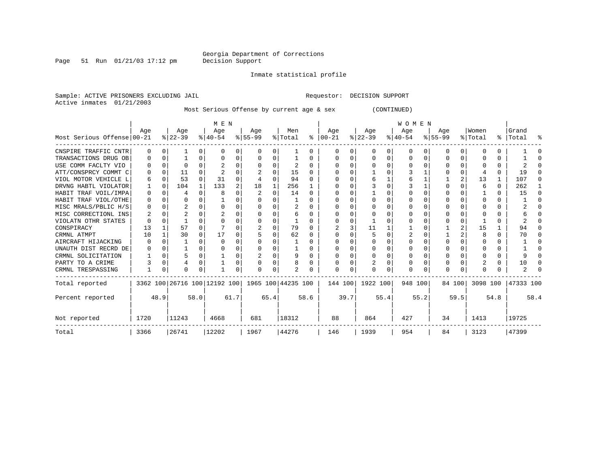Page 51 Run  $01/21/03$  17:12 pm

Inmate statistical profile

Sample: ACTIVE PRISONERS EXCLUDING JAIL **Requestor: DECISION SUPPORT** Active inmates 01/21/2003

Most Serious Offense by current age & sex (CONTINUED)

|                            |                  |          |           |          | M E N        |       |                                                 |              |         | <b>WOMEN</b> |           |      |           |          |           |          |           |              |              |              |           |      |
|----------------------------|------------------|----------|-----------|----------|--------------|-------|-------------------------------------------------|--------------|---------|--------------|-----------|------|-----------|----------|-----------|----------|-----------|--------------|--------------|--------------|-----------|------|
|                            | Age              |          | Age       |          | Age          |       | Age                                             |              | Men     |              | Age       |      | Age       |          | Age       |          | Age       |              | Women        |              | Grand     |      |
| Most Serious Offense 00-21 |                  |          | $ 22-39 $ |          | $ 40-54 $    |       | $8 55-99$                                       |              | % Total | ွေ           | $ 00-21 $ |      | $ 22-39 $ |          | $ 40-54 $ |          | $8 55-99$ |              | % Total      |              | %   Total | ႜ    |
| CNSPIRE TRAFFIC CNTR       | 0                | n        |           | $\Omega$ | <sup>0</sup> | 0     | 0                                               | 0            |         | 0            | $\Omega$  | 0    | $\Omega$  | 0        | $\Omega$  | 0        | O         | $\Omega$     | O            | U            |           |      |
| TRANSACTIONS DRUG OB       | $\left( \right)$ | $\Omega$ |           | O        | $\left($     | 0     | $\left($                                        | 0            |         | U            |           | 0    | 0         | O        | 0         | 0        | 0         | $\Omega$     |              | U            |           |      |
| USE COMM FACLTY VIO        |                  | $\Omega$ | U         |          |              | 0     |                                                 | 0            | 2       | 0            | ∩         |      |           | O        |           | $\Omega$ |           |              |              | 0            |           |      |
| ATT/CONSPRCY COMMT C       |                  | $\Omega$ | 11        |          |              | U     |                                                 | <sup>0</sup> | 15      | U            |           | 0    |           | O        |           |          |           |              |              | U            | 19        |      |
| VIOL MOTOR VEHICLE L       | 6                | $\Omega$ | 53        | $\Omega$ | 31           | O     |                                                 | $\Omega$     | 94      | U            |           |      |           |          |           |          |           |              | 13           |              | 107       |      |
| DRVNG HABTL VIOLATOR       |                  | n        | 104       | 1        | 133          | 2     | 18                                              |              | 256     |              |           |      |           | $\Omega$ |           |          | O         |              | 6            | 0            | 262       |      |
| HABIT TRAF VOIL/IMPA       | 0                | $\cap$   | 4         | $\cap$   | 8            | U     |                                                 | $\Omega$     | 14      | <sup>0</sup> |           | 0    |           | U        |           | ∩        | U         |              |              | <sup>n</sup> | 15        |      |
| HABIT TRAF VIOL/OTHE       | O                | n        | O         |          |              | 0     |                                                 |              |         | U            |           |      |           |          |           |          |           |              | <sup>0</sup> | U            |           |      |
| MISC MRALS/PBLIC H/S       | 0                | n        |           |          |              | 0     |                                                 | U            |         | U            |           |      |           | O        |           |          |           |              |              |              |           |      |
| MISC CORRECTIONL INS       |                  | C        |           |          |              | U     |                                                 | O            | 6       | U            |           |      |           | O        |           |          | O         |              |              | U            |           |      |
| VIOLATN OTHR STATES        |                  | n        |           |          |              | U     |                                                 | O            |         | U            |           |      |           | O        |           |          |           |              |              | U            |           |      |
| CONSPIRACY                 | 13               |          | 57        |          |              | U     |                                                 | $\Omega$     | 79      | <sup>0</sup> |           |      | 11        |          |           | O        |           |              | 15           |              | 94        |      |
| CRMNL ATMPT                | 10               |          | 30        | 0        | 17           | 0     |                                                 | O            | 62      | U            |           |      |           | U        |           |          |           |              | 8            | U            | 70        |      |
| AIRCRAFT HIJACKING         |                  | n        |           | 0        | <sup>0</sup> | U     |                                                 | O            |         | U            |           | 0    |           | O        |           | $\Omega$ | O         |              |              | O            |           |      |
| UNAUTH DIST RECRD DE       | $\Omega$         | $\Omega$ |           |          |              | O     |                                                 | $\Omega$     |         | U            |           |      | $\Omega$  | $\Omega$ |           |          | O         |              | <sup>0</sup> | U            |           |      |
| CRMNL SOLICITATION         |                  | $\Omega$ | 5         |          |              | 0     |                                                 | O            |         | U            |           | 0    |           | $\Omega$ | 0         |          |           |              |              | U            |           |      |
| PARTY TO A CRIME           |                  | $\Omega$ |           | $\Omega$ |              | 0     |                                                 | $\Omega$     | 8       | 0            |           | 0    |           | $\Omega$ | 0         | O        | 0         | <sup>n</sup> |              | U            | 10        |      |
| CRMNL TRESPASSING          |                  | 0        | 0         | 0        |              | 0     | ∩                                               | 0            | 2       | 0            | $\Omega$  | 0    | 0         | 0        | $\Omega$  |          | O         | 0            | <sup>0</sup> |              |           |      |
| Total reported             |                  |          |           |          |              |       | 3362 100 26716 100 12192 100 1965 100 44235 100 |              |         |              | 144 100   |      | 1922 100  |          | 948 100   |          |           | 84 100       | 3098 100     |              | 47333 100 |      |
| Percent reported           |                  | 48.9     |           | 58.0     |              | 61.7  |                                                 | 65.4         |         | 58.6         |           | 39.7 |           | 55.4     |           | 55.2     |           | 59.5         |              | 54.8         |           | 58.4 |
| Not reported               | 1720             |          | 11243     |          | 4668         |       | 681                                             |              | 18312   |              | 88        |      | 864       |          | 427       |          | 34        |              | 1413         |              | 19725     |      |
| Total                      | 3366             |          | 26741     |          |              | 12202 |                                                 |              | 44276   |              | 146       |      | 1939      |          | 954       |          | 84        |              | 3123         |              | 47399     |      |